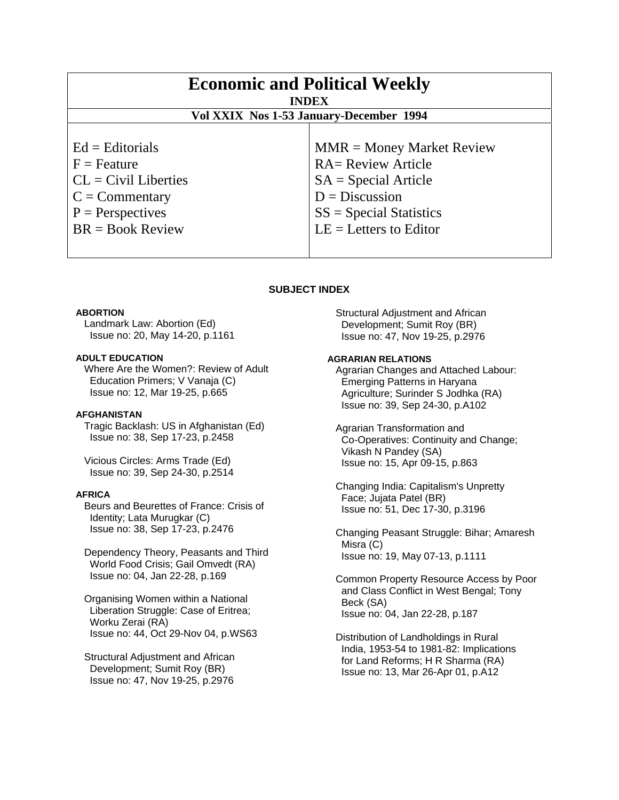| <b>Economic and Political Weekly</b><br><b>INDEX</b><br>Vol XXIX Nos 1-53 January-December 1994                 |                                                                                                                                     |
|-----------------------------------------------------------------------------------------------------------------|-------------------------------------------------------------------------------------------------------------------------------------|
|                                                                                                                 |                                                                                                                                     |
| $Ed =$ Editorials<br>$F =$ Feature<br>$CL = Civil\:$ Liberties<br>$C = \text{Commentary}$<br>$P =$ Perspectives | $MMR = Money Market Review$<br><b>RA= Review Article</b><br>$SA = Special Article$<br>$D = Discussion$<br>$SS = Special Statistics$ |
| $BR = Book Review$                                                                                              | $LE = Letters to Editor$                                                                                                            |

# **SUBJECT INDEX**

## **ABORTION**

 Landmark Law: Abortion (Ed) Issue no: 20, May 14-20, p.1161

# **ADULT EDUCATION**

 Where Are the Women?: Review of Adult Education Primers; V Vanaja (C) Issue no: 12, Mar 19-25, p.665

# **AFGHANISTAN**

 Tragic Backlash: US in Afghanistan (Ed) Issue no: 38, Sep 17-23, p.2458

 Vicious Circles: Arms Trade (Ed) Issue no: 39, Sep 24-30, p.2514

# **AFRICA**

 Beurs and Beurettes of France: Crisis of Identity; Lata Murugkar (C) Issue no: 38, Sep 17-23, p.2476

 Dependency Theory, Peasants and Third World Food Crisis; Gail Omvedt (RA) Issue no: 04, Jan 22-28, p.169

 Organising Women within a National Liberation Struggle: Case of Eritrea; Worku Zerai (RA) Issue no: 44, Oct 29-Nov 04, p.WS63

 Structural Adjustment and African Development; Sumit Roy (BR) Issue no: 47, Nov 19-25, p.2976

 Structural Adjustment and African Development; Sumit Roy (BR) Issue no: 47, Nov 19-25, p.2976

# **AGRARIAN RELATIONS**

 Agrarian Changes and Attached Labour: Emerging Patterns in Haryana Agriculture; Surinder S Jodhka (RA) Issue no: 39, Sep 24-30, p.A102

 Agrarian Transformation and Co-Operatives: Continuity and Change; Vikash N Pandey (SA) Issue no: 15, Apr 09-15, p.863

 Changing India: Capitalism's Unpretty Face; Jujata Patel (BR) Issue no: 51, Dec 17-30, p.3196

 Changing Peasant Struggle: Bihar; Amaresh Misra (C) Issue no: 19, May 07-13, p.1111

 Common Property Resource Access by Poor and Class Conflict in West Bengal; Tony Beck (SA) Issue no: 04, Jan 22-28, p.187

 Distribution of Landholdings in Rural India, 1953-54 to 1981-82: Implications for Land Reforms; H R Sharma (RA) Issue no: 13, Mar 26-Apr 01, p.A12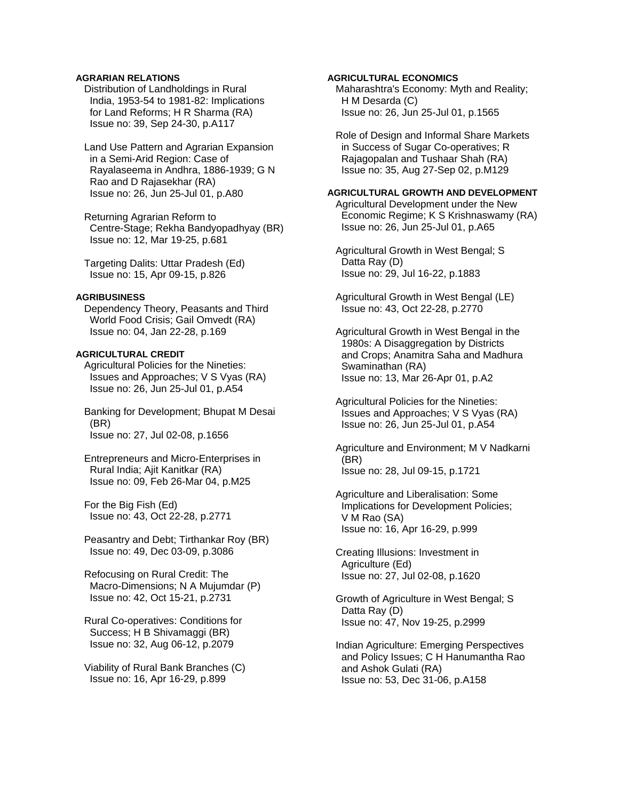# **AGRARIAN RELATIONS**

 Distribution of Landholdings in Rural India, 1953-54 to 1981-82: Implications for Land Reforms; H R Sharma (RA) Issue no: 39, Sep 24-30, p.A117

 Land Use Pattern and Agrarian Expansion in a Semi-Arid Region: Case of Rayalaseema in Andhra, 1886-1939; G N Rao and D Rajasekhar (RA) Issue no: 26, Jun 25-Jul 01, p.A80

 Returning Agrarian Reform to Centre-Stage; Rekha Bandyopadhyay (BR) Issue no: 12, Mar 19-25, p.681

 Targeting Dalits: Uttar Pradesh (Ed) Issue no: 15, Apr 09-15, p.826

### **AGRIBUSINESS**

 Dependency Theory, Peasants and Third World Food Crisis; Gail Omvedt (RA) Issue no: 04, Jan 22-28, p.169

### **AGRICULTURAL CREDIT**

 Agricultural Policies for the Nineties: Issues and Approaches; V S Vyas (RA) Issue no: 26, Jun 25-Jul 01, p.A54

 Banking for Development; Bhupat M Desai (BR) Issue no: 27, Jul 02-08, p.1656

 Entrepreneurs and Micro-Enterprises in Rural India; Ajit Kanitkar (RA) Issue no: 09, Feb 26-Mar 04, p.M25

 For the Big Fish (Ed) Issue no: 43, Oct 22-28, p.2771

 Peasantry and Debt; Tirthankar Roy (BR) Issue no: 49, Dec 03-09, p.3086

 Refocusing on Rural Credit: The Macro-Dimensions; N A Mujumdar (P) Issue no: 42, Oct 15-21, p.2731

 Rural Co-operatives: Conditions for Success; H B Shivamaggi (BR) Issue no: 32, Aug 06-12, p.2079

 Viability of Rural Bank Branches (C) Issue no: 16, Apr 16-29, p.899

## **AGRICULTURAL ECONOMICS**

 Maharashtra's Economy: Myth and Reality; H M Desarda (C) Issue no: 26, Jun 25-Jul 01, p.1565

 Role of Design and Informal Share Markets in Success of Sugar Co-operatives; R Rajagopalan and Tushaar Shah (RA) Issue no: 35, Aug 27-Sep 02, p.M129

# **AGRICULTURAL GROWTH AND DEVELOPMENT**

 Agricultural Development under the New Economic Regime; K S Krishnaswamy (RA) Issue no: 26, Jun 25-Jul 01, p.A65

 Agricultural Growth in West Bengal; S Datta Ray (D) Issue no: 29, Jul 16-22, p.1883

 Agricultural Growth in West Bengal (LE) Issue no: 43, Oct 22-28, p.2770

 Agricultural Growth in West Bengal in the 1980s: A Disaggregation by Districts and Crops; Anamitra Saha and Madhura Swaminathan (RA) Issue no: 13, Mar 26-Apr 01, p.A2

 Agricultural Policies for the Nineties: Issues and Approaches; V S Vyas (RA) Issue no: 26, Jun 25-Jul 01, p.A54

 Agriculture and Environment; M V Nadkarni (BR) Issue no: 28, Jul 09-15, p.1721

 Agriculture and Liberalisation: Some Implications for Development Policies; V M Rao (SA) Issue no: 16, Apr 16-29, p.999

 Creating Illusions: Investment in Agriculture (Ed) Issue no: 27, Jul 02-08, p.1620

 Growth of Agriculture in West Bengal; S Datta Ray (D) Issue no: 47, Nov 19-25, p.2999

 Indian Agriculture: Emerging Perspectives and Policy Issues; C H Hanumantha Rao and Ashok Gulati (RA) Issue no: 53, Dec 31-06, p.A158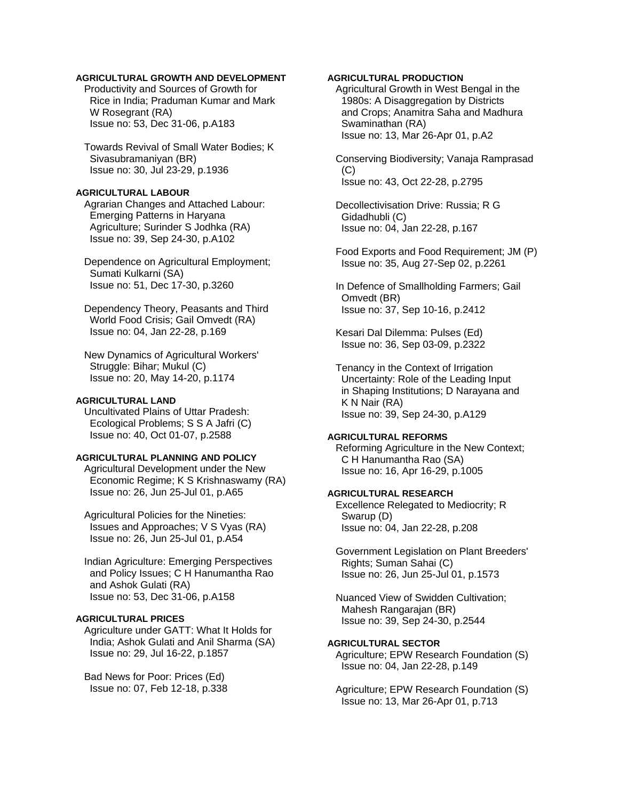# **AGRICULTURAL GROWTH AND DEVELOPMENT**

 Productivity and Sources of Growth for Rice in India; Praduman Kumar and Mark W Rosegrant (RA) Issue no: 53, Dec 31-06, p.A183

 Towards Revival of Small Water Bodies; K Sivasubramaniyan (BR) Issue no: 30, Jul 23-29, p.1936

### **AGRICULTURAL LABOUR**

 Agrarian Changes and Attached Labour: Emerging Patterns in Haryana Agriculture; Surinder S Jodhka (RA) Issue no: 39, Sep 24-30, p.A102

 Dependence on Agricultural Employment; Sumati Kulkarni (SA) Issue no: 51, Dec 17-30, p.3260

 Dependency Theory, Peasants and Third World Food Crisis; Gail Omvedt (RA) Issue no: 04, Jan 22-28, p.169

 New Dynamics of Agricultural Workers' Struggle: Bihar; Mukul (C) Issue no: 20, May 14-20, p.1174

## **AGRICULTURAL LAND**

 Uncultivated Plains of Uttar Pradesh: Ecological Problems; S S A Jafri (C) Issue no: 40, Oct 01-07, p.2588

# **AGRICULTURAL PLANNING AND POLICY**

 Agricultural Development under the New Economic Regime; K S Krishnaswamy (RA) Issue no: 26, Jun 25-Jul 01, p.A65

 Agricultural Policies for the Nineties: Issues and Approaches; V S Vyas (RA) Issue no: 26, Jun 25-Jul 01, p.A54

 Indian Agriculture: Emerging Perspectives and Policy Issues; C H Hanumantha Rao and Ashok Gulati (RA) Issue no: 53, Dec 31-06, p.A158

# **AGRICULTURAL PRICES**

 Agriculture under GATT: What It Holds for India; Ashok Gulati and Anil Sharma (SA) Issue no: 29, Jul 16-22, p.1857

 Bad News for Poor: Prices (Ed) Issue no: 07, Feb 12-18, p.338

# **AGRICULTURAL PRODUCTION**

 Agricultural Growth in West Bengal in the 1980s: A Disaggregation by Districts and Crops; Anamitra Saha and Madhura Swaminathan (RA) Issue no: 13, Mar 26-Apr 01, p.A2

 Conserving Biodiversity; Vanaja Ramprasad (C) Issue no: 43, Oct 22-28, p.2795

 Decollectivisation Drive: Russia; R G Gidadhubli (C) Issue no: 04, Jan 22-28, p.167

 Food Exports and Food Requirement; JM (P) Issue no: 35, Aug 27-Sep 02, p.2261

 In Defence of Smallholding Farmers; Gail Omvedt (BR) Issue no: 37, Sep 10-16, p.2412

 Kesari Dal Dilemma: Pulses (Ed) Issue no: 36, Sep 03-09, p.2322

 Tenancy in the Context of Irrigation Uncertainty: Role of the Leading Input in Shaping Institutions; D Narayana and K N Nair (RA) Issue no: 39, Sep 24-30, p.A129

#### **AGRICULTURAL REFORMS**

 Reforming Agriculture in the New Context; C H Hanumantha Rao (SA) Issue no: 16, Apr 16-29, p.1005

# **AGRICULTURAL RESEARCH**

 Excellence Relegated to Mediocrity; R Swarup (D) Issue no: 04, Jan 22-28, p.208

 Government Legislation on Plant Breeders' Rights; Suman Sahai (C) Issue no: 26, Jun 25-Jul 01, p.1573

 Nuanced View of Swidden Cultivation; Mahesh Rangarajan (BR) Issue no: 39, Sep 24-30, p.2544

# **AGRICULTURAL SECTOR**

 Agriculture; EPW Research Foundation (S) Issue no: 04, Jan 22-28, p.149

 Agriculture; EPW Research Foundation (S) Issue no: 13, Mar 26-Apr 01, p.713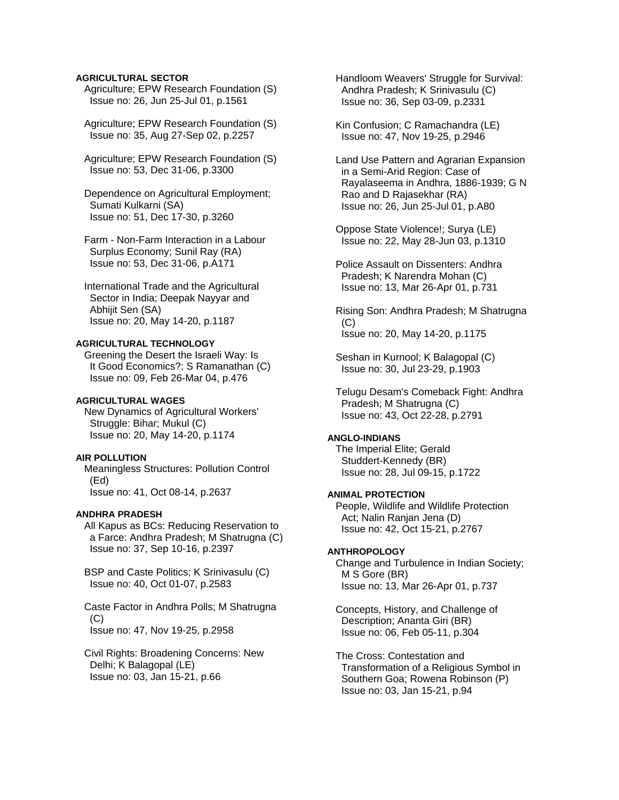## **AGRICULTURAL SECTOR**

 Agriculture; EPW Research Foundation (S) Issue no: 26, Jun 25-Jul 01, p.1561

 Agriculture; EPW Research Foundation (S) Issue no: 35, Aug 27-Sep 02, p.2257

 Agriculture; EPW Research Foundation (S) Issue no: 53, Dec 31-06, p.3300

 Dependence on Agricultural Employment; Sumati Kulkarni (SA) Issue no: 51, Dec 17-30, p.3260

 Farm - Non-Farm Interaction in a Labour Surplus Economy; Sunil Ray (RA) Issue no: 53, Dec 31-06, p.A171

 International Trade and the Agricultural Sector in India; Deepak Nayyar and Abhijit Sen (SA) Issue no: 20, May 14-20, p.1187

## **AGRICULTURAL TECHNOLOGY**

 Greening the Desert the Israeli Way: Is It Good Economics?; S Ramanathan (C) Issue no: 09, Feb 26-Mar 04, p.476

## **AGRICULTURAL WAGES**

 New Dynamics of Agricultural Workers' Struggle: Bihar; Mukul (C) Issue no: 20, May 14-20, p.1174

# **AIR POLLUTION**

 Meaningless Structures: Pollution Control (Ed) Issue no: 41, Oct 08-14, p.2637

#### **ANDHRA PRADESH**

 All Kapus as BCs: Reducing Reservation to a Farce: Andhra Pradesh; M Shatrugna (C) Issue no: 37, Sep 10-16, p.2397

 BSP and Caste Politics; K Srinivasulu (C) Issue no: 40, Oct 01-07, p.2583

 Caste Factor in Andhra Polls; M Shatrugna  $(C)$ 

Issue no: 47, Nov 19-25, p.2958

 Civil Rights: Broadening Concerns: New Delhi; K Balagopal (LE) Issue no: 03, Jan 15-21, p.66

 Handloom Weavers' Struggle for Survival: Andhra Pradesh; K Srinivasulu (C) Issue no: 36, Sep 03-09, p.2331

 Kin Confusion; C Ramachandra (LE) Issue no: 47, Nov 19-25, p.2946

 Land Use Pattern and Agrarian Expansion in a Semi-Arid Region: Case of Rayalaseema in Andhra, 1886-1939; G N Rao and D Rajasekhar (RA) Issue no: 26, Jun 25-Jul 01, p.A80

 Oppose State Violence!; Surya (LE) Issue no: 22, May 28-Jun 03, p.1310

 Police Assault on Dissenters: Andhra Pradesh; K Narendra Mohan (C) Issue no: 13, Mar 26-Apr 01, p.731

 Rising Son: Andhra Pradesh; M Shatrugna  $(C)$ Issue no: 20, May 14-20, p.1175

 Seshan in Kurnool; K Balagopal (C) Issue no: 30, Jul 23-29, p.1903

 Telugu Desam's Comeback Fight: Andhra Pradesh; M Shatrugna (C) Issue no: 43, Oct 22-28, p.2791

#### **ANGLO-INDIANS**

 The Imperial Elite; Gerald Studdert-Kennedy (BR) Issue no: 28, Jul 09-15, p.1722

# **ANIMAL PROTECTION**

 People, Wildlife and Wildlife Protection Act; Nalin Ranjan Jena (D) Issue no: 42, Oct 15-21, p.2767

### **ANTHROPOLOGY**

 Change and Turbulence in Indian Society; M S Gore (BR) Issue no: 13, Mar 26-Apr 01, p.737

 Concepts, History, and Challenge of Description; Ananta Giri (BR) Issue no: 06, Feb 05-11, p.304

 The Cross: Contestation and Transformation of a Religious Symbol in Southern Goa; Rowena Robinson (P) Issue no: 03, Jan 15-21, p.94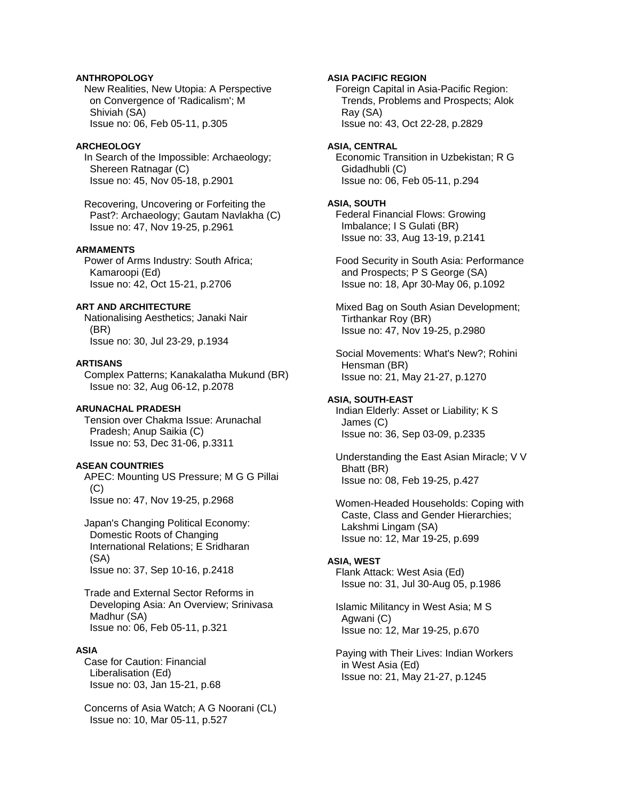# **ANTHROPOLOGY**

 New Realities, New Utopia: A Perspective on Convergence of 'Radicalism'; M Shiviah (SA) Issue no: 06, Feb 05-11, p.305

### **ARCHEOLOGY**

 In Search of the Impossible: Archaeology; Shereen Ratnagar (C) Issue no: 45, Nov 05-18, p.2901

 Recovering, Uncovering or Forfeiting the Past?: Archaeology; Gautam Navlakha (C) Issue no: 47, Nov 19-25, p.2961

# **ARMAMENTS**

 Power of Arms Industry: South Africa; Kamaroopi (Ed) Issue no: 42, Oct 15-21, p.2706

## **ART AND ARCHITECTURE**

 Nationalising Aesthetics; Janaki Nair (BR) Issue no: 30, Jul 23-29, p.1934

#### **ARTISANS**

 Complex Patterns; Kanakalatha Mukund (BR) Issue no: 32, Aug 06-12, p.2078

## **ARUNACHAL PRADESH**

 Tension over Chakma Issue: Arunachal Pradesh; Anup Saikia (C) Issue no: 53, Dec 31-06, p.3311

# **ASEAN COUNTRIES**

 APEC: Mounting US Pressure; M G G Pillai (C) Issue no: 47, Nov 19-25, p.2968

 Japan's Changing Political Economy: Domestic Roots of Changing International Relations; E Sridharan (SA) Issue no: 37, Sep 10-16, p.2418

 Trade and External Sector Reforms in Developing Asia: An Overview; Srinivasa Madhur (SA) Issue no: 06, Feb 05-11, p.321

### **ASIA**

 Case for Caution: Financial Liberalisation (Ed) Issue no: 03, Jan 15-21, p.68

 Concerns of Asia Watch; A G Noorani (CL) Issue no: 10, Mar 05-11, p.527

**ASIA PACIFIC REGION** 

 Foreign Capital in Asia-Pacific Region: Trends, Problems and Prospects; Alok Ray (SA) Issue no: 43, Oct 22-28, p.2829

#### **ASIA, CENTRAL**

 Economic Transition in Uzbekistan; R G Gidadhubli (C) Issue no: 06, Feb 05-11, p.294

# **ASIA, SOUTH**

 Federal Financial Flows: Growing Imbalance; I S Gulati (BR) Issue no: 33, Aug 13-19, p.2141

 Food Security in South Asia: Performance and Prospects; P S George (SA) Issue no: 18, Apr 30-May 06, p.1092

 Mixed Bag on South Asian Development; Tirthankar Roy (BR) Issue no: 47, Nov 19-25, p.2980

 Social Movements: What's New?; Rohini Hensman (BR) Issue no: 21, May 21-27, p.1270

### **ASIA, SOUTH-EAST**

 Indian Elderly: Asset or Liability; K S James (C) Issue no: 36, Sep 03-09, p.2335

 Understanding the East Asian Miracle; V V Bhatt (BR) Issue no: 08, Feb 19-25, p.427

 Women-Headed Households: Coping with Caste, Class and Gender Hierarchies; Lakshmi Lingam (SA) Issue no: 12, Mar 19-25, p.699

### **ASIA, WEST**

 Flank Attack: West Asia (Ed) Issue no: 31, Jul 30-Aug 05, p.1986

 Islamic Militancy in West Asia; M S Agwani (C) Issue no: 12, Mar 19-25, p.670

 Paying with Their Lives: Indian Workers in West Asia (Ed) Issue no: 21, May 21-27, p.1245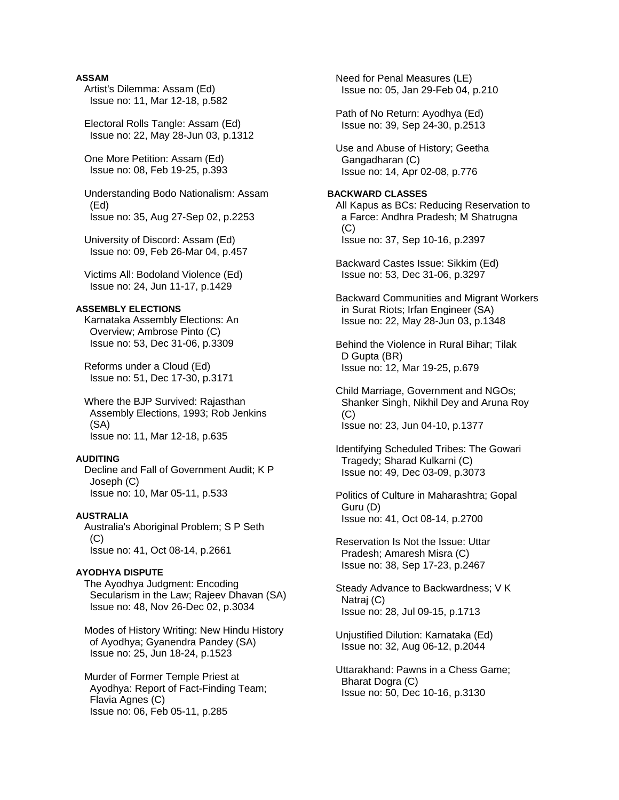# **ASSAM**

- Artist's Dilemma: Assam (Ed) Issue no: 11, Mar 12-18, p.582
- Electoral Rolls Tangle: Assam (Ed) Issue no: 22, May 28-Jun 03, p.1312
- One More Petition: Assam (Ed) Issue no: 08, Feb 19-25, p.393
- Understanding Bodo Nationalism: Assam (Ed) Issue no: 35, Aug 27-Sep 02, p.2253
- University of Discord: Assam (Ed) Issue no: 09, Feb 26-Mar 04, p.457
- Victims All: Bodoland Violence (Ed) Issue no: 24, Jun 11-17, p.1429

# **ASSEMBLY ELECTIONS**

 Karnataka Assembly Elections: An Overview; Ambrose Pinto (C) Issue no: 53, Dec 31-06, p.3309

 Reforms under a Cloud (Ed) Issue no: 51, Dec 17-30, p.3171

 Where the BJP Survived: Rajasthan Assembly Elections, 1993; Rob Jenkins (SA) Issue no: 11, Mar 12-18, p.635

#### **AUDITING**

 Decline and Fall of Government Audit; K P Joseph (C) Issue no: 10, Mar 05-11, p.533

# **AUSTRALIA**

 Australia's Aboriginal Problem; S P Seth  $(C)$ Issue no: 41, Oct 08-14, p.2661

# **AYODHYA DISPUTE**

 The Ayodhya Judgment: Encoding Secularism in the Law; Rajeev Dhavan (SA) Issue no: 48, Nov 26-Dec 02, p.3034

 Modes of History Writing: New Hindu History of Ayodhya; Gyanendra Pandey (SA) Issue no: 25, Jun 18-24, p.1523

 Murder of Former Temple Priest at Ayodhya: Report of Fact-Finding Team; Flavia Agnes (C) Issue no: 06, Feb 05-11, p.285

 Need for Penal Measures (LE) Issue no: 05, Jan 29-Feb 04, p.210 Path of No Return: Ayodhya (Ed) Issue no: 39, Sep 24-30, p.2513 Use and Abuse of History; Geetha Gangadharan (C) Issue no: 14, Apr 02-08, p.776 **BACKWARD CLASSES**  All Kapus as BCs: Reducing Reservation to a Farce: Andhra Pradesh; M Shatrugna (C) Issue no: 37, Sep 10-16, p.2397 Backward Castes Issue: Sikkim (Ed) Issue no: 53, Dec 31-06, p.3297 Backward Communities and Migrant Workers in Surat Riots; Irfan Engineer (SA) Issue no: 22, May 28-Jun 03, p.1348 Behind the Violence in Rural Bihar; Tilak D Gupta (BR) Issue no: 12, Mar 19-25, p.679 Child Marriage, Government and NGOs; Shanker Singh, Nikhil Dey and Aruna Roy  $(C)$  Issue no: 23, Jun 04-10, p.1377 Identifying Scheduled Tribes: The Gowari Tragedy; Sharad Kulkarni (C) Issue no: 49, Dec 03-09, p.3073 Politics of Culture in Maharashtra; Gopal Guru (D) Issue no: 41, Oct 08-14, p.2700 Reservation Is Not the Issue: Uttar Pradesh; Amaresh Misra (C) Issue no: 38, Sep 17-23, p.2467 Steady Advance to Backwardness; V K Natraj (C) Issue no: 28, Jul 09-15, p.1713 Unjustified Dilution: Karnataka (Ed) Issue no: 32, Aug 06-12, p.2044 Uttarakhand: Pawns in a Chess Game; Bharat Dogra (C)

Issue no: 50, Dec 10-16, p.3130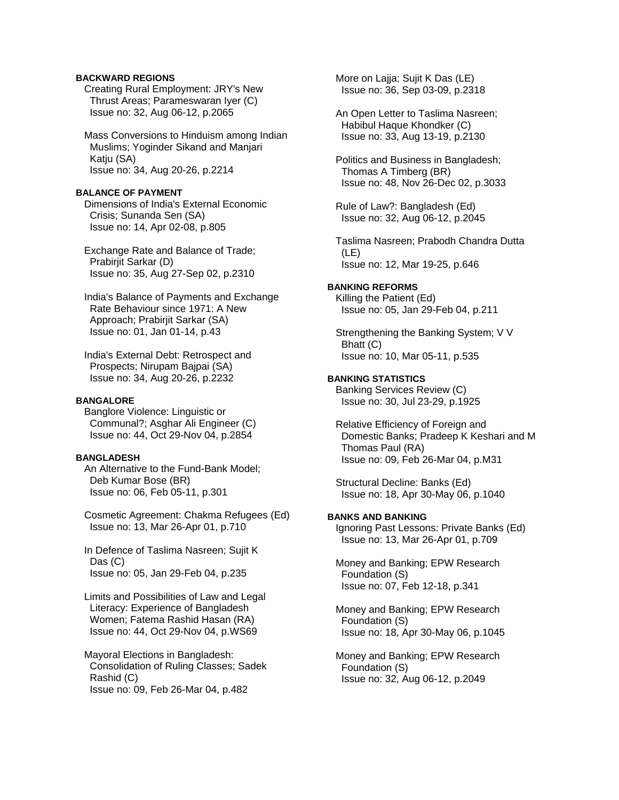# **BACKWARD REGIONS**

 Creating Rural Employment: JRY's New Thrust Areas; Parameswaran Iyer (C) Issue no: 32, Aug 06-12, p.2065

 Mass Conversions to Hinduism among Indian Muslims; Yoginder Sikand and Manjari Katju (SA) Issue no: 34, Aug 20-26, p.2214

# **BALANCE OF PAYMENT**

 Dimensions of India's External Economic Crisis; Sunanda Sen (SA) Issue no: 14, Apr 02-08, p.805

 Exchange Rate and Balance of Trade; Prabirjit Sarkar (D) Issue no: 35, Aug 27-Sep 02, p.2310

 India's Balance of Payments and Exchange Rate Behaviour since 1971: A New Approach; Prabirjit Sarkar (SA) Issue no: 01, Jan 01-14, p.43

 India's External Debt: Retrospect and Prospects; Nirupam Bajpai (SA) Issue no: 34, Aug 20-26, p.2232

## **BANGALORE**

 Banglore Violence: Linguistic or Communal?; Asghar Ali Engineer (C) Issue no: 44, Oct 29-Nov 04, p.2854

# **BANGLADESH**

 An Alternative to the Fund-Bank Model; Deb Kumar Bose (BR) Issue no: 06, Feb 05-11, p.301

 Cosmetic Agreement: Chakma Refugees (Ed) Issue no: 13, Mar 26-Apr 01, p.710

 In Defence of Taslima Nasreen; Sujit K Das (C) Issue no: 05, Jan 29-Feb 04, p.235

 Limits and Possibilities of Law and Legal Literacy: Experience of Bangladesh Women; Fatema Rashid Hasan (RA) Issue no: 44, Oct 29-Nov 04, p.WS69

 Mayoral Elections in Bangladesh: Consolidation of Ruling Classes; Sadek Rashid (C) Issue no: 09, Feb 26-Mar 04, p.482

 More on Lajja; Sujit K Das (LE) Issue no: 36, Sep 03-09, p.2318

 An Open Letter to Taslima Nasreen; Habibul Haque Khondker (C) Issue no: 33, Aug 13-19, p.2130

 Politics and Business in Bangladesh; Thomas A Timberg (BR) Issue no: 48, Nov 26-Dec 02, p.3033

 Rule of Law?: Bangladesh (Ed) Issue no: 32, Aug 06-12, p.2045

 Taslima Nasreen; Prabodh Chandra Dutta (LE) Issue no: 12, Mar 19-25, p.646

# **BANKING REFORMS**

 Killing the Patient (Ed) Issue no: 05, Jan 29-Feb 04, p.211

 Strengthening the Banking System; V V Bhatt (C) Issue no: 10, Mar 05-11, p.535

### **BANKING STATISTICS**

 Banking Services Review (C) Issue no: 30, Jul 23-29, p.1925

 Relative Efficiency of Foreign and Domestic Banks; Pradeep K Keshari and M Thomas Paul (RA) Issue no: 09, Feb 26-Mar 04, p.M31

 Structural Decline: Banks (Ed) Issue no: 18, Apr 30-May 06, p.1040

# **BANKS AND BANKING**

 Ignoring Past Lessons: Private Banks (Ed) Issue no: 13, Mar 26-Apr 01, p.709

 Money and Banking; EPW Research Foundation (S) Issue no: 07, Feb 12-18, p.341

 Money and Banking; EPW Research Foundation (S) Issue no: 18, Apr 30-May 06, p.1045

 Money and Banking; EPW Research Foundation (S) Issue no: 32, Aug 06-12, p.2049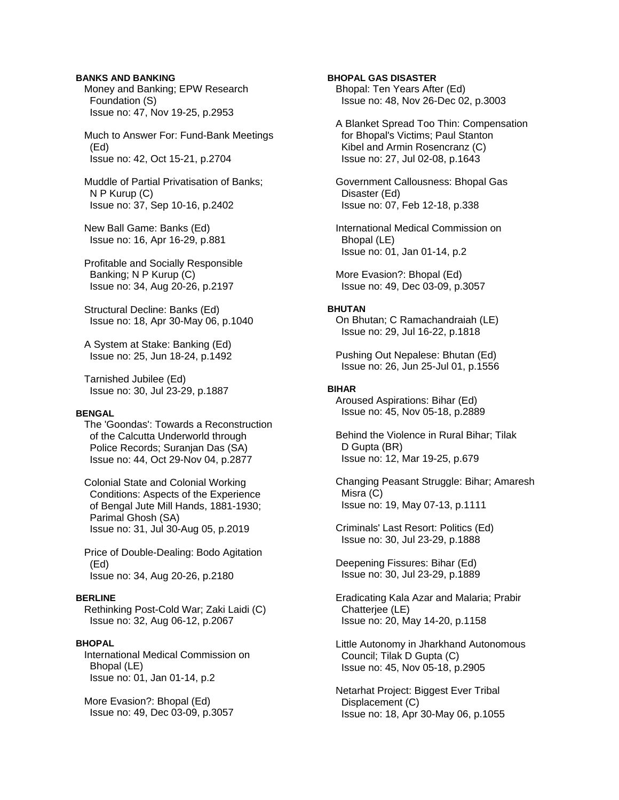# **BANKS AND BANKING**

 Money and Banking; EPW Research Foundation (S) Issue no: 47, Nov 19-25, p.2953

 Much to Answer For: Fund-Bank Meetings (Ed) Issue no: 42, Oct 15-21, p.2704

 Muddle of Partial Privatisation of Banks; N P Kurup (C) Issue no: 37, Sep 10-16, p.2402

 New Ball Game: Banks (Ed) Issue no: 16, Apr 16-29, p.881

 Profitable and Socially Responsible Banking; N P Kurup (C) Issue no: 34, Aug 20-26, p.2197

 Structural Decline: Banks (Ed) Issue no: 18, Apr 30-May 06, p.1040

 A System at Stake: Banking (Ed) Issue no: 25, Jun 18-24, p.1492

 Tarnished Jubilee (Ed) Issue no: 30, Jul 23-29, p.1887

#### **BENGAL**

 The 'Goondas': Towards a Reconstruction of the Calcutta Underworld through Police Records; Suranjan Das (SA) Issue no: 44, Oct 29-Nov 04, p.2877

 Colonial State and Colonial Working Conditions: Aspects of the Experience of Bengal Jute Mill Hands, 1881-1930; Parimal Ghosh (SA) Issue no: 31, Jul 30-Aug 05, p.2019

 Price of Double-Dealing: Bodo Agitation (Ed) Issue no: 34, Aug 20-26, p.2180

### **BERLINE**

 Rethinking Post-Cold War; Zaki Laidi (C) Issue no: 32, Aug 06-12, p.2067

# **BHOPAL**

 International Medical Commission on Bhopal (LE) Issue no: 01, Jan 01-14, p.2

 More Evasion?: Bhopal (Ed) Issue no: 49, Dec 03-09, p.3057 **BHOPAL GAS DISASTER**  Bhopal: Ten Years After (Ed) Issue no: 48, Nov 26-Dec 02, p.3003

 A Blanket Spread Too Thin: Compensation for Bhopal's Victims; Paul Stanton Kibel and Armin Rosencranz (C) Issue no: 27, Jul 02-08, p.1643

 Government Callousness: Bhopal Gas Disaster (Ed) Issue no: 07, Feb 12-18, p.338

 International Medical Commission on Bhopal (LE) Issue no: 01, Jan 01-14, p.2

 More Evasion?: Bhopal (Ed) Issue no: 49, Dec 03-09, p.3057

### **BHUTAN**

 On Bhutan; C Ramachandraiah (LE) Issue no: 29, Jul 16-22, p.1818

 Pushing Out Nepalese: Bhutan (Ed) Issue no: 26, Jun 25-Jul 01, p.1556

#### **BIHAR**

 Aroused Aspirations: Bihar (Ed) Issue no: 45, Nov 05-18, p.2889

 Behind the Violence in Rural Bihar; Tilak D Gupta (BR) Issue no: 12, Mar 19-25, p.679

 Changing Peasant Struggle: Bihar; Amaresh Misra (C) Issue no: 19, May 07-13, p.1111

 Criminals' Last Resort: Politics (Ed) Issue no: 30, Jul 23-29, p.1888

 Deepening Fissures: Bihar (Ed) Issue no: 30, Jul 23-29, p.1889

 Eradicating Kala Azar and Malaria; Prabir Chatterjee (LE) Issue no: 20, May 14-20, p.1158

 Little Autonomy in Jharkhand Autonomous Council; Tilak D Gupta (C) Issue no: 45, Nov 05-18, p.2905

 Netarhat Project: Biggest Ever Tribal Displacement (C) Issue no: 18, Apr 30-May 06, p.1055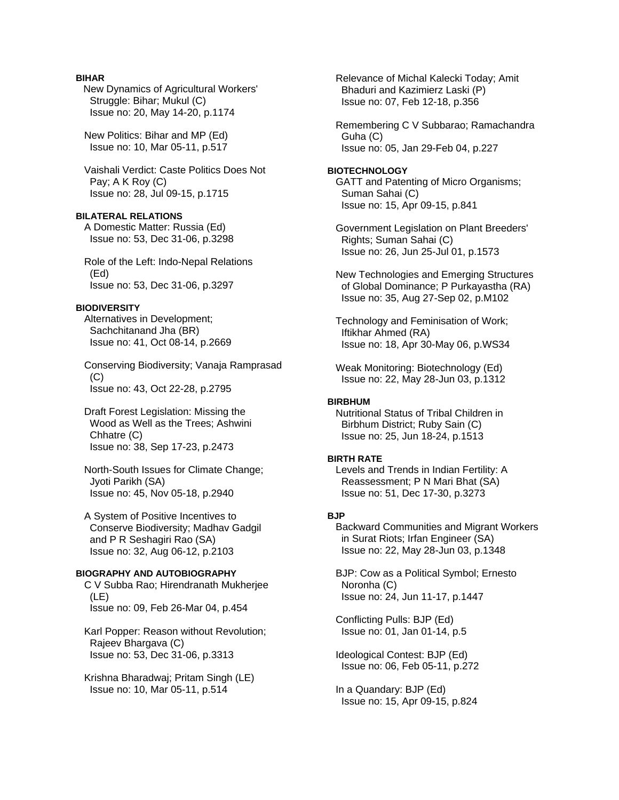# **BIHAR**

New Dynamics of Agricultural Workers' Struggle: Bihar; Mukul (C) Issue no: 20, May 14-20, p.1174

 New Politics: Bihar and MP (Ed) Issue no: 10, Mar 05-11, p.517

 Vaishali Verdict: Caste Politics Does Not Pay; A K Roy (C) Issue no: 28, Jul 09-15, p.1715

# **BILATERAL RELATIONS**

 A Domestic Matter: Russia (Ed) Issue no: 53, Dec 31-06, p.3298

 Role of the Left: Indo-Nepal Relations (Ed) Issue no: 53, Dec 31-06, p.3297

# **BIODIVERSITY**

 Alternatives in Development; Sachchitanand Jha (BR) Issue no: 41, Oct 08-14, p.2669

 Conserving Biodiversity; Vanaja Ramprasad  $(C)$ Issue no: 43, Oct 22-28, p.2795

 Draft Forest Legislation: Missing the Wood as Well as the Trees; Ashwini Chhatre (C) Issue no: 38, Sep 17-23, p.2473

 North-South Issues for Climate Change; Jyoti Parikh (SA) Issue no: 45, Nov 05-18, p.2940

 A System of Positive Incentives to Conserve Biodiversity; Madhav Gadgil and P R Seshagiri Rao (SA) Issue no: 32, Aug 06-12, p.2103

## **BIOGRAPHY AND AUTOBIOGRAPHY**

 C V Subba Rao; Hirendranath Mukherjee (LE) Issue no: 09, Feb 26-Mar 04, p.454

 Karl Popper: Reason without Revolution; Rajeev Bhargava (C) Issue no: 53, Dec 31-06, p.3313

 Krishna Bharadwaj; Pritam Singh (LE) Issue no: 10, Mar 05-11, p.514

 Relevance of Michal Kalecki Today; Amit Bhaduri and Kazimierz Laski (P) Issue no: 07, Feb 12-18, p.356

 Remembering C V Subbarao; Ramachandra Guha (C) Issue no: 05, Jan 29-Feb 04, p.227

### **BIOTECHNOLOGY**  GATT and Patenting of Micro Organisms; Suman Sahai (C) Issue no: 15, Apr 09-15, p.841

 Government Legislation on Plant Breeders' Rights; Suman Sahai (C) Issue no: 26, Jun 25-Jul 01, p.1573

 New Technologies and Emerging Structures of Global Dominance; P Purkayastha (RA) Issue no: 35, Aug 27-Sep 02, p.M102

 Technology and Feminisation of Work; Iftikhar Ahmed (RA) Issue no: 18, Apr 30-May 06, p.WS34

 Weak Monitoring: Biotechnology (Ed) Issue no: 22, May 28-Jun 03, p.1312

### **BIRBHUM**

 Nutritional Status of Tribal Children in Birbhum District; Ruby Sain (C) Issue no: 25, Jun 18-24, p.1513

#### **BIRTH RATE**

 Levels and Trends in Indian Fertility: A Reassessment; P N Mari Bhat (SA) Issue no: 51, Dec 17-30, p.3273

### **BJP**

 Backward Communities and Migrant Workers in Surat Riots; Irfan Engineer (SA) Issue no: 22, May 28-Jun 03, p.1348

 BJP: Cow as a Political Symbol; Ernesto Noronha (C) Issue no: 24, Jun 11-17, p.1447

 Conflicting Pulls: BJP (Ed) Issue no: 01, Jan 01-14, p.5

 Ideological Contest: BJP (Ed) Issue no: 06, Feb 05-11, p.272

 In a Quandary: BJP (Ed) Issue no: 15, Apr 09-15, p.824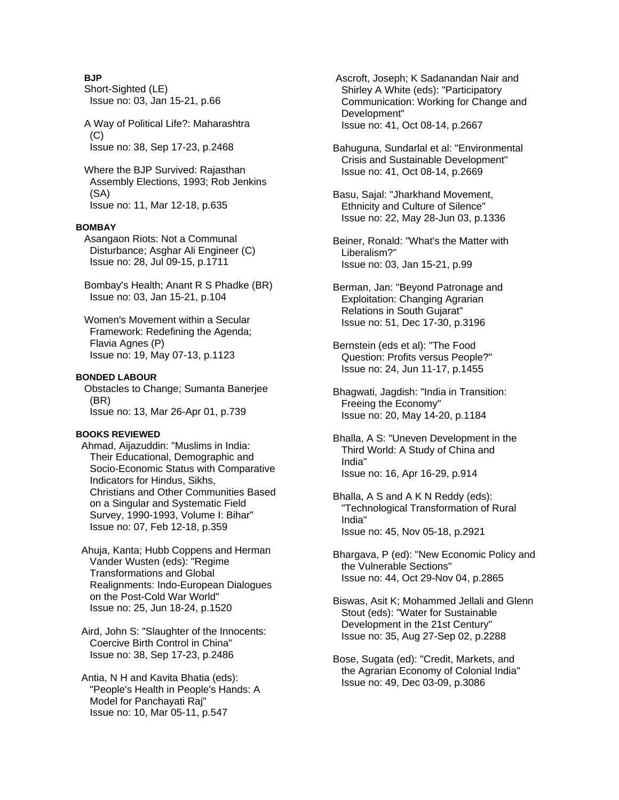# **BJP**

- Short-Sighted (LE) Issue no: 03, Jan 15-21, p.66
- A Way of Political Life?: Maharashtra  $(C)$ Issue no: 38, Sep 17-23, p.2468
- Where the BJP Survived: Rajasthan Assembly Elections, 1993; Rob Jenkins (SA) Issue no: 11, Mar 12-18, p.635

# **BOMBAY**

- Asangaon Riots: Not a Communal Disturbance; Asghar Ali Engineer (C) Issue no: 28, Jul 09-15, p.1711
- Bombay's Health; Anant R S Phadke (BR) Issue no: 03, Jan 15-21, p.104
- Women's Movement within a Secular Framework: Redefining the Agenda; Flavia Agnes (P) Issue no: 19, May 07-13, p.1123

# **BONDED LABOUR**

 Obstacles to Change; Sumanta Banerjee (BR) Issue no: 13, Mar 26-Apr 01, p.739

# **BOOKS REVIEWED**

- Ahmad, Aijazuddin: "Muslims in India: Their Educational, Demographic and Socio-Economic Status with Comparative Indicators for Hindus, Sikhs, Christians and Other Communities Based on a Singular and Systematic Field Survey, 1990-1993, Volume I: Bihar" Issue no: 07, Feb 12-18, p.359
- Ahuja, Kanta; Hubb Coppens and Herman Vander Wusten (eds): "Regime Transformations and Global Realignments: Indo-European Dialogues on the Post-Cold War World" Issue no: 25, Jun 18-24, p.1520
- Aird, John S: "Slaughter of the Innocents: Coercive Birth Control in China" Issue no: 38, Sep 17-23, p.2486
- Antia, N H and Kavita Bhatia (eds): "People's Health in People's Hands: A Model for Panchayati Raj" Issue no: 10, Mar 05-11, p.547
- Ascroft, Joseph; K Sadanandan Nair and Shirley A White (eds): "Participatory Communication: Working for Change and Development" Issue no: 41, Oct 08-14, p.2667
- Bahuguna, Sundarlal et al: "Environmental Crisis and Sustainable Development" Issue no: 41, Oct 08-14, p.2669
- Basu, Sajal: "Jharkhand Movement, Ethnicity and Culture of Silence" Issue no: 22, May 28-Jun 03, p.1336
- Beiner, Ronald: "What's the Matter with Liberalism?" Issue no: 03, Jan 15-21, p.99
- Berman, Jan: "Beyond Patronage and Exploitation: Changing Agrarian Relations in South Gujarat" Issue no: 51, Dec 17-30, p.3196
- Bernstein (eds et al): "The Food Question: Profits versus People?" Issue no: 24, Jun 11-17, p.1455
- Bhagwati, Jagdish: "India in Transition: Freeing the Economy" Issue no: 20, May 14-20, p.1184
- Bhalla, A S: "Uneven Development in the Third World: A Study of China and India" Issue no: 16, Apr 16-29, p.914
- Bhalla, A S and A K N Reddy (eds): "Technological Transformation of Rural India" Issue no: 45, Nov 05-18, p.2921
- Bhargava, P (ed): "New Economic Policy and the Vulnerable Sections" Issue no: 44, Oct 29-Nov 04, p.2865
- Biswas, Asit K; Mohammed Jellali and Glenn Stout (eds): "Water for Sustainable Development in the 21st Century" Issue no: 35, Aug 27-Sep 02, p.2288
- Bose, Sugata (ed): "Credit, Markets, and the Agrarian Economy of Colonial India" Issue no: 49, Dec 03-09, p.3086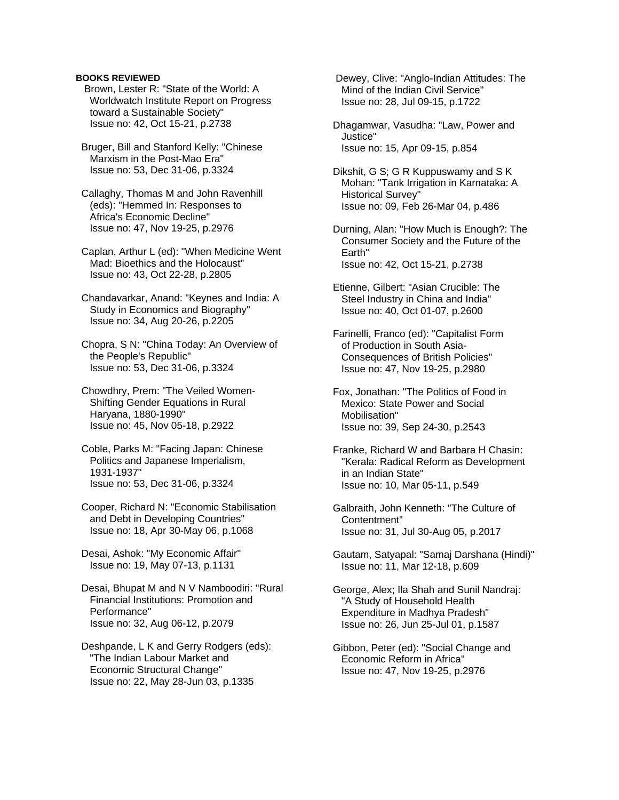Brown, Lester R: "State of the World: A Worldwatch Institute Report on Progress toward a Sustainable Society" Issue no: 42, Oct 15-21, p.2738

 Bruger, Bill and Stanford Kelly: "Chinese Marxism in the Post-Mao Era" Issue no: 53, Dec 31-06, p.3324

 Callaghy, Thomas M and John Ravenhill (eds): "Hemmed In: Responses to Africa's Economic Decline" Issue no: 47, Nov 19-25, p.2976

 Caplan, Arthur L (ed): "When Medicine Went Mad: Bioethics and the Holocaust" Issue no: 43, Oct 22-28, p.2805

 Chandavarkar, Anand: "Keynes and India: A Study in Economics and Biography" Issue no: 34, Aug 20-26, p.2205

 Chopra, S N: "China Today: An Overview of the People's Republic" Issue no: 53, Dec 31-06, p.3324

 Chowdhry, Prem: "The Veiled Women- Shifting Gender Equations in Rural Haryana, 1880-1990" Issue no: 45, Nov 05-18, p.2922

 Coble, Parks M: "Facing Japan: Chinese Politics and Japanese Imperialism, 1931-1937" Issue no: 53, Dec 31-06, p.3324

 Cooper, Richard N: "Economic Stabilisation and Debt in Developing Countries" Issue no: 18, Apr 30-May 06, p.1068

 Desai, Ashok: "My Economic Affair" Issue no: 19, May 07-13, p.1131

 Desai, Bhupat M and N V Namboodiri: "Rural Financial Institutions: Promotion and Performance" Issue no: 32, Aug 06-12, p.2079

 Deshpande, L K and Gerry Rodgers (eds): "The Indian Labour Market and Economic Structural Change" Issue no: 22, May 28-Jun 03, p.1335

 Dewey, Clive: "Anglo-Indian Attitudes: The Mind of the Indian Civil Service" Issue no: 28, Jul 09-15, p.1722

 Dhagamwar, Vasudha: "Law, Power and Justice" Issue no: 15, Apr 09-15, p.854

 Dikshit, G S; G R Kuppuswamy and S K Mohan: "Tank Irrigation in Karnataka: A Historical Survey" Issue no: 09, Feb 26-Mar 04, p.486

 Durning, Alan: "How Much is Enough?: The Consumer Society and the Future of the Earth" Issue no: 42, Oct 15-21, p.2738

 Etienne, Gilbert: "Asian Crucible: The Steel Industry in China and India" Issue no: 40, Oct 01-07, p.2600

 Farinelli, Franco (ed): "Capitalist Form of Production in South Asia- Consequences of British Policies" Issue no: 47, Nov 19-25, p.2980

 Fox, Jonathan: "The Politics of Food in Mexico: State Power and Social Mobilisation" Issue no: 39, Sep 24-30, p.2543

 Franke, Richard W and Barbara H Chasin: "Kerala: Radical Reform as Development in an Indian State" Issue no: 10, Mar 05-11, p.549

 Galbraith, John Kenneth: "The Culture of Contentment" Issue no: 31, Jul 30-Aug 05, p.2017

 Gautam, Satyapal: "Samaj Darshana (Hindi)" Issue no: 11, Mar 12-18, p.609

 George, Alex; Ila Shah and Sunil Nandraj: "A Study of Household Health Expenditure in Madhya Pradesh" Issue no: 26, Jun 25-Jul 01, p.1587

 Gibbon, Peter (ed): "Social Change and Economic Reform in Africa" Issue no: 47, Nov 19-25, p.2976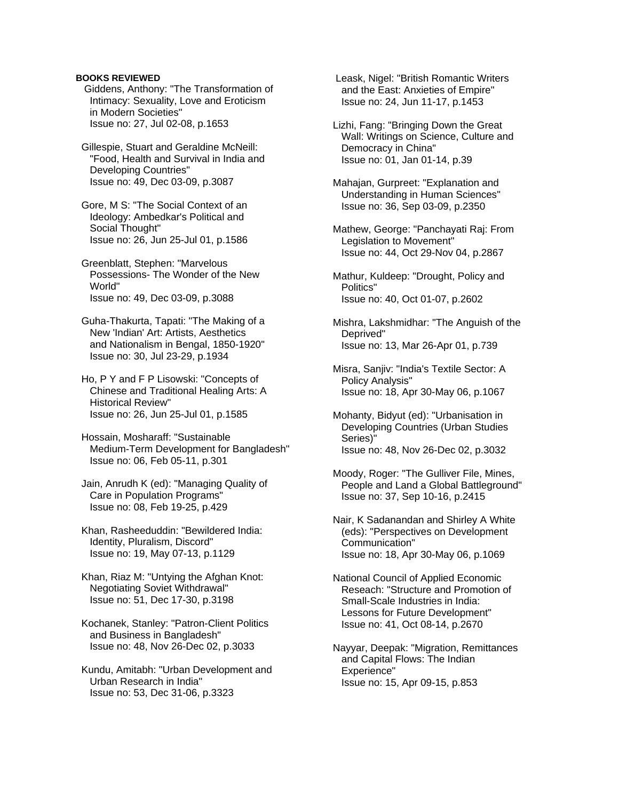Giddens, Anthony: "The Transformation of Intimacy: Sexuality, Love and Eroticism in Modern Societies" Issue no: 27, Jul 02-08, p.1653

 Gillespie, Stuart and Geraldine McNeill: "Food, Health and Survival in India and Developing Countries" Issue no: 49, Dec 03-09, p.3087

 Gore, M S: "The Social Context of an Ideology: Ambedkar's Political and Social Thought" Issue no: 26, Jun 25-Jul 01, p.1586

 Greenblatt, Stephen: "Marvelous Possessions- The Wonder of the New World" Issue no: 49, Dec 03-09, p.3088

 Guha-Thakurta, Tapati: "The Making of a New 'Indian' Art: Artists, Aesthetics and Nationalism in Bengal, 1850-1920" Issue no: 30, Jul 23-29, p.1934

 Ho, P Y and F P Lisowski: "Concepts of Chinese and Traditional Healing Arts: A Historical Review" Issue no: 26, Jun 25-Jul 01, p.1585

 Hossain, Mosharaff: "Sustainable Medium-Term Development for Bangladesh" Issue no: 06, Feb 05-11, p.301

 Jain, Anrudh K (ed): "Managing Quality of Care in Population Programs" Issue no: 08, Feb 19-25, p.429

 Khan, Rasheeduddin: "Bewildered India: Identity, Pluralism, Discord" Issue no: 19, May 07-13, p.1129

 Khan, Riaz M: "Untying the Afghan Knot: Negotiating Soviet Withdrawal" Issue no: 51, Dec 17-30, p.3198

 Kochanek, Stanley: "Patron-Client Politics and Business in Bangladesh" Issue no: 48, Nov 26-Dec 02, p.3033

 Kundu, Amitabh: "Urban Development and Urban Research in India" Issue no: 53, Dec 31-06, p.3323

 Leask, Nigel: "British Romantic Writers and the East: Anxieties of Empire" Issue no: 24, Jun 11-17, p.1453

 Lizhi, Fang: "Bringing Down the Great Wall: Writings on Science, Culture and Democracy in China" Issue no: 01, Jan 01-14, p.39

 Mahajan, Gurpreet: "Explanation and Understanding in Human Sciences" Issue no: 36, Sep 03-09, p.2350

 Mathew, George: "Panchayati Raj: From Legislation to Movement" Issue no: 44, Oct 29-Nov 04, p.2867

 Mathur, Kuldeep: "Drought, Policy and Politics" Issue no: 40, Oct 01-07, p.2602

 Mishra, Lakshmidhar: "The Anguish of the Deprived" Issue no: 13, Mar 26-Apr 01, p.739

 Misra, Sanjiv: "India's Textile Sector: A Policy Analysis" Issue no: 18, Apr 30-May 06, p.1067

 Mohanty, Bidyut (ed): "Urbanisation in Developing Countries (Urban Studies Series)" Issue no: 48, Nov 26-Dec 02, p.3032

 Moody, Roger: "The Gulliver File, Mines, People and Land a Global Battleground" Issue no: 37, Sep 10-16, p.2415

 Nair, K Sadanandan and Shirley A White (eds): "Perspectives on Development Communication" Issue no: 18, Apr 30-May 06, p.1069

 National Council of Applied Economic Reseach: "Structure and Promotion of Small-Scale Industries in India: Lessons for Future Development" Issue no: 41, Oct 08-14, p.2670

 Nayyar, Deepak: "Migration, Remittances and Capital Flows: The Indian Experience" Issue no: 15, Apr 09-15, p.853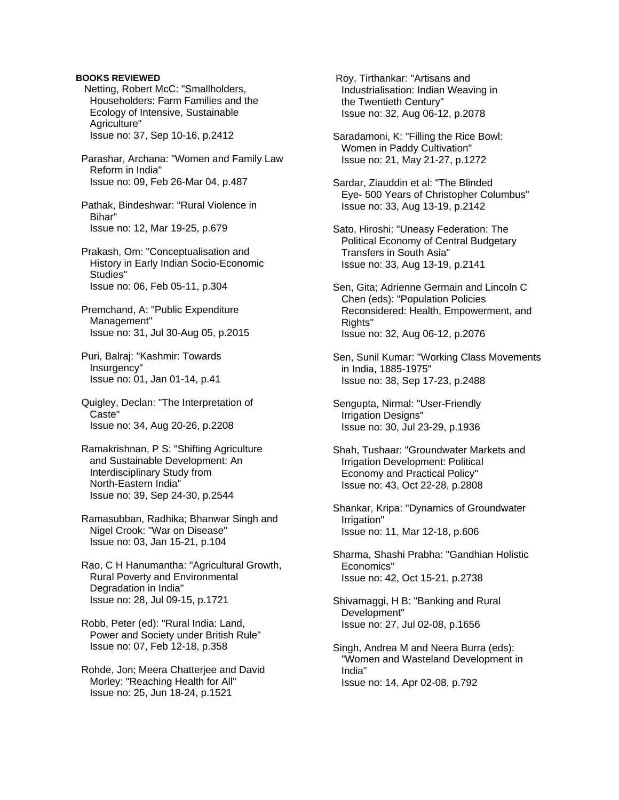Netting, Robert McC: "Smallholders, Householders: Farm Families and the Ecology of Intensive, Sustainable Agriculture" Issue no: 37, Sep 10-16, p.2412

 Parashar, Archana: "Women and Family Law Reform in India" Issue no: 09, Feb 26-Mar 04, p.487

 Pathak, Bindeshwar: "Rural Violence in Bihar" Issue no: 12, Mar 19-25, p.679

 Prakash, Om: "Conceptualisation and History in Early Indian Socio-Economic Studies" Issue no: 06, Feb 05-11, p.304

 Premchand, A: "Public Expenditure Management" Issue no: 31, Jul 30-Aug 05, p.2015

 Puri, Balraj: "Kashmir: Towards Insurgency" Issue no: 01, Jan 01-14, p.41

 Quigley, Declan: "The Interpretation of Caste" Issue no: 34, Aug 20-26, p.2208

 Ramakrishnan, P S: "Shifting Agriculture and Sustainable Development: An Interdisciplinary Study from North-Eastern India" Issue no: 39, Sep 24-30, p.2544

 Ramasubban, Radhika; Bhanwar Singh and Nigel Crook: "War on Disease" Issue no: 03, Jan 15-21, p.104

 Rao, C H Hanumantha: "Agricultural Growth, Rural Poverty and Environmental Degradation in India" Issue no: 28, Jul 09-15, p.1721

 Robb, Peter (ed): "Rural India: Land, Power and Society under British Rule" Issue no: 07, Feb 12-18, p.358

 Rohde, Jon; Meera Chatterjee and David Morley: "Reaching Health for All" Issue no: 25, Jun 18-24, p.1521

 Roy, Tirthankar: "Artisans and Industrialisation: Indian Weaving in the Twentieth Century" Issue no: 32, Aug 06-12, p.2078

 Saradamoni, K: "Filling the Rice Bowl: Women in Paddy Cultivation" Issue no: 21, May 21-27, p.1272

 Sardar, Ziauddin et al: "The Blinded Eye- 500 Years of Christopher Columbus" Issue no: 33, Aug 13-19, p.2142

 Sato, Hiroshi: "Uneasy Federation: The Political Economy of Central Budgetary Transfers in South Asia" Issue no: 33, Aug 13-19, p.2141

 Sen, Gita; Adrienne Germain and Lincoln C Chen (eds): "Population Policies Reconsidered: Health, Empowerment, and Rights" Issue no: 32, Aug 06-12, p.2076

 Sen, Sunil Kumar: "Working Class Movements in India, 1885-1975" Issue no: 38, Sep 17-23, p.2488

 Sengupta, Nirmal: "User-Friendly Irrigation Designs" Issue no: 30, Jul 23-29, p.1936

 Shah, Tushaar: "Groundwater Markets and Irrigation Development: Political Economy and Practical Policy" Issue no: 43, Oct 22-28, p.2808

 Shankar, Kripa: "Dynamics of Groundwater Irrigation" Issue no: 11, Mar 12-18, p.606

 Sharma, Shashi Prabha: "Gandhian Holistic Economics" Issue no: 42, Oct 15-21, p.2738

 Shivamaggi, H B: "Banking and Rural Development" Issue no: 27, Jul 02-08, p.1656

 Singh, Andrea M and Neera Burra (eds): "Women and Wasteland Development in India" Issue no: 14, Apr 02-08, p.792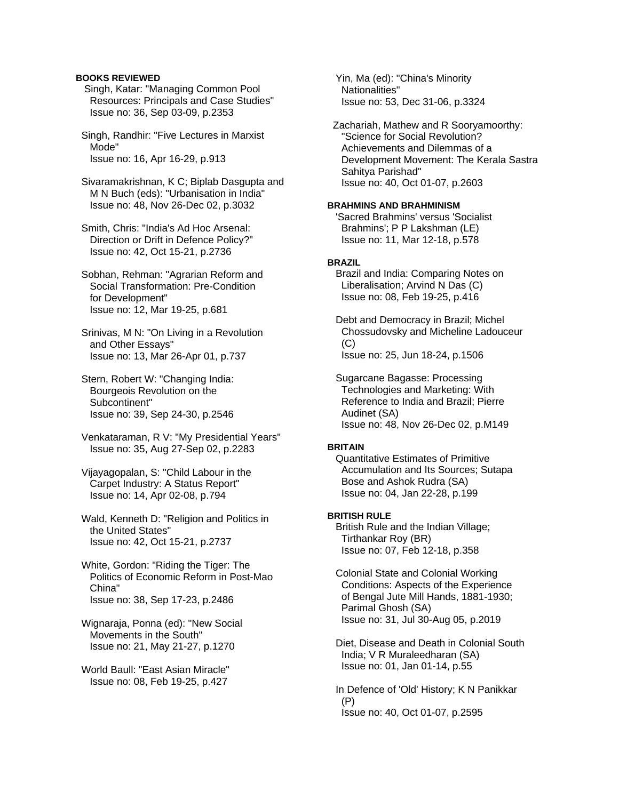Singh, Katar: "Managing Common Pool Resources: Principals and Case Studies" Issue no: 36, Sep 03-09, p.2353

 Singh, Randhir: "Five Lectures in Marxist Mode" Issue no: 16, Apr 16-29, p.913

 Sivaramakrishnan, K C; Biplab Dasgupta and M N Buch (eds): "Urbanisation in India" Issue no: 48, Nov 26-Dec 02, p.3032

 Smith, Chris: "India's Ad Hoc Arsenal: Direction or Drift in Defence Policy?" Issue no: 42, Oct 15-21, p.2736

 Sobhan, Rehman: "Agrarian Reform and Social Transformation: Pre-Condition for Development" Issue no: 12, Mar 19-25, p.681

 Srinivas, M N: "On Living in a Revolution and Other Essays" Issue no: 13, Mar 26-Apr 01, p.737

 Stern, Robert W: "Changing India: Bourgeois Revolution on the Subcontinent" Issue no: 39, Sep 24-30, p.2546

 Venkataraman, R V: "My Presidential Years" Issue no: 35, Aug 27-Sep 02, p.2283

 Vijayagopalan, S: "Child Labour in the Carpet Industry: A Status Report" Issue no: 14, Apr 02-08, p.794

 Wald, Kenneth D: "Religion and Politics in the United States" Issue no: 42, Oct 15-21, p.2737

 White, Gordon: "Riding the Tiger: The Politics of Economic Reform in Post-Mao China" Issue no: 38, Sep 17-23, p.2486

 Wignaraja, Ponna (ed): "New Social Movements in the South" Issue no: 21, May 21-27, p.1270

 World Baull: "East Asian Miracle" Issue no: 08, Feb 19-25, p.427

 Yin, Ma (ed): "China's Minority Nationalities" Issue no: 53, Dec 31-06, p.3324

 Zachariah, Mathew and R Sooryamoorthy: "Science for Social Revolution? Achievements and Dilemmas of a Development Movement: The Kerala Sastra Sahitya Parishad" Issue no: 40, Oct 01-07, p.2603

# **BRAHMINS AND BRAHMINISM**

 'Sacred Brahmins' versus 'Socialist Brahmins'; P P Lakshman (LE) Issue no: 11, Mar 12-18, p.578

# **BRAZIL**

 Brazil and India: Comparing Notes on Liberalisation; Arvind N Das (C) Issue no: 08, Feb 19-25, p.416

 Debt and Democracy in Brazil; Michel Chossudovsky and Micheline Ladouceur  $(C)$ Issue no: 25, Jun 18-24, p.1506

 Sugarcane Bagasse: Processing Technologies and Marketing: With Reference to India and Brazil; Pierre Audinet (SA) Issue no: 48, Nov 26-Dec 02, p.M149

## **BRITAIN**

 Quantitative Estimates of Primitive Accumulation and Its Sources; Sutapa Bose and Ashok Rudra (SA) Issue no: 04, Jan 22-28, p.199

# **BRITISH RULE**

 British Rule and the Indian Village; Tirthankar Roy (BR) Issue no: 07, Feb 12-18, p.358

 Colonial State and Colonial Working Conditions: Aspects of the Experience of Bengal Jute Mill Hands, 1881-1930; Parimal Ghosh (SA) Issue no: 31, Jul 30-Aug 05, p.2019

 Diet, Disease and Death in Colonial South India; V R Muraleedharan (SA) Issue no: 01, Jan 01-14, p.55

 In Defence of 'Old' History; K N Panikkar (P) Issue no: 40, Oct 01-07, p.2595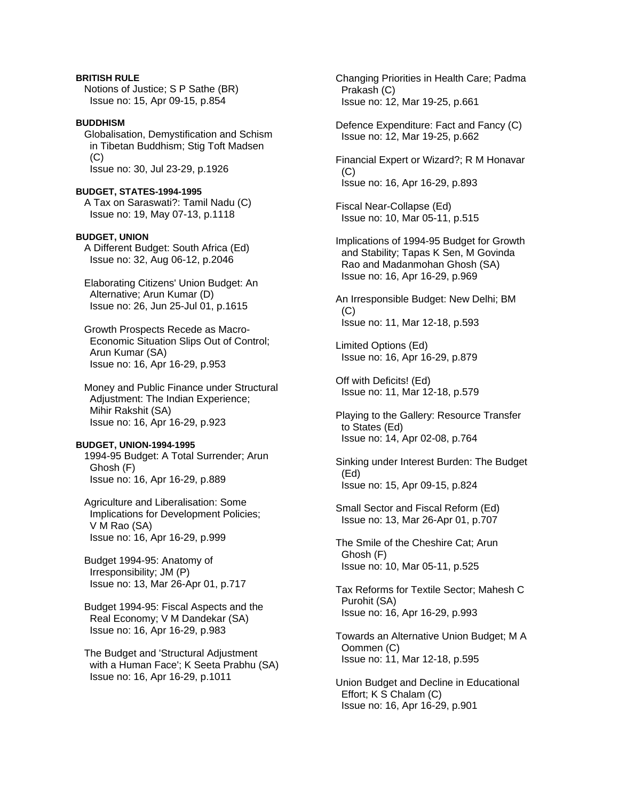# **BRITISH RULE**

 Notions of Justice; S P Sathe (BR) Issue no: 15, Apr 09-15, p.854

# **BUDDHISM**

 Globalisation, Demystification and Schism in Tibetan Buddhism; Stig Toft Madsen (C) Issue no: 30, Jul 23-29, p.1926

### **BUDGET, STATES-1994-1995**

 A Tax on Saraswati?: Tamil Nadu (C) Issue no: 19, May 07-13, p.1118

### **BUDGET, UNION**

 A Different Budget: South Africa (Ed) Issue no: 32, Aug 06-12, p.2046

- Elaborating Citizens' Union Budget: An Alternative; Arun Kumar (D) Issue no: 26, Jun 25-Jul 01, p.1615
- Growth Prospects Recede as Macro- Economic Situation Slips Out of Control; Arun Kumar (SA) Issue no: 16, Apr 16-29, p.953

 Money and Public Finance under Structural Adjustment: The Indian Experience; Mihir Rakshit (SA) Issue no: 16, Apr 16-29, p.923

### **BUDGET, UNION-1994-1995**

 1994-95 Budget: A Total Surrender; Arun Ghosh (F) Issue no: 16, Apr 16-29, p.889

 Agriculture and Liberalisation: Some Implications for Development Policies; V M Rao (SA) Issue no: 16, Apr 16-29, p.999

 Budget 1994-95: Anatomy of Irresponsibility; JM (P) Issue no: 13, Mar 26-Apr 01, p.717

 Budget 1994-95: Fiscal Aspects and the Real Economy; V M Dandekar (SA) Issue no: 16, Apr 16-29, p.983

 The Budget and 'Structural Adjustment with a Human Face'; K Seeta Prabhu (SA) Issue no: 16, Apr 16-29, p.1011

 Changing Priorities in Health Care; Padma Prakash (C) Issue no: 12, Mar 19-25, p.661

 Defence Expenditure: Fact and Fancy (C) Issue no: 12, Mar 19-25, p.662

 Financial Expert or Wizard?; R M Honavar (C) Issue no: 16, Apr 16-29, p.893

 Fiscal Near-Collapse (Ed) Issue no: 10, Mar 05-11, p.515

 Implications of 1994-95 Budget for Growth and Stability; Tapas K Sen, M Govinda Rao and Madanmohan Ghosh (SA) Issue no: 16, Apr 16-29, p.969

 An Irresponsible Budget: New Delhi; BM  $(C)$ Issue no: 11, Mar 12-18, p.593

 Limited Options (Ed) Issue no: 16, Apr 16-29, p.879

 Off with Deficits! (Ed) Issue no: 11, Mar 12-18, p.579

 Playing to the Gallery: Resource Transfer to States (Ed) Issue no: 14, Apr 02-08, p.764

 Sinking under Interest Burden: The Budget (Ed) Issue no: 15, Apr 09-15, p.824

 Small Sector and Fiscal Reform (Ed) Issue no: 13, Mar 26-Apr 01, p.707

 The Smile of the Cheshire Cat; Arun Ghosh (F) Issue no: 10, Mar 05-11, p.525

 Tax Reforms for Textile Sector; Mahesh C Purohit (SA) Issue no: 16, Apr 16-29, p.993

 Towards an Alternative Union Budget; M A Oommen (C) Issue no: 11, Mar 12-18, p.595

 Union Budget and Decline in Educational Effort; K S Chalam (C) Issue no: 16, Apr 16-29, p.901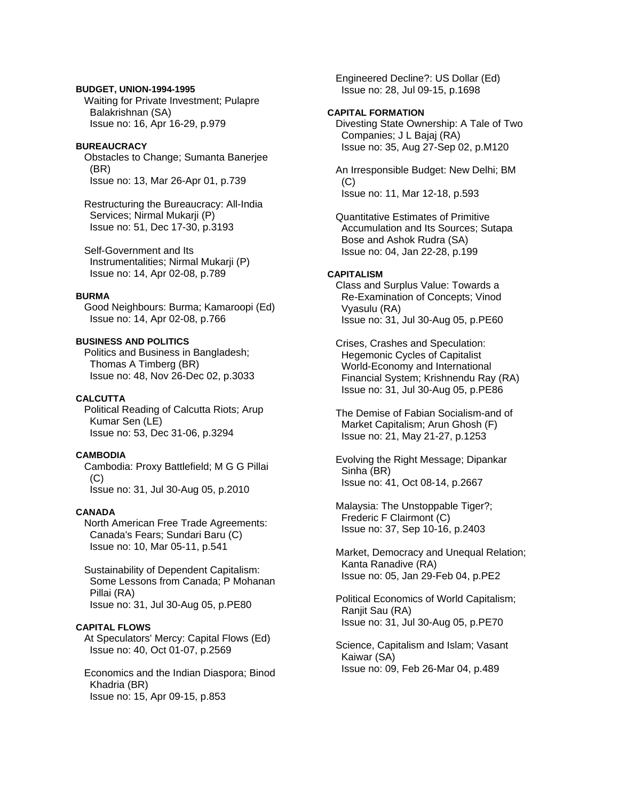# **BUDGET, UNION-1994-1995**

 Waiting for Private Investment; Pulapre Balakrishnan (SA) Issue no: 16, Apr 16-29, p.979

# **BUREAUCRACY**

 Obstacles to Change; Sumanta Banerjee (BR) Issue no: 13, Mar 26-Apr 01, p.739

 Restructuring the Bureaucracy: All-India Services; Nirmal Mukarji (P) Issue no: 51, Dec 17-30, p.3193

 Self-Government and Its Instrumentalities; Nirmal Mukarji (P) Issue no: 14, Apr 02-08, p.789

# **BURMA**

 Good Neighbours: Burma; Kamaroopi (Ed) Issue no: 14, Apr 02-08, p.766

# **BUSINESS AND POLITICS**

 Politics and Business in Bangladesh; Thomas A Timberg (BR) Issue no: 48, Nov 26-Dec 02, p.3033

# **CALCUTTA**

 Political Reading of Calcutta Riots; Arup Kumar Sen (LE) Issue no: 53, Dec 31-06, p.3294

# **CAMBODIA**

 Cambodia: Proxy Battlefield; M G G Pillai  $(C)$ Issue no: 31, Jul 30-Aug 05, p.2010

## **CANADA**

 North American Free Trade Agreements: Canada's Fears; Sundari Baru (C) Issue no: 10, Mar 05-11, p.541

 Sustainability of Dependent Capitalism: Some Lessons from Canada; P Mohanan Pillai (RA) Issue no: 31, Jul 30-Aug 05, p.PE80

# **CAPITAL FLOWS**

 At Speculators' Mercy: Capital Flows (Ed) Issue no: 40, Oct 01-07, p.2569

 Economics and the Indian Diaspora; Binod Khadria (BR) Issue no: 15, Apr 09-15, p.853

 Engineered Decline?: US Dollar (Ed) Issue no: 28, Jul 09-15, p.1698

# **CAPITAL FORMATION**

 Divesting State Ownership: A Tale of Two Companies; J L Bajaj (RA) Issue no: 35, Aug 27-Sep 02, p.M120

 An Irresponsible Budget: New Delhi; BM (C) Issue no: 11, Mar 12-18, p.593

 Quantitative Estimates of Primitive Accumulation and Its Sources; Sutapa Bose and Ashok Rudra (SA) Issue no: 04, Jan 22-28, p.199

# **CAPITALISM**

 Class and Surplus Value: Towards a Re-Examination of Concepts; Vinod Vyasulu (RA) Issue no: 31, Jul 30-Aug 05, p.PE60

 Crises, Crashes and Speculation: Hegemonic Cycles of Capitalist World-Economy and International Financial System; Krishnendu Ray (RA) Issue no: 31, Jul 30-Aug 05, p.PE86

 The Demise of Fabian Socialism-and of Market Capitalism; Arun Ghosh (F) Issue no: 21, May 21-27, p.1253

 Evolving the Right Message; Dipankar Sinha (BR) Issue no: 41, Oct 08-14, p.2667

 Malaysia: The Unstoppable Tiger?; Frederic F Clairmont (C) Issue no: 37, Sep 10-16, p.2403

 Market, Democracy and Unequal Relation; Kanta Ranadive (RA) Issue no: 05, Jan 29-Feb 04, p.PE2

 Political Economics of World Capitalism; Ranjit Sau (RA) Issue no: 31, Jul 30-Aug 05, p.PE70

 Science, Capitalism and Islam; Vasant Kaiwar (SA) Issue no: 09, Feb 26-Mar 04, p.489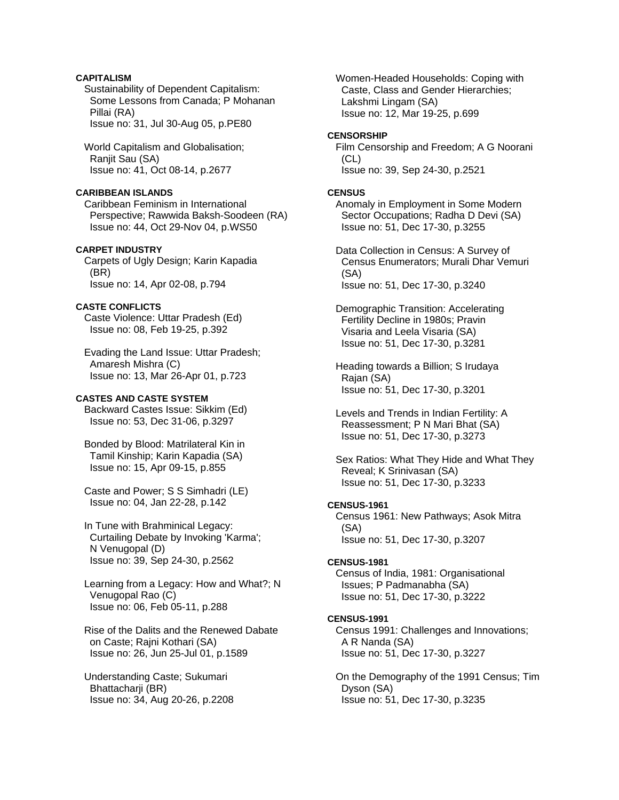# **CAPITALISM**

 Sustainability of Dependent Capitalism: Some Lessons from Canada; P Mohanan Pillai (RA) Issue no: 31, Jul 30-Aug 05, p.PE80

 World Capitalism and Globalisation; Ranjit Sau (SA) Issue no: 41, Oct 08-14, p.2677

# **CARIBBEAN ISLANDS**

 Caribbean Feminism in International Perspective; Rawwida Baksh-Soodeen (RA) Issue no: 44, Oct 29-Nov 04, p.WS50

# **CARPET INDUSTRY**

 Carpets of Ugly Design; Karin Kapadia (BR) Issue no: 14, Apr 02-08, p.794

# **CASTE CONFLICTS**

 Caste Violence: Uttar Pradesh (Ed) Issue no: 08, Feb 19-25, p.392

 Evading the Land Issue: Uttar Pradesh; Amaresh Mishra (C) Issue no: 13, Mar 26-Apr 01, p.723

# **CASTES AND CASTE SYSTEM**

 Backward Castes Issue: Sikkim (Ed) Issue no: 53, Dec 31-06, p.3297

 Bonded by Blood: Matrilateral Kin in Tamil Kinship; Karin Kapadia (SA) Issue no: 15, Apr 09-15, p.855

 Caste and Power; S S Simhadri (LE) Issue no: 04, Jan 22-28, p.142

 In Tune with Brahminical Legacy: Curtailing Debate by Invoking 'Karma'; N Venugopal (D) Issue no: 39, Sep 24-30, p.2562

 Learning from a Legacy: How and What?; N Venugopal Rao (C) Issue no: 06, Feb 05-11, p.288

 Rise of the Dalits and the Renewed Dabate on Caste; Rajni Kothari (SA) Issue no: 26, Jun 25-Jul 01, p.1589

 Understanding Caste; Sukumari Bhattacharji (BR) Issue no: 34, Aug 20-26, p.2208  Women-Headed Households: Coping with Caste, Class and Gender Hierarchies; Lakshmi Lingam (SA) Issue no: 12, Mar 19-25, p.699

# **CENSORSHIP**

 Film Censorship and Freedom; A G Noorani  $(CL)$ Issue no: 39, Sep 24-30, p.2521

# **CENSUS**

 Anomaly in Employment in Some Modern Sector Occupations; Radha D Devi (SA) Issue no: 51, Dec 17-30, p.3255

 Data Collection in Census: A Survey of Census Enumerators; Murali Dhar Vemuri (SA) Issue no: 51, Dec 17-30, p.3240

 Demographic Transition: Accelerating Fertility Decline in 1980s; Pravin Visaria and Leela Visaria (SA) Issue no: 51, Dec 17-30, p.3281

 Heading towards a Billion; S Irudaya Rajan (SA) Issue no: 51, Dec 17-30, p.3201

 Levels and Trends in Indian Fertility: A Reassessment; P N Mari Bhat (SA) Issue no: 51, Dec 17-30, p.3273

 Sex Ratios: What They Hide and What They Reveal; K Srinivasan (SA) Issue no: 51, Dec 17-30, p.3233

# **CENSUS-1961**

 Census 1961: New Pathways; Asok Mitra (SA) Issue no: 51, Dec 17-30, p.3207

## **CENSUS-1981**

 Census of India, 1981: Organisational Issues; P Padmanabha (SA) Issue no: 51, Dec 17-30, p.3222

# **CENSUS-1991**

 Census 1991: Challenges and Innovations; A R Nanda (SA) Issue no: 51, Dec 17-30, p.3227

 On the Demography of the 1991 Census; Tim Dyson (SA) Issue no: 51, Dec 17-30, p.3235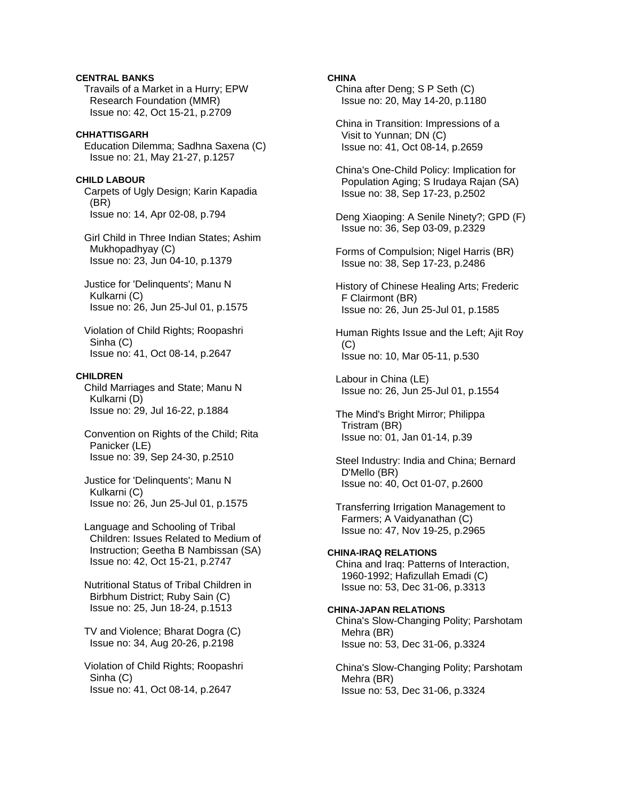# **CENTRAL BANKS**  Travails of a Market in a Hurry; EPW Research Foundation (MMR) Issue no: 42, Oct 15-21, p.2709

### **CHHATTISGARH**

 Education Dilemma; Sadhna Saxena (C) Issue no: 21, May 21-27, p.1257

# **CHILD LABOUR**

 Carpets of Ugly Design; Karin Kapadia (BR) Issue no: 14, Apr 02-08, p.794

 Girl Child in Three Indian States; Ashim Mukhopadhyay (C) Issue no: 23, Jun 04-10, p.1379

 Justice for 'Delinquents'; Manu N Kulkarni (C) Issue no: 26, Jun 25-Jul 01, p.1575

 Violation of Child Rights; Roopashri Sinha (C) Issue no: 41, Oct 08-14, p.2647

### **CHILDREN**

 Child Marriages and State; Manu N Kulkarni (D) Issue no: 29, Jul 16-22, p.1884

 Convention on Rights of the Child; Rita Panicker (LE) Issue no: 39, Sep 24-30, p.2510

 Justice for 'Delinquents'; Manu N Kulkarni (C) Issue no: 26, Jun 25-Jul 01, p.1575

 Language and Schooling of Tribal Children: Issues Related to Medium of Instruction; Geetha B Nambissan (SA) Issue no: 42, Oct 15-21, p.2747

 Nutritional Status of Tribal Children in Birbhum District; Ruby Sain (C) Issue no: 25, Jun 18-24, p.1513

 TV and Violence; Bharat Dogra (C) Issue no: 34, Aug 20-26, p.2198

 Violation of Child Rights; Roopashri Sinha (C) Issue no: 41, Oct 08-14, p.2647

# **CHINA**

 China after Deng; S P Seth (C) Issue no: 20, May 14-20, p.1180

 China in Transition: Impressions of a Visit to Yunnan; DN (C) Issue no: 41, Oct 08-14, p.2659

 China's One-Child Policy: Implication for Population Aging; S Irudaya Rajan (SA) Issue no: 38, Sep 17-23, p.2502

 Deng Xiaoping: A Senile Ninety?; GPD (F) Issue no: 36, Sep 03-09, p.2329

 Forms of Compulsion; Nigel Harris (BR) Issue no: 38, Sep 17-23, p.2486

 History of Chinese Healing Arts; Frederic F Clairmont (BR) Issue no: 26, Jun 25-Jul 01, p.1585

 Human Rights Issue and the Left; Ajit Roy  $(C)$ Issue no: 10, Mar 05-11, p.530

 Labour in China (LE) Issue no: 26, Jun 25-Jul 01, p.1554

 The Mind's Bright Mirror; Philippa Tristram (BR) Issue no: 01, Jan 01-14, p.39

 Steel Industry: India and China; Bernard D'Mello (BR) Issue no: 40, Oct 01-07, p.2600

 Transferring Irrigation Management to Farmers; A Vaidyanathan (C) Issue no: 47, Nov 19-25, p.2965

### **CHINA-IRAQ RELATIONS**

 China and Iraq: Patterns of Interaction, 1960-1992; Hafizullah Emadi (C) Issue no: 53, Dec 31-06, p.3313

#### **CHINA-JAPAN RELATIONS**

 China's Slow-Changing Polity; Parshotam Mehra (BR) Issue no: 53, Dec 31-06, p.3324

 China's Slow-Changing Polity; Parshotam Mehra (BR) Issue no: 53, Dec 31-06, p.3324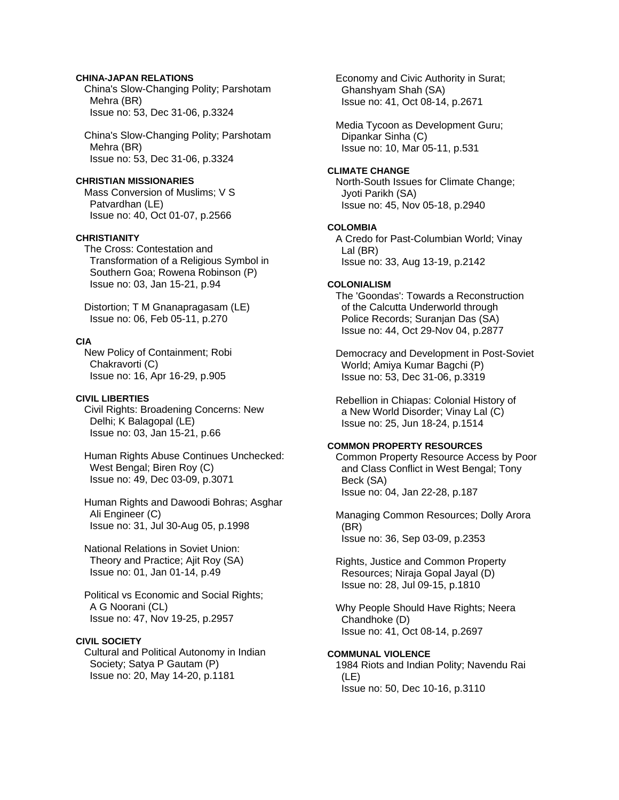# **CHINA-JAPAN RELATIONS**

 China's Slow-Changing Polity; Parshotam Mehra (BR) Issue no: 53, Dec 31-06, p.3324

 China's Slow-Changing Polity; Parshotam Mehra (BR) Issue no: 53, Dec 31-06, p.3324

## **CHRISTIAN MISSIONARIES**

 Mass Conversion of Muslims; V S Patvardhan (LE) Issue no: 40, Oct 01-07, p.2566

# **CHRISTIANITY**

 The Cross: Contestation and Transformation of a Religious Symbol in Southern Goa; Rowena Robinson (P) Issue no: 03, Jan 15-21, p.94

 Distortion; T M Gnanapragasam (LE) Issue no: 06, Feb 05-11, p.270

### **CIA**

 New Policy of Containment; Robi Chakravorti (C) Issue no: 16, Apr 16-29, p.905

### **CIVIL LIBERTIES**

 Civil Rights: Broadening Concerns: New Delhi; K Balagopal (LE) Issue no: 03, Jan 15-21, p.66

 Human Rights Abuse Continues Unchecked: West Bengal; Biren Roy (C) Issue no: 49, Dec 03-09, p.3071

 Human Rights and Dawoodi Bohras; Asghar Ali Engineer (C) Issue no: 31, Jul 30-Aug 05, p.1998

 National Relations in Soviet Union: Theory and Practice; Ajit Roy (SA) Issue no: 01, Jan 01-14, p.49

 Political vs Economic and Social Rights; A G Noorani (CL) Issue no: 47, Nov 19-25, p.2957

# **CIVIL SOCIETY**

 Cultural and Political Autonomy in Indian Society; Satya P Gautam (P) Issue no: 20, May 14-20, p.1181

 Economy and Civic Authority in Surat; Ghanshyam Shah (SA) Issue no: 41, Oct 08-14, p.2671

 Media Tycoon as Development Guru; Dipankar Sinha (C) Issue no: 10, Mar 05-11, p.531

### **CLIMATE CHANGE**

 North-South Issues for Climate Change; Jyoti Parikh (SA) Issue no: 45, Nov 05-18, p.2940

### **COLOMBIA**

 A Credo for Past-Columbian World; Vinay Lal (BR) Issue no: 33, Aug 13-19, p.2142

# **COLONIALISM**

 The 'Goondas': Towards a Reconstruction of the Calcutta Underworld through Police Records; Suranjan Das (SA) Issue no: 44, Oct 29-Nov 04, p.2877

 Democracy and Development in Post-Soviet World; Amiya Kumar Bagchi (P) Issue no: 53, Dec 31-06, p.3319

 Rebellion in Chiapas: Colonial History of a New World Disorder; Vinay Lal (C) Issue no: 25, Jun 18-24, p.1514

# **COMMON PROPERTY RESOURCES**

 Common Property Resource Access by Poor and Class Conflict in West Bengal; Tony Beck (SA) Issue no: 04, Jan 22-28, p.187

 Managing Common Resources; Dolly Arora (BR) Issue no: 36, Sep 03-09, p.2353

 Rights, Justice and Common Property Resources; Niraja Gopal Jayal (D) Issue no: 28, Jul 09-15, p.1810

 Why People Should Have Rights; Neera Chandhoke (D) Issue no: 41, Oct 08-14, p.2697

#### **COMMUNAL VIOLENCE**

 1984 Riots and Indian Polity; Navendu Rai (LE) Issue no: 50, Dec 10-16, p.3110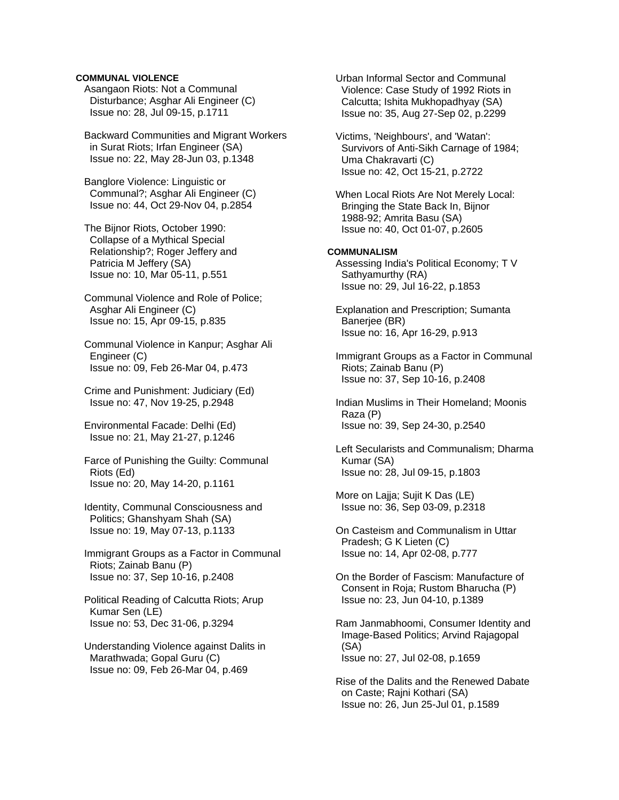# **COMMUNAL VIOLENCE**

 Asangaon Riots: Not a Communal Disturbance; Asghar Ali Engineer (C) Issue no: 28, Jul 09-15, p.1711

 Backward Communities and Migrant Workers in Surat Riots; Irfan Engineer (SA) Issue no: 22, May 28-Jun 03, p.1348

 Banglore Violence: Linguistic or Communal?; Asghar Ali Engineer (C) Issue no: 44, Oct 29-Nov 04, p.2854

 The Bijnor Riots, October 1990: Collapse of a Mythical Special Relationship?; Roger Jeffery and Patricia M Jeffery (SA) Issue no: 10, Mar 05-11, p.551

 Communal Violence and Role of Police; Asghar Ali Engineer (C) Issue no: 15, Apr 09-15, p.835

 Communal Violence in Kanpur; Asghar Ali Engineer (C) Issue no: 09, Feb 26-Mar 04, p.473

 Crime and Punishment: Judiciary (Ed) Issue no: 47, Nov 19-25, p.2948

 Environmental Facade: Delhi (Ed) Issue no: 21, May 21-27, p.1246

 Farce of Punishing the Guilty: Communal Riots (Ed) Issue no: 20, May 14-20, p.1161

 Identity, Communal Consciousness and Politics; Ghanshyam Shah (SA) Issue no: 19, May 07-13, p.1133

 Immigrant Groups as a Factor in Communal Riots; Zainab Banu (P) Issue no: 37, Sep 10-16, p.2408

 Political Reading of Calcutta Riots; Arup Kumar Sen (LE) Issue no: 53, Dec 31-06, p.3294

 Understanding Violence against Dalits in Marathwada; Gopal Guru (C) Issue no: 09, Feb 26-Mar 04, p.469

 Urban Informal Sector and Communal Violence: Case Study of 1992 Riots in Calcutta; Ishita Mukhopadhyay (SA) Issue no: 35, Aug 27-Sep 02, p.2299

 Victims, 'Neighbours', and 'Watan': Survivors of Anti-Sikh Carnage of 1984; Uma Chakravarti (C) Issue no: 42, Oct 15-21, p.2722

 When Local Riots Are Not Merely Local: Bringing the State Back In, Bijnor 1988-92; Amrita Basu (SA) Issue no: 40, Oct 01-07, p.2605

# **COMMUNALISM**

 Assessing India's Political Economy; T V Sathyamurthy (RA) Issue no: 29, Jul 16-22, p.1853

 Explanation and Prescription; Sumanta Banerjee (BR) Issue no: 16, Apr 16-29, p.913

 Immigrant Groups as a Factor in Communal Riots; Zainab Banu (P) Issue no: 37, Sep 10-16, p.2408

 Indian Muslims in Their Homeland; Moonis Raza (P) Issue no: 39, Sep 24-30, p.2540

 Left Secularists and Communalism; Dharma Kumar (SA) Issue no: 28, Jul 09-15, p.1803

 More on Lajja; Sujit K Das (LE) Issue no: 36, Sep 03-09, p.2318

 On Casteism and Communalism in Uttar Pradesh; G K Lieten (C) Issue no: 14, Apr 02-08, p.777

 On the Border of Fascism: Manufacture of Consent in Roja; Rustom Bharucha (P) Issue no: 23, Jun 04-10, p.1389

 Ram Janmabhoomi, Consumer Identity and Image-Based Politics; Arvind Rajagopal (SA) Issue no: 27, Jul 02-08, p.1659

 Rise of the Dalits and the Renewed Dabate on Caste; Rajni Kothari (SA) Issue no: 26, Jun 25-Jul 01, p.1589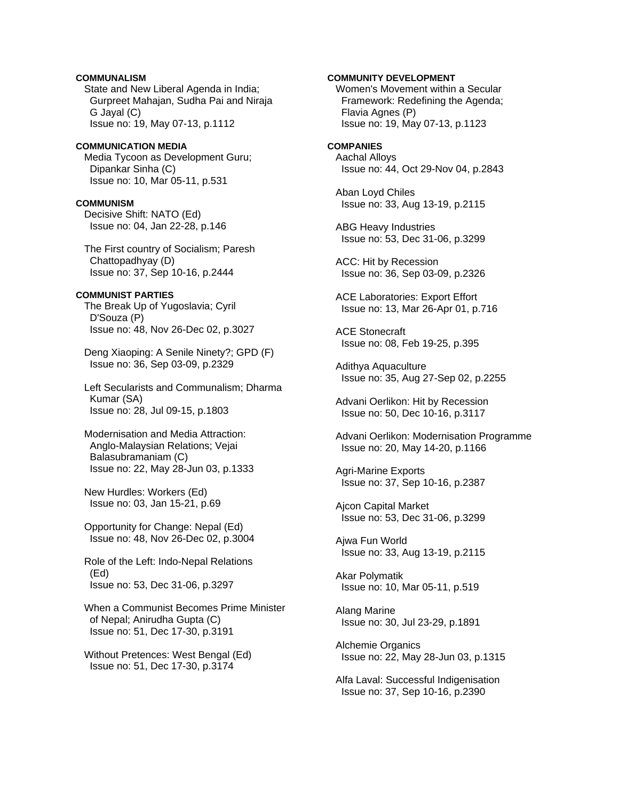# **COMMUNALISM**

 State and New Liberal Agenda in India; Gurpreet Mahajan, Sudha Pai and Niraja G Jayal (C) Issue no: 19, May 07-13, p.1112

### **COMMUNICATION MEDIA**

 Media Tycoon as Development Guru; Dipankar Sinha (C) Issue no: 10, Mar 05-11, p.531

#### **COMMUNISM**

 Decisive Shift: NATO (Ed) Issue no: 04, Jan 22-28, p.146

 The First country of Socialism; Paresh Chattopadhyay (D) Issue no: 37, Sep 10-16, p.2444

## **COMMUNIST PARTIES**

 The Break Up of Yugoslavia; Cyril D'Souza (P) Issue no: 48, Nov 26-Dec 02, p.3027

 Deng Xiaoping: A Senile Ninety?; GPD (F) Issue no: 36, Sep 03-09, p.2329

 Left Secularists and Communalism; Dharma Kumar (SA) Issue no: 28, Jul 09-15, p.1803

 Modernisation and Media Attraction: Anglo-Malaysian Relations; Vejai Balasubramaniam (C) Issue no: 22, May 28-Jun 03, p.1333

 New Hurdles: Workers (Ed) Issue no: 03, Jan 15-21, p.69

 Opportunity for Change: Nepal (Ed) Issue no: 48, Nov 26-Dec 02, p.3004

 Role of the Left: Indo-Nepal Relations (Ed) Issue no: 53, Dec 31-06, p.3297

 When a Communist Becomes Prime Minister of Nepal; Anirudha Gupta (C) Issue no: 51, Dec 17-30, p.3191

 Without Pretences: West Bengal (Ed) Issue no: 51, Dec 17-30, p.3174

# **COMMUNITY DEVELOPMENT**

 Women's Movement within a Secular Framework: Redefining the Agenda; Flavia Agnes (P) Issue no: 19, May 07-13, p.1123

#### **COMPANIES**

 Aachal Alloys Issue no: 44, Oct 29-Nov 04, p.2843

 Aban Loyd Chiles Issue no: 33, Aug 13-19, p.2115

 ABG Heavy Industries Issue no: 53, Dec 31-06, p.3299

 ACC: Hit by Recession Issue no: 36, Sep 03-09, p.2326

 ACE Laboratories: Export Effort Issue no: 13, Mar 26-Apr 01, p.716

 ACE Stonecraft Issue no: 08, Feb 19-25, p.395

 Adithya Aquaculture Issue no: 35, Aug 27-Sep 02, p.2255

 Advani Oerlikon: Hit by Recession Issue no: 50, Dec 10-16, p.3117

 Advani Oerlikon: Modernisation Programme Issue no: 20, May 14-20, p.1166

 Agri-Marine Exports Issue no: 37, Sep 10-16, p.2387

 Ajcon Capital Market Issue no: 53, Dec 31-06, p.3299

 Ajwa Fun World Issue no: 33, Aug 13-19, p.2115

 Akar Polymatik Issue no: 10, Mar 05-11, p.519

 Alang Marine Issue no: 30, Jul 23-29, p.1891

 Alchemie Organics Issue no: 22, May 28-Jun 03, p.1315

 Alfa Laval: Successful Indigenisation Issue no: 37, Sep 10-16, p.2390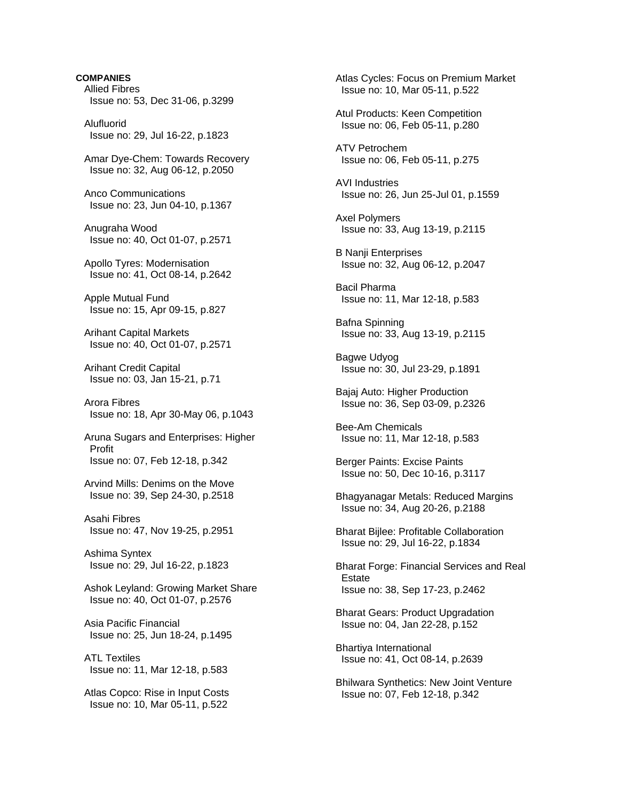**COMPANIES**  Allied Fibres Issue no: 53, Dec 31-06, p.3299 Alufluorid Issue no: 29, Jul 16-22, p.1823 Amar Dye-Chem: Towards Recovery Issue no: 32, Aug 06-12, p.2050 Anco Communications Issue no: 23, Jun 04-10, p.1367 Anugraha Wood Issue no: 40, Oct 01-07, p.2571 Apollo Tyres: Modernisation Issue no: 41, Oct 08-14, p.2642 Apple Mutual Fund Issue no: 15, Apr 09-15, p.827 Arihant Capital Markets Issue no: 40, Oct 01-07, p.2571 Arihant Credit Capital Issue no: 03, Jan 15-21, p.71 Arora Fibres Issue no: 18, Apr 30-May 06, p.1043 Aruna Sugars and Enterprises: Higher Profit Issue no: 07, Feb 12-18, p.342 Arvind Mills: Denims on the Move Issue no: 39, Sep 24-30, p.2518 Asahi Fibres Issue no: 47, Nov 19-25, p.2951 Ashima Syntex Issue no: 29, Jul 16-22, p.1823 Ashok Leyland: Growing Market Share Issue no: 40, Oct 01-07, p.2576 Asia Pacific Financial Issue no: 25, Jun 18-24, p.1495 ATL Textiles Issue no: 11, Mar 12-18, p.583 Atlas Copco: Rise in Input Costs Issue no: 10, Mar 05-11, p.522

 Atlas Cycles: Focus on Premium Market Issue no: 10, Mar 05-11, p.522 Atul Products: Keen Competition Issue no: 06, Feb 05-11, p.280 ATV Petrochem Issue no: 06, Feb 05-11, p.275 AVI Industries Issue no: 26, Jun 25-Jul 01, p.1559 Axel Polymers Issue no: 33, Aug 13-19, p.2115 B Nanji Enterprises Issue no: 32, Aug 06-12, p.2047 Bacil Pharma Issue no: 11, Mar 12-18, p.583 Bafna Spinning Issue no: 33, Aug 13-19, p.2115 Bagwe Udyog Issue no: 30, Jul 23-29, p.1891 Bajaj Auto: Higher Production Issue no: 36, Sep 03-09, p.2326 Bee-Am Chemicals Issue no: 11, Mar 12-18, p.583 Berger Paints: Excise Paints Issue no: 50, Dec 10-16, p.3117 Bhagyanagar Metals: Reduced Margins Issue no: 34, Aug 20-26, p.2188 Bharat Bijlee: Profitable Collaboration Issue no: 29, Jul 16-22, p.1834 Bharat Forge: Financial Services and Real Estate Issue no: 38, Sep 17-23, p.2462 Bharat Gears: Product Upgradation Issue no: 04, Jan 22-28, p.152 Bhartiya International Issue no: 41, Oct 08-14, p.2639 Bhilwara Synthetics: New Joint Venture Issue no: 07, Feb 12-18, p.342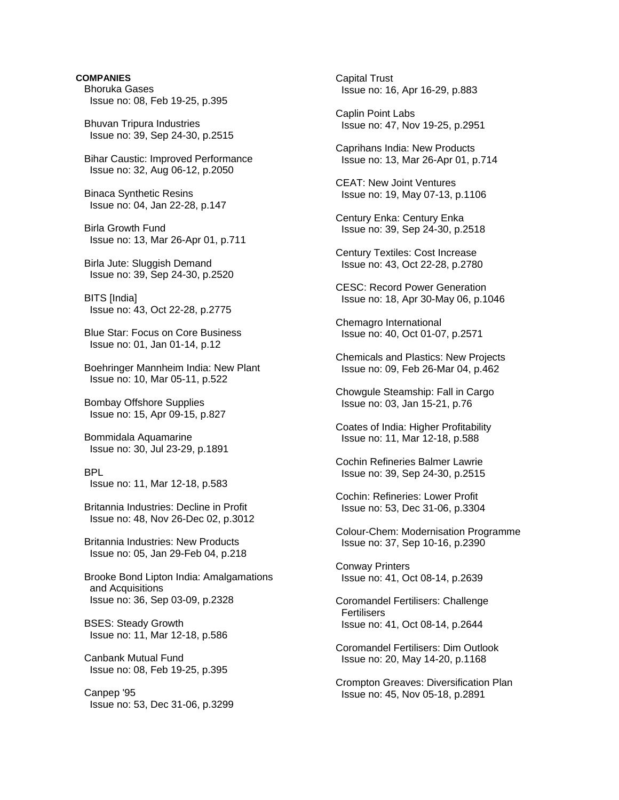Bhoruka Gases Issue no: 08, Feb 19-25, p.395

 Bhuvan Tripura Industries Issue no: 39, Sep 24-30, p.2515

 Bihar Caustic: Improved Performance Issue no: 32, Aug 06-12, p.2050

 Binaca Synthetic Resins Issue no: 04, Jan 22-28, p.147

 Birla Growth Fund Issue no: 13, Mar 26-Apr 01, p.711

 Birla Jute: Sluggish Demand Issue no: 39, Sep 24-30, p.2520

 BITS [India] Issue no: 43, Oct 22-28, p.2775

 Blue Star: Focus on Core Business Issue no: 01, Jan 01-14, p.12

 Boehringer Mannheim India: New Plant Issue no: 10, Mar 05-11, p.522

 Bombay Offshore Supplies Issue no: 15, Apr 09-15, p.827

 Bommidala Aquamarine Issue no: 30, Jul 23-29, p.1891

 BPL Issue no: 11, Mar 12-18, p.583

 Britannia Industries: Decline in Profit Issue no: 48, Nov 26-Dec 02, p.3012

 Britannia Industries: New Products Issue no: 05, Jan 29-Feb 04, p.218

 Brooke Bond Lipton India: Amalgamations and Acquisitions Issue no: 36, Sep 03-09, p.2328

 BSES: Steady Growth Issue no: 11, Mar 12-18, p.586

 Canbank Mutual Fund Issue no: 08, Feb 19-25, p.395

 Canpep '95 Issue no: 53, Dec 31-06, p.3299  Capital Trust Issue no: 16, Apr 16-29, p.883

 Caplin Point Labs Issue no: 47, Nov 19-25, p.2951

 Caprihans India: New Products Issue no: 13, Mar 26-Apr 01, p.714

 CEAT: New Joint Ventures Issue no: 19, May 07-13, p.1106

 Century Enka: Century Enka Issue no: 39, Sep 24-30, p.2518

 Century Textiles: Cost Increase Issue no: 43, Oct 22-28, p.2780

 CESC: Record Power Generation Issue no: 18, Apr 30-May 06, p.1046

 Chemagro International Issue no: 40, Oct 01-07, p.2571

 Chemicals and Plastics: New Projects Issue no: 09, Feb 26-Mar 04, p.462

 Chowgule Steamship: Fall in Cargo Issue no: 03, Jan 15-21, p.76

 Coates of India: Higher Profitability Issue no: 11, Mar 12-18, p.588

 Cochin Refineries Balmer Lawrie Issue no: 39, Sep 24-30, p.2515

 Cochin: Refineries: Lower Profit Issue no: 53, Dec 31-06, p.3304

 Colour-Chem: Modernisation Programme Issue no: 37, Sep 10-16, p.2390

 Conway Printers Issue no: 41, Oct 08-14, p.2639

 Coromandel Fertilisers: Challenge **Fertilisers** Issue no: 41, Oct 08-14, p.2644

 Coromandel Fertilisers: Dim Outlook Issue no: 20, May 14-20, p.1168

 Crompton Greaves: Diversification Plan Issue no: 45, Nov 05-18, p.2891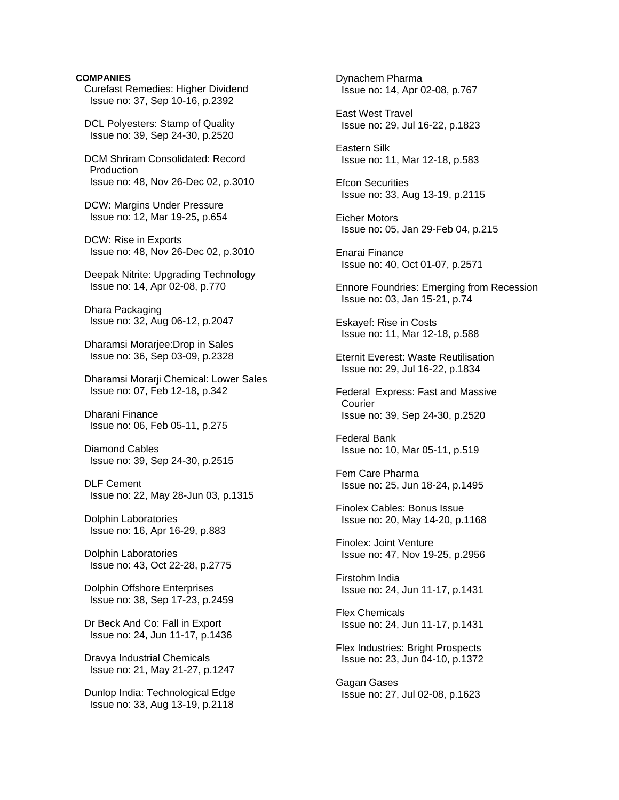Curefast Remedies: Higher Dividend Issue no: 37, Sep 10-16, p.2392

 DCL Polyesters: Stamp of Quality Issue no: 39, Sep 24-30, p.2520

 DCM Shriram Consolidated: Record **Production** Issue no: 48, Nov 26-Dec 02, p.3010

 DCW: Margins Under Pressure Issue no: 12, Mar 19-25, p.654

 DCW: Rise in Exports Issue no: 48, Nov 26-Dec 02, p.3010

 Deepak Nitrite: Upgrading Technology Issue no: 14, Apr 02-08, p.770

 Dhara Packaging Issue no: 32, Aug 06-12, p.2047

 Dharamsi Morarjee:Drop in Sales Issue no: 36, Sep 03-09, p.2328

 Dharamsi Morarji Chemical: Lower Sales Issue no: 07, Feb 12-18, p.342

 Dharani Finance Issue no: 06, Feb 05-11, p.275

 Diamond Cables Issue no: 39, Sep 24-30, p.2515

 DLF Cement Issue no: 22, May 28-Jun 03, p.1315

 Dolphin Laboratories Issue no: 16, Apr 16-29, p.883

 Dolphin Laboratories Issue no: 43, Oct 22-28, p.2775

 Dolphin Offshore Enterprises Issue no: 38, Sep 17-23, p.2459

 Dr Beck And Co: Fall in Export Issue no: 24, Jun 11-17, p.1436

 Dravya Industrial Chemicals Issue no: 21, May 21-27, p.1247

 Dunlop India: Technological Edge Issue no: 33, Aug 13-19, p.2118

 Dynachem Pharma Issue no: 14, Apr 02-08, p.767

 East West Travel Issue no: 29, Jul 16-22, p.1823

 Eastern Silk Issue no: 11, Mar 12-18, p.583

 Efcon Securities Issue no: 33, Aug 13-19, p.2115

 Eicher Motors Issue no: 05, Jan 29-Feb 04, p.215

 Enarai Finance Issue no: 40, Oct 01-07, p.2571

 Ennore Foundries: Emerging from Recession Issue no: 03, Jan 15-21, p.74

 Eskayef: Rise in Costs Issue no: 11, Mar 12-18, p.588

 Eternit Everest: Waste Reutilisation Issue no: 29, Jul 16-22, p.1834

 Federal Express: Fast and Massive **Courier** Issue no: 39, Sep 24-30, p.2520

 Federal Bank Issue no: 10, Mar 05-11, p.519

 Fem Care Pharma Issue no: 25, Jun 18-24, p.1495

 Finolex Cables: Bonus Issue Issue no: 20, May 14-20, p.1168

 Finolex: Joint Venture Issue no: 47, Nov 19-25, p.2956

 Firstohm India Issue no: 24, Jun 11-17, p.1431

 Flex Chemicals Issue no: 24, Jun 11-17, p.1431

 Flex Industries: Bright Prospects Issue no: 23, Jun 04-10, p.1372

 Gagan Gases Issue no: 27, Jul 02-08, p.1623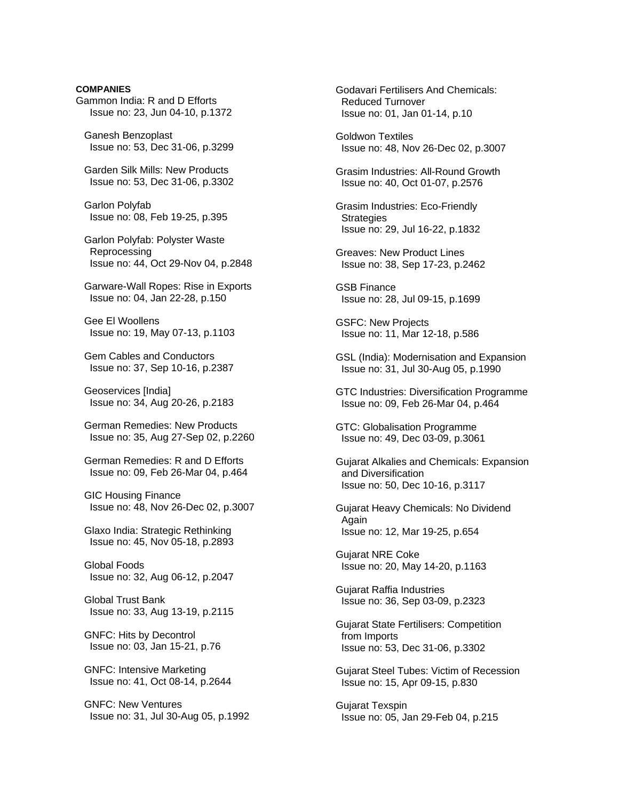Gammon India: R and D Efforts Issue no: 23, Jun 04-10, p.1372

 Ganesh Benzoplast Issue no: 53, Dec 31-06, p.3299

 Garden Silk Mills: New Products Issue no: 53, Dec 31-06, p.3302

 Garlon Polyfab Issue no: 08, Feb 19-25, p.395

 Garlon Polyfab: Polyster Waste Reprocessing Issue no: 44, Oct 29-Nov 04, p.2848

 Garware-Wall Ropes: Rise in Exports Issue no: 04, Jan 22-28, p.150

 Gee El Woollens Issue no: 19, May 07-13, p.1103

 Gem Cables and Conductors Issue no: 37, Sep 10-16, p.2387

 Geoservices [India] Issue no: 34, Aug 20-26, p.2183

 German Remedies: New Products Issue no: 35, Aug 27-Sep 02, p.2260

 German Remedies: R and D Efforts Issue no: 09, Feb 26-Mar 04, p.464

 GIC Housing Finance Issue no: 48, Nov 26-Dec 02, p.3007

 Glaxo India: Strategic Rethinking Issue no: 45, Nov 05-18, p.2893

 Global Foods Issue no: 32, Aug 06-12, p.2047

 Global Trust Bank Issue no: 33, Aug 13-19, p.2115

 GNFC: Hits by Decontrol Issue no: 03, Jan 15-21, p.76

 GNFC: Intensive Marketing Issue no: 41, Oct 08-14, p.2644

 GNFC: New Ventures Issue no: 31, Jul 30-Aug 05, p.1992  Godavari Fertilisers And Chemicals: Reduced Turnover Issue no: 01, Jan 01-14, p.10

 Goldwon Textiles Issue no: 48, Nov 26-Dec 02, p.3007

 Grasim Industries: All-Round Growth Issue no: 40, Oct 01-07, p.2576

 Grasim Industries: Eco-Friendly **Strategies** Issue no: 29, Jul 16-22, p.1832

 Greaves: New Product Lines Issue no: 38, Sep 17-23, p.2462

 GSB Finance Issue no: 28, Jul 09-15, p.1699

 GSFC: New Projects Issue no: 11, Mar 12-18, p.586

 GSL (India): Modernisation and Expansion Issue no: 31, Jul 30-Aug 05, p.1990

 GTC Industries: Diversification Programme Issue no: 09, Feb 26-Mar 04, p.464

 GTC: Globalisation Programme Issue no: 49, Dec 03-09, p.3061

 Gujarat Alkalies and Chemicals: Expansion and Diversification Issue no: 50, Dec 10-16, p.3117

 Gujarat Heavy Chemicals: No Dividend Again Issue no: 12, Mar 19-25, p.654

 Gujarat NRE Coke Issue no: 20, May 14-20, p.1163

 Gujarat Raffia Industries Issue no: 36, Sep 03-09, p.2323

 Gujarat State Fertilisers: Competition from Imports Issue no: 53, Dec 31-06, p.3302

 Gujarat Steel Tubes: Victim of Recession Issue no: 15, Apr 09-15, p.830

 Gujarat Texspin Issue no: 05, Jan 29-Feb 04, p.215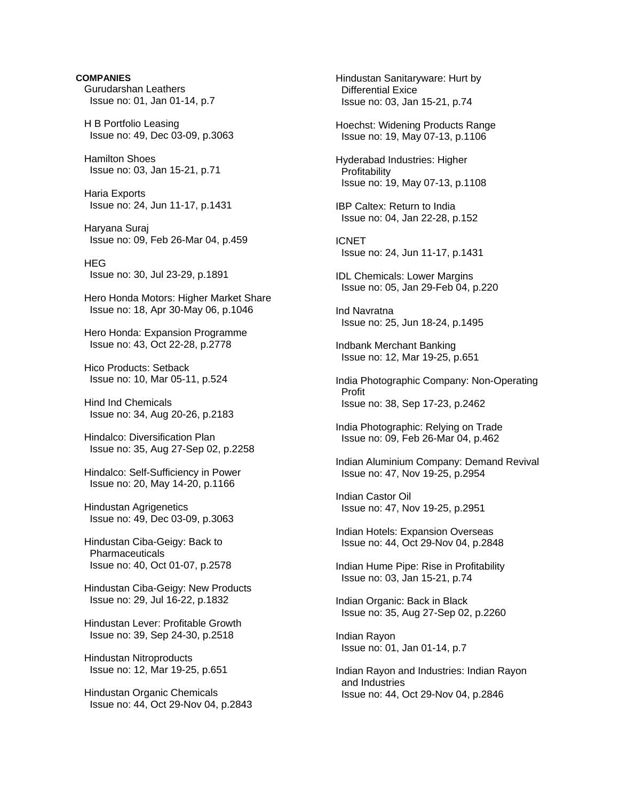**COMPANIES**  Gurudarshan Leathers Issue no: 01, Jan 01-14, p.7 H B Portfolio Leasing Issue no: 49, Dec 03-09, p.3063 Hamilton Shoes Issue no: 03, Jan 15-21, p.71 Haria Exports Issue no: 24, Jun 11-17, p.1431 Haryana Suraj Issue no: 09, Feb 26-Mar 04, p.459 **HEG**  Issue no: 30, Jul 23-29, p.1891 Hero Honda Motors: Higher Market Share Issue no: 18, Apr 30-May 06, p.1046 Hero Honda: Expansion Programme Issue no: 43, Oct 22-28, p.2778 Hico Products: Setback Issue no: 10, Mar 05-11, p.524 Hind Ind Chemicals Issue no: 34, Aug 20-26, p.2183 Hindalco: Diversification Plan Issue no: 35, Aug 27-Sep 02, p.2258 Hindalco: Self-Sufficiency in Power Issue no: 20, May 14-20, p.1166 Hindustan Agrigenetics Issue no: 49, Dec 03-09, p.3063 Hindustan Ciba-Geigy: Back to **Pharmaceuticals**  Issue no: 40, Oct 01-07, p.2578 Hindustan Ciba-Geigy: New Products Issue no: 29, Jul 16-22, p.1832 Hindustan Lever: Profitable Growth Issue no: 39, Sep 24-30, p.2518 Hindustan Nitroproducts Issue no: 12, Mar 19-25, p.651 Hindustan Organic Chemicals Issue no: 44, Oct 29-Nov 04, p.2843

 Hindustan Sanitaryware: Hurt by Differential Exice Issue no: 03, Jan 15-21, p.74 Hoechst: Widening Products Range Issue no: 19, May 07-13, p.1106 Hyderabad Industries: Higher Profitability Issue no: 19, May 07-13, p.1108 IBP Caltex: Return to India Issue no: 04, Jan 22-28, p.152 ICNET Issue no: 24, Jun 11-17, p.1431 IDL Chemicals: Lower Margins Issue no: 05, Jan 29-Feb 04, p.220 Ind Navratna Issue no: 25, Jun 18-24, p.1495 Indbank Merchant Banking Issue no: 12, Mar 19-25, p.651 India Photographic Company: Non-Operating Profit Issue no: 38, Sep 17-23, p.2462 India Photographic: Relying on Trade Issue no: 09, Feb 26-Mar 04, p.462 Indian Aluminium Company: Demand Revival Issue no: 47, Nov 19-25, p.2954 Indian Castor Oil Issue no: 47, Nov 19-25, p.2951 Indian Hotels: Expansion Overseas Issue no: 44, Oct 29-Nov 04, p.2848 Indian Hume Pipe: Rise in Profitability Issue no: 03, Jan 15-21, p.74 Indian Organic: Back in Black Issue no: 35, Aug 27-Sep 02, p.2260 Indian Rayon Issue no: 01, Jan 01-14, p.7 Indian Rayon and Industries: Indian Rayon and Industries Issue no: 44, Oct 29-Nov 04, p.2846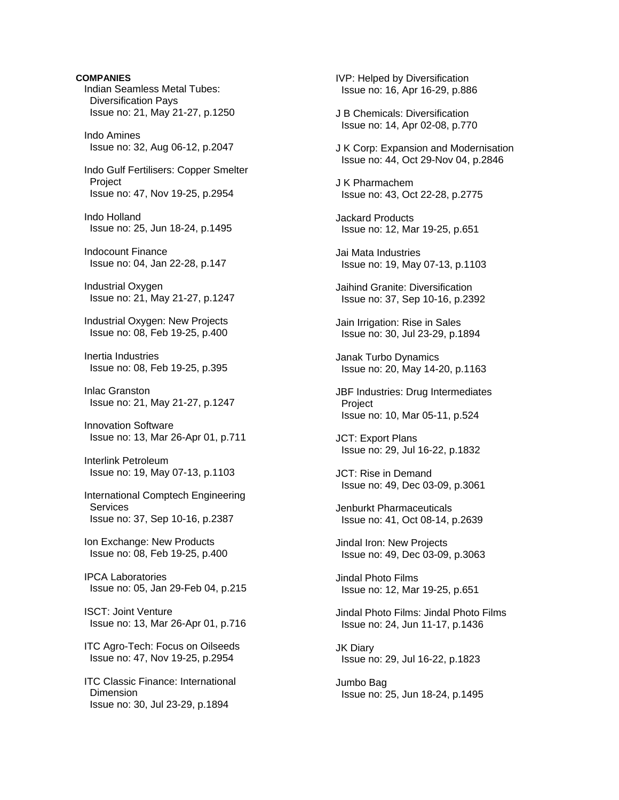**COMPANIES**  Indian Seamless Metal Tubes: Diversification Pays Issue no: 21, May 21-27, p.1250 Indo Amines Issue no: 32, Aug 06-12, p.2047 Indo Gulf Fertilisers: Copper Smelter Project Issue no: 47, Nov 19-25, p.2954 Indo Holland Issue no: 25, Jun 18-24, p.1495 Indocount Finance Issue no: 04, Jan 22-28, p.147 Industrial Oxygen Issue no: 21, May 21-27, p.1247 Industrial Oxygen: New Projects Issue no: 08, Feb 19-25, p.400 Inertia Industries Issue no: 08, Feb 19-25, p.395 Inlac Granston Issue no: 21, May 21-27, p.1247 Innovation Software Issue no: 13, Mar 26-Apr 01, p.711 Interlink Petroleum Issue no: 19, May 07-13, p.1103 International Comptech Engineering **Services**  Issue no: 37, Sep 10-16, p.2387 Ion Exchange: New Products Issue no: 08, Feb 19-25, p.400 IPCA Laboratories Issue no: 05, Jan 29-Feb 04, p.215 ISCT: Joint Venture Issue no: 13, Mar 26-Apr 01, p.716 ITC Agro-Tech: Focus on Oilseeds Issue no: 47, Nov 19-25, p.2954 ITC Classic Finance: International **Dimension** Issue no: 30, Jul 23-29, p.1894

 IVP: Helped by Diversification Issue no: 16, Apr 16-29, p.886

- J B Chemicals: Diversification Issue no: 14, Apr 02-08, p.770
- J K Corp: Expansion and Modernisation Issue no: 44, Oct 29-Nov 04, p.2846

 J K Pharmachem Issue no: 43, Oct 22-28, p.2775

 Jackard Products Issue no: 12, Mar 19-25, p.651

 Jai Mata Industries Issue no: 19, May 07-13, p.1103

 Jaihind Granite: Diversification Issue no: 37, Sep 10-16, p.2392

 Jain Irrigation: Rise in Sales Issue no: 30, Jul 23-29, p.1894

 Janak Turbo Dynamics Issue no: 20, May 14-20, p.1163

 JBF Industries: Drug Intermediates Project Issue no: 10, Mar 05-11, p.524

 JCT: Export Plans Issue no: 29, Jul 16-22, p.1832

 JCT: Rise in Demand Issue no: 49, Dec 03-09, p.3061

 Jenburkt Pharmaceuticals Issue no: 41, Oct 08-14, p.2639

 Jindal Iron: New Projects Issue no: 49, Dec 03-09, p.3063

 Jindal Photo Films Issue no: 12, Mar 19-25, p.651

 Jindal Photo Films: Jindal Photo Films Issue no: 24, Jun 11-17, p.1436

 JK Diary Issue no: 29, Jul 16-22, p.1823

 Jumbo Bag Issue no: 25, Jun 18-24, p.1495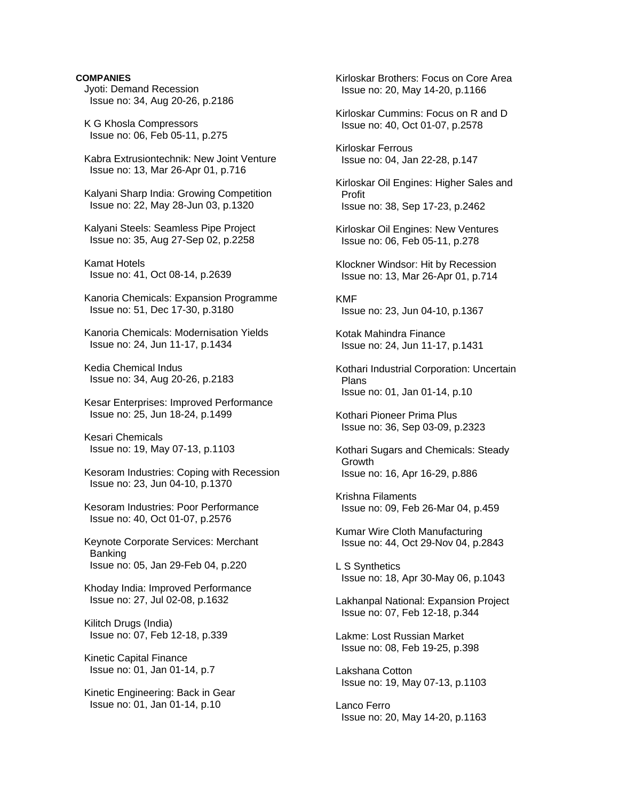Jyoti: Demand Recession Issue no: 34, Aug 20-26, p.2186

 K G Khosla Compressors Issue no: 06, Feb 05-11, p.275

 Kabra Extrusiontechnik: New Joint Venture Issue no: 13, Mar 26-Apr 01, p.716

 Kalyani Sharp India: Growing Competition Issue no: 22, May 28-Jun 03, p.1320

 Kalyani Steels: Seamless Pipe Project Issue no: 35, Aug 27-Sep 02, p.2258

 Kamat Hotels Issue no: 41, Oct 08-14, p.2639

 Kanoria Chemicals: Expansion Programme Issue no: 51, Dec 17-30, p.3180

 Kanoria Chemicals: Modernisation Yields Issue no: 24, Jun 11-17, p.1434

 Kedia Chemical Indus Issue no: 34, Aug 20-26, p.2183

 Kesar Enterprises: Improved Performance Issue no: 25, Jun 18-24, p.1499

 Kesari Chemicals Issue no: 19, May 07-13, p.1103

 Kesoram Industries: Coping with Recession Issue no: 23, Jun 04-10, p.1370

 Kesoram Industries: Poor Performance Issue no: 40, Oct 01-07, p.2576

 Keynote Corporate Services: Merchant Banking Issue no: 05, Jan 29-Feb 04, p.220

 Khoday India: Improved Performance Issue no: 27, Jul 02-08, p.1632

 Kilitch Drugs (India) Issue no: 07, Feb 12-18, p.339

 Kinetic Capital Finance Issue no: 01, Jan 01-14, p.7

 Kinetic Engineering: Back in Gear Issue no: 01, Jan 01-14, p.10

 Kirloskar Brothers: Focus on Core Area Issue no: 20, May 14-20, p.1166 Kirloskar Cummins: Focus on R and D Issue no: 40, Oct 01-07, p.2578 Kirloskar Ferrous Issue no: 04, Jan 22-28, p.147 Kirloskar Oil Engines: Higher Sales and Profit Issue no: 38, Sep 17-23, p.2462 Kirloskar Oil Engines: New Ventures Issue no: 06, Feb 05-11, p.278 Klockner Windsor: Hit by Recession Issue no: 13, Mar 26-Apr 01, p.714 KMF Issue no: 23, Jun 04-10, p.1367 Kotak Mahindra Finance Issue no: 24, Jun 11-17, p.1431 Kothari Industrial Corporation: Uncertain Plans Issue no: 01, Jan 01-14, p.10 Kothari Pioneer Prima Plus Issue no: 36, Sep 03-09, p.2323 Kothari Sugars and Chemicals: Steady Growth Issue no: 16, Apr 16-29, p.886 Krishna Filaments Issue no: 09, Feb 26-Mar 04, p.459 Kumar Wire Cloth Manufacturing Issue no: 44, Oct 29-Nov 04, p.2843 L S Synthetics Issue no: 18, Apr 30-May 06, p.1043 Lakhanpal National: Expansion Project Issue no: 07, Feb 12-18, p.344 Lakme: Lost Russian Market Issue no: 08, Feb 19-25, p.398 Lakshana Cotton Issue no: 19, May 07-13, p.1103 Lanco Ferro Issue no: 20, May 14-20, p.1163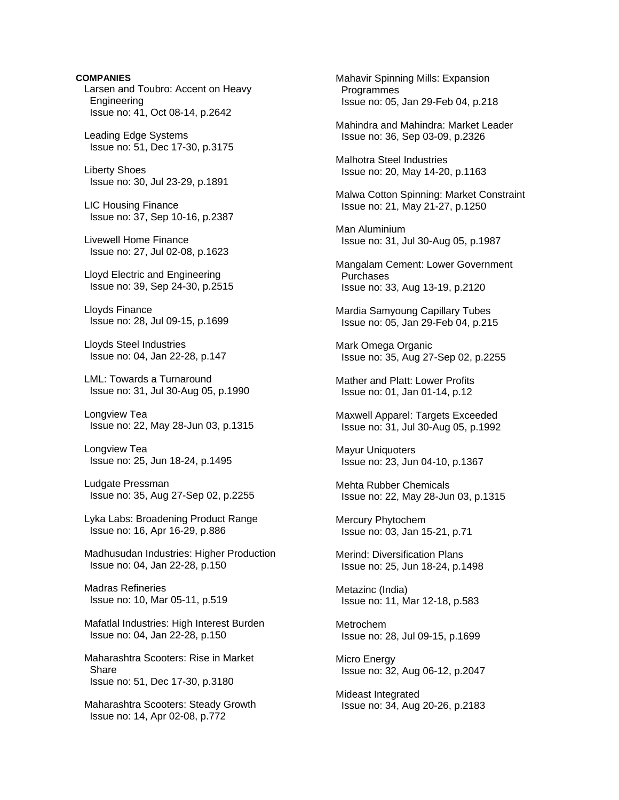**COMPANIES**  Larsen and Toubro: Accent on Heavy Engineering Issue no: 41, Oct 08-14, p.2642 Leading Edge Systems Issue no: 51, Dec 17-30, p.3175 Liberty Shoes Issue no: 30, Jul 23-29, p.1891 LIC Housing Finance Issue no: 37, Sep 10-16, p.2387 Livewell Home Finance Issue no: 27, Jul 02-08, p.1623 Lloyd Electric and Engineering Issue no: 39, Sep 24-30, p.2515 Lloyds Finance Issue no: 28, Jul 09-15, p.1699 Lloyds Steel Industries Issue no: 04, Jan 22-28, p.147 LML: Towards a Turnaround Issue no: 31, Jul 30-Aug 05, p.1990 Longview Tea Issue no: 22, May 28-Jun 03, p.1315 Longview Tea Issue no: 25, Jun 18-24, p.1495 Ludgate Pressman Issue no: 35, Aug 27-Sep 02, p.2255 Lyka Labs: Broadening Product Range Issue no: 16, Apr 16-29, p.886 Madhusudan Industries: Higher Production Issue no: 04, Jan 22-28, p.150 Madras Refineries Issue no: 10, Mar 05-11, p.519 Mafatlal Industries: High Interest Burden Issue no: 04, Jan 22-28, p.150 Maharashtra Scooters: Rise in Market Share Issue no: 51, Dec 17-30, p.3180

 Maharashtra Scooters: Steady Growth Issue no: 14, Apr 02-08, p.772

 Mahavir Spinning Mills: Expansion Programmes Issue no: 05, Jan 29-Feb 04, p.218

 Mahindra and Mahindra: Market Leader Issue no: 36, Sep 03-09, p.2326

 Malhotra Steel Industries Issue no: 20, May 14-20, p.1163

 Malwa Cotton Spinning: Market Constraint Issue no: 21, May 21-27, p.1250

 Man Aluminium Issue no: 31, Jul 30-Aug 05, p.1987

 Mangalam Cement: Lower Government Purchases Issue no: 33, Aug 13-19, p.2120

 Mardia Samyoung Capillary Tubes Issue no: 05, Jan 29-Feb 04, p.215

 Mark Omega Organic Issue no: 35, Aug 27-Sep 02, p.2255

 Mather and Platt: Lower Profits Issue no: 01, Jan 01-14, p.12

 Maxwell Apparel: Targets Exceeded Issue no: 31, Jul 30-Aug 05, p.1992

 Mayur Uniquoters Issue no: 23, Jun 04-10, p.1367

 Mehta Rubber Chemicals Issue no: 22, May 28-Jun 03, p.1315

 Mercury Phytochem Issue no: 03, Jan 15-21, p.71

 Merind: Diversification Plans Issue no: 25, Jun 18-24, p.1498

 Metazinc (India) Issue no: 11, Mar 12-18, p.583

 Metrochem Issue no: 28, Jul 09-15, p.1699

 Micro Energy Issue no: 32, Aug 06-12, p.2047

 Mideast Integrated Issue no: 34, Aug 20-26, p.2183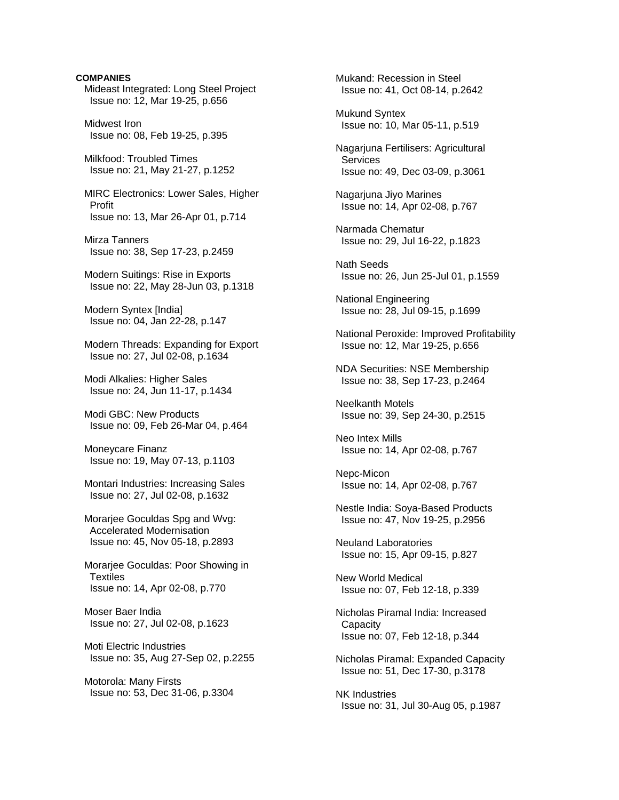**COMPANIES**  Mideast Integrated: Long Steel Project Issue no: 12, Mar 19-25, p.656 Midwest Iron Issue no: 08, Feb 19-25, p.395 Milkfood: Troubled Times Issue no: 21, May 21-27, p.1252 MIRC Electronics: Lower Sales, Higher Profit Issue no: 13, Mar 26-Apr 01, p.714 Mirza Tanners Issue no: 38, Sep 17-23, p.2459 Modern Suitings: Rise in Exports Issue no: 22, May 28-Jun 03, p.1318 Modern Syntex [India] Issue no: 04, Jan 22-28, p.147 Modern Threads: Expanding for Export Issue no: 27, Jul 02-08, p.1634 Modi Alkalies: Higher Sales Issue no: 24, Jun 11-17, p.1434 Modi GBC: New Products Issue no: 09, Feb 26-Mar 04, p.464 Moneycare Finanz Issue no: 19, May 07-13, p.1103 Montari Industries: Increasing Sales Issue no: 27, Jul 02-08, p.1632 Morarjee Goculdas Spg and Wvg: Accelerated Modernisation Issue no: 45, Nov 05-18, p.2893 Morarjee Goculdas: Poor Showing in **Textiles**  Issue no: 14, Apr 02-08, p.770 Moser Baer India Issue no: 27, Jul 02-08, p.1623 Moti Electric Industries Issue no: 35, Aug 27-Sep 02, p.2255 Motorola: Many Firsts Issue no: 53, Dec 31-06, p.3304

 Mukand: Recession in Steel Issue no: 41, Oct 08-14, p.2642 Mukund Syntex Issue no: 10, Mar 05-11, p.519 Nagarjuna Fertilisers: Agricultural **Services**  Issue no: 49, Dec 03-09, p.3061 Nagarjuna Jiyo Marines Issue no: 14, Apr 02-08, p.767 Narmada Chematur Issue no: 29, Jul 16-22, p.1823 Nath Seeds Issue no: 26, Jun 25-Jul 01, p.1559 National Engineering Issue no: 28, Jul 09-15, p.1699 National Peroxide: Improved Profitability Issue no: 12, Mar 19-25, p.656 NDA Securities: NSE Membership Issue no: 38, Sep 17-23, p.2464 Neelkanth Motels Issue no: 39, Sep 24-30, p.2515 Neo Intex Mills Issue no: 14, Apr 02-08, p.767 Nepc-Micon Issue no: 14, Apr 02-08, p.767 Nestle India: Soya-Based Products Issue no: 47, Nov 19-25, p.2956 Neuland Laboratories Issue no: 15, Apr 09-15, p.827 New World Medical Issue no: 07, Feb 12-18, p.339 Nicholas Piramal India: Increased **Capacity**  Issue no: 07, Feb 12-18, p.344 Nicholas Piramal: Expanded Capacity Issue no: 51, Dec 17-30, p.3178 NK Industries Issue no: 31, Jul 30-Aug 05, p.1987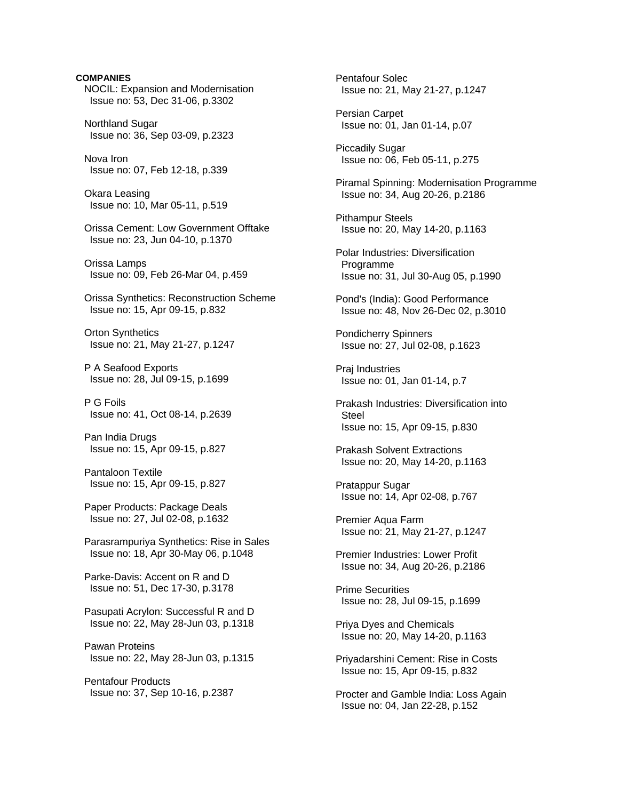**COMPANIES** NOCIL: Expansion and Modernisation Issue no: 53, Dec 31-06, p.3302 Northland Sugar Issue no: 36, Sep 03-09, p.2323 Nova Iron Issue no: 07, Feb 12-18, p.339 Okara Leasing Issue no: 10, Mar 05-11, p.519 Orissa Cement: Low Government Offtake Issue no: 23, Jun 04-10, p.1370 Orissa Lamps Issue no: 09, Feb 26-Mar 04, p.459 Orissa Synthetics: Reconstruction Scheme Issue no: 15, Apr 09-15, p.832 Orton Synthetics Issue no: 21, May 21-27, p.1247 P A Seafood Exports Issue no: 28, Jul 09-15, p.1699 P G Foils Issue no: 41, Oct 08-14, p.2639 Pan India Drugs Issue no: 15, Apr 09-15, p.827 Pantaloon Textile Issue no: 15, Apr 09-15, p.827 Paper Products: Package Deals Issue no: 27, Jul 02-08, p.1632 Parasrampuriya Synthetics: Rise in Sales Issue no: 18, Apr 30-May 06, p.1048 Parke-Davis: Accent on R and D Issue no: 51, Dec 17-30, p.3178 Pasupati Acrylon: Successful R and D Issue no: 22, May 28-Jun 03, p.1318 Pawan Proteins Issue no: 22, May 28-Jun 03, p.1315 Pentafour Products Issue no: 37, Sep 10-16, p.2387

 Pentafour Solec Issue no: 21, May 21-27, p.1247 Persian Carpet Issue no: 01, Jan 01-14, p.07 Piccadily Sugar Issue no: 06, Feb 05-11, p.275 Piramal Spinning: Modernisation Programme Issue no: 34, Aug 20-26, p.2186 Pithampur Steels Issue no: 20, May 14-20, p.1163 Polar Industries: Diversification Programme Issue no: 31, Jul 30-Aug 05, p.1990 Pond's (India): Good Performance Issue no: 48, Nov 26-Dec 02, p.3010 Pondicherry Spinners Issue no: 27, Jul 02-08, p.1623 Praj Industries Issue no: 01, Jan 01-14, p.7 Prakash Industries: Diversification into Steel Issue no: 15, Apr 09-15, p.830 Prakash Solvent Extractions Issue no: 20, May 14-20, p.1163 Pratappur Sugar Issue no: 14, Apr 02-08, p.767 Premier Aqua Farm Issue no: 21, May 21-27, p.1247 Premier Industries: Lower Profit Issue no: 34, Aug 20-26, p.2186 Prime Securities Issue no: 28, Jul 09-15, p.1699 Priya Dyes and Chemicals Issue no: 20, May 14-20, p.1163 Priyadarshini Cement: Rise in Costs Issue no: 15, Apr 09-15, p.832 Procter and Gamble India: Loss Again Issue no: 04, Jan 22-28, p.152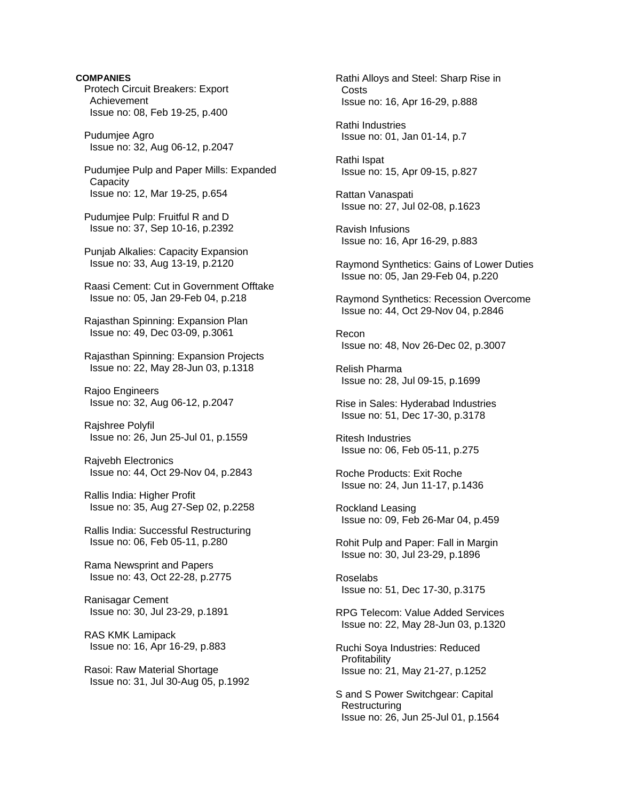**COMPANIES**  Protech Circuit Breakers: Export Achievement Issue no: 08, Feb 19-25, p.400

 Pudumjee Agro Issue no: 32, Aug 06-12, p.2047

 Pudumjee Pulp and Paper Mills: Expanded **Capacity** Issue no: 12, Mar 19-25, p.654

 Pudumjee Pulp: Fruitful R and D Issue no: 37, Sep 10-16, p.2392

 Punjab Alkalies: Capacity Expansion Issue no: 33, Aug 13-19, p.2120

 Raasi Cement: Cut in Government Offtake Issue no: 05, Jan 29-Feb 04, p.218

 Rajasthan Spinning: Expansion Plan Issue no: 49, Dec 03-09, p.3061

 Rajasthan Spinning: Expansion Projects Issue no: 22, May 28-Jun 03, p.1318

 Rajoo Engineers Issue no: 32, Aug 06-12, p.2047

 Rajshree Polyfil Issue no: 26, Jun 25-Jul 01, p.1559

 Rajvebh Electronics Issue no: 44, Oct 29-Nov 04, p.2843

 Rallis India: Higher Profit Issue no: 35, Aug 27-Sep 02, p.2258

 Rallis India: Successful Restructuring Issue no: 06, Feb 05-11, p.280

 Rama Newsprint and Papers Issue no: 43, Oct 22-28, p.2775

 Ranisagar Cement Issue no: 30, Jul 23-29, p.1891

 RAS KMK Lamipack Issue no: 16, Apr 16-29, p.883

 Rasoi: Raw Material Shortage Issue no: 31, Jul 30-Aug 05, p.1992  Rathi Alloys and Steel: Sharp Rise in Costs Issue no: 16, Apr 16-29, p.888

 Rathi Industries Issue no: 01, Jan 01-14, p.7

 Rathi Ispat Issue no: 15, Apr 09-15, p.827

 Rattan Vanaspati Issue no: 27, Jul 02-08, p.1623

 Ravish Infusions Issue no: 16, Apr 16-29, p.883

 Raymond Synthetics: Gains of Lower Duties Issue no: 05, Jan 29-Feb 04, p.220

 Raymond Synthetics: Recession Overcome Issue no: 44, Oct 29-Nov 04, p.2846

 Recon Issue no: 48, Nov 26-Dec 02, p.3007

 Relish Pharma Issue no: 28, Jul 09-15, p.1699

 Rise in Sales: Hyderabad Industries Issue no: 51, Dec 17-30, p.3178

 Ritesh Industries Issue no: 06, Feb 05-11, p.275

 Roche Products: Exit Roche Issue no: 24, Jun 11-17, p.1436

 Rockland Leasing Issue no: 09, Feb 26-Mar 04, p.459

 Rohit Pulp and Paper: Fall in Margin Issue no: 30, Jul 23-29, p.1896

 Roselabs Issue no: 51, Dec 17-30, p.3175

 RPG Telecom: Value Added Services Issue no: 22, May 28-Jun 03, p.1320

 Ruchi Soya Industries: Reduced **Profitability** Issue no: 21, May 21-27, p.1252

 S and S Power Switchgear: Capital **Restructuring** Issue no: 26, Jun 25-Jul 01, p.1564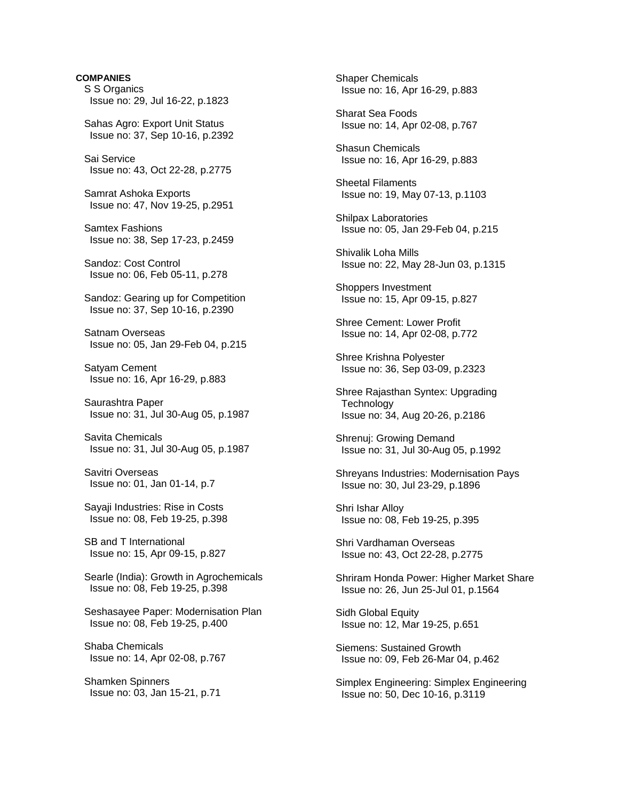**COMPANIES**  S S Organics Issue no: 29, Jul 16-22, p.1823 Sahas Agro: Export Unit Status Issue no: 37, Sep 10-16, p.2392 Sai Service Issue no: 43, Oct 22-28, p.2775 Samrat Ashoka Exports Issue no: 47, Nov 19-25, p.2951 Samtex Fashions Issue no: 38, Sep 17-23, p.2459 Sandoz: Cost Control Issue no: 06, Feb 05-11, p.278 Sandoz: Gearing up for Competition Issue no: 37, Sep 10-16, p.2390 Satnam Overseas Issue no: 05, Jan 29-Feb 04, p.215 Satyam Cement Issue no: 16, Apr 16-29, p.883 Saurashtra Paper Issue no: 31, Jul 30-Aug 05, p.1987 Savita Chemicals Issue no: 31, Jul 30-Aug 05, p.1987 Savitri Overseas Issue no: 01, Jan 01-14, p.7 Sayaji Industries: Rise in Costs Issue no: 08, Feb 19-25, p.398 SB and T International Issue no: 15, Apr 09-15, p.827 Searle (India): Growth in Agrochemicals Issue no: 08, Feb 19-25, p.398 Seshasayee Paper: Modernisation Plan Issue no: 08, Feb 19-25, p.400 Shaba Chemicals Issue no: 14, Apr 02-08, p.767 Shamken Spinners Issue no: 03, Jan 15-21, p.71

 Shaper Chemicals Issue no: 16, Apr 16-29, p.883

 Sharat Sea Foods Issue no: 14, Apr 02-08, p.767

 Shasun Chemicals Issue no: 16, Apr 16-29, p.883

 Sheetal Filaments Issue no: 19, May 07-13, p.1103

 Shilpax Laboratories Issue no: 05, Jan 29-Feb 04, p.215

 Shivalik Loha Mills Issue no: 22, May 28-Jun 03, p.1315

 Shoppers Investment Issue no: 15, Apr 09-15, p.827

 Shree Cement: Lower Profit Issue no: 14, Apr 02-08, p.772

 Shree Krishna Polyester Issue no: 36, Sep 03-09, p.2323

 Shree Rajasthan Syntex: Upgrading **Technology** Issue no: 34, Aug 20-26, p.2186

 Shrenuj: Growing Demand Issue no: 31, Jul 30-Aug 05, p.1992

 Shreyans Industries: Modernisation Pays Issue no: 30, Jul 23-29, p.1896

 Shri Ishar Alloy Issue no: 08, Feb 19-25, p.395

 Shri Vardhaman Overseas Issue no: 43, Oct 22-28, p.2775

 Shriram Honda Power: Higher Market Share Issue no: 26, Jun 25-Jul 01, p.1564

 Sidh Global Equity Issue no: 12, Mar 19-25, p.651

 Siemens: Sustained Growth Issue no: 09, Feb 26-Mar 04, p.462

 Simplex Engineering: Simplex Engineering Issue no: 50, Dec 10-16, p.3119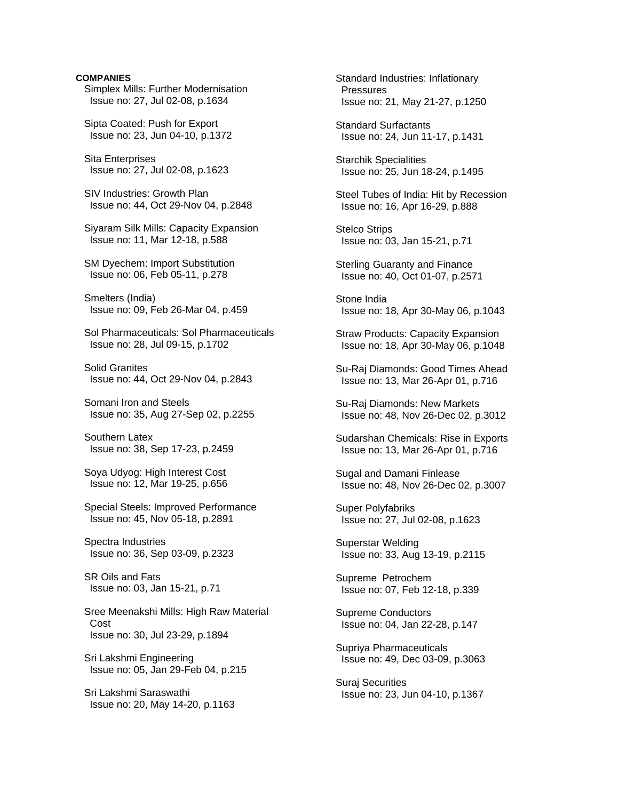Simplex Mills: Further Modernisation Issue no: 27, Jul 02-08, p.1634

 Sipta Coated: Push for Export Issue no: 23, Jun 04-10, p.1372

 Sita Enterprises Issue no: 27, Jul 02-08, p.1623

 SIV Industries: Growth Plan Issue no: 44, Oct 29-Nov 04, p.2848

 Siyaram Silk Mills: Capacity Expansion Issue no: 11, Mar 12-18, p.588

 SM Dyechem: Import Substitution Issue no: 06, Feb 05-11, p.278

 Smelters (India) Issue no: 09, Feb 26-Mar 04, p.459

 Sol Pharmaceuticals: Sol Pharmaceuticals Issue no: 28, Jul 09-15, p.1702

 Solid Granites Issue no: 44, Oct 29-Nov 04, p.2843

 Somani Iron and Steels Issue no: 35, Aug 27-Sep 02, p.2255

 Southern Latex Issue no: 38, Sep 17-23, p.2459

 Soya Udyog: High Interest Cost Issue no: 12, Mar 19-25, p.656

 Special Steels: Improved Performance Issue no: 45, Nov 05-18, p.2891

 Spectra Industries Issue no: 36, Sep 03-09, p.2323

 SR Oils and Fats Issue no: 03, Jan 15-21, p.71

 Sree Meenakshi Mills: High Raw Material Cost Issue no: 30, Jul 23-29, p.1894

 Sri Lakshmi Engineering Issue no: 05, Jan 29-Feb 04, p.215

 Sri Lakshmi Saraswathi Issue no: 20, May 14-20, p.1163  Standard Industries: Inflationary **Pressures** Issue no: 21, May 21-27, p.1250

 Standard Surfactants Issue no: 24, Jun 11-17, p.1431

 Starchik Specialities Issue no: 25, Jun 18-24, p.1495

 Steel Tubes of India: Hit by Recession Issue no: 16, Apr 16-29, p.888

 Stelco Strips Issue no: 03, Jan 15-21, p.71

 Sterling Guaranty and Finance Issue no: 40, Oct 01-07, p.2571

 Stone India Issue no: 18, Apr 30-May 06, p.1043

 Straw Products: Capacity Expansion Issue no: 18, Apr 30-May 06, p.1048

 Su-Raj Diamonds: Good Times Ahead Issue no: 13, Mar 26-Apr 01, p.716

 Su-Raj Diamonds: New Markets Issue no: 48, Nov 26-Dec 02, p.3012

 Sudarshan Chemicals: Rise in Exports Issue no: 13, Mar 26-Apr 01, p.716

 Sugal and Damani Finlease Issue no: 48, Nov 26-Dec 02, p.3007

 Super Polyfabriks Issue no: 27, Jul 02-08, p.1623

 Superstar Welding Issue no: 33, Aug 13-19, p.2115

 Supreme Petrochem Issue no: 07, Feb 12-18, p.339

 Supreme Conductors Issue no: 04, Jan 22-28, p.147

 Supriya Pharmaceuticals Issue no: 49, Dec 03-09, p.3063

 Suraj Securities Issue no: 23, Jun 04-10, p.1367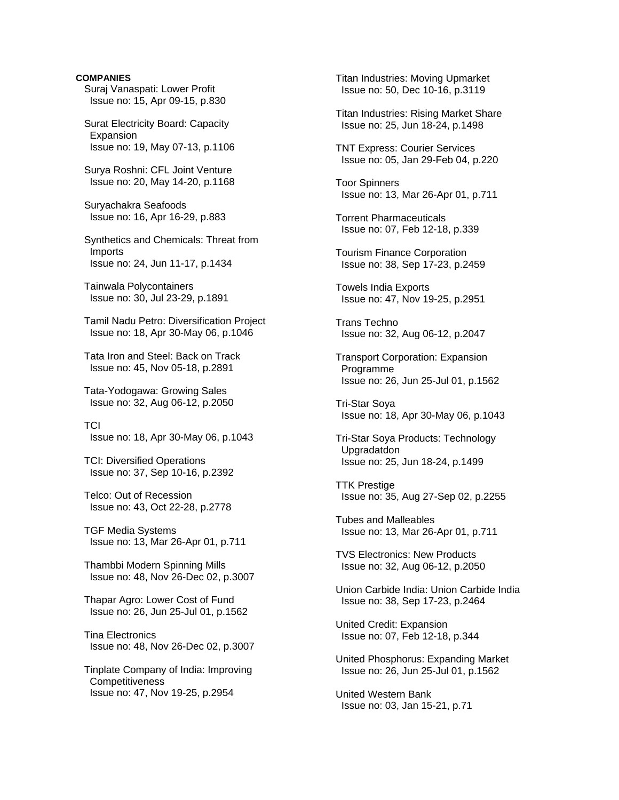Suraj Vanaspati: Lower Profit Issue no: 15, Apr 09-15, p.830

 Surat Electricity Board: Capacity **Expansion** Issue no: 19, May 07-13, p.1106

 Surya Roshni: CFL Joint Venture Issue no: 20, May 14-20, p.1168

 Suryachakra Seafoods Issue no: 16, Apr 16-29, p.883

 Synthetics and Chemicals: Threat from Imports Issue no: 24, Jun 11-17, p.1434

 Tainwala Polycontainers Issue no: 30, Jul 23-29, p.1891

 Tamil Nadu Petro: Diversification Project Issue no: 18, Apr 30-May 06, p.1046

 Tata Iron and Steel: Back on Track Issue no: 45, Nov 05-18, p.2891

 Tata-Yodogawa: Growing Sales Issue no: 32, Aug 06-12, p.2050

 TCI Issue no: 18, Apr 30-May 06, p.1043

 TCI: Diversified Operations Issue no: 37, Sep 10-16, p.2392

 Telco: Out of Recession Issue no: 43, Oct 22-28, p.2778

 TGF Media Systems Issue no: 13, Mar 26-Apr 01, p.711

 Thambbi Modern Spinning Mills Issue no: 48, Nov 26-Dec 02, p.3007

 Thapar Agro: Lower Cost of Fund Issue no: 26, Jun 25-Jul 01, p.1562

 Tina Electronics Issue no: 48, Nov 26-Dec 02, p.3007

 Tinplate Company of India: Improving **Competitiveness** Issue no: 47, Nov 19-25, p.2954

 Titan Industries: Moving Upmarket Issue no: 50, Dec 10-16, p.3119

 Titan Industries: Rising Market Share Issue no: 25, Jun 18-24, p.1498

 TNT Express: Courier Services Issue no: 05, Jan 29-Feb 04, p.220

 Toor Spinners Issue no: 13, Mar 26-Apr 01, p.711

 Torrent Pharmaceuticals Issue no: 07, Feb 12-18, p.339

 Tourism Finance Corporation Issue no: 38, Sep 17-23, p.2459

 Towels India Exports Issue no: 47, Nov 19-25, p.2951

 Trans Techno Issue no: 32, Aug 06-12, p.2047

 Transport Corporation: Expansion Programme Issue no: 26, Jun 25-Jul 01, p.1562

 Tri-Star Soya Issue no: 18, Apr 30-May 06, p.1043

 Tri-Star Soya Products: Technology Upgradatdon Issue no: 25, Jun 18-24, p.1499

 TTK Prestige Issue no: 35, Aug 27-Sep 02, p.2255

 Tubes and Malleables Issue no: 13, Mar 26-Apr 01, p.711

 TVS Electronics: New Products Issue no: 32, Aug 06-12, p.2050

 Union Carbide India: Union Carbide India Issue no: 38, Sep 17-23, p.2464

 United Credit: Expansion Issue no: 07, Feb 12-18, p.344

 United Phosphorus: Expanding Market Issue no: 26, Jun 25-Jul 01, p.1562

 United Western Bank Issue no: 03, Jan 15-21, p.71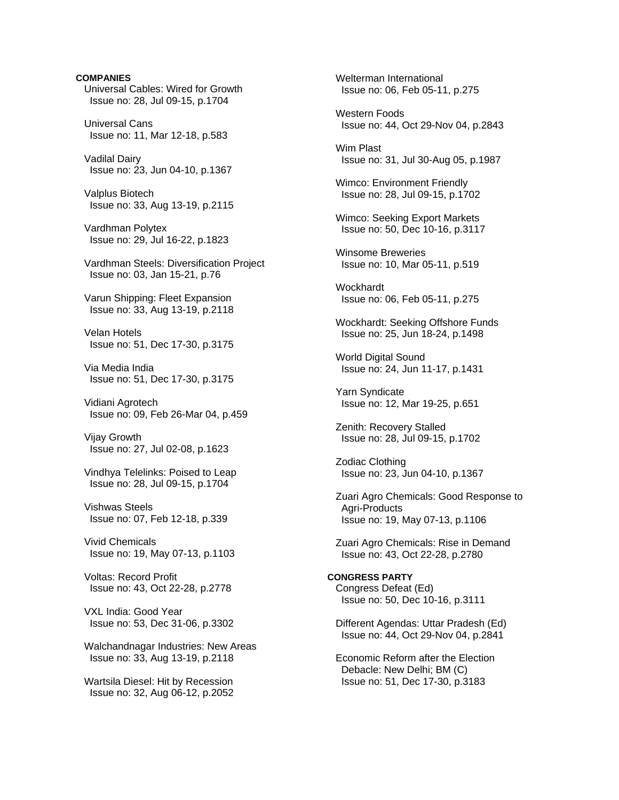**COMPANIES** Universal Cables: Wired for Growth Issue no: 28, Jul 09-15, p.1704 Universal Cans Issue no: 11, Mar 12-18, p.583 Vadilal Dairy Issue no: 23, Jun 04-10, p.1367 Valplus Biotech Issue no: 33, Aug 13-19, p.2115 Vardhman Polytex Issue no: 29, Jul 16-22, p.1823 Vardhman Steels: Diversification Project Issue no: 03, Jan 15-21, p.76 Varun Shipping: Fleet Expansion Issue no: 33, Aug 13-19, p.2118 Velan Hotels Issue no: 51, Dec 17-30, p.3175 Via Media India Issue no: 51, Dec 17-30, p.3175 Vidiani Agrotech Issue no: 09, Feb 26-Mar 04, p.459 Vijay Growth Issue no: 27, Jul 02-08, p.1623 Vindhya Telelinks: Poised to Leap Issue no: 28, Jul 09-15, p.1704 Vishwas Steels Issue no: 07, Feb 12-18, p.339 Vivid Chemicals Issue no: 19, May 07-13, p.1103 Voltas: Record Profit Issue no: 43, Oct 22-28, p.2778 VXL India: Good Year Issue no: 53, Dec 31-06, p.3302 Walchandnagar Industries: New Areas Issue no: 33, Aug 13-19, p.2118 Wartsila Diesel: Hit by Recession Issue no: 32, Aug 06-12, p.2052

 Welterman International Issue no: 06, Feb 05-11, p.275 Western Foods Issue no: 44, Oct 29-Nov 04, p.2843 Wim Plast Issue no: 31, Jul 30-Aug 05, p.1987 Wimco: Environment Friendly Issue no: 28, Jul 09-15, p.1702 Wimco: Seeking Export Markets Issue no: 50, Dec 10-16, p.3117 Winsome Breweries Issue no: 10, Mar 05-11, p.519 Wockhardt Issue no: 06, Feb 05-11, p.275 Wockhardt: Seeking Offshore Funds Issue no: 25, Jun 18-24, p.1498 World Digital Sound Issue no: 24, Jun 11-17, p.1431 Yarn Syndicate Issue no: 12, Mar 19-25, p.651 Zenith: Recovery Stalled Issue no: 28, Jul 09-15, p.1702 Zodiac Clothing Issue no: 23, Jun 04-10, p.1367 Zuari Agro Chemicals: Good Response to Agri-Products Issue no: 19, May 07-13, p.1106 Zuari Agro Chemicals: Rise in Demand Issue no: 43, Oct 22-28, p.2780 **CONGRESS PARTY**  Congress Defeat (Ed) Issue no: 50, Dec 10-16, p.3111 Different Agendas: Uttar Pradesh (Ed) Issue no: 44, Oct 29-Nov 04, p.2841 Economic Reform after the Election Debacle: New Delhi; BM (C) Issue no: 51, Dec 17-30, p.3183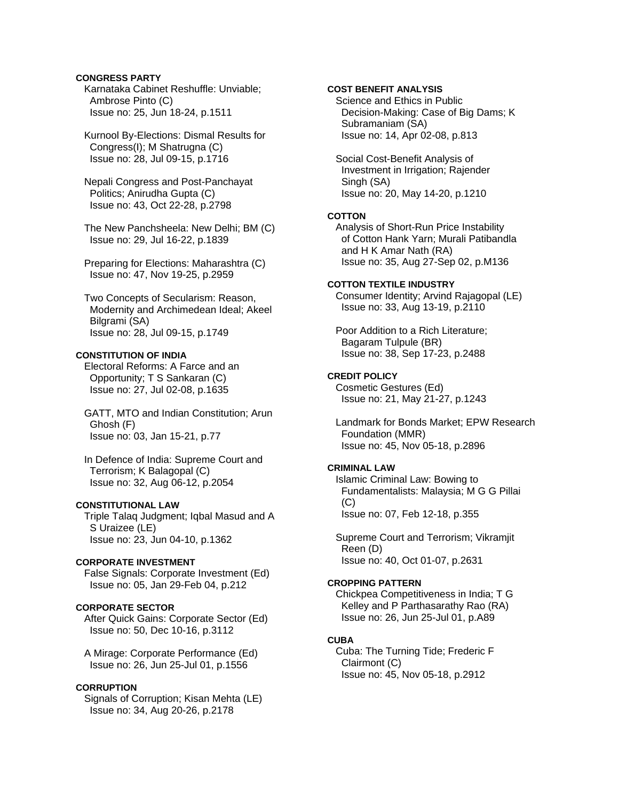## **CONGRESS PARTY**

 Karnataka Cabinet Reshuffle: Unviable; Ambrose Pinto (C) Issue no: 25, Jun 18-24, p.1511

 Kurnool By-Elections: Dismal Results for Congress(I); M Shatrugna (C) Issue no: 28, Jul 09-15, p.1716

 Nepali Congress and Post-Panchayat Politics; Anirudha Gupta (C) Issue no: 43, Oct 22-28, p.2798

 The New Panchsheela: New Delhi; BM (C) Issue no: 29, Jul 16-22, p.1839

 Preparing for Elections: Maharashtra (C) Issue no: 47, Nov 19-25, p.2959

 Two Concepts of Secularism: Reason, Modernity and Archimedean Ideal; Akeel Bilgrami (SA) Issue no: 28, Jul 09-15, p.1749

## **CONSTITUTION OF INDIA**

 Electoral Reforms: A Farce and an Opportunity; T S Sankaran (C) Issue no: 27, Jul 02-08, p.1635

 GATT, MTO and Indian Constitution; Arun Ghosh (F) Issue no: 03, Jan 15-21, p.77

 In Defence of India: Supreme Court and Terrorism; K Balagopal (C) Issue no: 32, Aug 06-12, p.2054

## **CONSTITUTIONAL LAW**

 Triple Talaq Judgment; Iqbal Masud and A S Uraizee (LE) Issue no: 23, Jun 04-10, p.1362

## **CORPORATE INVESTMENT**

 False Signals: Corporate Investment (Ed) Issue no: 05, Jan 29-Feb 04, p.212

# **CORPORATE SECTOR**

 After Quick Gains: Corporate Sector (Ed) Issue no: 50, Dec 10-16, p.3112

 A Mirage: Corporate Performance (Ed) Issue no: 26, Jun 25-Jul 01, p.1556

## **CORRUPTION**

 Signals of Corruption; Kisan Mehta (LE) Issue no: 34, Aug 20-26, p.2178

## **COST BENEFIT ANALYSIS**

 Science and Ethics in Public Decision-Making: Case of Big Dams; K Subramaniam (SA) Issue no: 14, Apr 02-08, p.813

 Social Cost-Benefit Analysis of Investment in Irrigation; Rajender Singh (SA) Issue no: 20, May 14-20, p.1210

### **COTTON**

 Analysis of Short-Run Price Instability of Cotton Hank Yarn; Murali Patibandla and H K Amar Nath (RA) Issue no: 35, Aug 27-Sep 02, p.M136

## **COTTON TEXTILE INDUSTRY**

 Consumer Identity; Arvind Rajagopal (LE) Issue no: 33, Aug 13-19, p.2110

 Poor Addition to a Rich Literature; Bagaram Tulpule (BR) Issue no: 38, Sep 17-23, p.2488

#### **CREDIT POLICY**

 Cosmetic Gestures (Ed) Issue no: 21, May 21-27, p.1243

 Landmark for Bonds Market; EPW Research Foundation (MMR) Issue no: 45, Nov 05-18, p.2896

## **CRIMINAL LAW**

 Islamic Criminal Law: Bowing to Fundamentalists: Malaysia; M G G Pillai (C) Issue no: 07, Feb 12-18, p.355

 Supreme Court and Terrorism; Vikramjit Reen (D) Issue no: 40, Oct 01-07, p.2631

## **CROPPING PATTERN**

 Chickpea Competitiveness in India; T G Kelley and P Parthasarathy Rao (RA) Issue no: 26, Jun 25-Jul 01, p.A89

#### **CUBA**

 Cuba: The Turning Tide; Frederic F Clairmont (C) Issue no: 45, Nov 05-18, p.2912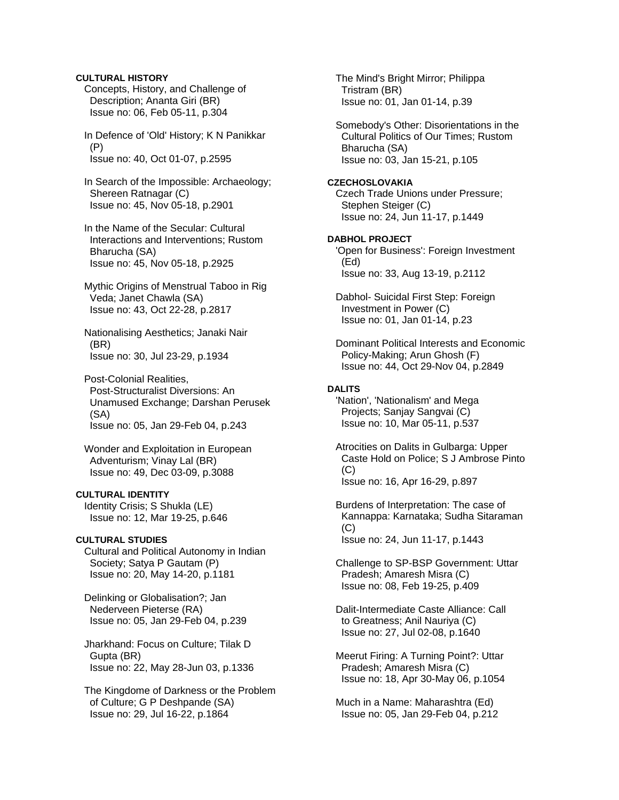## **CULTURAL HISTORY**

 Concepts, History, and Challenge of Description; Ananta Giri (BR) Issue no: 06, Feb 05-11, p.304

 In Defence of 'Old' History; K N Panikkar (P) Issue no: 40, Oct 01-07, p.2595

 In Search of the Impossible: Archaeology; Shereen Ratnagar (C) Issue no: 45, Nov 05-18, p.2901

 In the Name of the Secular: Cultural Interactions and Interventions; Rustom Bharucha (SA) Issue no: 45, Nov 05-18, p.2925

 Mythic Origins of Menstrual Taboo in Rig Veda; Janet Chawla (SA) Issue no: 43, Oct 22-28, p.2817

 Nationalising Aesthetics; Janaki Nair (BR) Issue no: 30, Jul 23-29, p.1934

 Post-Colonial Realities, Post-Structuralist Diversions: An Unamused Exchange; Darshan Perusek (SA) Issue no: 05, Jan 29-Feb 04, p.243

 Wonder and Exploitation in European Adventurism; Vinay Lal (BR) Issue no: 49, Dec 03-09, p.3088

## **CULTURAL IDENTITY**

 Identity Crisis; S Shukla (LE) Issue no: 12, Mar 19-25, p.646

## **CULTURAL STUDIES**

 Cultural and Political Autonomy in Indian Society; Satya P Gautam (P) Issue no: 20, May 14-20, p.1181

 Delinking or Globalisation?; Jan Nederveen Pieterse (RA) Issue no: 05, Jan 29-Feb 04, p.239

 Jharkhand: Focus on Culture; Tilak D Gupta (BR) Issue no: 22, May 28-Jun 03, p.1336

 The Kingdome of Darkness or the Problem of Culture; G P Deshpande (SA) Issue no: 29, Jul 16-22, p.1864

 The Mind's Bright Mirror; Philippa Tristram (BR) Issue no: 01, Jan 01-14, p.39

 Somebody's Other: Disorientations in the Cultural Politics of Our Times; Rustom Bharucha (SA) Issue no: 03, Jan 15-21, p.105

### **CZECHOSLOVAKIA**

 Czech Trade Unions under Pressure; Stephen Steiger (C) Issue no: 24, Jun 11-17, p.1449

# **DABHOL PROJECT**

 'Open for Business': Foreign Investment (Ed) Issue no: 33, Aug 13-19, p.2112

 Dabhol- Suicidal First Step: Foreign Investment in Power (C) Issue no: 01, Jan 01-14, p.23

 Dominant Political Interests and Economic Policy-Making; Arun Ghosh (F) Issue no: 44, Oct 29-Nov 04, p.2849

## **DALITS**

 'Nation', 'Nationalism' and Mega Projects; Sanjay Sangvai (C) Issue no: 10, Mar 05-11, p.537

 Atrocities on Dalits in Gulbarga: Upper Caste Hold on Police; S J Ambrose Pinto (C) Issue no: 16, Apr 16-29, p.897

 Burdens of Interpretation: The case of Kannappa: Karnataka; Sudha Sitaraman (C)

Issue no: 24, Jun 11-17, p.1443

 Challenge to SP-BSP Government: Uttar Pradesh; Amaresh Misra (C) Issue no: 08, Feb 19-25, p.409

 Dalit-Intermediate Caste Alliance: Call to Greatness; Anil Nauriya (C) Issue no: 27, Jul 02-08, p.1640

 Meerut Firing: A Turning Point?: Uttar Pradesh; Amaresh Misra (C) Issue no: 18, Apr 30-May 06, p.1054

 Much in a Name: Maharashtra (Ed) Issue no: 05, Jan 29-Feb 04, p.212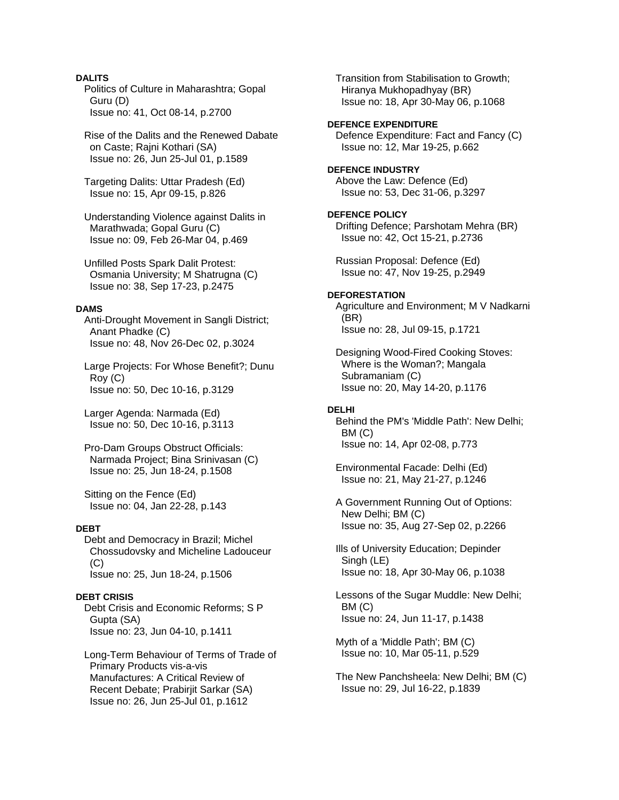## **DALITS**

 Politics of Culture in Maharashtra; Gopal Guru (D) Issue no: 41, Oct 08-14, p.2700

 Rise of the Dalits and the Renewed Dabate on Caste; Rajni Kothari (SA) Issue no: 26, Jun 25-Jul 01, p.1589

 Targeting Dalits: Uttar Pradesh (Ed) Issue no: 15, Apr 09-15, p.826

 Understanding Violence against Dalits in Marathwada; Gopal Guru (C) Issue no: 09, Feb 26-Mar 04, p.469

 Unfilled Posts Spark Dalit Protest: Osmania University; M Shatrugna (C) Issue no: 38, Sep 17-23, p.2475

#### **DAMS**

 Anti-Drought Movement in Sangli District; Anant Phadke (C) Issue no: 48, Nov 26-Dec 02, p.3024

 Large Projects: For Whose Benefit?; Dunu Roy (C) Issue no: 50, Dec 10-16, p.3129

 Larger Agenda: Narmada (Ed) Issue no: 50, Dec 10-16, p.3113

 Pro-Dam Groups Obstruct Officials: Narmada Project; Bina Srinivasan (C) Issue no: 25, Jun 18-24, p.1508

 Sitting on the Fence (Ed) Issue no: 04, Jan 22-28, p.143

## **DEBT**

 Debt and Democracy in Brazil; Michel Chossudovsky and Micheline Ladouceur (C) Issue no: 25, Jun 18-24, p.1506

#### **DEBT CRISIS**

 Debt Crisis and Economic Reforms; S P Gupta (SA) Issue no: 23, Jun 04-10, p.1411

 Long-Term Behaviour of Terms of Trade of Primary Products vis-a-vis Manufactures: A Critical Review of Recent Debate; Prabirjit Sarkar (SA) Issue no: 26, Jun 25-Jul 01, p.1612

 Transition from Stabilisation to Growth; Hiranya Mukhopadhyay (BR) Issue no: 18, Apr 30-May 06, p.1068

## **DEFENCE EXPENDITURE**

 Defence Expenditure: Fact and Fancy (C) Issue no: 12, Mar 19-25, p.662

# **DEFENCE INDUSTRY**  Above the Law: Defence (Ed)

Issue no: 53, Dec 31-06, p.3297

#### **DEFENCE POLICY**

 Drifting Defence; Parshotam Mehra (BR) Issue no: 42, Oct 15-21, p.2736

 Russian Proposal: Defence (Ed) Issue no: 47, Nov 19-25, p.2949

## **DEFORESTATION**

 Agriculture and Environment; M V Nadkarni (BR) Issue no: 28, Jul 09-15, p.1721

 Designing Wood-Fired Cooking Stoves: Where is the Woman?; Mangala Subramaniam (C) Issue no: 20, May 14-20, p.1176

## **DELHI**

 Behind the PM's 'Middle Path': New Delhi; BM (C) Issue no: 14, Apr 02-08, p.773

 Environmental Facade: Delhi (Ed) Issue no: 21, May 21-27, p.1246

 A Government Running Out of Options: New Delhi; BM (C) Issue no: 35, Aug 27-Sep 02, p.2266

 Ills of University Education; Depinder Singh (LE) Issue no: 18, Apr 30-May 06, p.1038

 Lessons of the Sugar Muddle: New Delhi; BM (C) Issue no: 24, Jun 11-17, p.1438

 Myth of a 'Middle Path'; BM (C) Issue no: 10, Mar 05-11, p.529

 The New Panchsheela: New Delhi; BM (C) Issue no: 29, Jul 16-22, p.1839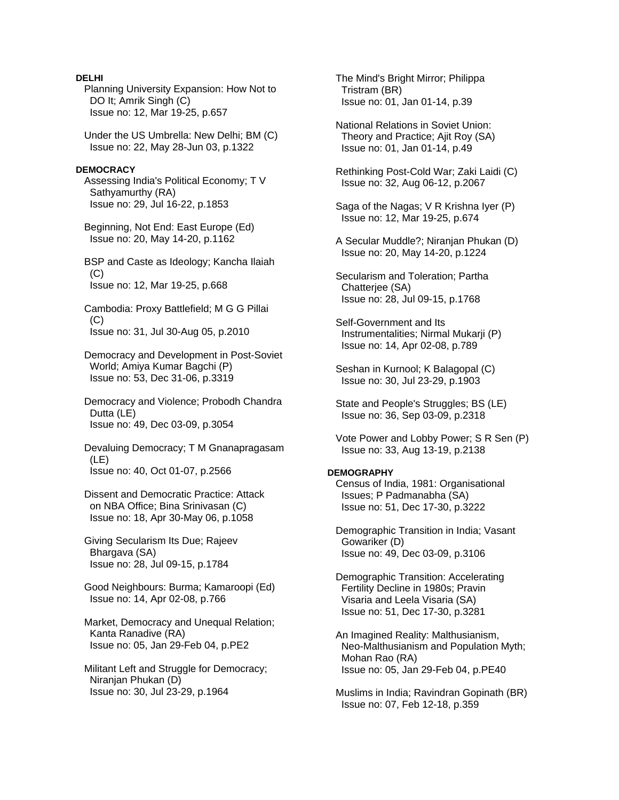## **DELHI**

 Planning University Expansion: How Not to DO It; Amrik Singh (C) Issue no: 12, Mar 19-25, p.657

 Under the US Umbrella: New Delhi; BM (C) Issue no: 22, May 28-Jun 03, p.1322

#### **DEMOCRACY**

 Assessing India's Political Economy; T V Sathyamurthy (RA) Issue no: 29, Jul 16-22, p.1853

 Beginning, Not End: East Europe (Ed) Issue no: 20, May 14-20, p.1162

 BSP and Caste as Ideology; Kancha Ilaiah  $(C)$ Issue no: 12, Mar 19-25, p.668

 Cambodia: Proxy Battlefield; M G G Pillai  $(C)$ Issue no: 31, Jul 30-Aug 05, p.2010

 Democracy and Development in Post-Soviet World; Amiya Kumar Bagchi (P) Issue no: 53, Dec 31-06, p.3319

 Democracy and Violence; Probodh Chandra Dutta (LE) Issue no: 49, Dec 03-09, p.3054

 Devaluing Democracy; T M Gnanapragasam (LE) Issue no: 40, Oct 01-07, p.2566

 Dissent and Democratic Practice: Attack on NBA Office; Bina Srinivasan (C) Issue no: 18, Apr 30-May 06, p.1058

 Giving Secularism Its Due; Rajeev Bhargava (SA) Issue no: 28, Jul 09-15, p.1784

 Good Neighbours: Burma; Kamaroopi (Ed) Issue no: 14, Apr 02-08, p.766

 Market, Democracy and Unequal Relation; Kanta Ranadive (RA) Issue no: 05, Jan 29-Feb 04, p.PE2

 Militant Left and Struggle for Democracy; Niranjan Phukan (D) Issue no: 30, Jul 23-29, p.1964

 The Mind's Bright Mirror; Philippa Tristram (BR) Issue no: 01, Jan 01-14, p.39

 National Relations in Soviet Union: Theory and Practice; Ajit Roy (SA) Issue no: 01, Jan 01-14, p.49

 Rethinking Post-Cold War; Zaki Laidi (C) Issue no: 32, Aug 06-12, p.2067

 Saga of the Nagas; V R Krishna Iyer (P) Issue no: 12, Mar 19-25, p.674

 A Secular Muddle?; Niranjan Phukan (D) Issue no: 20, May 14-20, p.1224

 Secularism and Toleration; Partha Chatterjee (SA) Issue no: 28, Jul 09-15, p.1768

 Self-Government and Its Instrumentalities; Nirmal Mukarji (P) Issue no: 14, Apr 02-08, p.789

 Seshan in Kurnool; K Balagopal (C) Issue no: 30, Jul 23-29, p.1903

 State and People's Struggles; BS (LE) Issue no: 36, Sep 03-09, p.2318

 Vote Power and Lobby Power; S R Sen (P) Issue no: 33, Aug 13-19, p.2138

## **DEMOGRAPHY**

 Census of India, 1981: Organisational Issues; P Padmanabha (SA) Issue no: 51, Dec 17-30, p.3222

 Demographic Transition in India; Vasant Gowariker (D) Issue no: 49, Dec 03-09, p.3106

 Demographic Transition: Accelerating Fertility Decline in 1980s; Pravin Visaria and Leela Visaria (SA) Issue no: 51, Dec 17-30, p.3281

 An Imagined Reality: Malthusianism, Neo-Malthusianism and Population Myth; Mohan Rao (RA) Issue no: 05, Jan 29-Feb 04, p.PE40

 Muslims in India; Ravindran Gopinath (BR) Issue no: 07, Feb 12-18, p.359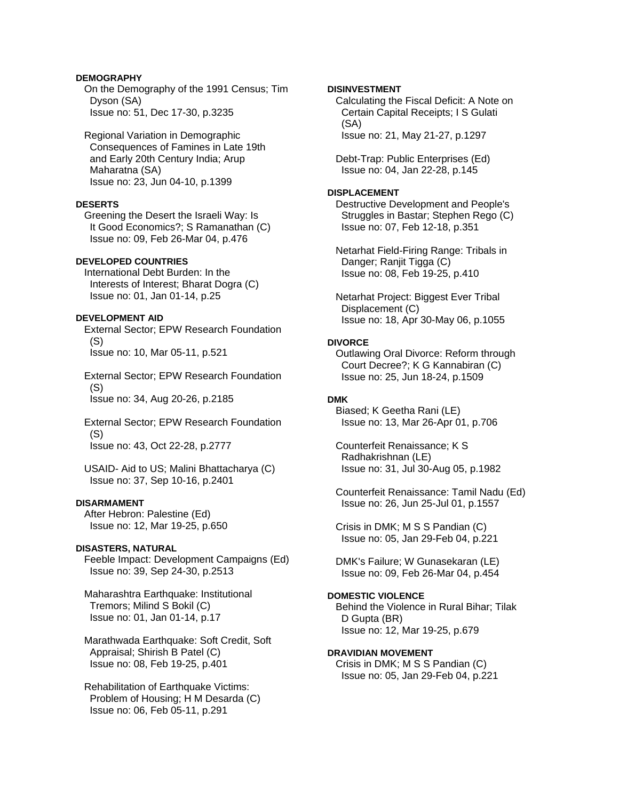## **DEMOGRAPHY**

 On the Demography of the 1991 Census; Tim Dyson (SA) Issue no: 51, Dec 17-30, p.3235

 Regional Variation in Demographic Consequences of Famines in Late 19th and Early 20th Century India; Arup Maharatna (SA) Issue no: 23, Jun 04-10, p.1399

## **DESERTS**

 Greening the Desert the Israeli Way: Is It Good Economics?; S Ramanathan (C) Issue no: 09, Feb 26-Mar 04, p.476

## **DEVELOPED COUNTRIES**

 International Debt Burden: In the Interests of Interest; Bharat Dogra (C) Issue no: 01, Jan 01-14, p.25

## **DEVELOPMENT AID**

 External Sector; EPW Research Foundation (S) Issue no: 10, Mar 05-11, p.521

 External Sector; EPW Research Foundation (S)

Issue no: 34, Aug 20-26, p.2185

 External Sector; EPW Research Foundation (S) Issue no: 43, Oct 22-28, p.2777

 USAID- Aid to US; Malini Bhattacharya (C) Issue no: 37, Sep 10-16, p.2401

## **DISARMAMENT**

 After Hebron: Palestine (Ed) Issue no: 12, Mar 19-25, p.650

### **DISASTERS, NATURAL**

 Feeble Impact: Development Campaigns (Ed) Issue no: 39, Sep 24-30, p.2513

 Maharashtra Earthquake: Institutional Tremors; Milind S Bokil (C) Issue no: 01, Jan 01-14, p.17

 Marathwada Earthquake: Soft Credit, Soft Appraisal; Shirish B Patel (C) Issue no: 08, Feb 19-25, p.401

 Rehabilitation of Earthquake Victims: Problem of Housing; H M Desarda (C) Issue no: 06, Feb 05-11, p.291

## **DISINVESTMENT**

 Calculating the Fiscal Deficit: A Note on Certain Capital Receipts; I S Gulati (SA) Issue no: 21, May 21-27, p.1297

 Debt-Trap: Public Enterprises (Ed) Issue no: 04, Jan 22-28, p.145

## **DISPLACEMENT**

 Destructive Development and People's Struggles in Bastar; Stephen Rego (C) Issue no: 07, Feb 12-18, p.351

 Netarhat Field-Firing Range: Tribals in Danger; Ranjit Tigga (C) Issue no: 08, Feb 19-25, p.410

 Netarhat Project: Biggest Ever Tribal Displacement (C) Issue no: 18, Apr 30-May 06, p.1055

### **DIVORCE**

 Outlawing Oral Divorce: Reform through Court Decree?; K G Kannabiran (C) Issue no: 25, Jun 18-24, p.1509

## **DMK**

 Biased; K Geetha Rani (LE) Issue no: 13, Mar 26-Apr 01, p.706

 Counterfeit Renaissance; K S Radhakrishnan (LE) Issue no: 31, Jul 30-Aug 05, p.1982

 Counterfeit Renaissance: Tamil Nadu (Ed) Issue no: 26, Jun 25-Jul 01, p.1557

 Crisis in DMK; M S S Pandian (C) Issue no: 05, Jan 29-Feb 04, p.221

 DMK's Failure; W Gunasekaran (LE) Issue no: 09, Feb 26-Mar 04, p.454

## **DOMESTIC VIOLENCE**

 Behind the Violence in Rural Bihar; Tilak D Gupta (BR) Issue no: 12, Mar 19-25, p.679

### **DRAVIDIAN MOVEMENT**

 Crisis in DMK; M S S Pandian (C) Issue no: 05, Jan 29-Feb 04, p.221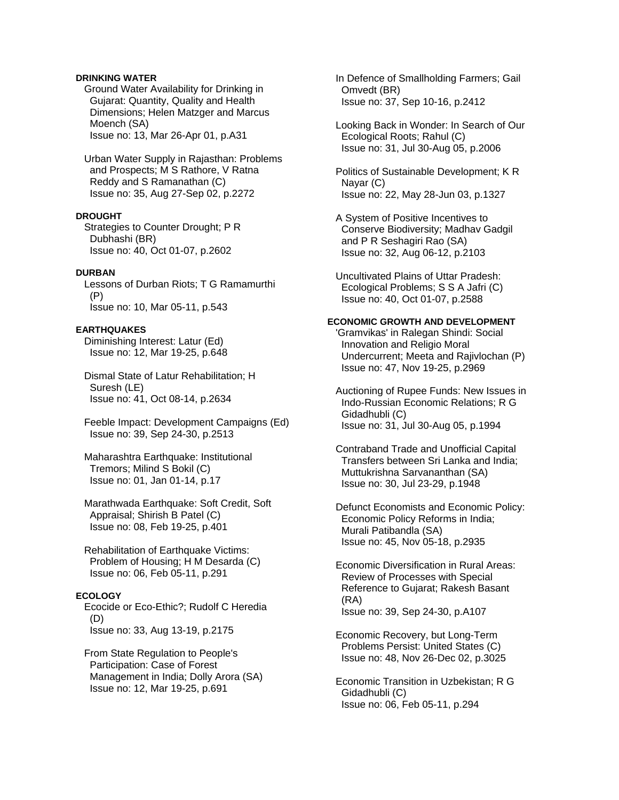## **DRINKING WATER**

 Ground Water Availability for Drinking in Gujarat: Quantity, Quality and Health Dimensions; Helen Matzger and Marcus Moench (SA) Issue no: 13, Mar 26-Apr 01, p.A31

 Urban Water Supply in Rajasthan: Problems and Prospects; M S Rathore, V Ratna Reddy and S Ramanathan (C) Issue no: 35, Aug 27-Sep 02, p.2272

## **DROUGHT**

 Strategies to Counter Drought; P R Dubhashi (BR) Issue no: 40, Oct 01-07, p.2602

## **DURBAN**

 Lessons of Durban Riots; T G Ramamurthi (P) Issue no: 10, Mar 05-11, p.543

## **EARTHQUAKES**

 Diminishing Interest: Latur (Ed) Issue no: 12, Mar 19-25, p.648

 Dismal State of Latur Rehabilitation; H Suresh (LE) Issue no: 41, Oct 08-14, p.2634

 Feeble Impact: Development Campaigns (Ed) Issue no: 39, Sep 24-30, p.2513

 Maharashtra Earthquake: Institutional Tremors; Milind S Bokil (C) Issue no: 01, Jan 01-14, p.17

 Marathwada Earthquake: Soft Credit, Soft Appraisal; Shirish B Patel (C) Issue no: 08, Feb 19-25, p.401

 Rehabilitation of Earthquake Victims: Problem of Housing; H M Desarda (C) Issue no: 06, Feb 05-11, p.291

## **ECOLOGY**

 Ecocide or Eco-Ethic?; Rudolf C Heredia (D) Issue no: 33, Aug 13-19, p.2175

 From State Regulation to People's Participation: Case of Forest Management in India; Dolly Arora (SA) Issue no: 12, Mar 19-25, p.691

 In Defence of Smallholding Farmers; Gail Omvedt (BR) Issue no: 37, Sep 10-16, p.2412

 Looking Back in Wonder: In Search of Our Ecological Roots; Rahul (C) Issue no: 31, Jul 30-Aug 05, p.2006

 Politics of Sustainable Development; K R Nayar (C) Issue no: 22, May 28-Jun 03, p.1327

 A System of Positive Incentives to Conserve Biodiversity; Madhav Gadgil and P R Seshagiri Rao (SA) Issue no: 32, Aug 06-12, p.2103

 Uncultivated Plains of Uttar Pradesh: Ecological Problems; S S A Jafri (C) Issue no: 40, Oct 01-07, p.2588

## **ECONOMIC GROWTH AND DEVELOPMENT**

 'Gramvikas' in Ralegan Shindi: Social Innovation and Religio Moral Undercurrent; Meeta and Rajivlochan (P) Issue no: 47, Nov 19-25, p.2969

 Auctioning of Rupee Funds: New Issues in Indo-Russian Economic Relations; R G Gidadhubli (C) Issue no: 31, Jul 30-Aug 05, p.1994

 Contraband Trade and Unofficial Capital Transfers between Sri Lanka and India; Muttukrishna Sarvananthan (SA) Issue no: 30, Jul 23-29, p.1948

 Defunct Economists and Economic Policy: Economic Policy Reforms in India; Murali Patibandla (SA) Issue no: 45, Nov 05-18, p.2935

 Economic Diversification in Rural Areas: Review of Processes with Special Reference to Gujarat; Rakesh Basant (RA) Issue no: 39, Sep 24-30, p.A107

 Economic Recovery, but Long-Term Problems Persist: United States (C) Issue no: 48, Nov 26-Dec 02, p.3025

 Economic Transition in Uzbekistan; R G Gidadhubli (C) Issue no: 06, Feb 05-11, p.294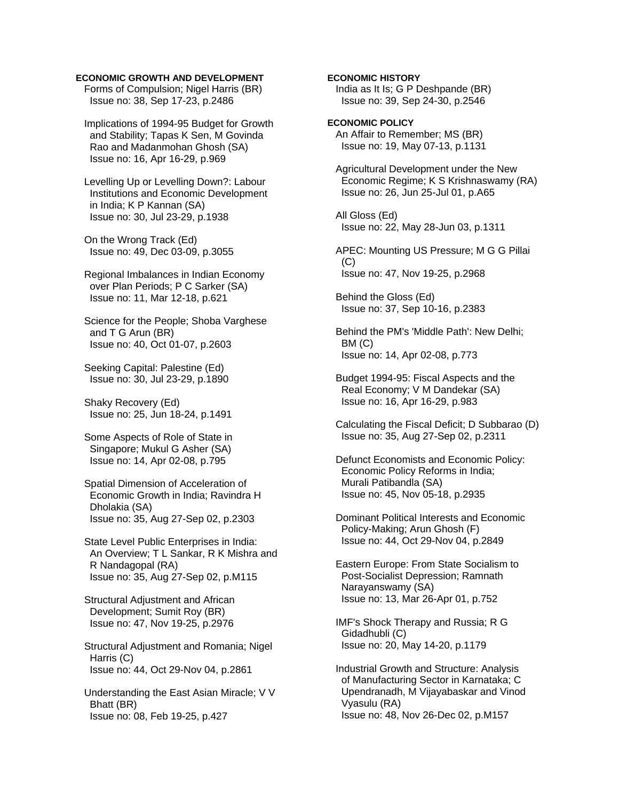### **ECONOMIC GROWTH AND DEVELOPMENT**

 Forms of Compulsion; Nigel Harris (BR) Issue no: 38, Sep 17-23, p.2486

 Implications of 1994-95 Budget for Growth and Stability; Tapas K Sen, M Govinda Rao and Madanmohan Ghosh (SA) Issue no: 16, Apr 16-29, p.969

 Levelling Up or Levelling Down?: Labour Institutions and Economic Development in India; K P Kannan (SA) Issue no: 30, Jul 23-29, p.1938

 On the Wrong Track (Ed) Issue no: 49, Dec 03-09, p.3055

 Regional Imbalances in Indian Economy over Plan Periods; P C Sarker (SA) Issue no: 11, Mar 12-18, p.621

 Science for the People; Shoba Varghese and T G Arun (BR) Issue no: 40, Oct 01-07, p.2603

 Seeking Capital: Palestine (Ed) Issue no: 30, Jul 23-29, p.1890

 Shaky Recovery (Ed) Issue no: 25, Jun 18-24, p.1491

 Some Aspects of Role of State in Singapore; Mukul G Asher (SA) Issue no: 14, Apr 02-08, p.795

 Spatial Dimension of Acceleration of Economic Growth in India; Ravindra H Dholakia (SA) Issue no: 35, Aug 27-Sep 02, p.2303

 State Level Public Enterprises in India: An Overview; T L Sankar, R K Mishra and R Nandagopal (RA) Issue no: 35, Aug 27-Sep 02, p.M115

 Structural Adjustment and African Development; Sumit Roy (BR) Issue no: 47, Nov 19-25, p.2976

 Structural Adjustment and Romania; Nigel Harris (C) Issue no: 44, Oct 29-Nov 04, p.2861

 Understanding the East Asian Miracle; V V Bhatt (BR) Issue no: 08, Feb 19-25, p.427

**ECONOMIC HISTORY**  India as It Is; G P Deshpande (BR)

Issue no: 39, Sep 24-30, p.2546

**ECONOMIC POLICY**  An Affair to Remember; MS (BR) Issue no: 19, May 07-13, p.1131

 Agricultural Development under the New Economic Regime; K S Krishnaswamy (RA) Issue no: 26, Jun 25-Jul 01, p.A65

 All Gloss (Ed) Issue no: 22, May 28-Jun 03, p.1311

 APEC: Mounting US Pressure; M G G Pillai (C) Issue no: 47, Nov 19-25, p.2968

 Behind the Gloss (Ed) Issue no: 37, Sep 10-16, p.2383

 Behind the PM's 'Middle Path': New Delhi; BM (C) Issue no: 14, Apr 02-08, p.773

 Budget 1994-95: Fiscal Aspects and the Real Economy; V M Dandekar (SA) Issue no: 16, Apr 16-29, p.983

 Calculating the Fiscal Deficit; D Subbarao (D) Issue no: 35, Aug 27-Sep 02, p.2311

 Defunct Economists and Economic Policy: Economic Policy Reforms in India; Murali Patibandla (SA) Issue no: 45, Nov 05-18, p.2935

 Dominant Political Interests and Economic Policy-Making; Arun Ghosh (F) Issue no: 44, Oct 29-Nov 04, p.2849

 Eastern Europe: From State Socialism to Post-Socialist Depression; Ramnath Narayanswamy (SA) Issue no: 13, Mar 26-Apr 01, p.752

 IMF's Shock Therapy and Russia; R G Gidadhubli (C) Issue no: 20, May 14-20, p.1179

 Industrial Growth and Structure: Analysis of Manufacturing Sector in Karnataka; C Upendranadh, M Vijayabaskar and Vinod Vyasulu (RA) Issue no: 48, Nov 26-Dec 02, p.M157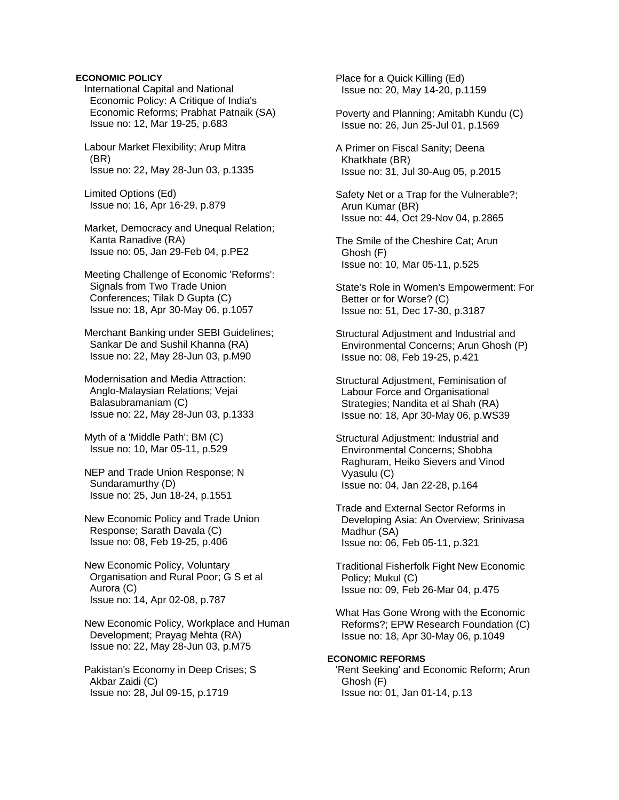## **ECONOMIC POLICY**

 International Capital and National Economic Policy: A Critique of India's Economic Reforms; Prabhat Patnaik (SA) Issue no: 12, Mar 19-25, p.683

 Labour Market Flexibility; Arup Mitra (BR) Issue no: 22, May 28-Jun 03, p.1335

 Limited Options (Ed) Issue no: 16, Apr 16-29, p.879

 Market, Democracy and Unequal Relation; Kanta Ranadive (RA) Issue no: 05, Jan 29-Feb 04, p.PE2

 Meeting Challenge of Economic 'Reforms': Signals from Two Trade Union Conferences; Tilak D Gupta (C) Issue no: 18, Apr 30-May 06, p.1057

 Merchant Banking under SEBI Guidelines; Sankar De and Sushil Khanna (RA) Issue no: 22, May 28-Jun 03, p.M90

 Modernisation and Media Attraction: Anglo-Malaysian Relations; Vejai Balasubramaniam (C) Issue no: 22, May 28-Jun 03, p.1333

 Myth of a 'Middle Path'; BM (C) Issue no: 10, Mar 05-11, p.529

 NEP and Trade Union Response; N Sundaramurthy (D) Issue no: 25, Jun 18-24, p.1551

 New Economic Policy and Trade Union Response; Sarath Davala (C) Issue no: 08, Feb 19-25, p.406

 New Economic Policy, Voluntary Organisation and Rural Poor; G S et al Aurora (C) Issue no: 14, Apr 02-08, p.787

 New Economic Policy, Workplace and Human Development; Prayag Mehta (RA) Issue no: 22, May 28-Jun 03, p.M75

 Pakistan's Economy in Deep Crises; S Akbar Zaidi (C) Issue no: 28, Jul 09-15, p.1719

 Place for a Quick Killing (Ed) Issue no: 20, May 14-20, p.1159

 Poverty and Planning; Amitabh Kundu (C) Issue no: 26, Jun 25-Jul 01, p.1569

 A Primer on Fiscal Sanity; Deena Khatkhate (BR) Issue no: 31, Jul 30-Aug 05, p.2015

 Safety Net or a Trap for the Vulnerable?; Arun Kumar (BR) Issue no: 44, Oct 29-Nov 04, p.2865

 The Smile of the Cheshire Cat; Arun Ghosh (F) Issue no: 10, Mar 05-11, p.525

 State's Role in Women's Empowerment: For Better or for Worse? (C) Issue no: 51, Dec 17-30, p.3187

 Structural Adjustment and Industrial and Environmental Concerns; Arun Ghosh (P) Issue no: 08, Feb 19-25, p.421

 Structural Adjustment, Feminisation of Labour Force and Organisational Strategies; Nandita et al Shah (RA) Issue no: 18, Apr 30-May 06, p.WS39

 Structural Adjustment: Industrial and Environmental Concerns; Shobha Raghuram, Heiko Sievers and Vinod Vyasulu (C) Issue no: 04, Jan 22-28, p.164

 Trade and External Sector Reforms in Developing Asia: An Overview; Srinivasa Madhur (SA) Issue no: 06, Feb 05-11, p.321

 Traditional Fisherfolk Fight New Economic Policy; Mukul (C) Issue no: 09, Feb 26-Mar 04, p.475

 What Has Gone Wrong with the Economic Reforms?; EPW Research Foundation (C) Issue no: 18, Apr 30-May 06, p.1049

#### **ECONOMIC REFORMS**

 'Rent Seeking' and Economic Reform; Arun Ghosh (F) Issue no: 01, Jan 01-14, p.13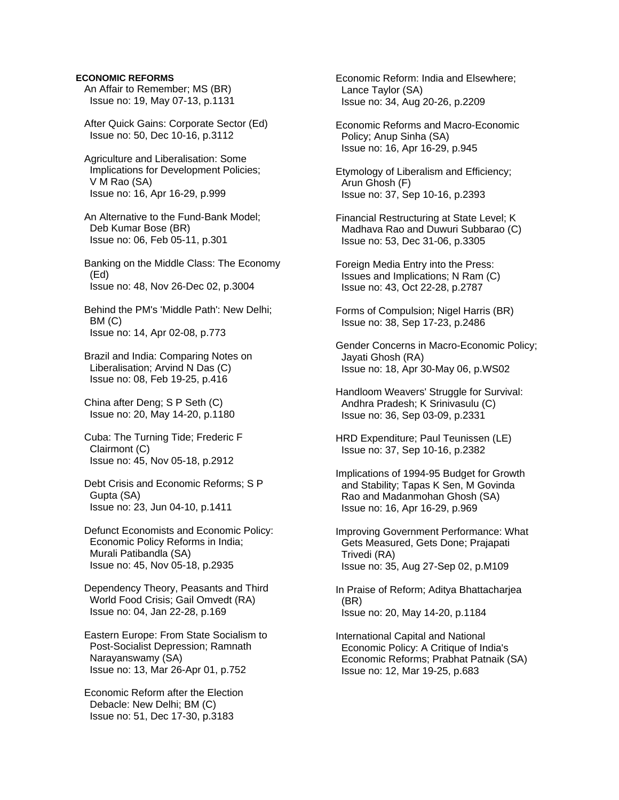## **ECONOMIC REFORMS**

- An Affair to Remember; MS (BR) Issue no: 19, May 07-13, p.1131
- After Quick Gains: Corporate Sector (Ed) Issue no: 50, Dec 10-16, p.3112
- Agriculture and Liberalisation: Some Implications for Development Policies; V M Rao (SA) Issue no: 16, Apr 16-29, p.999
- An Alternative to the Fund-Bank Model; Deb Kumar Bose (BR) Issue no: 06, Feb 05-11, p.301
- Banking on the Middle Class: The Economy (Ed) Issue no: 48, Nov 26-Dec 02, p.3004
- Behind the PM's 'Middle Path': New Delhi; BM (C) Issue no: 14, Apr 02-08, p.773
- Brazil and India: Comparing Notes on Liberalisation; Arvind N Das (C) Issue no: 08, Feb 19-25, p.416
- China after Deng; S P Seth (C) Issue no: 20, May 14-20, p.1180
- Cuba: The Turning Tide; Frederic F Clairmont (C) Issue no: 45, Nov 05-18, p.2912
- Debt Crisis and Economic Reforms; S P Gupta (SA) Issue no: 23, Jun 04-10, p.1411
- Defunct Economists and Economic Policy: Economic Policy Reforms in India; Murali Patibandla (SA) Issue no: 45, Nov 05-18, p.2935
- Dependency Theory, Peasants and Third World Food Crisis; Gail Omvedt (RA) Issue no: 04, Jan 22-28, p.169
- Eastern Europe: From State Socialism to Post-Socialist Depression; Ramnath Narayanswamy (SA) Issue no: 13, Mar 26-Apr 01, p.752
- Economic Reform after the Election Debacle: New Delhi; BM (C) Issue no: 51, Dec 17-30, p.3183

 Economic Reform: India and Elsewhere; Lance Taylor (SA) Issue no: 34, Aug 20-26, p.2209

- Economic Reforms and Macro-Economic Policy; Anup Sinha (SA) Issue no: 16, Apr 16-29, p.945
- Etymology of Liberalism and Efficiency; Arun Ghosh (F) Issue no: 37, Sep 10-16, p.2393
- Financial Restructuring at State Level; K Madhava Rao and Duwuri Subbarao (C) Issue no: 53, Dec 31-06, p.3305
- Foreign Media Entry into the Press: Issues and Implications; N Ram (C) Issue no: 43, Oct 22-28, p.2787
- Forms of Compulsion; Nigel Harris (BR) Issue no: 38, Sep 17-23, p.2486
- Gender Concerns in Macro-Economic Policy; Jayati Ghosh (RA) Issue no: 18, Apr 30-May 06, p.WS02
- Handloom Weavers' Struggle for Survival: Andhra Pradesh; K Srinivasulu (C) Issue no: 36, Sep 03-09, p.2331
- HRD Expenditure; Paul Teunissen (LE) Issue no: 37, Sep 10-16, p.2382
- Implications of 1994-95 Budget for Growth and Stability; Tapas K Sen, M Govinda Rao and Madanmohan Ghosh (SA) Issue no: 16, Apr 16-29, p.969
- Improving Government Performance: What Gets Measured, Gets Done; Prajapati Trivedi (RA) Issue no: 35, Aug 27-Sep 02, p.M109
- In Praise of Reform; Aditya Bhattacharjea (BR) Issue no: 20, May 14-20, p.1184
- International Capital and National Economic Policy: A Critique of India's Economic Reforms; Prabhat Patnaik (SA) Issue no: 12, Mar 19-25, p.683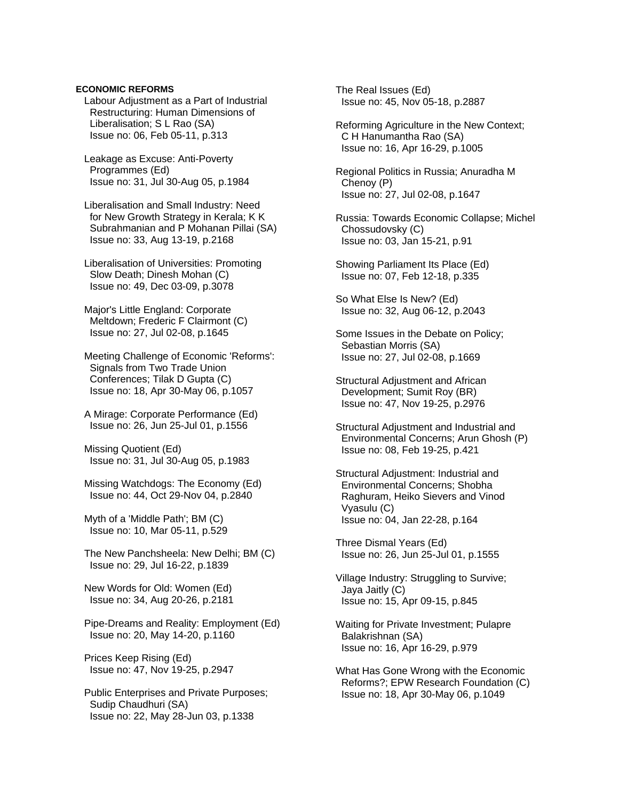## **ECONOMIC REFORMS**

 Labour Adjustment as a Part of Industrial Restructuring: Human Dimensions of Liberalisation; S L Rao (SA) Issue no: 06, Feb 05-11, p.313

 Leakage as Excuse: Anti-Poverty Programmes (Ed) Issue no: 31, Jul 30-Aug 05, p.1984

 Liberalisation and Small Industry: Need for New Growth Strategy in Kerala; K K Subrahmanian and P Mohanan Pillai (SA) Issue no: 33, Aug 13-19, p.2168

 Liberalisation of Universities: Promoting Slow Death; Dinesh Mohan (C) Issue no: 49, Dec 03-09, p.3078

 Major's Little England: Corporate Meltdown; Frederic F Clairmont (C) Issue no: 27, Jul 02-08, p.1645

 Meeting Challenge of Economic 'Reforms': Signals from Two Trade Union Conferences; Tilak D Gupta (C) Issue no: 18, Apr 30-May 06, p.1057

 A Mirage: Corporate Performance (Ed) Issue no: 26, Jun 25-Jul 01, p.1556

 Missing Quotient (Ed) Issue no: 31, Jul 30-Aug 05, p.1983

 Missing Watchdogs: The Economy (Ed) Issue no: 44, Oct 29-Nov 04, p.2840

 Myth of a 'Middle Path'; BM (C) Issue no: 10, Mar 05-11, p.529

 The New Panchsheela: New Delhi; BM (C) Issue no: 29, Jul 16-22, p.1839

 New Words for Old: Women (Ed) Issue no: 34, Aug 20-26, p.2181

 Pipe-Dreams and Reality: Employment (Ed) Issue no: 20, May 14-20, p.1160

 Prices Keep Rising (Ed) Issue no: 47, Nov 19-25, p.2947

 Public Enterprises and Private Purposes; Sudip Chaudhuri (SA) Issue no: 22, May 28-Jun 03, p.1338

 The Real Issues (Ed) Issue no: 45, Nov 05-18, p.2887

 Reforming Agriculture in the New Context; C H Hanumantha Rao (SA) Issue no: 16, Apr 16-29, p.1005

 Regional Politics in Russia; Anuradha M Chenoy (P) Issue no: 27, Jul 02-08, p.1647

 Russia: Towards Economic Collapse; Michel Chossudovsky (C) Issue no: 03, Jan 15-21, p.91

 Showing Parliament Its Place (Ed) Issue no: 07, Feb 12-18, p.335

 So What Else Is New? (Ed) Issue no: 32, Aug 06-12, p.2043

 Some Issues in the Debate on Policy; Sebastian Morris (SA) Issue no: 27, Jul 02-08, p.1669

 Structural Adjustment and African Development; Sumit Roy (BR) Issue no: 47, Nov 19-25, p.2976

 Structural Adjustment and Industrial and Environmental Concerns; Arun Ghosh (P) Issue no: 08, Feb 19-25, p.421

 Structural Adjustment: Industrial and Environmental Concerns; Shobha Raghuram, Heiko Sievers and Vinod Vyasulu (C) Issue no: 04, Jan 22-28, p.164

 Three Dismal Years (Ed) Issue no: 26, Jun 25-Jul 01, p.1555

 Village Industry: Struggling to Survive; Jaya Jaitly (C) Issue no: 15, Apr 09-15, p.845

 Waiting for Private Investment; Pulapre Balakrishnan (SA) Issue no: 16, Apr 16-29, p.979

 What Has Gone Wrong with the Economic Reforms?; EPW Research Foundation (C) Issue no: 18, Apr 30-May 06, p.1049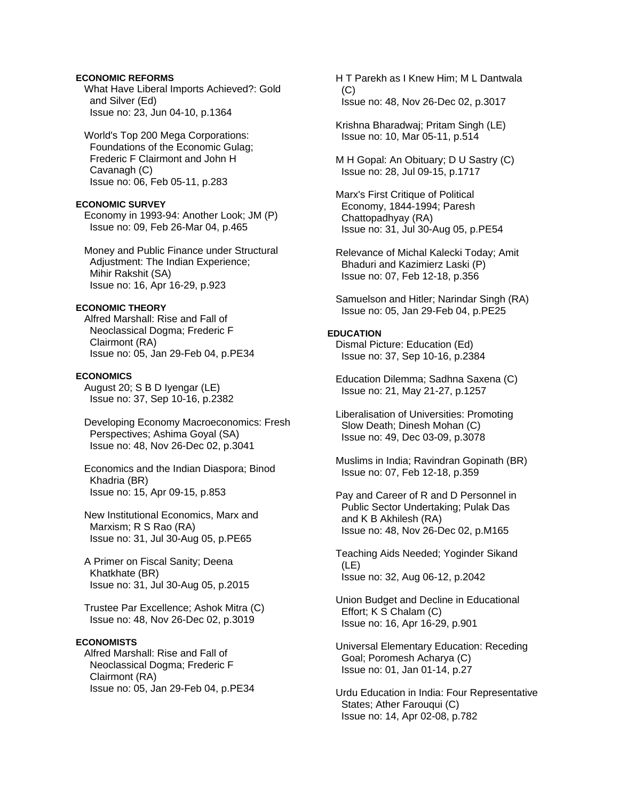## **ECONOMIC REFORMS**

 What Have Liberal Imports Achieved?: Gold and Silver (Ed) Issue no: 23, Jun 04-10, p.1364

 World's Top 200 Mega Corporations: Foundations of the Economic Gulag; Frederic F Clairmont and John H Cavanagh (C) Issue no: 06, Feb 05-11, p.283

### **ECONOMIC SURVEY**

 Economy in 1993-94: Another Look; JM (P) Issue no: 09, Feb 26-Mar 04, p.465

 Money and Public Finance under Structural Adjustment: The Indian Experience; Mihir Rakshit (SA) Issue no: 16, Apr 16-29, p.923

## **ECONOMIC THEORY**

 Alfred Marshall: Rise and Fall of Neoclassical Dogma; Frederic F Clairmont (RA) Issue no: 05, Jan 29-Feb 04, p.PE34

#### **ECONOMICS**

 August 20; S B D Iyengar (LE) Issue no: 37, Sep 10-16, p.2382

 Developing Economy Macroeconomics: Fresh Perspectives; Ashima Goyal (SA) Issue no: 48, Nov 26-Dec 02, p.3041

 Economics and the Indian Diaspora; Binod Khadria (BR) Issue no: 15, Apr 09-15, p.853

 New Institutional Economics, Marx and Marxism; R S Rao (RA) Issue no: 31, Jul 30-Aug 05, p.PE65

 A Primer on Fiscal Sanity; Deena Khatkhate (BR) Issue no: 31, Jul 30-Aug 05, p.2015

 Trustee Par Excellence; Ashok Mitra (C) Issue no: 48, Nov 26-Dec 02, p.3019

#### **ECONOMISTS**

 Alfred Marshall: Rise and Fall of Neoclassical Dogma; Frederic F Clairmont (RA) Issue no: 05, Jan 29-Feb 04, p.PE34  H T Parekh as I Knew Him; M L Dantwala  $(C)$ Issue no: 48, Nov 26-Dec 02, p.3017

 Krishna Bharadwaj; Pritam Singh (LE) Issue no: 10, Mar 05-11, p.514

 M H Gopal: An Obituary; D U Sastry (C) Issue no: 28, Jul 09-15, p.1717

 Marx's First Critique of Political Economy, 1844-1994; Paresh Chattopadhyay (RA) Issue no: 31, Jul 30-Aug 05, p.PE54

 Relevance of Michal Kalecki Today; Amit Bhaduri and Kazimierz Laski (P) Issue no: 07, Feb 12-18, p.356

 Samuelson and Hitler; Narindar Singh (RA) Issue no: 05, Jan 29-Feb 04, p.PE25

## **EDUCATION**

 Dismal Picture: Education (Ed) Issue no: 37, Sep 10-16, p.2384

 Education Dilemma; Sadhna Saxena (C) Issue no: 21, May 21-27, p.1257

 Liberalisation of Universities: Promoting Slow Death; Dinesh Mohan (C) Issue no: 49, Dec 03-09, p.3078

 Muslims in India; Ravindran Gopinath (BR) Issue no: 07, Feb 12-18, p.359

 Pay and Career of R and D Personnel in Public Sector Undertaking; Pulak Das and K B Akhilesh (RA) Issue no: 48, Nov 26-Dec 02, p.M165

 Teaching Aids Needed; Yoginder Sikand (LE) Issue no: 32, Aug 06-12, p.2042

 Union Budget and Decline in Educational Effort; K S Chalam (C) Issue no: 16, Apr 16-29, p.901

 Universal Elementary Education: Receding Goal; Poromesh Acharya (C) Issue no: 01, Jan 01-14, p.27

 Urdu Education in India: Four Representative States; Ather Farouqui (C) Issue no: 14, Apr 02-08, p.782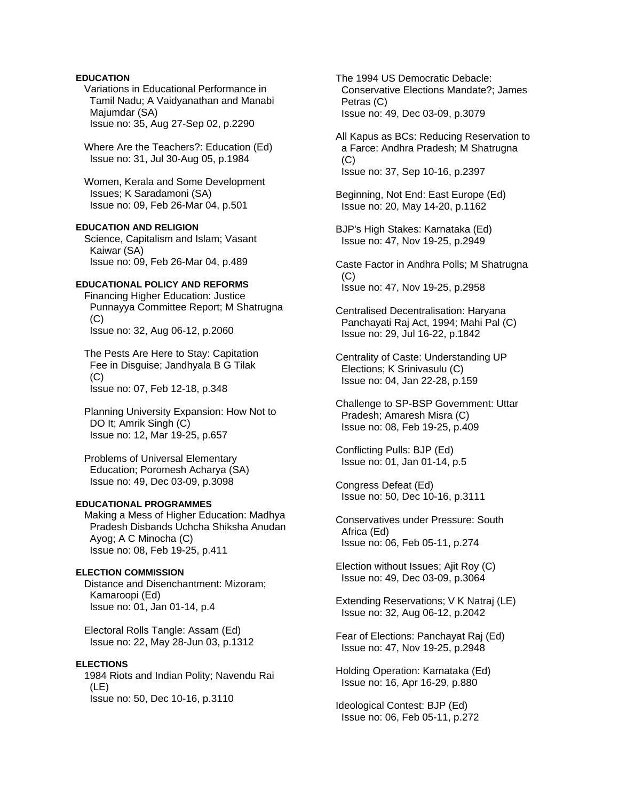## **EDUCATION**

 Variations in Educational Performance in Tamil Nadu; A Vaidyanathan and Manabi Majumdar (SA) Issue no: 35, Aug 27-Sep 02, p.2290

 Where Are the Teachers?: Education (Ed) Issue no: 31, Jul 30-Aug 05, p.1984

 Women, Kerala and Some Development Issues; K Saradamoni (SA) Issue no: 09, Feb 26-Mar 04, p.501

## **EDUCATION AND RELIGION**

 Science, Capitalism and Islam; Vasant Kaiwar (SA) Issue no: 09, Feb 26-Mar 04, p.489

# **EDUCATIONAL POLICY AND REFORMS**

 Financing Higher Education: Justice Punnayya Committee Report; M Shatrugna (C) Issue no: 32, Aug 06-12, p.2060

 The Pests Are Here to Stay: Capitation Fee in Disguise; Jandhyala B G Tilak  $(C)$ Issue no: 07, Feb 12-18, p.348

 Planning University Expansion: How Not to DO It; Amrik Singh (C) Issue no: 12, Mar 19-25, p.657

 Problems of Universal Elementary Education; Poromesh Acharya (SA) Issue no: 49, Dec 03-09, p.3098

#### **EDUCATIONAL PROGRAMMES**

 Making a Mess of Higher Education: Madhya Pradesh Disbands Uchcha Shiksha Anudan Ayog; A C Minocha (C) Issue no: 08, Feb 19-25, p.411

### **ELECTION COMMISSION**

 Distance and Disenchantment: Mizoram; Kamaroopi (Ed) Issue no: 01, Jan 01-14, p.4

 Electoral Rolls Tangle: Assam (Ed) Issue no: 22, May 28-Jun 03, p.1312

### **ELECTIONS**

 1984 Riots and Indian Polity; Navendu Rai (LE) Issue no: 50, Dec 10-16, p.3110

 The 1994 US Democratic Debacle: Conservative Elections Mandate?; James Petras (C) Issue no: 49, Dec 03-09, p.3079

 All Kapus as BCs: Reducing Reservation to a Farce: Andhra Pradesh; M Shatrugna  $(C)$ Issue no: 37, Sep 10-16, p.2397

 Beginning, Not End: East Europe (Ed) Issue no: 20, May 14-20, p.1162

 BJP's High Stakes: Karnataka (Ed) Issue no: 47, Nov 19-25, p.2949

 Caste Factor in Andhra Polls; M Shatrugna (C) Issue no: 47, Nov 19-25, p.2958

 Centralised Decentralisation: Haryana Panchayati Raj Act, 1994; Mahi Pal (C) Issue no: 29, Jul 16-22, p.1842

 Centrality of Caste: Understanding UP Elections; K Srinivasulu (C) Issue no: 04, Jan 22-28, p.159

 Challenge to SP-BSP Government: Uttar Pradesh; Amaresh Misra (C) Issue no: 08, Feb 19-25, p.409

 Conflicting Pulls: BJP (Ed) Issue no: 01, Jan 01-14, p.5

 Congress Defeat (Ed) Issue no: 50, Dec 10-16, p.3111

 Conservatives under Pressure: South Africa (Ed) Issue no: 06, Feb 05-11, p.274

 Election without Issues; Ajit Roy (C) Issue no: 49, Dec 03-09, p.3064

 Extending Reservations; V K Natraj (LE) Issue no: 32, Aug 06-12, p.2042

 Fear of Elections: Panchayat Raj (Ed) Issue no: 47, Nov 19-25, p.2948

 Holding Operation: Karnataka (Ed) Issue no: 16, Apr 16-29, p.880

 Ideological Contest: BJP (Ed) Issue no: 06, Feb 05-11, p.272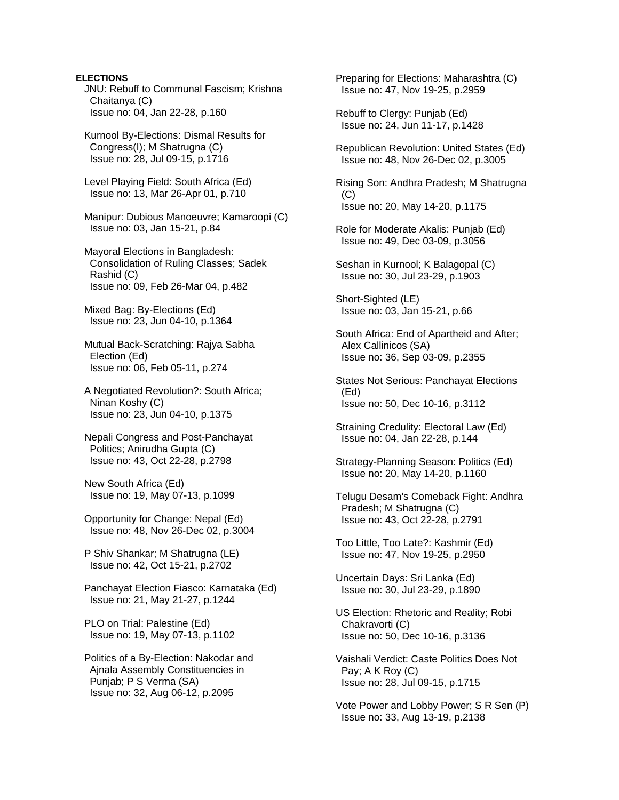## **ELECTIONS**

 JNU: Rebuff to Communal Fascism; Krishna Chaitanya (C) Issue no: 04, Jan 22-28, p.160

 Kurnool By-Elections: Dismal Results for Congress(I); M Shatrugna (C) Issue no: 28, Jul 09-15, p.1716

 Level Playing Field: South Africa (Ed) Issue no: 13, Mar 26-Apr 01, p.710

 Manipur: Dubious Manoeuvre; Kamaroopi (C) Issue no: 03, Jan 15-21, p.84

 Mayoral Elections in Bangladesh: Consolidation of Ruling Classes; Sadek Rashid (C) Issue no: 09, Feb 26-Mar 04, p.482

 Mixed Bag: By-Elections (Ed) Issue no: 23, Jun 04-10, p.1364

 Mutual Back-Scratching: Rajya Sabha Election (Ed) Issue no: 06, Feb 05-11, p.274

 A Negotiated Revolution?: South Africa; Ninan Koshy (C) Issue no: 23, Jun 04-10, p.1375

 Nepali Congress and Post-Panchayat Politics; Anirudha Gupta (C) Issue no: 43, Oct 22-28, p.2798

 New South Africa (Ed) Issue no: 19, May 07-13, p.1099

 Opportunity for Change: Nepal (Ed) Issue no: 48, Nov 26-Dec 02, p.3004

 P Shiv Shankar; M Shatrugna (LE) Issue no: 42, Oct 15-21, p.2702

 Panchayat Election Fiasco: Karnataka (Ed) Issue no: 21, May 21-27, p.1244

 PLO on Trial: Palestine (Ed) Issue no: 19, May 07-13, p.1102

 Politics of a By-Election: Nakodar and Ajnala Assembly Constituencies in Punjab; P S Verma (SA) Issue no: 32, Aug 06-12, p.2095

 Preparing for Elections: Maharashtra (C) Issue no: 47, Nov 19-25, p.2959

 Rebuff to Clergy: Punjab (Ed) Issue no: 24, Jun 11-17, p.1428

 Republican Revolution: United States (Ed) Issue no: 48, Nov 26-Dec 02, p.3005

 Rising Son: Andhra Pradesh; M Shatrugna (C) Issue no: 20, May 14-20, p.1175

 Role for Moderate Akalis: Punjab (Ed) Issue no: 49, Dec 03-09, p.3056

 Seshan in Kurnool; K Balagopal (C) Issue no: 30, Jul 23-29, p.1903

 Short-Sighted (LE) Issue no: 03, Jan 15-21, p.66

 South Africa: End of Apartheid and After; Alex Callinicos (SA) Issue no: 36, Sep 03-09, p.2355

 States Not Serious: Panchayat Elections (Ed) Issue no: 50, Dec 10-16, p.3112

 Straining Credulity: Electoral Law (Ed) Issue no: 04, Jan 22-28, p.144

 Strategy-Planning Season: Politics (Ed) Issue no: 20, May 14-20, p.1160

 Telugu Desam's Comeback Fight: Andhra Pradesh; M Shatrugna (C) Issue no: 43, Oct 22-28, p.2791

 Too Little, Too Late?: Kashmir (Ed) Issue no: 47, Nov 19-25, p.2950

 Uncertain Days: Sri Lanka (Ed) Issue no: 30, Jul 23-29, p.1890

 US Election: Rhetoric and Reality; Robi Chakravorti (C) Issue no: 50, Dec 10-16, p.3136

 Vaishali Verdict: Caste Politics Does Not Pay; A K Roy (C) Issue no: 28, Jul 09-15, p.1715

 Vote Power and Lobby Power; S R Sen (P) Issue no: 33, Aug 13-19, p.2138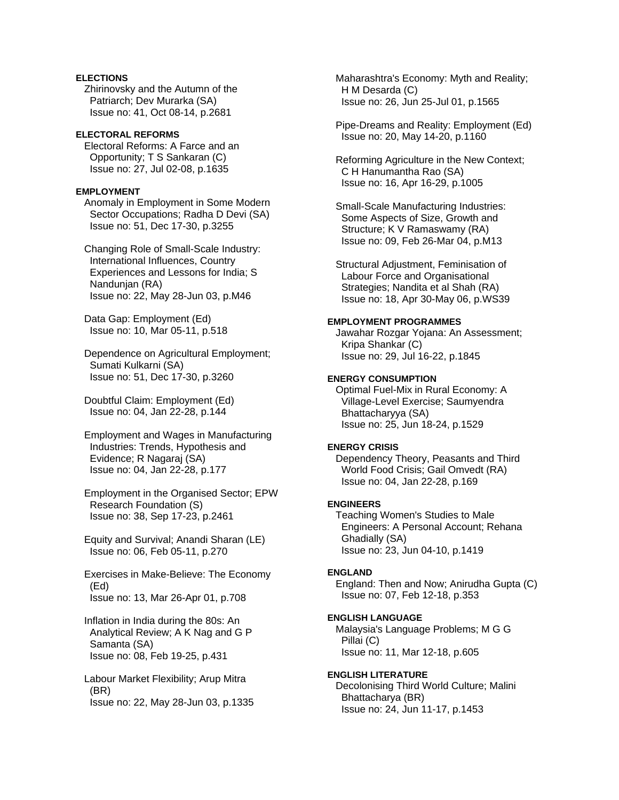## **ELECTIONS**

 Zhirinovsky and the Autumn of the Patriarch; Dev Murarka (SA) Issue no: 41, Oct 08-14, p.2681

## **ELECTORAL REFORMS**

 Electoral Reforms: A Farce and an Opportunity; T S Sankaran (C) Issue no: 27, Jul 02-08, p.1635

## **EMPLOYMENT**

 Anomaly in Employment in Some Modern Sector Occupations; Radha D Devi (SA) Issue no: 51, Dec 17-30, p.3255

 Changing Role of Small-Scale Industry: International Influences, Country Experiences and Lessons for India; S Nandunjan (RA) Issue no: 22, May 28-Jun 03, p.M46

 Data Gap: Employment (Ed) Issue no: 10, Mar 05-11, p.518

 Dependence on Agricultural Employment; Sumati Kulkarni (SA) Issue no: 51, Dec 17-30, p.3260

 Doubtful Claim: Employment (Ed) Issue no: 04, Jan 22-28, p.144

 Employment and Wages in Manufacturing Industries: Trends, Hypothesis and Evidence; R Nagaraj (SA) Issue no: 04, Jan 22-28, p.177

 Employment in the Organised Sector; EPW Research Foundation (S) Issue no: 38, Sep 17-23, p.2461

 Equity and Survival; Anandi Sharan (LE) Issue no: 06, Feb 05-11, p.270

 Exercises in Make-Believe: The Economy (Ed) Issue no: 13, Mar 26-Apr 01, p.708

 Inflation in India during the 80s: An Analytical Review; A K Nag and G P Samanta (SA) Issue no: 08, Feb 19-25, p.431

 Labour Market Flexibility; Arup Mitra (BR) Issue no: 22, May 28-Jun 03, p.1335  Maharashtra's Economy: Myth and Reality; H M Desarda (C) Issue no: 26, Jun 25-Jul 01, p.1565

 Pipe-Dreams and Reality: Employment (Ed) Issue no: 20, May 14-20, p.1160

 Reforming Agriculture in the New Context; C H Hanumantha Rao (SA) Issue no: 16, Apr 16-29, p.1005

 Small-Scale Manufacturing Industries: Some Aspects of Size, Growth and Structure; K V Ramaswamy (RA) Issue no: 09, Feb 26-Mar 04, p.M13

 Structural Adjustment, Feminisation of Labour Force and Organisational Strategies; Nandita et al Shah (RA) Issue no: 18, Apr 30-May 06, p.WS39

## **EMPLOYMENT PROGRAMMES**

 Jawahar Rozgar Yojana: An Assessment; Kripa Shankar (C) Issue no: 29, Jul 16-22, p.1845

## **ENERGY CONSUMPTION**

 Optimal Fuel-Mix in Rural Economy: A Village-Level Exercise; Saumyendra Bhattacharyya (SA) Issue no: 25, Jun 18-24, p.1529

### **ENERGY CRISIS**

 Dependency Theory, Peasants and Third World Food Crisis; Gail Omvedt (RA) Issue no: 04, Jan 22-28, p.169

### **ENGINEERS**

 Teaching Women's Studies to Male Engineers: A Personal Account; Rehana Ghadially (SA) Issue no: 23, Jun 04-10, p.1419

### **ENGLAND**

 England: Then and Now; Anirudha Gupta (C) Issue no: 07, Feb 12-18, p.353

## **ENGLISH LANGUAGE**

 Malaysia's Language Problems; M G G Pillai (C) Issue no: 11, Mar 12-18, p.605

## **ENGLISH LITERATURE**

 Decolonising Third World Culture; Malini Bhattacharya (BR) Issue no: 24, Jun 11-17, p.1453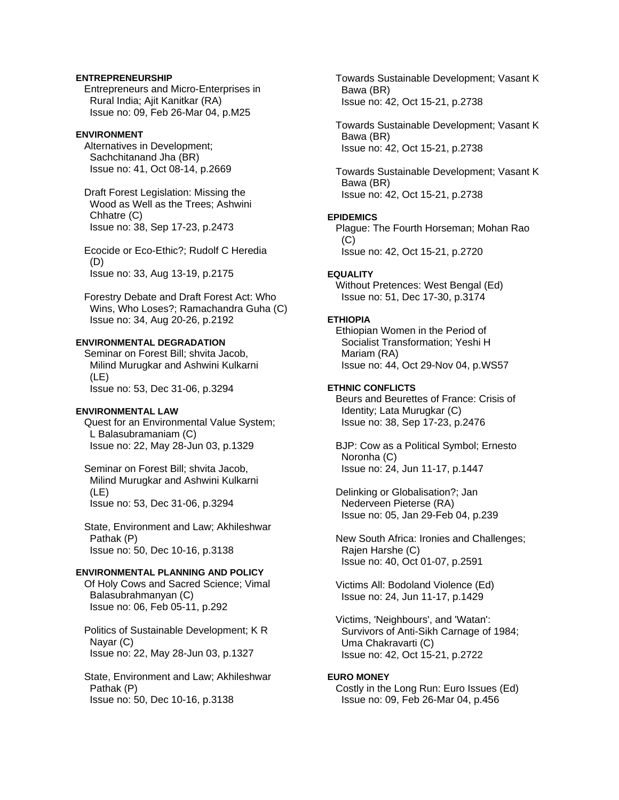## **ENTREPRENEURSHIP**

 Entrepreneurs and Micro-Enterprises in Rural India; Ajit Kanitkar (RA) Issue no: 09, Feb 26-Mar 04, p.M25

## **ENVIRONMENT**

 Alternatives in Development; Sachchitanand Jha (BR) Issue no: 41, Oct 08-14, p.2669

 Draft Forest Legislation: Missing the Wood as Well as the Trees; Ashwini Chhatre (C) Issue no: 38, Sep 17-23, p.2473

 Ecocide or Eco-Ethic?; Rudolf C Heredia (D) Issue no: 33, Aug 13-19, p.2175

 Forestry Debate and Draft Forest Act: Who Wins, Who Loses?; Ramachandra Guha (C) Issue no: 34, Aug 20-26, p.2192

## **ENVIRONMENTAL DEGRADATION**

 Seminar on Forest Bill; shvita Jacob, Milind Murugkar and Ashwini Kulkarni (LE) Issue no: 53, Dec 31-06, p.3294

### **ENVIRONMENTAL LAW**

 Quest for an Environmental Value System; L Balasubramaniam (C) Issue no: 22, May 28-Jun 03, p.1329

 Seminar on Forest Bill; shvita Jacob, Milind Murugkar and Ashwini Kulkarni (LE) Issue no: 53, Dec 31-06, p.3294

 State, Environment and Law; Akhileshwar Pathak (P) Issue no: 50, Dec 10-16, p.3138

#### **ENVIRONMENTAL PLANNING AND POLICY**

 Of Holy Cows and Sacred Science; Vimal Balasubrahmanyan (C) Issue no: 06, Feb 05-11, p.292

 Politics of Sustainable Development; K R Nayar (C) Issue no: 22, May 28-Jun 03, p.1327

 State, Environment and Law; Akhileshwar Pathak (P) Issue no: 50, Dec 10-16, p.3138

 Towards Sustainable Development; Vasant K Bawa (BR) Issue no: 42, Oct 15-21, p.2738

 Towards Sustainable Development; Vasant K Bawa (BR) Issue no: 42, Oct 15-21, p.2738

 Towards Sustainable Development; Vasant K Bawa (BR) Issue no: 42, Oct 15-21, p.2738

## **EPIDEMICS**

 Plague: The Fourth Horseman; Mohan Rao  $(C)$ Issue no: 42, Oct 15-21, p.2720

#### **EQUALITY**

 Without Pretences: West Bengal (Ed) Issue no: 51, Dec 17-30, p.3174

#### **ETHIOPIA**

 Ethiopian Women in the Period of Socialist Transformation; Yeshi H Mariam (RA) Issue no: 44, Oct 29-Nov 04, p.WS57

## **ETHNIC CONFLICTS**

 Beurs and Beurettes of France: Crisis of Identity; Lata Murugkar (C) Issue no: 38, Sep 17-23, p.2476

 BJP: Cow as a Political Symbol; Ernesto Noronha (C) Issue no: 24, Jun 11-17, p.1447

 Delinking or Globalisation?; Jan Nederveen Pieterse (RA) Issue no: 05, Jan 29-Feb 04, p.239

 New South Africa: Ironies and Challenges; Rajen Harshe (C) Issue no: 40, Oct 01-07, p.2591

 Victims All: Bodoland Violence (Ed) Issue no: 24, Jun 11-17, p.1429

 Victims, 'Neighbours', and 'Watan': Survivors of Anti-Sikh Carnage of 1984; Uma Chakravarti (C) Issue no: 42, Oct 15-21, p.2722

## **EURO MONEY**

 Costly in the Long Run: Euro Issues (Ed) Issue no: 09, Feb 26-Mar 04, p.456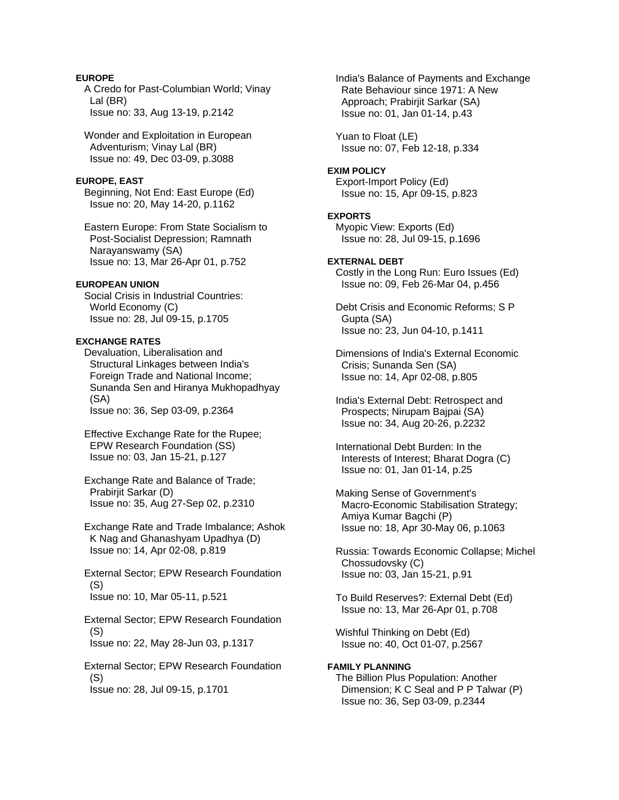## **EUROPE**

 A Credo for Past-Columbian World; Vinay Lal (BR) Issue no: 33, Aug 13-19, p.2142

 Wonder and Exploitation in European Adventurism; Vinay Lal (BR) Issue no: 49, Dec 03-09, p.3088

### **EUROPE, EAST**

 Beginning, Not End: East Europe (Ed) Issue no: 20, May 14-20, p.1162

 Eastern Europe: From State Socialism to Post-Socialist Depression; Ramnath Narayanswamy (SA) Issue no: 13, Mar 26-Apr 01, p.752

## **EUROPEAN UNION**

 Social Crisis in Industrial Countries: World Economy (C) Issue no: 28, Jul 09-15, p.1705

#### **EXCHANGE RATES**

 Devaluation, Liberalisation and Structural Linkages between India's Foreign Trade and National Income; Sunanda Sen and Hiranya Mukhopadhyay (SA) Issue no: 36, Sep 03-09, p.2364

 Effective Exchange Rate for the Rupee; EPW Research Foundation (SS) Issue no: 03, Jan 15-21, p.127

 Exchange Rate and Balance of Trade; Prabirjit Sarkar (D) Issue no: 35, Aug 27-Sep 02, p.2310

 Exchange Rate and Trade Imbalance; Ashok K Nag and Ghanashyam Upadhya (D) Issue no: 14, Apr 02-08, p.819

 External Sector; EPW Research Foundation (S) Issue no: 10, Mar 05-11, p.521

 External Sector; EPW Research Foundation (S) Issue no: 22, May 28-Jun 03, p.1317

 External Sector; EPW Research Foundation (S) Issue no: 28, Jul 09-15, p.1701

 India's Balance of Payments and Exchange Rate Behaviour since 1971: A New Approach; Prabirjit Sarkar (SA) Issue no: 01, Jan 01-14, p.43

 Yuan to Float (LE) Issue no: 07, Feb 12-18, p.334

#### **EXIM POLICY**

 Export-Import Policy (Ed) Issue no: 15, Apr 09-15, p.823

#### **EXPORTS**

 Myopic View: Exports (Ed) Issue no: 28, Jul 09-15, p.1696

### **EXTERNAL DEBT**

 Costly in the Long Run: Euro Issues (Ed) Issue no: 09, Feb 26-Mar 04, p.456

 Debt Crisis and Economic Reforms; S P Gupta (SA) Issue no: 23, Jun 04-10, p.1411

 Dimensions of India's External Economic Crisis; Sunanda Sen (SA) Issue no: 14, Apr 02-08, p.805

 India's External Debt: Retrospect and Prospects; Nirupam Bajpai (SA) Issue no: 34, Aug 20-26, p.2232

 International Debt Burden: In the Interests of Interest; Bharat Dogra (C) Issue no: 01, Jan 01-14, p.25

 Making Sense of Government's Macro-Economic Stabilisation Strategy; Amiya Kumar Bagchi (P) Issue no: 18, Apr 30-May 06, p.1063

 Russia: Towards Economic Collapse; Michel Chossudovsky (C) Issue no: 03, Jan 15-21, p.91

 To Build Reserves?: External Debt (Ed) Issue no: 13, Mar 26-Apr 01, p.708

 Wishful Thinking on Debt (Ed) Issue no: 40, Oct 01-07, p.2567

#### **FAMILY PLANNING**

 The Billion Plus Population: Another Dimension; K C Seal and P P Talwar (P) Issue no: 36, Sep 03-09, p.2344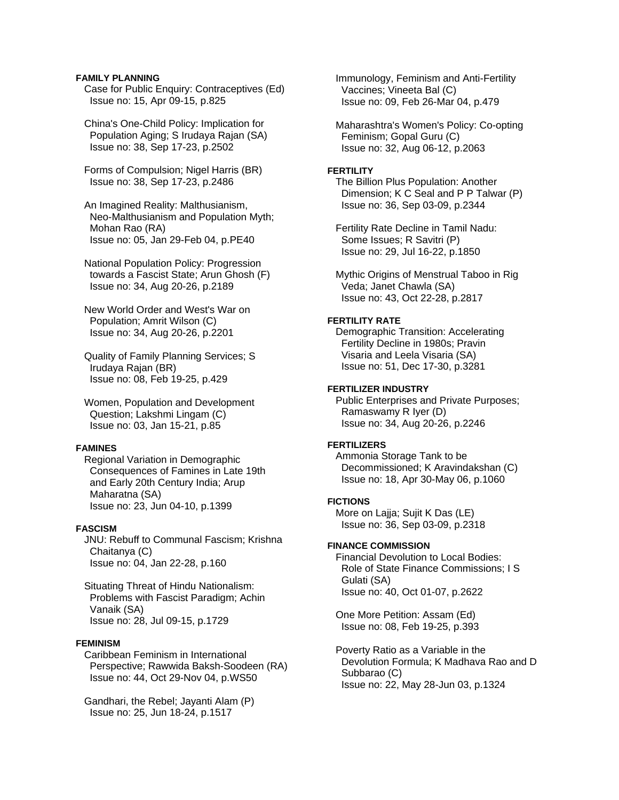### **FAMILY PLANNING**

 Case for Public Enquiry: Contraceptives (Ed) Issue no: 15, Apr 09-15, p.825

 China's One-Child Policy: Implication for Population Aging; S Irudaya Rajan (SA) Issue no: 38, Sep 17-23, p.2502

 Forms of Compulsion; Nigel Harris (BR) Issue no: 38, Sep 17-23, p.2486

 An Imagined Reality: Malthusianism, Neo-Malthusianism and Population Myth; Mohan Rao (RA) Issue no: 05, Jan 29-Feb 04, p.PE40

 National Population Policy: Progression towards a Fascist State; Arun Ghosh (F) Issue no: 34, Aug 20-26, p.2189

 New World Order and West's War on Population; Amrit Wilson (C) Issue no: 34, Aug 20-26, p.2201

 Quality of Family Planning Services; S Irudaya Rajan (BR) Issue no: 08, Feb 19-25, p.429

 Women, Population and Development Question; Lakshmi Lingam (C) Issue no: 03, Jan 15-21, p.85

### **FAMINES**

 Regional Variation in Demographic Consequences of Famines in Late 19th and Early 20th Century India; Arup Maharatna (SA) Issue no: 23, Jun 04-10, p.1399

## **FASCISM**

 JNU: Rebuff to Communal Fascism; Krishna Chaitanya (C) Issue no: 04, Jan 22-28, p.160

 Situating Threat of Hindu Nationalism: Problems with Fascist Paradigm; Achin Vanaik (SA) Issue no: 28, Jul 09-15, p.1729

### **FEMINISM**

 Caribbean Feminism in International Perspective; Rawwida Baksh-Soodeen (RA) Issue no: 44, Oct 29-Nov 04, p.WS50

 Gandhari, the Rebel; Jayanti Alam (P) Issue no: 25, Jun 18-24, p.1517

 Immunology, Feminism and Anti-Fertility Vaccines; Vineeta Bal (C) Issue no: 09, Feb 26-Mar 04, p.479

 Maharashtra's Women's Policy: Co-opting Feminism; Gopal Guru (C) Issue no: 32, Aug 06-12, p.2063

### **FERTILITY**

 The Billion Plus Population: Another Dimension; K C Seal and P P Talwar (P) Issue no: 36, Sep 03-09, p.2344

 Fertility Rate Decline in Tamil Nadu: Some Issues; R Savitri (P) Issue no: 29, Jul 16-22, p.1850

 Mythic Origins of Menstrual Taboo in Rig Veda; Janet Chawla (SA) Issue no: 43, Oct 22-28, p.2817

## **FERTILITY RATE**

 Demographic Transition: Accelerating Fertility Decline in 1980s; Pravin Visaria and Leela Visaria (SA) Issue no: 51, Dec 17-30, p.3281

## **FERTILIZER INDUSTRY**

 Public Enterprises and Private Purposes; Ramaswamy R Iyer (D) Issue no: 34, Aug 20-26, p.2246

#### **FERTILIZERS**

 Ammonia Storage Tank to be Decommissioned; K Aravindakshan (C) Issue no: 18, Apr 30-May 06, p.1060

## **FICTIONS**

 More on Lajja; Sujit K Das (LE) Issue no: 36, Sep 03-09, p.2318

#### **FINANCE COMMISSION**

 Financial Devolution to Local Bodies: Role of State Finance Commissions; I S Gulati (SA) Issue no: 40, Oct 01-07, p.2622

 One More Petition: Assam (Ed) Issue no: 08, Feb 19-25, p.393

 Poverty Ratio as a Variable in the Devolution Formula; K Madhava Rao and D Subbarao (C) Issue no: 22, May 28-Jun 03, p.1324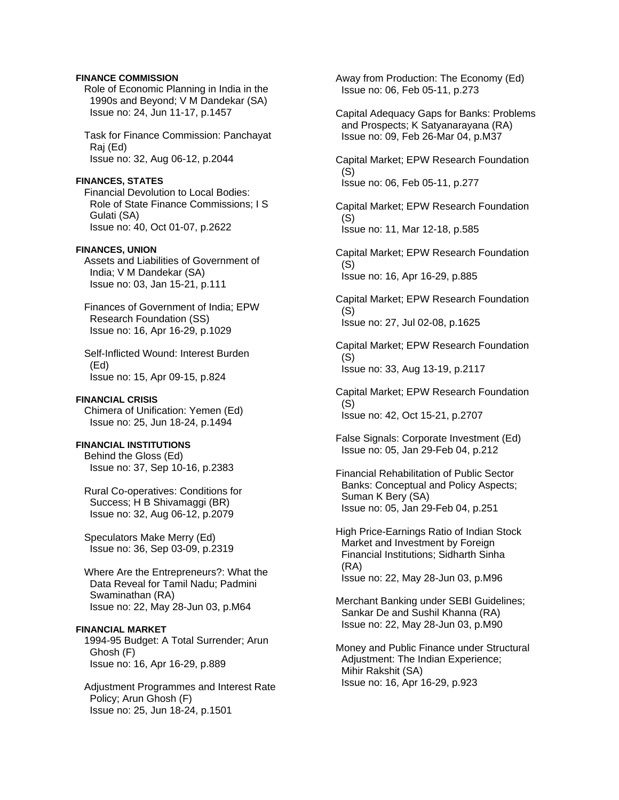## **FINANCE COMMISSION**

 Role of Economic Planning in India in the 1990s and Beyond; V M Dandekar (SA) Issue no: 24, Jun 11-17, p.1457

 Task for Finance Commission: Panchayat Raj (Ed) Issue no: 32, Aug 06-12, p.2044

#### **FINANCES, STATES**

 Financial Devolution to Local Bodies: Role of State Finance Commissions; I S Gulati (SA) Issue no: 40, Oct 01-07, p.2622

## **FINANCES, UNION**

 Assets and Liabilities of Government of India; V M Dandekar (SA) Issue no: 03, Jan 15-21, p.111

 Finances of Government of India; EPW Research Foundation (SS) Issue no: 16, Apr 16-29, p.1029

 Self-Inflicted Wound: Interest Burden (Ed) Issue no: 15, Apr 09-15, p.824

#### **FINANCIAL CRISIS**

 Chimera of Unification: Yemen (Ed) Issue no: 25, Jun 18-24, p.1494

## **FINANCIAL INSTITUTIONS**

 Behind the Gloss (Ed) Issue no: 37, Sep 10-16, p.2383

 Rural Co-operatives: Conditions for Success; H B Shivamaggi (BR) Issue no: 32, Aug 06-12, p.2079

 Speculators Make Merry (Ed) Issue no: 36, Sep 03-09, p.2319

 Where Are the Entrepreneurs?: What the Data Reveal for Tamil Nadu; Padmini Swaminathan (RA) Issue no: 22, May 28-Jun 03, p.M64

## **FINANCIAL MARKET**

 1994-95 Budget: A Total Surrender; Arun Ghosh (F) Issue no: 16, Apr 16-29, p.889

 Adjustment Programmes and Interest Rate Policy; Arun Ghosh (F) Issue no: 25, Jun 18-24, p.1501

 Away from Production: The Economy (Ed) Issue no: 06, Feb 05-11, p.273

 Capital Adequacy Gaps for Banks: Problems and Prospects; K Satyanarayana (RA) Issue no: 09, Feb 26-Mar 04, p.M37

 Capital Market; EPW Research Foundation (S) Issue no: 06, Feb 05-11, p.277

 Capital Market; EPW Research Foundation (S) Issue no: 11, Mar 12-18, p.585

 Capital Market; EPW Research Foundation (S) Issue no: 16, Apr 16-29, p.885

 Capital Market; EPW Research Foundation (S) Issue no: 27, Jul 02-08, p.1625

 Capital Market; EPW Research Foundation  $(S)$ Issue no: 33, Aug 13-19, p.2117

 Capital Market; EPW Research Foundation (S) Issue no: 42, Oct 15-21, p.2707

 False Signals: Corporate Investment (Ed) Issue no: 05, Jan 29-Feb 04, p.212

 Financial Rehabilitation of Public Sector Banks: Conceptual and Policy Aspects; Suman K Bery (SA) Issue no: 05, Jan 29-Feb 04, p.251

 High Price-Earnings Ratio of Indian Stock Market and Investment by Foreign Financial Institutions; Sidharth Sinha (RA) Issue no: 22, May 28-Jun 03, p.M96

 Merchant Banking under SEBI Guidelines; Sankar De and Sushil Khanna (RA) Issue no: 22, May 28-Jun 03, p.M90

 Money and Public Finance under Structural Adjustment: The Indian Experience; Mihir Rakshit (SA) Issue no: 16, Apr 16-29, p.923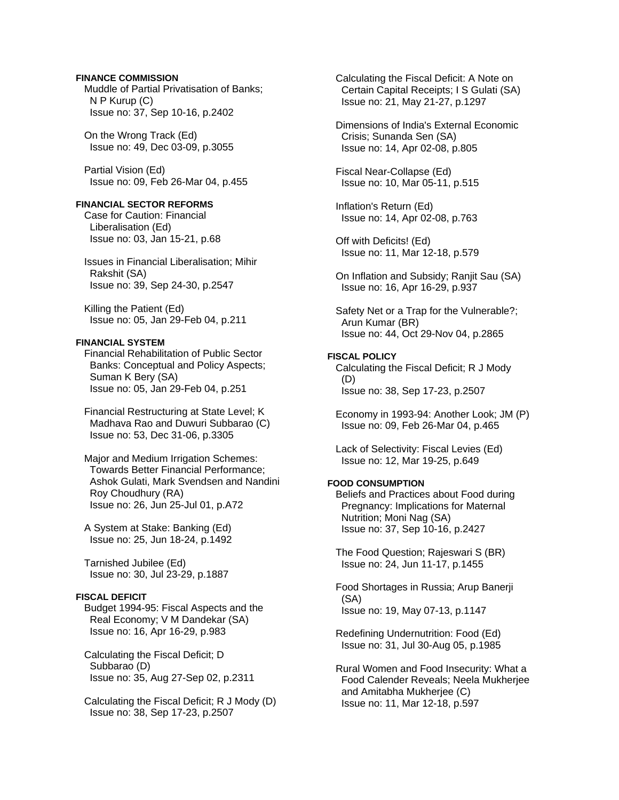## **FINANCE COMMISSION**

 Muddle of Partial Privatisation of Banks; N P Kurup (C) Issue no: 37, Sep 10-16, p.2402

 On the Wrong Track (Ed) Issue no: 49, Dec 03-09, p.3055

 Partial Vision (Ed) Issue no: 09, Feb 26-Mar 04, p.455

## **FINANCIAL SECTOR REFORMS**

 Case for Caution: Financial Liberalisation (Ed) Issue no: 03, Jan 15-21, p.68

 Issues in Financial Liberalisation; Mihir Rakshit (SA) Issue no: 39, Sep 24-30, p.2547

 Killing the Patient (Ed) Issue no: 05, Jan 29-Feb 04, p.211

## **FINANCIAL SYSTEM**

 Financial Rehabilitation of Public Sector Banks: Conceptual and Policy Aspects; Suman K Bery (SA) Issue no: 05, Jan 29-Feb 04, p.251

 Financial Restructuring at State Level; K Madhava Rao and Duwuri Subbarao (C) Issue no: 53, Dec 31-06, p.3305

 Major and Medium Irrigation Schemes: Towards Better Financial Performance; Ashok Gulati, Mark Svendsen and Nandini Roy Choudhury (RA) Issue no: 26, Jun 25-Jul 01, p.A72

 A System at Stake: Banking (Ed) Issue no: 25, Jun 18-24, p.1492

 Tarnished Jubilee (Ed) Issue no: 30, Jul 23-29, p.1887

## **FISCAL DEFICIT**

 Budget 1994-95: Fiscal Aspects and the Real Economy; V M Dandekar (SA) Issue no: 16, Apr 16-29, p.983

 Calculating the Fiscal Deficit; D Subbarao (D) Issue no: 35, Aug 27-Sep 02, p.2311

 Calculating the Fiscal Deficit; R J Mody (D) Issue no: 38, Sep 17-23, p.2507

 Calculating the Fiscal Deficit: A Note on Certain Capital Receipts; I S Gulati (SA) Issue no: 21, May 21-27, p.1297

 Dimensions of India's External Economic Crisis; Sunanda Sen (SA) Issue no: 14, Apr 02-08, p.805

 Fiscal Near-Collapse (Ed) Issue no: 10, Mar 05-11, p.515

 Inflation's Return (Ed) Issue no: 14, Apr 02-08, p.763

 Off with Deficits! (Ed) Issue no: 11, Mar 12-18, p.579

 On Inflation and Subsidy; Ranjit Sau (SA) Issue no: 16, Apr 16-29, p.937

 Safety Net or a Trap for the Vulnerable?; Arun Kumar (BR) Issue no: 44, Oct 29-Nov 04, p.2865

**FISCAL POLICY**  Calculating the Fiscal Deficit; R J Mody (D) Issue no: 38, Sep 17-23, p.2507

 Economy in 1993-94: Another Look; JM (P) Issue no: 09, Feb 26-Mar 04, p.465

 Lack of Selectivity: Fiscal Levies (Ed) Issue no: 12, Mar 19-25, p.649

## **FOOD CONSUMPTION**

 Beliefs and Practices about Food during Pregnancy: Implications for Maternal Nutrition; Moni Nag (SA) Issue no: 37, Sep 10-16, p.2427

 The Food Question; Rajeswari S (BR) Issue no: 24, Jun 11-17, p.1455

 Food Shortages in Russia; Arup Banerji (SA) Issue no: 19, May 07-13, p.1147

 Redefining Undernutrition: Food (Ed) Issue no: 31, Jul 30-Aug 05, p.1985

 Rural Women and Food Insecurity: What a Food Calender Reveals; Neela Mukherjee and Amitabha Mukherjee (C) Issue no: 11, Mar 12-18, p.597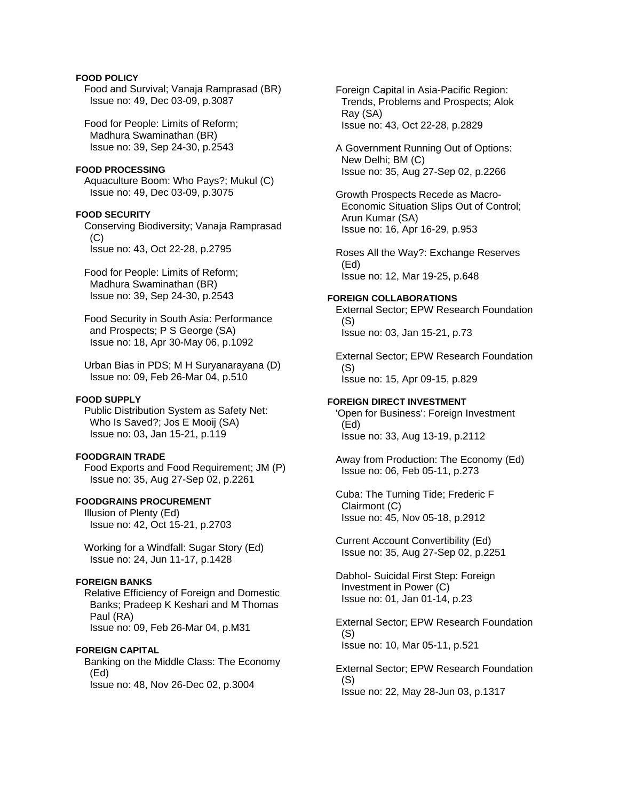## **FOOD POLICY**

 Food and Survival; Vanaja Ramprasad (BR) Issue no: 49, Dec 03-09, p.3087

 Food for People: Limits of Reform; Madhura Swaminathan (BR) Issue no: 39, Sep 24-30, p.2543

## **FOOD PROCESSING**

 Aquaculture Boom: Who Pays?; Mukul (C) Issue no: 49, Dec 03-09, p.3075

### **FOOD SECURITY**

 Conserving Biodiversity; Vanaja Ramprasad  $(C)$ Issue no: 43, Oct 22-28, p.2795

 Food for People: Limits of Reform; Madhura Swaminathan (BR) Issue no: 39, Sep 24-30, p.2543

 Food Security in South Asia: Performance and Prospects; P S George (SA) Issue no: 18, Apr 30-May 06, p.1092

 Urban Bias in PDS; M H Suryanarayana (D) Issue no: 09, Feb 26-Mar 04, p.510

## **FOOD SUPPLY**

 Public Distribution System as Safety Net: Who Is Saved?; Jos E Mooij (SA) Issue no: 03, Jan 15-21, p.119

## **FOODGRAIN TRADE**

 Food Exports and Food Requirement; JM (P) Issue no: 35, Aug 27-Sep 02, p.2261

## **FOODGRAINS PROCUREMENT**

 Illusion of Plenty (Ed) Issue no: 42, Oct 15-21, p.2703

 Working for a Windfall: Sugar Story (Ed) Issue no: 24, Jun 11-17, p.1428

#### **FOREIGN BANKS**

 Relative Efficiency of Foreign and Domestic Banks; Pradeep K Keshari and M Thomas Paul (RA) Issue no: 09, Feb 26-Mar 04, p.M31

### **FOREIGN CAPITAL**

 Banking on the Middle Class: The Economy (Ed) Issue no: 48, Nov 26-Dec 02, p.3004

 Foreign Capital in Asia-Pacific Region: Trends, Problems and Prospects; Alok Ray (SA) Issue no: 43, Oct 22-28, p.2829

 A Government Running Out of Options: New Delhi; BM (C) Issue no: 35, Aug 27-Sep 02, p.2266

 Growth Prospects Recede as Macro- Economic Situation Slips Out of Control; Arun Kumar (SA) Issue no: 16, Apr 16-29, p.953

 Roses All the Way?: Exchange Reserves (Ed) Issue no: 12, Mar 19-25, p.648

#### **FOREIGN COLLABORATIONS**

 External Sector; EPW Research Foundation (S) Issue no: 03, Jan 15-21, p.73

 External Sector; EPW Research Foundation (S) Issue no: 15, Apr 09-15, p.829

#### **FOREIGN DIRECT INVESTMENT**

 'Open for Business': Foreign Investment (Ed) Issue no: 33, Aug 13-19, p.2112

 Away from Production: The Economy (Ed) Issue no: 06, Feb 05-11, p.273

 Cuba: The Turning Tide; Frederic F Clairmont (C) Issue no: 45, Nov 05-18, p.2912

 Current Account Convertibility (Ed) Issue no: 35, Aug 27-Sep 02, p.2251

 Dabhol- Suicidal First Step: Foreign Investment in Power (C) Issue no: 01, Jan 01-14, p.23

 External Sector; EPW Research Foundation (S) Issue no: 10, Mar 05-11, p.521

 External Sector; EPW Research Foundation (S) Issue no: 22, May 28-Jun 03, p.1317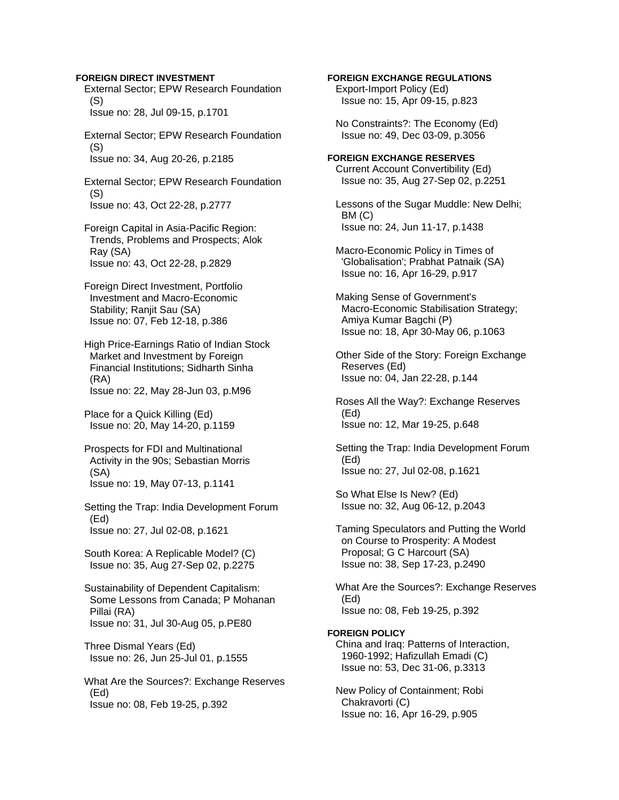### **FOREIGN DIRECT INVESTMENT**

 External Sector; EPW Research Foundation (S) Issue no: 28, Jul 09-15, p.1701

 External Sector; EPW Research Foundation (S) Issue no: 34, Aug 20-26, p.2185

 External Sector; EPW Research Foundation (S) Issue no: 43, Oct 22-28, p.2777

 Foreign Capital in Asia-Pacific Region: Trends, Problems and Prospects; Alok Ray (SA) Issue no: 43, Oct 22-28, p.2829

 Foreign Direct Investment, Portfolio Investment and Macro-Economic Stability; Ranjit Sau (SA) Issue no: 07, Feb 12-18, p.386

 High Price-Earnings Ratio of Indian Stock Market and Investment by Foreign Financial Institutions; Sidharth Sinha (RA)

Issue no: 22, May 28-Jun 03, p.M96

 Place for a Quick Killing (Ed) Issue no: 20, May 14-20, p.1159

 Prospects for FDI and Multinational Activity in the 90s; Sebastian Morris (SA) Issue no: 19, May 07-13, p.1141

 Setting the Trap: India Development Forum (Ed) Issue no: 27, Jul 02-08, p.1621

 South Korea: A Replicable Model? (C) Issue no: 35, Aug 27-Sep 02, p.2275

 Sustainability of Dependent Capitalism: Some Lessons from Canada; P Mohanan Pillai (RA) Issue no: 31, Jul 30-Aug 05, p.PE80

 Three Dismal Years (Ed) Issue no: 26, Jun 25-Jul 01, p.1555

 What Are the Sources?: Exchange Reserves (Ed) Issue no: 08, Feb 19-25, p.392

## **FOREIGN EXCHANGE REGULATIONS**

 Export-Import Policy (Ed) Issue no: 15, Apr 09-15, p.823

 No Constraints?: The Economy (Ed) Issue no: 49, Dec 03-09, p.3056

#### **FOREIGN EXCHANGE RESERVES**

 Current Account Convertibility (Ed) Issue no: 35, Aug 27-Sep 02, p.2251

 Lessons of the Sugar Muddle: New Delhi; BM (C) Issue no: 24, Jun 11-17, p.1438

 Macro-Economic Policy in Times of 'Globalisation'; Prabhat Patnaik (SA) Issue no: 16, Apr 16-29, p.917

 Making Sense of Government's Macro-Economic Stabilisation Strategy; Amiya Kumar Bagchi (P) Issue no: 18, Apr 30-May 06, p.1063

 Other Side of the Story: Foreign Exchange Reserves (Ed) Issue no: 04, Jan 22-28, p.144

 Roses All the Way?: Exchange Reserves (Ed) Issue no: 12, Mar 19-25, p.648

 Setting the Trap: India Development Forum (Ed) Issue no: 27, Jul 02-08, p.1621

 So What Else Is New? (Ed) Issue no: 32, Aug 06-12, p.2043

 Taming Speculators and Putting the World on Course to Prosperity: A Modest Proposal; G C Harcourt (SA) Issue no: 38, Sep 17-23, p.2490

 What Are the Sources?: Exchange Reserves (Ed) Issue no: 08, Feb 19-25, p.392

### **FOREIGN POLICY**

 China and Iraq: Patterns of Interaction, 1960-1992; Hafizullah Emadi (C) Issue no: 53, Dec 31-06, p.3313

 New Policy of Containment; Robi Chakravorti (C) Issue no: 16, Apr 16-29, p.905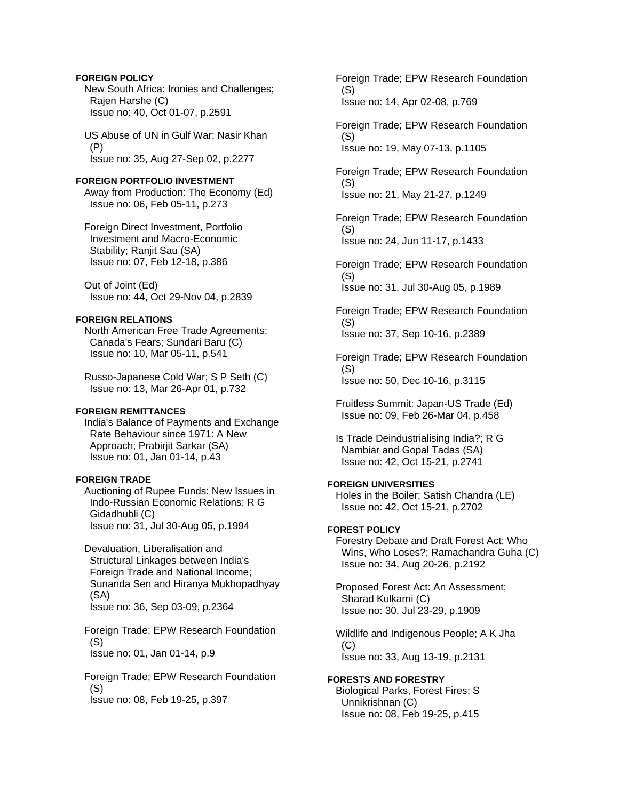## **FOREIGN POLICY**

 New South Africa: Ironies and Challenges; Rajen Harshe (C) Issue no: 40, Oct 01-07, p.2591

 US Abuse of UN in Gulf War; Nasir Khan (P) Issue no: 35, Aug 27-Sep 02, p.2277

#### **FOREIGN PORTFOLIO INVESTMENT**  Away from Production: The Economy (Ed)

Issue no: 06, Feb 05-11, p.273

 Foreign Direct Investment, Portfolio Investment and Macro-Economic Stability; Ranjit Sau (SA) Issue no: 07, Feb 12-18, p.386

 Out of Joint (Ed) Issue no: 44, Oct 29-Nov 04, p.2839

# **FOREIGN RELATIONS**

 North American Free Trade Agreements: Canada's Fears; Sundari Baru (C) Issue no: 10, Mar 05-11, p.541

 Russo-Japanese Cold War; S P Seth (C) Issue no: 13, Mar 26-Apr 01, p.732

# **FOREIGN REMITTANCES**

 India's Balance of Payments and Exchange Rate Behaviour since 1971: A New Approach; Prabirjit Sarkar (SA) Issue no: 01, Jan 01-14, p.43

# **FOREIGN TRADE**

 Auctioning of Rupee Funds: New Issues in Indo-Russian Economic Relations; R G Gidadhubli (C) Issue no: 31, Jul 30-Aug 05, p.1994

 Devaluation, Liberalisation and Structural Linkages between India's Foreign Trade and National Income; Sunanda Sen and Hiranya Mukhopadhyay (SA) Issue no: 36, Sep 03-09, p.2364

 Foreign Trade; EPW Research Foundation (S) Issue no: 01, Jan 01-14, p.9

 Foreign Trade; EPW Research Foundation (S) Issue no: 08, Feb 19-25, p.397

 Foreign Trade; EPW Research Foundation (S) Issue no: 14, Apr 02-08, p.769

 Foreign Trade; EPW Research Foundation (S) Issue no: 19, May 07-13, p.1105

 Foreign Trade; EPW Research Foundation (S) Issue no: 21, May 21-27, p.1249

 Foreign Trade; EPW Research Foundation (S) Issue no: 24, Jun 11-17, p.1433

 Foreign Trade; EPW Research Foundation (S) Issue no: 31, Jul 30-Aug 05, p.1989

 Foreign Trade; EPW Research Foundation (S) Issue no: 37, Sep 10-16, p.2389

 Foreign Trade; EPW Research Foundation (S) Issue no: 50, Dec 10-16, p.3115

 Fruitless Summit: Japan-US Trade (Ed) Issue no: 09, Feb 26-Mar 04, p.458

 Is Trade Deindustrialising India?; R G Nambiar and Gopal Tadas (SA) Issue no: 42, Oct 15-21, p.2741

# **FOREIGN UNIVERSITIES**

 Holes in the Boiler; Satish Chandra (LE) Issue no: 42, Oct 15-21, p.2702

# **FOREST POLICY**

 Forestry Debate and Draft Forest Act: Who Wins, Who Loses?; Ramachandra Guha (C) Issue no: 34, Aug 20-26, p.2192

 Proposed Forest Act: An Assessment; Sharad Kulkarni (C) Issue no: 30, Jul 23-29, p.1909

 Wildlife and Indigenous People; A K Jha (C) Issue no: 33, Aug 13-19, p.2131

**FORESTS AND FORESTRY**  Biological Parks, Forest Fires; S Unnikrishnan (C) Issue no: 08, Feb 19-25, p.415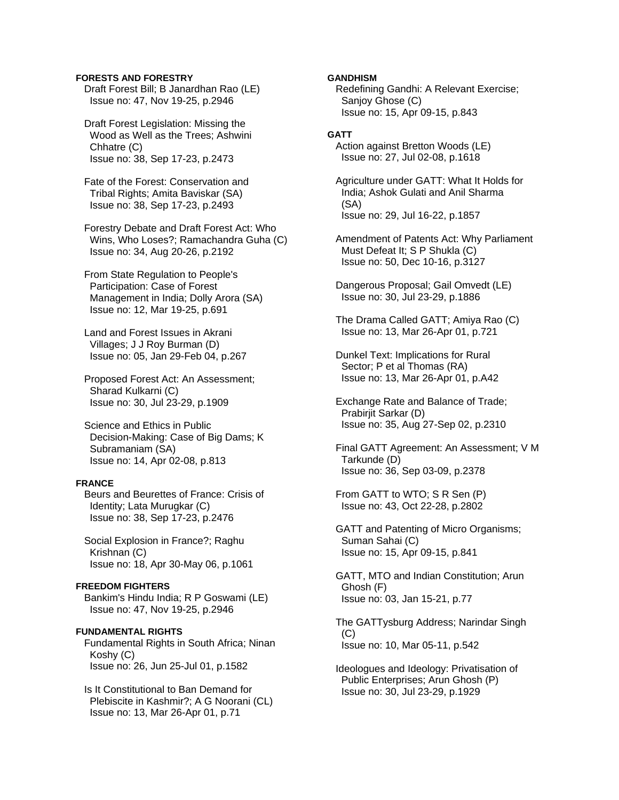### **FORESTS AND FORESTRY**

 Draft Forest Bill; B Janardhan Rao (LE) Issue no: 47, Nov 19-25, p.2946

 Draft Forest Legislation: Missing the Wood as Well as the Trees; Ashwini Chhatre (C) Issue no: 38, Sep 17-23, p.2473

 Fate of the Forest: Conservation and Tribal Rights; Amita Baviskar (SA) Issue no: 38, Sep 17-23, p.2493

 Forestry Debate and Draft Forest Act: Who Wins, Who Loses?; Ramachandra Guha (C) Issue no: 34, Aug 20-26, p.2192

 From State Regulation to People's Participation: Case of Forest Management in India; Dolly Arora (SA) Issue no: 12, Mar 19-25, p.691

 Land and Forest Issues in Akrani Villages; J J Roy Burman (D) Issue no: 05, Jan 29-Feb 04, p.267

 Proposed Forest Act: An Assessment; Sharad Kulkarni (C) Issue no: 30, Jul 23-29, p.1909

 Science and Ethics in Public Decision-Making: Case of Big Dams; K Subramaniam (SA) Issue no: 14, Apr 02-08, p.813

## **FRANCE**

 Beurs and Beurettes of France: Crisis of Identity; Lata Murugkar (C) Issue no: 38, Sep 17-23, p.2476

 Social Explosion in France?; Raghu Krishnan (C) Issue no: 18, Apr 30-May 06, p.1061

#### **FREEDOM FIGHTERS**

 Bankim's Hindu India; R P Goswami (LE) Issue no: 47, Nov 19-25, p.2946

#### **FUNDAMENTAL RIGHTS**

 Fundamental Rights in South Africa; Ninan Koshy (C) Issue no: 26, Jun 25-Jul 01, p.1582

 Is It Constitutional to Ban Demand for Plebiscite in Kashmir?; A G Noorani (CL) Issue no: 13, Mar 26-Apr 01, p.71

### **GANDHISM**

 Redefining Gandhi: A Relevant Exercise; Sanjoy Ghose (C) Issue no: 15, Apr 09-15, p.843

## **GATT**

 Action against Bretton Woods (LE) Issue no: 27, Jul 02-08, p.1618

 Agriculture under GATT: What It Holds for India; Ashok Gulati and Anil Sharma (SA) Issue no: 29, Jul 16-22, p.1857

 Amendment of Patents Act: Why Parliament Must Defeat It; S P Shukla (C) Issue no: 50, Dec 10-16, p.3127

 Dangerous Proposal; Gail Omvedt (LE) Issue no: 30, Jul 23-29, p.1886

 The Drama Called GATT; Amiya Rao (C) Issue no: 13, Mar 26-Apr 01, p.721

 Dunkel Text: Implications for Rural Sector; P et al Thomas (RA) Issue no: 13, Mar 26-Apr 01, p.A42

 Exchange Rate and Balance of Trade; Prabirjit Sarkar (D) Issue no: 35, Aug 27-Sep 02, p.2310

 Final GATT Agreement: An Assessment; V M Tarkunde (D) Issue no: 36, Sep 03-09, p.2378

 From GATT to WTO; S R Sen (P) Issue no: 43, Oct 22-28, p.2802

 GATT and Patenting of Micro Organisms; Suman Sahai (C) Issue no: 15, Apr 09-15, p.841

 GATT, MTO and Indian Constitution; Arun Ghosh (F) Issue no: 03, Jan 15-21, p.77

 The GATTysburg Address; Narindar Singh (C) Issue no: 10, Mar 05-11, p.542

 Ideologues and Ideology: Privatisation of Public Enterprises; Arun Ghosh (P) Issue no: 30, Jul 23-29, p.1929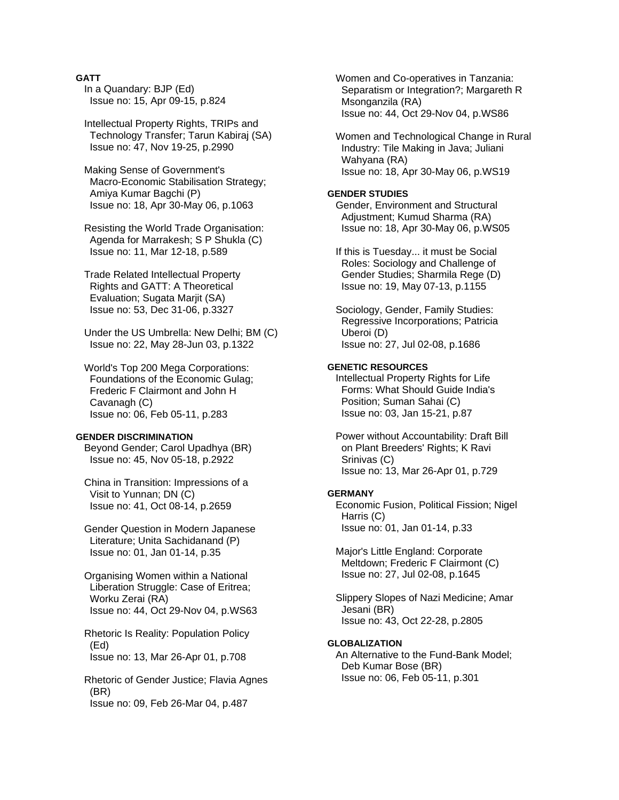## **GATT**

 In a Quandary: BJP (Ed) Issue no: 15, Apr 09-15, p.824

 Intellectual Property Rights, TRIPs and Technology Transfer; Tarun Kabiraj (SA) Issue no: 47, Nov 19-25, p.2990

 Making Sense of Government's Macro-Economic Stabilisation Strategy; Amiya Kumar Bagchi (P) Issue no: 18, Apr 30-May 06, p.1063

 Resisting the World Trade Organisation: Agenda for Marrakesh; S P Shukla (C) Issue no: 11, Mar 12-18, p.589

 Trade Related Intellectual Property Rights and GATT: A Theoretical Evaluation; Sugata Marjit (SA) Issue no: 53, Dec 31-06, p.3327

 Under the US Umbrella: New Delhi; BM (C) Issue no: 22, May 28-Jun 03, p.1322

 World's Top 200 Mega Corporations: Foundations of the Economic Gulag; Frederic F Clairmont and John H Cavanagh (C) Issue no: 06, Feb 05-11, p.283

#### **GENDER DISCRIMINATION**

 Beyond Gender; Carol Upadhya (BR) Issue no: 45, Nov 05-18, p.2922

 China in Transition: Impressions of a Visit to Yunnan; DN (C) Issue no: 41, Oct 08-14, p.2659

 Gender Question in Modern Japanese Literature; Unita Sachidanand (P) Issue no: 01, Jan 01-14, p.35

 Organising Women within a National Liberation Struggle: Case of Eritrea; Worku Zerai (RA) Issue no: 44, Oct 29-Nov 04, p.WS63

 Rhetoric Is Reality: Population Policy (Ed) Issue no: 13, Mar 26-Apr 01, p.708

 Rhetoric of Gender Justice; Flavia Agnes (BR) Issue no: 09, Feb 26-Mar 04, p.487

 Women and Co-operatives in Tanzania: Separatism or Integration?; Margareth R Msonganzila (RA) Issue no: 44, Oct 29-Nov 04, p.WS86

 Women and Technological Change in Rural Industry: Tile Making in Java; Juliani Wahyana (RA) Issue no: 18, Apr 30-May 06, p.WS19

## **GENDER STUDIES**

 Gender, Environment and Structural Adjustment; Kumud Sharma (RA) Issue no: 18, Apr 30-May 06, p.WS05

 If this is Tuesday... it must be Social Roles: Sociology and Challenge of Gender Studies; Sharmila Rege (D) Issue no: 19, May 07-13, p.1155

 Sociology, Gender, Family Studies: Regressive Incorporations; Patricia Uberoi (D) Issue no: 27, Jul 02-08, p.1686

### **GENETIC RESOURCES**

 Intellectual Property Rights for Life Forms: What Should Guide India's Position; Suman Sahai (C) Issue no: 03, Jan 15-21, p.87

 Power without Accountability: Draft Bill on Plant Breeders' Rights; K Ravi Srinivas (C) Issue no: 13, Mar 26-Apr 01, p.729

#### **GERMANY**

 Economic Fusion, Political Fission; Nigel Harris (C) Issue no: 01, Jan 01-14, p.33

 Major's Little England: Corporate Meltdown; Frederic F Clairmont (C) Issue no: 27, Jul 02-08, p.1645

 Slippery Slopes of Nazi Medicine; Amar Jesani (BR) Issue no: 43, Oct 22-28, p.2805

### **GLOBALIZATION**

 An Alternative to the Fund-Bank Model; Deb Kumar Bose (BR) Issue no: 06, Feb 05-11, p.301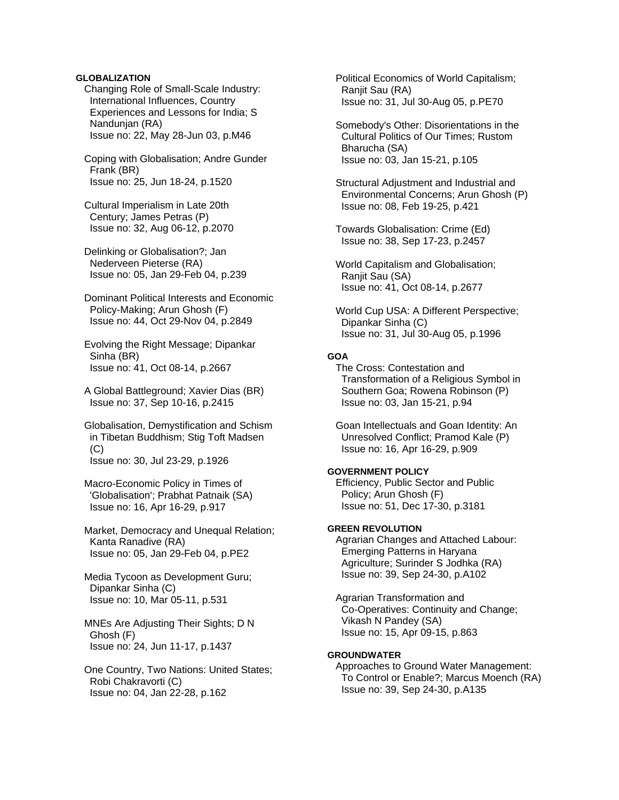## **GLOBALIZATION**

 Changing Role of Small-Scale Industry: International Influences, Country Experiences and Lessons for India; S Nandunjan (RA) Issue no: 22, May 28-Jun 03, p.M46

 Coping with Globalisation; Andre Gunder Frank (BR) Issue no: 25, Jun 18-24, p.1520

 Cultural Imperialism in Late 20th Century; James Petras (P) Issue no: 32, Aug 06-12, p.2070

 Delinking or Globalisation?; Jan Nederveen Pieterse (RA) Issue no: 05, Jan 29-Feb 04, p.239

 Dominant Political Interests and Economic Policy-Making; Arun Ghosh (F) Issue no: 44, Oct 29-Nov 04, p.2849

 Evolving the Right Message; Dipankar Sinha (BR) Issue no: 41, Oct 08-14, p.2667

 A Global Battleground; Xavier Dias (BR) Issue no: 37, Sep 10-16, p.2415

 Globalisation, Demystification and Schism in Tibetan Buddhism; Stig Toft Madsen  $(C)$ Issue no: 30, Jul 23-29, p.1926

 Macro-Economic Policy in Times of 'Globalisation'; Prabhat Patnaik (SA) Issue no: 16, Apr 16-29, p.917

 Market, Democracy and Unequal Relation; Kanta Ranadive (RA) Issue no: 05, Jan 29-Feb 04, p.PE2

 Media Tycoon as Development Guru; Dipankar Sinha (C) Issue no: 10, Mar 05-11, p.531

 MNEs Are Adjusting Their Sights; D N Ghosh (F) Issue no: 24, Jun 11-17, p.1437

 One Country, Two Nations: United States; Robi Chakravorti (C) Issue no: 04, Jan 22-28, p.162

 Political Economics of World Capitalism; Ranjit Sau (RA) Issue no: 31, Jul 30-Aug 05, p.PE70

 Somebody's Other: Disorientations in the Cultural Politics of Our Times; Rustom Bharucha (SA) Issue no: 03, Jan 15-21, p.105

 Structural Adjustment and Industrial and Environmental Concerns; Arun Ghosh (P) Issue no: 08, Feb 19-25, p.421

 Towards Globalisation: Crime (Ed) Issue no: 38, Sep 17-23, p.2457

 World Capitalism and Globalisation; Ranjit Sau (SA) Issue no: 41, Oct 08-14, p.2677

 World Cup USA: A Different Perspective; Dipankar Sinha (C) Issue no: 31, Jul 30-Aug 05, p.1996

## **GOA**

 The Cross: Contestation and Transformation of a Religious Symbol in Southern Goa; Rowena Robinson (P) Issue no: 03, Jan 15-21, p.94

 Goan Intellectuals and Goan Identity: An Unresolved Conflict; Pramod Kale (P) Issue no: 16, Apr 16-29, p.909

## **GOVERNMENT POLICY**

 Efficiency, Public Sector and Public Policy; Arun Ghosh (F) Issue no: 51, Dec 17-30, p.3181

## **GREEN REVOLUTION**

 Agrarian Changes and Attached Labour: Emerging Patterns in Haryana Agriculture; Surinder S Jodhka (RA) Issue no: 39, Sep 24-30, p.A102

 Agrarian Transformation and Co-Operatives: Continuity and Change; Vikash N Pandey (SA) Issue no: 15, Apr 09-15, p.863

## **GROUNDWATER**

 Approaches to Ground Water Management: To Control or Enable?; Marcus Moench (RA) Issue no: 39, Sep 24-30, p.A135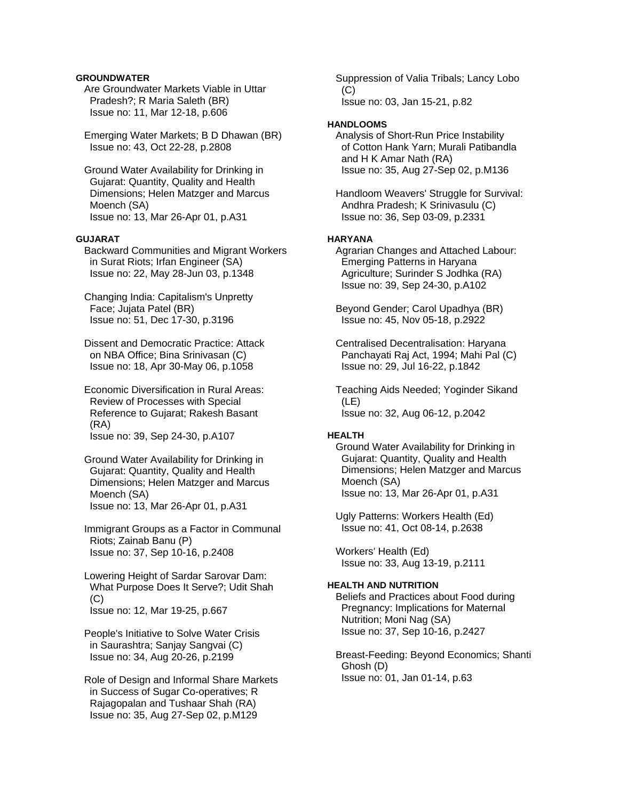## **GROUNDWATER**

 Are Groundwater Markets Viable in Uttar Pradesh?; R Maria Saleth (BR) Issue no: 11, Mar 12-18, p.606

 Emerging Water Markets; B D Dhawan (BR) Issue no: 43, Oct 22-28, p.2808

 Ground Water Availability for Drinking in Gujarat: Quantity, Quality and Health Dimensions; Helen Matzger and Marcus Moench (SA) Issue no: 13, Mar 26-Apr 01, p.A31

## **GUJARAT**

 Backward Communities and Migrant Workers in Surat Riots; Irfan Engineer (SA) Issue no: 22, May 28-Jun 03, p.1348

 Changing India: Capitalism's Unpretty Face; Jujata Patel (BR) Issue no: 51, Dec 17-30, p.3196

 Dissent and Democratic Practice: Attack on NBA Office; Bina Srinivasan (C) Issue no: 18, Apr 30-May 06, p.1058

 Economic Diversification in Rural Areas: Review of Processes with Special Reference to Gujarat; Rakesh Basant (RA)

Issue no: 39, Sep 24-30, p.A107

 Ground Water Availability for Drinking in Gujarat: Quantity, Quality and Health Dimensions; Helen Matzger and Marcus Moench (SA) Issue no: 13, Mar 26-Apr 01, p.A31

 Immigrant Groups as a Factor in Communal Riots; Zainab Banu (P) Issue no: 37, Sep 10-16, p.2408

 Lowering Height of Sardar Sarovar Dam: What Purpose Does It Serve?; Udit Shah  $(C)$ Issue no: 12, Mar 19-25, p.667

 People's Initiative to Solve Water Crisis in Saurashtra; Sanjay Sangvai (C) Issue no: 34, Aug 20-26, p.2199

 Role of Design and Informal Share Markets in Success of Sugar Co-operatives; R Rajagopalan and Tushaar Shah (RA) Issue no: 35, Aug 27-Sep 02, p.M129

 Suppression of Valia Tribals; Lancy Lobo  $(C)$ Issue no: 03, Jan 15-21, p.82

#### **HANDLOOMS**

 Analysis of Short-Run Price Instability of Cotton Hank Yarn; Murali Patibandla and H K Amar Nath (RA) Issue no: 35, Aug 27-Sep 02, p.M136

 Handloom Weavers' Struggle for Survival: Andhra Pradesh; K Srinivasulu (C) Issue no: 36, Sep 03-09, p.2331

## **HARYANA**

 Agrarian Changes and Attached Labour: Emerging Patterns in Haryana Agriculture; Surinder S Jodhka (RA) Issue no: 39, Sep 24-30, p.A102

 Beyond Gender; Carol Upadhya (BR) Issue no: 45, Nov 05-18, p.2922

 Centralised Decentralisation: Haryana Panchayati Raj Act, 1994; Mahi Pal (C) Issue no: 29, Jul 16-22, p.1842

 Teaching Aids Needed; Yoginder Sikand (LE) Issue no: 32, Aug 06-12, p.2042

#### **HEALTH**

 Ground Water Availability for Drinking in Gujarat: Quantity, Quality and Health Dimensions; Helen Matzger and Marcus Moench (SA) Issue no: 13, Mar 26-Apr 01, p.A31

 Ugly Patterns: Workers Health (Ed) Issue no: 41, Oct 08-14, p.2638

 Workers' Health (Ed) Issue no: 33, Aug 13-19, p.2111

### **HEALTH AND NUTRITION**

 Beliefs and Practices about Food during Pregnancy: Implications for Maternal Nutrition; Moni Nag (SA) Issue no: 37, Sep 10-16, p.2427

 Breast-Feeding: Beyond Economics; Shanti Ghosh (D) Issue no: 01, Jan 01-14, p.63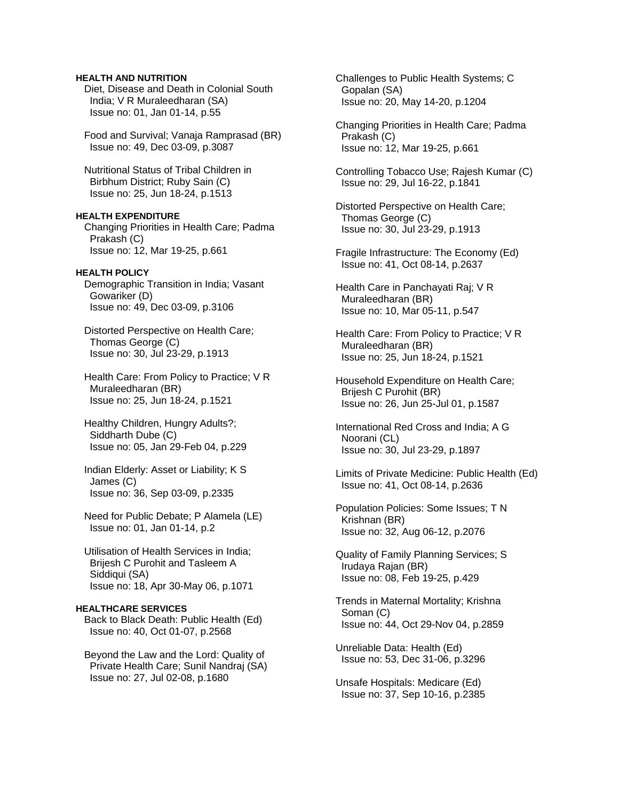## **HEALTH AND NUTRITION**

 Diet, Disease and Death in Colonial South India; V R Muraleedharan (SA) Issue no: 01, Jan 01-14, p.55

 Food and Survival; Vanaja Ramprasad (BR) Issue no: 49, Dec 03-09, p.3087

 Nutritional Status of Tribal Children in Birbhum District; Ruby Sain (C) Issue no: 25, Jun 18-24, p.1513

**HEALTH EXPENDITURE**  Changing Priorities in Health Care; Padma Prakash (C) Issue no: 12, Mar 19-25, p.661

### **HEALTH POLICY**

 Demographic Transition in India; Vasant Gowariker (D) Issue no: 49, Dec 03-09, p.3106

 Distorted Perspective on Health Care; Thomas George (C) Issue no: 30, Jul 23-29, p.1913

 Health Care: From Policy to Practice; V R Muraleedharan (BR) Issue no: 25, Jun 18-24, p.1521

 Healthy Children, Hungry Adults?; Siddharth Dube (C) Issue no: 05, Jan 29-Feb 04, p.229

 Indian Elderly: Asset or Liability; K S James (C) Issue no: 36, Sep 03-09, p.2335

 Need for Public Debate; P Alamela (LE) Issue no: 01, Jan 01-14, p.2

 Utilisation of Health Services in India; Brijesh C Purohit and Tasleem A Siddiqui (SA) Issue no: 18, Apr 30-May 06, p.1071

#### **HEALTHCARE SERVICES**

 Back to Black Death: Public Health (Ed) Issue no: 40, Oct 01-07, p.2568

 Beyond the Law and the Lord: Quality of Private Health Care; Sunil Nandraj (SA) Issue no: 27, Jul 02-08, p.1680

 Challenges to Public Health Systems; C Gopalan (SA) Issue no: 20, May 14-20, p.1204

 Changing Priorities in Health Care; Padma Prakash (C) Issue no: 12, Mar 19-25, p.661

 Controlling Tobacco Use; Rajesh Kumar (C) Issue no: 29, Jul 16-22, p.1841

 Distorted Perspective on Health Care; Thomas George (C) Issue no: 30, Jul 23-29, p.1913

 Fragile Infrastructure: The Economy (Ed) Issue no: 41, Oct 08-14, p.2637

 Health Care in Panchayati Raj; V R Muraleedharan (BR) Issue no: 10, Mar 05-11, p.547

 Health Care: From Policy to Practice; V R Muraleedharan (BR) Issue no: 25, Jun 18-24, p.1521

 Household Expenditure on Health Care; Brijesh C Purohit (BR) Issue no: 26, Jun 25-Jul 01, p.1587

 International Red Cross and India; A G Noorani (CL) Issue no: 30, Jul 23-29, p.1897

 Limits of Private Medicine: Public Health (Ed) Issue no: 41, Oct 08-14, p.2636

 Population Policies: Some Issues; T N Krishnan (BR) Issue no: 32, Aug 06-12, p.2076

 Quality of Family Planning Services; S Irudaya Rajan (BR) Issue no: 08, Feb 19-25, p.429

 Trends in Maternal Mortality; Krishna Soman (C) Issue no: 44, Oct 29-Nov 04, p.2859

 Unreliable Data: Health (Ed) Issue no: 53, Dec 31-06, p.3296

 Unsafe Hospitals: Medicare (Ed) Issue no: 37, Sep 10-16, p.2385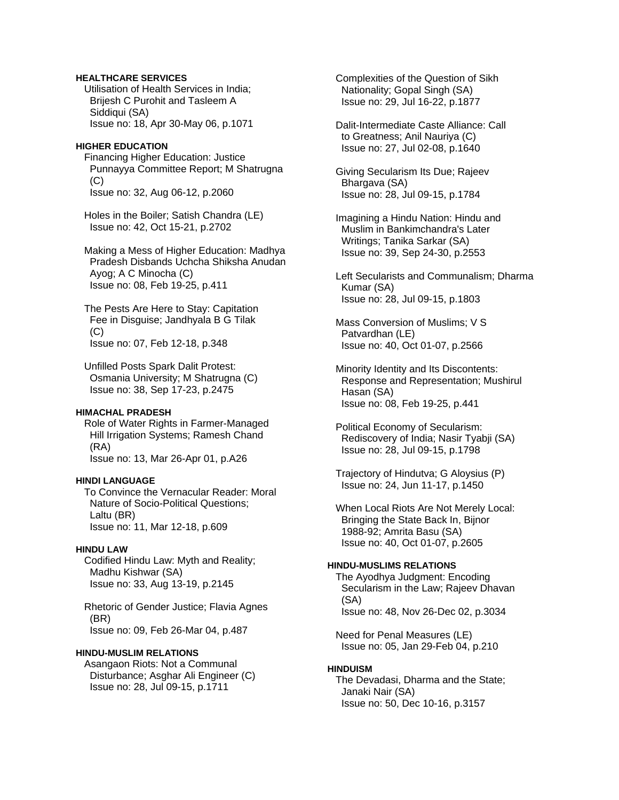## **HEALTHCARE SERVICES**

 Utilisation of Health Services in India; Brijesh C Purohit and Tasleem A Siddiqui (SA) Issue no: 18, Apr 30-May 06, p.1071

#### **HIGHER EDUCATION**

 Financing Higher Education: Justice Punnayya Committee Report; M Shatrugna  $(C)$ Issue no: 32, Aug 06-12, p.2060

 Holes in the Boiler; Satish Chandra (LE) Issue no: 42, Oct 15-21, p.2702

 Making a Mess of Higher Education: Madhya Pradesh Disbands Uchcha Shiksha Anudan Ayog; A C Minocha (C) Issue no: 08, Feb 19-25, p.411

 The Pests Are Here to Stay: Capitation Fee in Disguise; Jandhyala B G Tilak (C) Issue no: 07, Feb 12-18, p.348

 Unfilled Posts Spark Dalit Protest: Osmania University; M Shatrugna (C) Issue no: 38, Sep 17-23, p.2475

## **HIMACHAL PRADESH**

 Role of Water Rights in Farmer-Managed Hill Irrigation Systems; Ramesh Chand (RA) Issue no: 13, Mar 26-Apr 01, p.A26

#### **HINDI LANGUAGE**

 To Convince the Vernacular Reader: Moral Nature of Socio-Political Questions; Laltu (BR) Issue no: 11, Mar 12-18, p.609

## **HINDU LAW**

 Codified Hindu Law: Myth and Reality; Madhu Kishwar (SA) Issue no: 33, Aug 13-19, p.2145

 Rhetoric of Gender Justice; Flavia Agnes (BR) Issue no: 09, Feb 26-Mar 04, p.487

### **HINDU-MUSLIM RELATIONS**

 Asangaon Riots: Not a Communal Disturbance; Asghar Ali Engineer (C) Issue no: 28, Jul 09-15, p.1711

 Complexities of the Question of Sikh Nationality; Gopal Singh (SA) Issue no: 29, Jul 16-22, p.1877

 Dalit-Intermediate Caste Alliance: Call to Greatness; Anil Nauriya (C) Issue no: 27, Jul 02-08, p.1640

 Giving Secularism Its Due; Rajeev Bhargava (SA) Issue no: 28, Jul 09-15, p.1784

 Imagining a Hindu Nation: Hindu and Muslim in Bankimchandra's Later Writings; Tanika Sarkar (SA) Issue no: 39, Sep 24-30, p.2553

 Left Secularists and Communalism; Dharma Kumar (SA) Issue no: 28, Jul 09-15, p.1803

 Mass Conversion of Muslims; V S Patvardhan (LE) Issue no: 40, Oct 01-07, p.2566

 Minority Identity and Its Discontents: Response and Representation; Mushirul Hasan (SA) Issue no: 08, Feb 19-25, p.441

 Political Economy of Secularism: Rediscovery of India; Nasir Tyabji (SA) Issue no: 28, Jul 09-15, p.1798

 Trajectory of Hindutva; G Aloysius (P) Issue no: 24, Jun 11-17, p.1450

 When Local Riots Are Not Merely Local: Bringing the State Back In, Bijnor 1988-92; Amrita Basu (SA) Issue no: 40, Oct 01-07, p.2605

## **HINDU-MUSLIMS RELATIONS**

 The Ayodhya Judgment: Encoding Secularism in the Law; Rajeev Dhavan (SA) Issue no: 48, Nov 26-Dec 02, p.3034

 Need for Penal Measures (LE) Issue no: 05, Jan 29-Feb 04, p.210

## **HINDUISM**

 The Devadasi, Dharma and the State; Janaki Nair (SA) Issue no: 50, Dec 10-16, p.3157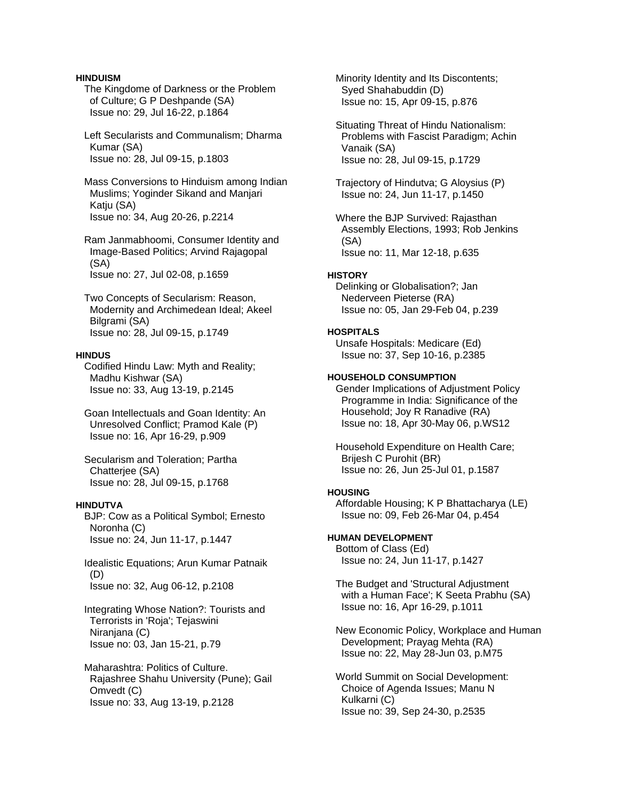## **HINDUISM**

 The Kingdome of Darkness or the Problem of Culture; G P Deshpande (SA) Issue no: 29, Jul 16-22, p.1864

 Left Secularists and Communalism; Dharma Kumar (SA) Issue no: 28, Jul 09-15, p.1803

 Mass Conversions to Hinduism among Indian Muslims; Yoginder Sikand and Manjari Katju (SA) Issue no: 34, Aug 20-26, p.2214

 Ram Janmabhoomi, Consumer Identity and Image-Based Politics; Arvind Rajagopal (SA) Issue no: 27, Jul 02-08, p.1659

 Two Concepts of Secularism: Reason, Modernity and Archimedean Ideal; Akeel Bilgrami (SA) Issue no: 28, Jul 09-15, p.1749

### **HINDUS**

 Codified Hindu Law: Myth and Reality; Madhu Kishwar (SA) Issue no: 33, Aug 13-19, p.2145

 Goan Intellectuals and Goan Identity: An Unresolved Conflict; Pramod Kale (P) Issue no: 16, Apr 16-29, p.909

 Secularism and Toleration; Partha Chatterjee (SA) Issue no: 28, Jul 09-15, p.1768

## **HINDUTVA**

 BJP: Cow as a Political Symbol; Ernesto Noronha (C) Issue no: 24, Jun 11-17, p.1447

 Idealistic Equations; Arun Kumar Patnaik (D) Issue no: 32, Aug 06-12, p.2108

 Integrating Whose Nation?: Tourists and Terrorists in 'Roja'; Tejaswini Niranjana (C) Issue no: 03, Jan 15-21, p.79

 Maharashtra: Politics of Culture. Rajashree Shahu University (Pune); Gail Omvedt (C) Issue no: 33, Aug 13-19, p.2128

 Minority Identity and Its Discontents; Syed Shahabuddin (D) Issue no: 15, Apr 09-15, p.876

 Situating Threat of Hindu Nationalism: Problems with Fascist Paradigm; Achin Vanaik (SA) Issue no: 28, Jul 09-15, p.1729

 Trajectory of Hindutva; G Aloysius (P) Issue no: 24, Jun 11-17, p.1450

 Where the BJP Survived: Rajasthan Assembly Elections, 1993; Rob Jenkins (SA) Issue no: 11, Mar 12-18, p.635

#### **HISTORY**

 Delinking or Globalisation?; Jan Nederveen Pieterse (RA) Issue no: 05, Jan 29-Feb 04, p.239

## **HOSPITALS**

 Unsafe Hospitals: Medicare (Ed) Issue no: 37, Sep 10-16, p.2385

## **HOUSEHOLD CONSUMPTION**

 Gender Implications of Adjustment Policy Programme in India: Significance of the Household; Joy R Ranadive (RA) Issue no: 18, Apr 30-May 06, p.WS12

 Household Expenditure on Health Care; Brijesh C Purohit (BR) Issue no: 26, Jun 25-Jul 01, p.1587

#### **HOUSING**

 Affordable Housing; K P Bhattacharya (LE) Issue no: 09, Feb 26-Mar 04, p.454

## **HUMAN DEVELOPMENT**

 Bottom of Class (Ed) Issue no: 24, Jun 11-17, p.1427

 The Budget and 'Structural Adjustment with a Human Face'; K Seeta Prabhu (SA) Issue no: 16, Apr 16-29, p.1011

 New Economic Policy, Workplace and Human Development; Prayag Mehta (RA) Issue no: 22, May 28-Jun 03, p.M75

 World Summit on Social Development: Choice of Agenda Issues; Manu N Kulkarni (C) Issue no: 39, Sep 24-30, p.2535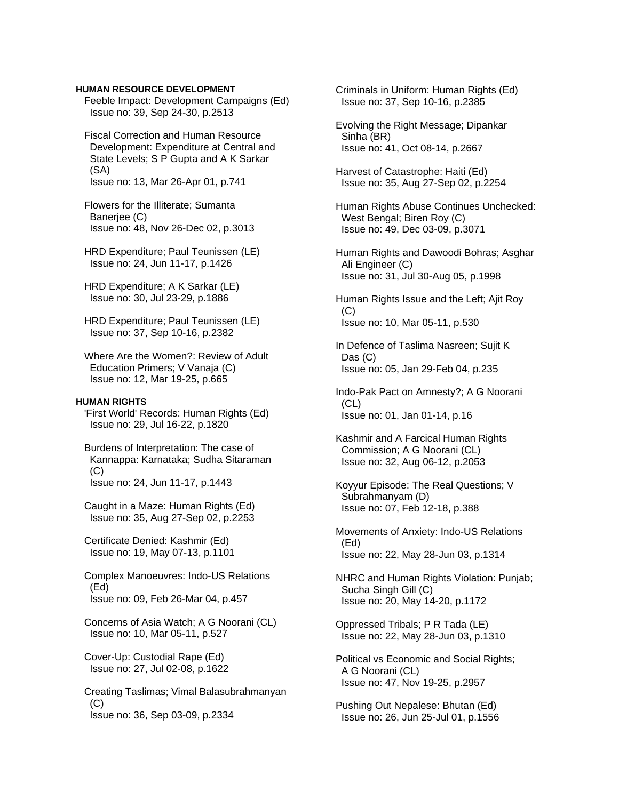### **HUMAN RESOURCE DEVELOPMENT**

 Feeble Impact: Development Campaigns (Ed) Issue no: 39, Sep 24-30, p.2513

 Fiscal Correction and Human Resource Development: Expenditure at Central and State Levels; S P Gupta and A K Sarkar (SA) Issue no: 13, Mar 26-Apr 01, p.741

 Flowers for the Illiterate; Sumanta Banerjee (C) Issue no: 48, Nov 26-Dec 02, p.3013

 HRD Expenditure; Paul Teunissen (LE) Issue no: 24, Jun 11-17, p.1426

 HRD Expenditure; A K Sarkar (LE) Issue no: 30, Jul 23-29, p.1886

 HRD Expenditure; Paul Teunissen (LE) Issue no: 37, Sep 10-16, p.2382

 Where Are the Women?: Review of Adult Education Primers; V Vanaja (C) Issue no: 12, Mar 19-25, p.665

#### **HUMAN RIGHTS**

 'First World' Records: Human Rights (Ed) Issue no: 29, Jul 16-22, p.1820

 Burdens of Interpretation: The case of Kannappa: Karnataka; Sudha Sitaraman (C) Issue no: 24, Jun 11-17, p.1443

 Caught in a Maze: Human Rights (Ed) Issue no: 35, Aug 27-Sep 02, p.2253

 Certificate Denied: Kashmir (Ed) Issue no: 19, May 07-13, p.1101

 Complex Manoeuvres: Indo-US Relations (Ed) Issue no: 09, Feb 26-Mar 04, p.457

 Concerns of Asia Watch; A G Noorani (CL) Issue no: 10, Mar 05-11, p.527

 Cover-Up: Custodial Rape (Ed) Issue no: 27, Jul 02-08, p.1622

 Creating Taslimas; Vimal Balasubrahmanyan (C) Issue no: 36, Sep 03-09, p.2334

 Criminals in Uniform: Human Rights (Ed) Issue no: 37, Sep 10-16, p.2385

 Evolving the Right Message; Dipankar Sinha (BR) Issue no: 41, Oct 08-14, p.2667

 Harvest of Catastrophe: Haiti (Ed) Issue no: 35, Aug 27-Sep 02, p.2254

 Human Rights Abuse Continues Unchecked: West Bengal; Biren Roy (C) Issue no: 49, Dec 03-09, p.3071

 Human Rights and Dawoodi Bohras; Asghar Ali Engineer (C) Issue no: 31, Jul 30-Aug 05, p.1998

 Human Rights Issue and the Left; Ajit Roy (C) Issue no: 10, Mar 05-11, p.530

 In Defence of Taslima Nasreen; Sujit K Das (C) Issue no: 05, Jan 29-Feb 04, p.235

 Indo-Pak Pact on Amnesty?; A G Noorani (CL) Issue no: 01, Jan 01-14, p.16

 Kashmir and A Farcical Human Rights Commission; A G Noorani (CL) Issue no: 32, Aug 06-12, p.2053

 Koyyur Episode: The Real Questions; V Subrahmanyam (D) Issue no: 07, Feb 12-18, p.388

 Movements of Anxiety: Indo-US Relations (Ed) Issue no: 22, May 28-Jun 03, p.1314

 NHRC and Human Rights Violation: Punjab; Sucha Singh Gill (C) Issue no: 20, May 14-20, p.1172

 Oppressed Tribals; P R Tada (LE) Issue no: 22, May 28-Jun 03, p.1310

 Political vs Economic and Social Rights; A G Noorani (CL) Issue no: 47, Nov 19-25, p.2957

 Pushing Out Nepalese: Bhutan (Ed) Issue no: 26, Jun 25-Jul 01, p.1556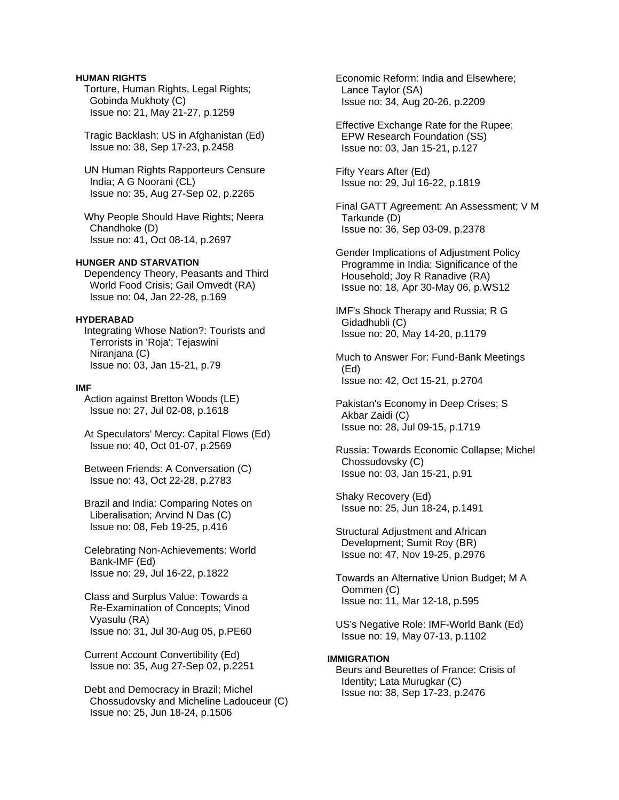## **HUMAN RIGHTS**

 Torture, Human Rights, Legal Rights; Gobinda Mukhoty (C) Issue no: 21, May 21-27, p.1259

 Tragic Backlash: US in Afghanistan (Ed) Issue no: 38, Sep 17-23, p.2458

 UN Human Rights Rapporteurs Censure India; A G Noorani (CL) Issue no: 35, Aug 27-Sep 02, p.2265

 Why People Should Have Rights; Neera Chandhoke (D) Issue no: 41, Oct 08-14, p.2697

## **HUNGER AND STARVATION**

 Dependency Theory, Peasants and Third World Food Crisis; Gail Omvedt (RA) Issue no: 04, Jan 22-28, p.169

### **HYDERABAD**

 Integrating Whose Nation?: Tourists and Terrorists in 'Roja'; Tejaswini Niranjana (C) Issue no: 03, Jan 15-21, p.79

#### **IMF**

 Action against Bretton Woods (LE) Issue no: 27, Jul 02-08, p.1618

 At Speculators' Mercy: Capital Flows (Ed) Issue no: 40, Oct 01-07, p.2569

 Between Friends: A Conversation (C) Issue no: 43, Oct 22-28, p.2783

 Brazil and India: Comparing Notes on Liberalisation; Arvind N Das (C) Issue no: 08, Feb 19-25, p.416

 Celebrating Non-Achievements: World Bank-IMF (Ed) Issue no: 29, Jul 16-22, p.1822

 Class and Surplus Value: Towards a Re-Examination of Concepts; Vinod Vyasulu (RA) Issue no: 31, Jul 30-Aug 05, p.PE60

 Current Account Convertibility (Ed) Issue no: 35, Aug 27-Sep 02, p.2251

 Debt and Democracy in Brazil; Michel Chossudovsky and Micheline Ladouceur (C) Issue no: 25, Jun 18-24, p.1506

 Economic Reform: India and Elsewhere; Lance Taylor (SA) Issue no: 34, Aug 20-26, p.2209

 Effective Exchange Rate for the Rupee; EPW Research Foundation (SS) Issue no: 03, Jan 15-21, p.127

 Fifty Years After (Ed) Issue no: 29, Jul 16-22, p.1819

 Final GATT Agreement: An Assessment; V M Tarkunde (D) Issue no: 36, Sep 03-09, p.2378

 Gender Implications of Adjustment Policy Programme in India: Significance of the Household; Joy R Ranadive (RA) Issue no: 18, Apr 30-May 06, p.WS12

 IMF's Shock Therapy and Russia; R G Gidadhubli (C) Issue no: 20, May 14-20, p.1179

 Much to Answer For: Fund-Bank Meetings (Ed) Issue no: 42, Oct 15-21, p.2704

 Pakistan's Economy in Deep Crises; S Akbar Zaidi (C) Issue no: 28, Jul 09-15, p.1719

 Russia: Towards Economic Collapse; Michel Chossudovsky (C) Issue no: 03, Jan 15-21, p.91

 Shaky Recovery (Ed) Issue no: 25, Jun 18-24, p.1491

 Structural Adjustment and African Development; Sumit Roy (BR) Issue no: 47, Nov 19-25, p.2976

 Towards an Alternative Union Budget; M A Oommen (C) Issue no: 11, Mar 12-18, p.595

 US's Negative Role: IMF-World Bank (Ed) Issue no: 19, May 07-13, p.1102

#### **IMMIGRATION**

 Beurs and Beurettes of France: Crisis of Identity; Lata Murugkar (C) Issue no: 38, Sep 17-23, p.2476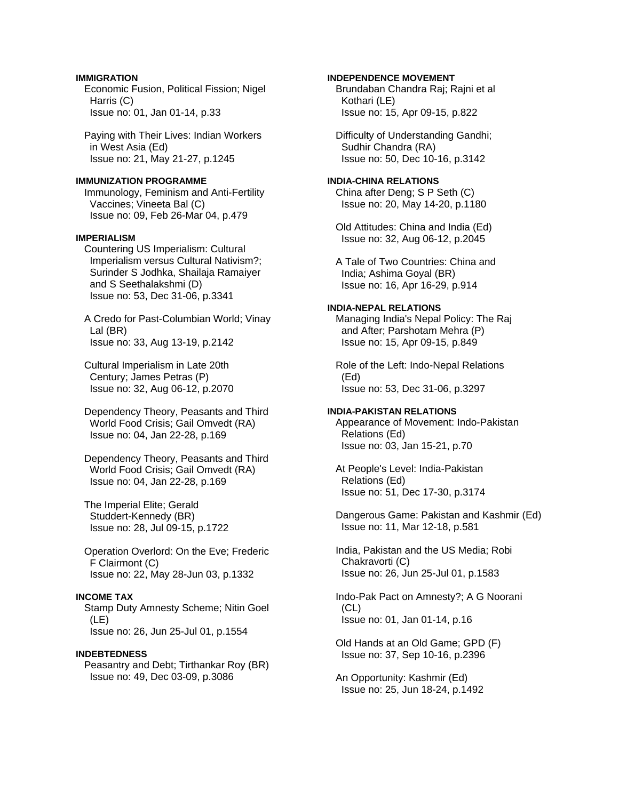## **IMMIGRATION**

 Economic Fusion, Political Fission; Nigel Harris (C) Issue no: 01, Jan 01-14, p.33

 Paying with Their Lives: Indian Workers in West Asia (Ed) Issue no: 21, May 21-27, p.1245

#### **IMMUNIZATION PROGRAMME**

 Immunology, Feminism and Anti-Fertility Vaccines; Vineeta Bal (C) Issue no: 09, Feb 26-Mar 04, p.479

## **IMPERIALISM**

 Countering US Imperialism: Cultural Imperialism versus Cultural Nativism?; Surinder S Jodhka, Shailaja Ramaiyer and S Seethalakshmi (D) Issue no: 53, Dec 31-06, p.3341

 A Credo for Past-Columbian World; Vinay Lal (BR) Issue no: 33, Aug 13-19, p.2142

 Cultural Imperialism in Late 20th Century; James Petras (P) Issue no: 32, Aug 06-12, p.2070

 Dependency Theory, Peasants and Third World Food Crisis; Gail Omvedt (RA) Issue no: 04, Jan 22-28, p.169

 Dependency Theory, Peasants and Third World Food Crisis; Gail Omvedt (RA) Issue no: 04, Jan 22-28, p.169

 The Imperial Elite; Gerald Studdert-Kennedy (BR) Issue no: 28, Jul 09-15, p.1722

 Operation Overlord: On the Eve; Frederic F Clairmont (C) Issue no: 22, May 28-Jun 03, p.1332

## **INCOME TAX**

 Stamp Duty Amnesty Scheme; Nitin Goel (LE) Issue no: 26, Jun 25-Jul 01, p.1554

#### **INDEBTEDNESS**

 Peasantry and Debt; Tirthankar Roy (BR) Issue no: 49, Dec 03-09, p.3086

### **INDEPENDENCE MOVEMENT**

 Brundaban Chandra Raj; Rajni et al Kothari (LE) Issue no: 15, Apr 09-15, p.822

 Difficulty of Understanding Gandhi; Sudhir Chandra (RA) Issue no: 50, Dec 10-16, p.3142

#### **INDIA-CHINA RELATIONS**  China after Deng; S P Seth (C)

Issue no: 20, May 14-20, p.1180

 Old Attitudes: China and India (Ed) Issue no: 32, Aug 06-12, p.2045

 A Tale of Two Countries: China and India; Ashima Goyal (BR) Issue no: 16, Apr 16-29, p.914

## **INDIA-NEPAL RELATIONS**

 Managing India's Nepal Policy: The Raj and After; Parshotam Mehra (P) Issue no: 15, Apr 09-15, p.849

 Role of the Left: Indo-Nepal Relations (Ed) Issue no: 53, Dec 31-06, p.3297

### **INDIA-PAKISTAN RELATIONS**

 Appearance of Movement: Indo-Pakistan Relations (Ed) Issue no: 03, Jan 15-21, p.70

 At People's Level: India-Pakistan Relations (Ed) Issue no: 51, Dec 17-30, p.3174

 Dangerous Game: Pakistan and Kashmir (Ed) Issue no: 11, Mar 12-18, p.581

 India, Pakistan and the US Media; Robi Chakravorti (C) Issue no: 26, Jun 25-Jul 01, p.1583

 Indo-Pak Pact on Amnesty?; A G Noorani (CL) Issue no: 01, Jan 01-14, p.16

 Old Hands at an Old Game; GPD (F) Issue no: 37, Sep 10-16, p.2396

 An Opportunity: Kashmir (Ed) Issue no: 25, Jun 18-24, p.1492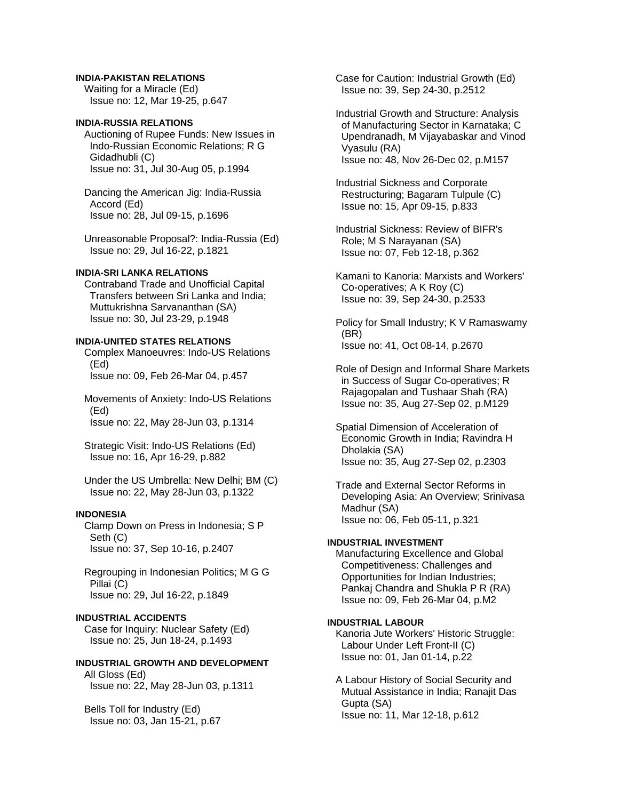### **INDIA-PAKISTAN RELATIONS**

 Waiting for a Miracle (Ed) Issue no: 12, Mar 19-25, p.647

## **INDIA-RUSSIA RELATIONS**

 Auctioning of Rupee Funds: New Issues in Indo-Russian Economic Relations; R G Gidadhubli (C) Issue no: 31, Jul 30-Aug 05, p.1994

 Dancing the American Jig: India-Russia Accord (Ed) Issue no: 28, Jul 09-15, p.1696

 Unreasonable Proposal?: India-Russia (Ed) Issue no: 29, Jul 16-22, p.1821

## **INDIA-SRI LANKA RELATIONS**

 Contraband Trade and Unofficial Capital Transfers between Sri Lanka and India; Muttukrishna Sarvananthan (SA) Issue no: 30, Jul 23-29, p.1948

#### **INDIA-UNITED STATES RELATIONS**

 Complex Manoeuvres: Indo-US Relations (Ed) Issue no: 09, Feb 26-Mar 04, p.457

 Movements of Anxiety: Indo-US Relations (Ed) Issue no: 22, May 28-Jun 03, p.1314

 Strategic Visit: Indo-US Relations (Ed) Issue no: 16, Apr 16-29, p.882

 Under the US Umbrella: New Delhi; BM (C) Issue no: 22, May 28-Jun 03, p.1322

### **INDONESIA**

 Clamp Down on Press in Indonesia; S P Seth (C) Issue no: 37, Sep 10-16, p.2407

 Regrouping in Indonesian Politics; M G G Pillai (C) Issue no: 29, Jul 16-22, p.1849

### **INDUSTRIAL ACCIDENTS**

 Case for Inquiry: Nuclear Safety (Ed) Issue no: 25, Jun 18-24, p.1493

**INDUSTRIAL GROWTH AND DEVELOPMENT**  All Gloss (Ed) Issue no: 22, May 28-Jun 03, p.1311

 Bells Toll for Industry (Ed) Issue no: 03, Jan 15-21, p.67  Case for Caution: Industrial Growth (Ed) Issue no: 39, Sep 24-30, p.2512

 Industrial Growth and Structure: Analysis of Manufacturing Sector in Karnataka; C Upendranadh, M Vijayabaskar and Vinod Vyasulu (RA) Issue no: 48, Nov 26-Dec 02, p.M157

 Industrial Sickness and Corporate Restructuring; Bagaram Tulpule (C) Issue no: 15, Apr 09-15, p.833

 Industrial Sickness: Review of BIFR's Role; M S Narayanan (SA) Issue no: 07, Feb 12-18, p.362

 Kamani to Kanoria: Marxists and Workers' Co-operatives; A K Roy (C) Issue no: 39, Sep 24-30, p.2533

 Policy for Small Industry; K V Ramaswamy (BR) Issue no: 41, Oct 08-14, p.2670

 Role of Design and Informal Share Markets in Success of Sugar Co-operatives; R Rajagopalan and Tushaar Shah (RA) Issue no: 35, Aug 27-Sep 02, p.M129

 Spatial Dimension of Acceleration of Economic Growth in India; Ravindra H Dholakia (SA) Issue no: 35, Aug 27-Sep 02, p.2303

 Trade and External Sector Reforms in Developing Asia: An Overview; Srinivasa Madhur (SA) Issue no: 06, Feb 05-11, p.321

## **INDUSTRIAL INVESTMENT**

 Manufacturing Excellence and Global Competitiveness: Challenges and Opportunities for Indian Industries; Pankaj Chandra and Shukla P R (RA) Issue no: 09, Feb 26-Mar 04, p.M2

## **INDUSTRIAL LABOUR**

 Kanoria Jute Workers' Historic Struggle: Labour Under Left Front-II (C) Issue no: 01, Jan 01-14, p.22

 A Labour History of Social Security and Mutual Assistance in India; Ranajit Das Gupta (SA) Issue no: 11, Mar 12-18, p.612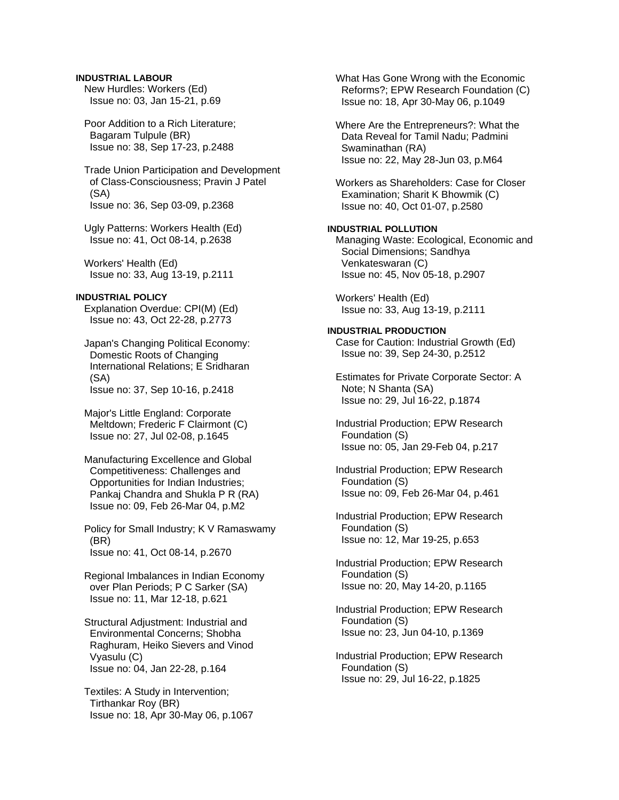## **INDUSTRIAL LABOUR**

 New Hurdles: Workers (Ed) Issue no: 03, Jan 15-21, p.69

 Poor Addition to a Rich Literature; Bagaram Tulpule (BR) Issue no: 38, Sep 17-23, p.2488

 Trade Union Participation and Development of Class-Consciousness; Pravin J Patel (SA) Issue no: 36, Sep 03-09, p.2368

 Ugly Patterns: Workers Health (Ed) Issue no: 41, Oct 08-14, p.2638

 Workers' Health (Ed) Issue no: 33, Aug 13-19, p.2111

## **INDUSTRIAL POLICY**

 Explanation Overdue: CPI(M) (Ed) Issue no: 43, Oct 22-28, p.2773

 Japan's Changing Political Economy: Domestic Roots of Changing International Relations; E Sridharan (SA) Issue no: 37, Sep 10-16, p.2418

 Major's Little England: Corporate Meltdown; Frederic F Clairmont (C) Issue no: 27, Jul 02-08, p.1645

 Manufacturing Excellence and Global Competitiveness: Challenges and Opportunities for Indian Industries; Pankaj Chandra and Shukla P R (RA) Issue no: 09, Feb 26-Mar 04, p.M2

 Policy for Small Industry; K V Ramaswamy (BR) Issue no: 41, Oct 08-14, p.2670

 Regional Imbalances in Indian Economy over Plan Periods; P C Sarker (SA) Issue no: 11, Mar 12-18, p.621

 Structural Adjustment: Industrial and Environmental Concerns; Shobha Raghuram, Heiko Sievers and Vinod Vyasulu (C) Issue no: 04, Jan 22-28, p.164

 Textiles: A Study in Intervention; Tirthankar Roy (BR) Issue no: 18, Apr 30-May 06, p.1067  What Has Gone Wrong with the Economic Reforms?; EPW Research Foundation (C) Issue no: 18, Apr 30-May 06, p.1049

 Where Are the Entrepreneurs?: What the Data Reveal for Tamil Nadu; Padmini Swaminathan (RA) Issue no: 22, May 28-Jun 03, p.M64

 Workers as Shareholders: Case for Closer Examination; Sharit K Bhowmik (C) Issue no: 40, Oct 01-07, p.2580

## **INDUSTRIAL POLLUTION**

 Managing Waste: Ecological, Economic and Social Dimensions; Sandhya Venkateswaran (C) Issue no: 45, Nov 05-18, p.2907

 Workers' Health (Ed) Issue no: 33, Aug 13-19, p.2111

### **INDUSTRIAL PRODUCTION**

 Case for Caution: Industrial Growth (Ed) Issue no: 39, Sep 24-30, p.2512

 Estimates for Private Corporate Sector: A Note; N Shanta (SA) Issue no: 29, Jul 16-22, p.1874

 Industrial Production; EPW Research Foundation (S) Issue no: 05, Jan 29-Feb 04, p.217

 Industrial Production; EPW Research Foundation (S) Issue no: 09, Feb 26-Mar 04, p.461

 Industrial Production; EPW Research Foundation (S) Issue no: 12, Mar 19-25, p.653

 Industrial Production; EPW Research Foundation (S) Issue no: 20, May 14-20, p.1165

 Industrial Production; EPW Research Foundation (S) Issue no: 23, Jun 04-10, p.1369

 Industrial Production; EPW Research Foundation (S) Issue no: 29, Jul 16-22, p.1825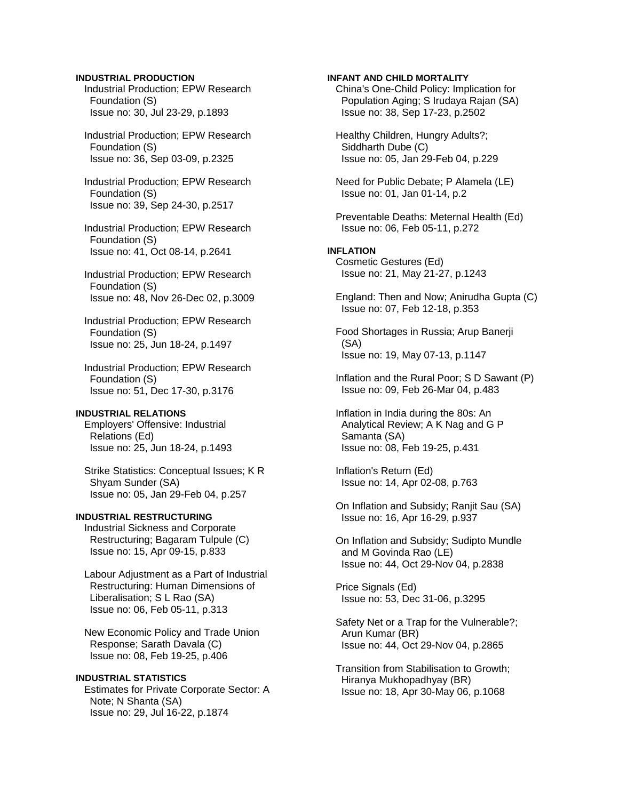## **INDUSTRIAL PRODUCTION**

 Industrial Production; EPW Research Foundation (S) Issue no: 30, Jul 23-29, p.1893

 Industrial Production; EPW Research Foundation (S) Issue no: 36, Sep 03-09, p.2325

 Industrial Production; EPW Research Foundation (S) Issue no: 39, Sep 24-30, p.2517

 Industrial Production; EPW Research Foundation (S) Issue no: 41, Oct 08-14, p.2641

 Industrial Production; EPW Research Foundation (S) Issue no: 48, Nov 26-Dec 02, p.3009

 Industrial Production; EPW Research Foundation (S) Issue no: 25, Jun 18-24, p.1497

 Industrial Production; EPW Research Foundation (S) Issue no: 51, Dec 17-30, p.3176

## **INDUSTRIAL RELATIONS**

 Employers' Offensive: Industrial Relations (Ed) Issue no: 25, Jun 18-24, p.1493

 Strike Statistics: Conceptual Issues; K R Shyam Sunder (SA) Issue no: 05, Jan 29-Feb 04, p.257

## **INDUSTRIAL RESTRUCTURING**

 Industrial Sickness and Corporate Restructuring; Bagaram Tulpule (C) Issue no: 15, Apr 09-15, p.833

 Labour Adjustment as a Part of Industrial Restructuring: Human Dimensions of Liberalisation; S L Rao (SA) Issue no: 06, Feb 05-11, p.313

 New Economic Policy and Trade Union Response; Sarath Davala (C) Issue no: 08, Feb 19-25, p.406

## **INDUSTRIAL STATISTICS**

 Estimates for Private Corporate Sector: A Note; N Shanta (SA) Issue no: 29, Jul 16-22, p.1874

### **INFANT AND CHILD MORTALITY**

 China's One-Child Policy: Implication for Population Aging; S Irudaya Rajan (SA) Issue no: 38, Sep 17-23, p.2502

 Healthy Children, Hungry Adults?; Siddharth Dube (C) Issue no: 05, Jan 29-Feb 04, p.229

 Need for Public Debate; P Alamela (LE) Issue no: 01, Jan 01-14, p.2

 Preventable Deaths: Meternal Health (Ed) Issue no: 06, Feb 05-11, p.272

## **INFLATION**

 Cosmetic Gestures (Ed) Issue no: 21, May 21-27, p.1243

 England: Then and Now; Anirudha Gupta (C) Issue no: 07, Feb 12-18, p.353

 Food Shortages in Russia; Arup Banerji (SA) Issue no: 19, May 07-13, p.1147

 Inflation and the Rural Poor; S D Sawant (P) Issue no: 09, Feb 26-Mar 04, p.483

 Inflation in India during the 80s: An Analytical Review; A K Nag and G P Samanta (SA) Issue no: 08, Feb 19-25, p.431

 Inflation's Return (Ed) Issue no: 14, Apr 02-08, p.763

 On Inflation and Subsidy; Ranjit Sau (SA) Issue no: 16, Apr 16-29, p.937

 On Inflation and Subsidy; Sudipto Mundle and M Govinda Rao (LE) Issue no: 44, Oct 29-Nov 04, p.2838

 Price Signals (Ed) Issue no: 53, Dec 31-06, p.3295

 Safety Net or a Trap for the Vulnerable?; Arun Kumar (BR) Issue no: 44, Oct 29-Nov 04, p.2865

 Transition from Stabilisation to Growth; Hiranya Mukhopadhyay (BR) Issue no: 18, Apr 30-May 06, p.1068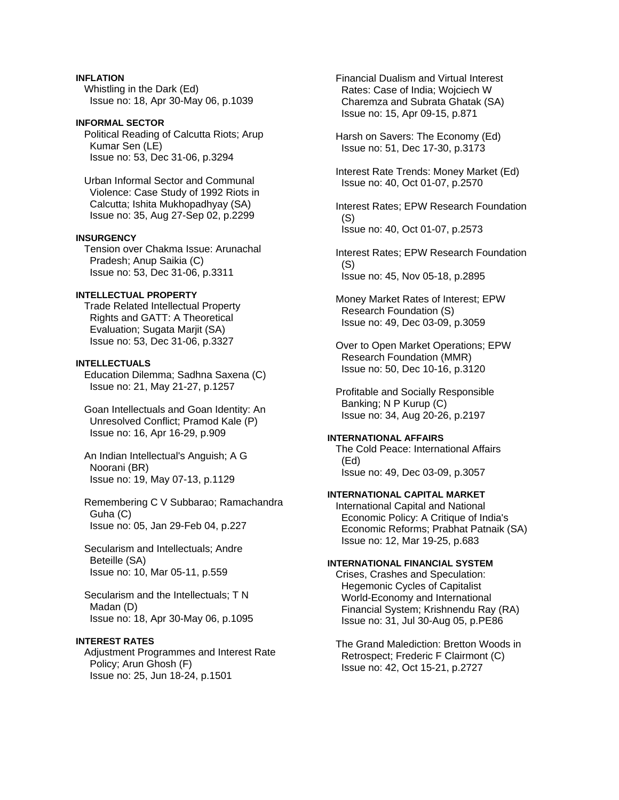## **INFLATION**

 Whistling in the Dark (Ed) Issue no: 18, Apr 30-May 06, p.1039

**INFORMAL SECTOR**  Political Reading of Calcutta Riots; Arup Kumar Sen (LE) Issue no: 53, Dec 31-06, p.3294

 Urban Informal Sector and Communal Violence: Case Study of 1992 Riots in Calcutta; Ishita Mukhopadhyay (SA) Issue no: 35, Aug 27-Sep 02, p.2299

### **INSURGENCY**

 Tension over Chakma Issue: Arunachal Pradesh; Anup Saikia (C) Issue no: 53, Dec 31-06, p.3311

## **INTELLECTUAL PROPERTY**

 Trade Related Intellectual Property Rights and GATT: A Theoretical Evaluation; Sugata Marjit (SA) Issue no: 53, Dec 31-06, p.3327

#### **INTELLECTUALS**

 Education Dilemma; Sadhna Saxena (C) Issue no: 21, May 21-27, p.1257

 Goan Intellectuals and Goan Identity: An Unresolved Conflict; Pramod Kale (P) Issue no: 16, Apr 16-29, p.909

 An Indian Intellectual's Anguish; A G Noorani (BR) Issue no: 19, May 07-13, p.1129

 Remembering C V Subbarao; Ramachandra Guha (C) Issue no: 05, Jan 29-Feb 04, p.227

 Secularism and Intellectuals; Andre Beteille (SA) Issue no: 10, Mar 05-11, p.559

 Secularism and the Intellectuals; T N Madan (D) Issue no: 18, Apr 30-May 06, p.1095

## **INTEREST RATES**

 Adjustment Programmes and Interest Rate Policy; Arun Ghosh (F) Issue no: 25, Jun 18-24, p.1501

 Financial Dualism and Virtual Interest Rates: Case of India; Wojciech W Charemza and Subrata Ghatak (SA) Issue no: 15, Apr 09-15, p.871

 Harsh on Savers: The Economy (Ed) Issue no: 51, Dec 17-30, p.3173

 Interest Rate Trends: Money Market (Ed) Issue no: 40, Oct 01-07, p.2570

 Interest Rates; EPW Research Foundation (S) Issue no: 40, Oct 01-07, p.2573

 Interest Rates; EPW Research Foundation (S) Issue no: 45, Nov 05-18, p.2895

 Money Market Rates of Interest; EPW Research Foundation (S) Issue no: 49, Dec 03-09, p.3059

 Over to Open Market Operations; EPW Research Foundation (MMR) Issue no: 50, Dec 10-16, p.3120

 Profitable and Socially Responsible Banking; N P Kurup (C) Issue no: 34, Aug 20-26, p.2197

#### **INTERNATIONAL AFFAIRS**

 The Cold Peace: International Affairs (Ed) Issue no: 49, Dec 03-09, p.3057

#### **INTERNATIONAL CAPITAL MARKET**

 International Capital and National Economic Policy: A Critique of India's Economic Reforms; Prabhat Patnaik (SA) Issue no: 12, Mar 19-25, p.683

## **INTERNATIONAL FINANCIAL SYSTEM**

 Crises, Crashes and Speculation: Hegemonic Cycles of Capitalist World-Economy and International Financial System; Krishnendu Ray (RA) Issue no: 31, Jul 30-Aug 05, p.PE86

 The Grand Malediction: Bretton Woods in Retrospect; Frederic F Clairmont (C) Issue no: 42, Oct 15-21, p.2727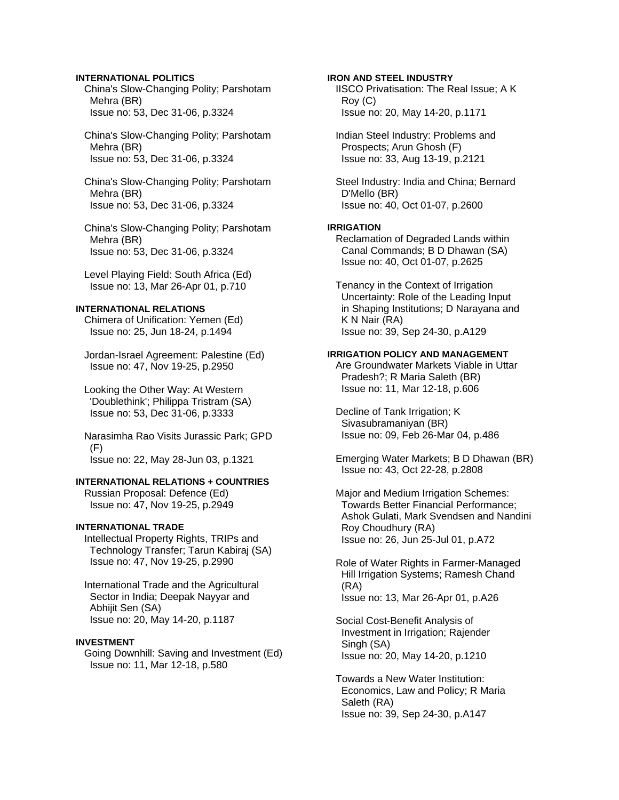### **INTERNATIONAL POLITICS**

 China's Slow-Changing Polity; Parshotam Mehra (BR) Issue no: 53, Dec 31-06, p.3324

 China's Slow-Changing Polity; Parshotam Mehra (BR) Issue no: 53, Dec 31-06, p.3324

 China's Slow-Changing Polity; Parshotam Mehra (BR) Issue no: 53, Dec 31-06, p.3324

 China's Slow-Changing Polity; Parshotam Mehra (BR) Issue no: 53, Dec 31-06, p.3324

 Level Playing Field: South Africa (Ed) Issue no: 13, Mar 26-Apr 01, p.710

# **INTERNATIONAL RELATIONS**

 Chimera of Unification: Yemen (Ed) Issue no: 25, Jun 18-24, p.1494

 Jordan-Israel Agreement: Palestine (Ed) Issue no: 47, Nov 19-25, p.2950

 Looking the Other Way: At Western 'Doublethink'; Philippa Tristram (SA) Issue no: 53, Dec 31-06, p.3333

 Narasimha Rao Visits Jurassic Park; GPD  $(F)$ Issue no: 22, May 28-Jun 03, p.1321

# **INTERNATIONAL RELATIONS + COUNTRIES**

 Russian Proposal: Defence (Ed) Issue no: 47, Nov 19-25, p.2949

# **INTERNATIONAL TRADE**

 Intellectual Property Rights, TRIPs and Technology Transfer; Tarun Kabiraj (SA) Issue no: 47, Nov 19-25, p.2990

 International Trade and the Agricultural Sector in India; Deepak Nayyar and Abhijit Sen (SA) Issue no: 20, May 14-20, p.1187

#### **INVESTMENT**

 Going Downhill: Saving and Investment (Ed) Issue no: 11, Mar 12-18, p.580

### **IRON AND STEEL INDUSTRY**

 IISCO Privatisation: The Real Issue; A K Roy (C) Issue no: 20, May 14-20, p.1171

 Indian Steel Industry: Problems and Prospects; Arun Ghosh (F) Issue no: 33, Aug 13-19, p.2121

 Steel Industry: India and China; Bernard D'Mello (BR) Issue no: 40, Oct 01-07, p.2600

### **IRRIGATION**

 Reclamation of Degraded Lands within Canal Commands; B D Dhawan (SA) Issue no: 40, Oct 01-07, p.2625

 Tenancy in the Context of Irrigation Uncertainty: Role of the Leading Input in Shaping Institutions; D Narayana and K N Nair (RA) Issue no: 39, Sep 24-30, p.A129

#### **IRRIGATION POLICY AND MANAGEMENT**

 Are Groundwater Markets Viable in Uttar Pradesh?; R Maria Saleth (BR) Issue no: 11, Mar 12-18, p.606

 Decline of Tank Irrigation; K Sivasubramaniyan (BR) Issue no: 09, Feb 26-Mar 04, p.486

 Emerging Water Markets; B D Dhawan (BR) Issue no: 43, Oct 22-28, p.2808

 Major and Medium Irrigation Schemes: Towards Better Financial Performance; Ashok Gulati, Mark Svendsen and Nandini Roy Choudhury (RA) Issue no: 26, Jun 25-Jul 01, p.A72

 Role of Water Rights in Farmer-Managed Hill Irrigation Systems; Ramesh Chand (RA) Issue no: 13, Mar 26-Apr 01, p.A26

 Social Cost-Benefit Analysis of Investment in Irrigation; Rajender Singh (SA) Issue no: 20, May 14-20, p.1210

 Towards a New Water Institution: Economics, Law and Policy; R Maria Saleth (RA) Issue no: 39, Sep 24-30, p.A147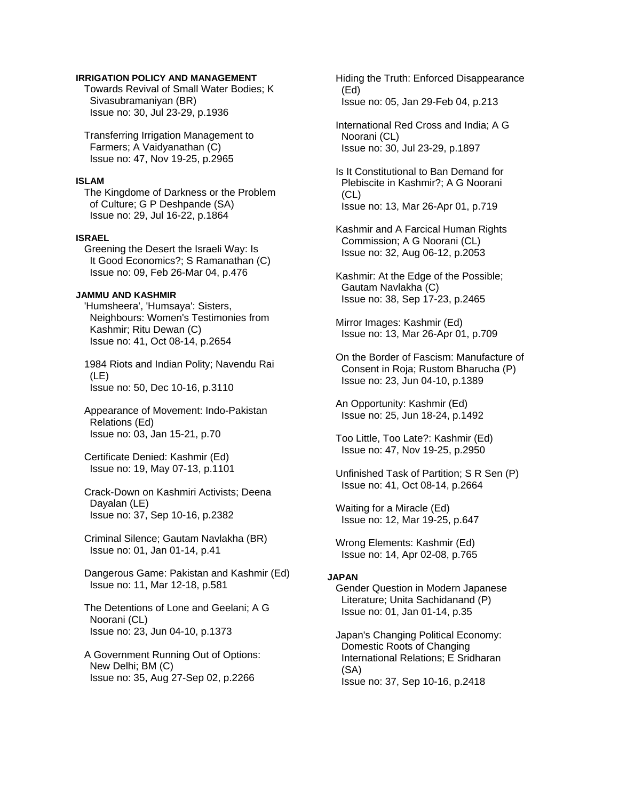### **IRRIGATION POLICY AND MANAGEMENT**

 Towards Revival of Small Water Bodies; K Sivasubramaniyan (BR) Issue no: 30, Jul 23-29, p.1936

 Transferring Irrigation Management to Farmers; A Vaidyanathan (C) Issue no: 47, Nov 19-25, p.2965

#### **ISLAM**

 The Kingdome of Darkness or the Problem of Culture; G P Deshpande (SA) Issue no: 29, Jul 16-22, p.1864

### **ISRAEL**

 Greening the Desert the Israeli Way: Is It Good Economics?; S Ramanathan (C) Issue no: 09, Feb 26-Mar 04, p.476

### **JAMMU AND KASHMIR**

 'Humsheera', 'Humsaya': Sisters, Neighbours: Women's Testimonies from Kashmir; Ritu Dewan (C) Issue no: 41, Oct 08-14, p.2654

 1984 Riots and Indian Polity; Navendu Rai (LE) Issue no: 50, Dec 10-16, p.3110

 Appearance of Movement: Indo-Pakistan Relations (Ed) Issue no: 03, Jan 15-21, p.70

 Certificate Denied: Kashmir (Ed) Issue no: 19, May 07-13, p.1101

 Crack-Down on Kashmiri Activists; Deena Dayalan (LE) Issue no: 37, Sep 10-16, p.2382

 Criminal Silence; Gautam Navlakha (BR) Issue no: 01, Jan 01-14, p.41

 Dangerous Game: Pakistan and Kashmir (Ed) Issue no: 11, Mar 12-18, p.581

 The Detentions of Lone and Geelani; A G Noorani (CL) Issue no: 23, Jun 04-10, p.1373

 A Government Running Out of Options: New Delhi; BM (C) Issue no: 35, Aug 27-Sep 02, p.2266

 Hiding the Truth: Enforced Disappearance (Ed) Issue no: 05, Jan 29-Feb 04, p.213

 International Red Cross and India; A G Noorani (CL) Issue no: 30, Jul 23-29, p.1897

 Is It Constitutional to Ban Demand for Plebiscite in Kashmir?; A G Noorani (CL) Issue no: 13, Mar 26-Apr 01, p.719

 Kashmir and A Farcical Human Rights Commission; A G Noorani (CL) Issue no: 32, Aug 06-12, p.2053

 Kashmir: At the Edge of the Possible; Gautam Navlakha (C) Issue no: 38, Sep 17-23, p.2465

 Mirror Images: Kashmir (Ed) Issue no: 13, Mar 26-Apr 01, p.709

 On the Border of Fascism: Manufacture of Consent in Roja; Rustom Bharucha (P) Issue no: 23, Jun 04-10, p.1389

 An Opportunity: Kashmir (Ed) Issue no: 25, Jun 18-24, p.1492

 Too Little, Too Late?: Kashmir (Ed) Issue no: 47, Nov 19-25, p.2950

 Unfinished Task of Partition; S R Sen (P) Issue no: 41, Oct 08-14, p.2664

 Waiting for a Miracle (Ed) Issue no: 12, Mar 19-25, p.647

 Wrong Elements: Kashmir (Ed) Issue no: 14, Apr 02-08, p.765

# **JAPAN**

 Gender Question in Modern Japanese Literature; Unita Sachidanand (P) Issue no: 01, Jan 01-14, p.35

 Japan's Changing Political Economy: Domestic Roots of Changing International Relations; E Sridharan (SA) Issue no: 37, Sep 10-16, p.2418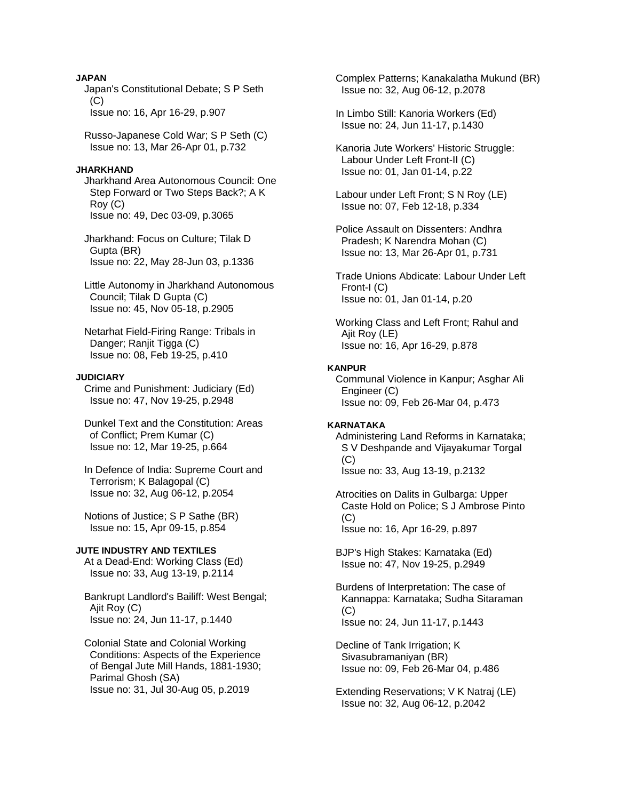### **JAPAN**

 Japan's Constitutional Debate; S P Seth  $(C)$ Issue no: 16, Apr 16-29, p.907

 Russo-Japanese Cold War; S P Seth (C) Issue no: 13, Mar 26-Apr 01, p.732

#### **JHARKHAND**

 Jharkhand Area Autonomous Council: One Step Forward or Two Steps Back?; A K Roy (C) Issue no: 49, Dec 03-09, p.3065

 Jharkhand: Focus on Culture; Tilak D Gupta (BR) Issue no: 22, May 28-Jun 03, p.1336

 Little Autonomy in Jharkhand Autonomous Council; Tilak D Gupta (C) Issue no: 45, Nov 05-18, p.2905

 Netarhat Field-Firing Range: Tribals in Danger; Ranjit Tigga (C) Issue no: 08, Feb 19-25, p.410

#### **JUDICIARY**

 Crime and Punishment: Judiciary (Ed) Issue no: 47, Nov 19-25, p.2948

 Dunkel Text and the Constitution: Areas of Conflict; Prem Kumar (C) Issue no: 12, Mar 19-25, p.664

 In Defence of India: Supreme Court and Terrorism; K Balagopal (C) Issue no: 32, Aug 06-12, p.2054

 Notions of Justice; S P Sathe (BR) Issue no: 15, Apr 09-15, p.854

# **JUTE INDUSTRY AND TEXTILES**

 At a Dead-End: Working Class (Ed) Issue no: 33, Aug 13-19, p.2114

 Bankrupt Landlord's Bailiff: West Bengal; Ajit Roy (C) Issue no: 24, Jun 11-17, p.1440

 Colonial State and Colonial Working Conditions: Aspects of the Experience of Bengal Jute Mill Hands, 1881-1930; Parimal Ghosh (SA) Issue no: 31, Jul 30-Aug 05, p.2019

 Complex Patterns; Kanakalatha Mukund (BR) Issue no: 32, Aug 06-12, p.2078

 In Limbo Still: Kanoria Workers (Ed) Issue no: 24, Jun 11-17, p.1430

 Kanoria Jute Workers' Historic Struggle: Labour Under Left Front-II (C) Issue no: 01, Jan 01-14, p.22

 Labour under Left Front; S N Roy (LE) Issue no: 07, Feb 12-18, p.334

 Police Assault on Dissenters: Andhra Pradesh; K Narendra Mohan (C) Issue no: 13, Mar 26-Apr 01, p.731

 Trade Unions Abdicate: Labour Under Left Front-I (C) Issue no: 01, Jan 01-14, p.20

 Working Class and Left Front; Rahul and Ajit Roy (LE) Issue no: 16, Apr 16-29, p.878

### **KANPUR**

 Communal Violence in Kanpur; Asghar Ali Engineer (C) Issue no: 09, Feb 26-Mar 04, p.473

### **KARNATAKA**

 Administering Land Reforms in Karnataka; S V Deshpande and Vijayakumar Torgal  $(C)$ Issue no: 33, Aug 13-19, p.2132

 Atrocities on Dalits in Gulbarga: Upper Caste Hold on Police; S J Ambrose Pinto  $(C)$ Issue no: 16, Apr 16-29, p.897

 BJP's High Stakes: Karnataka (Ed) Issue no: 47, Nov 19-25, p.2949

 Burdens of Interpretation: The case of Kannappa: Karnataka; Sudha Sitaraman (C) Issue no: 24, Jun 11-17, p.1443

 Decline of Tank Irrigation; K Sivasubramaniyan (BR) Issue no: 09, Feb 26-Mar 04, p.486

 Extending Reservations; V K Natraj (LE) Issue no: 32, Aug 06-12, p.2042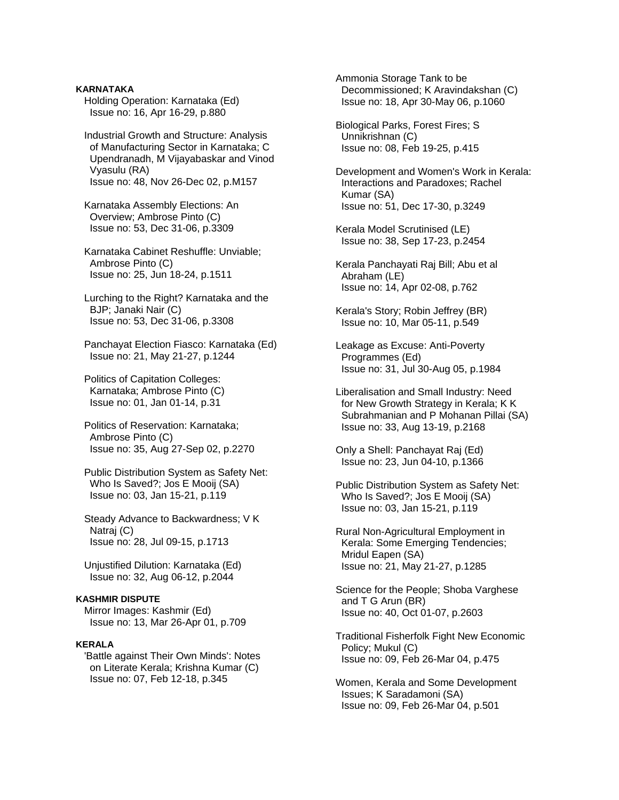**KARNATAKA**  Holding Operation: Karnataka (Ed) Issue no: 16, Apr 16-29, p.880

 Industrial Growth and Structure: Analysis of Manufacturing Sector in Karnataka; C Upendranadh, M Vijayabaskar and Vinod Vyasulu (RA) Issue no: 48, Nov 26-Dec 02, p.M157

 Karnataka Assembly Elections: An Overview; Ambrose Pinto (C) Issue no: 53, Dec 31-06, p.3309

 Karnataka Cabinet Reshuffle: Unviable; Ambrose Pinto (C) Issue no: 25, Jun 18-24, p.1511

 Lurching to the Right? Karnataka and the BJP; Janaki Nair (C) Issue no: 53, Dec 31-06, p.3308

 Panchayat Election Fiasco: Karnataka (Ed) Issue no: 21, May 21-27, p.1244

 Politics of Capitation Colleges: Karnataka; Ambrose Pinto (C) Issue no: 01, Jan 01-14, p.31

 Politics of Reservation: Karnataka; Ambrose Pinto (C) Issue no: 35, Aug 27-Sep 02, p.2270

 Public Distribution System as Safety Net: Who Is Saved?; Jos E Mooij (SA) Issue no: 03, Jan 15-21, p.119

 Steady Advance to Backwardness; V K Natraj (C) Issue no: 28, Jul 09-15, p.1713

 Unjustified Dilution: Karnataka (Ed) Issue no: 32, Aug 06-12, p.2044

# **KASHMIR DISPUTE**

 Mirror Images: Kashmir (Ed) Issue no: 13, Mar 26-Apr 01, p.709

### **KERALA**

 'Battle against Their Own Minds': Notes on Literate Kerala; Krishna Kumar (C) Issue no: 07, Feb 12-18, p.345

 Ammonia Storage Tank to be Decommissioned; K Aravindakshan (C) Issue no: 18, Apr 30-May 06, p.1060

 Biological Parks, Forest Fires; S Unnikrishnan (C) Issue no: 08, Feb 19-25, p.415

 Development and Women's Work in Kerala: Interactions and Paradoxes; Rachel Kumar (SA) Issue no: 51, Dec 17-30, p.3249

 Kerala Model Scrutinised (LE) Issue no: 38, Sep 17-23, p.2454

 Kerala Panchayati Raj Bill; Abu et al Abraham (LE) Issue no: 14, Apr 02-08, p.762

 Kerala's Story; Robin Jeffrey (BR) Issue no: 10, Mar 05-11, p.549

 Leakage as Excuse: Anti-Poverty Programmes (Ed) Issue no: 31, Jul 30-Aug 05, p.1984

 Liberalisation and Small Industry: Need for New Growth Strategy in Kerala; K K Subrahmanian and P Mohanan Pillai (SA) Issue no: 33, Aug 13-19, p.2168

 Only a Shell: Panchayat Raj (Ed) Issue no: 23, Jun 04-10, p.1366

 Public Distribution System as Safety Net: Who Is Saved?; Jos E Mooij (SA) Issue no: 03, Jan 15-21, p.119

 Rural Non-Agricultural Employment in Kerala: Some Emerging Tendencies; Mridul Eapen (SA) Issue no: 21, May 21-27, p.1285

 Science for the People; Shoba Varghese and T G Arun (BR) Issue no: 40, Oct 01-07, p.2603

 Traditional Fisherfolk Fight New Economic Policy; Mukul (C) Issue no: 09, Feb 26-Mar 04, p.475

 Women, Kerala and Some Development Issues; K Saradamoni (SA) Issue no: 09, Feb 26-Mar 04, p.501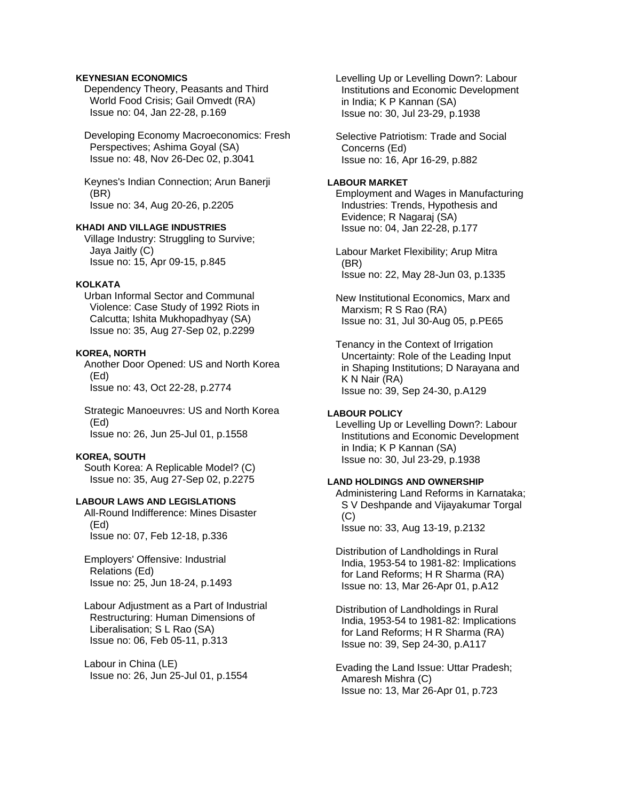### **KEYNESIAN ECONOMICS**

 Dependency Theory, Peasants and Third World Food Crisis; Gail Omvedt (RA) Issue no: 04, Jan 22-28, p.169

 Developing Economy Macroeconomics: Fresh Perspectives; Ashima Goyal (SA) Issue no: 48, Nov 26-Dec 02, p.3041

 Keynes's Indian Connection; Arun Banerji (BR) Issue no: 34, Aug 20-26, p.2205

### **KHADI AND VILLAGE INDUSTRIES**

 Village Industry: Struggling to Survive; Jaya Jaitly (C) Issue no: 15, Apr 09-15, p.845

### **KOLKATA**

 Urban Informal Sector and Communal Violence: Case Study of 1992 Riots in Calcutta; Ishita Mukhopadhyay (SA) Issue no: 35, Aug 27-Sep 02, p.2299

#### **KOREA, NORTH**

 Another Door Opened: US and North Korea (Ed) Issue no: 43, Oct 22-28, p.2774

 Strategic Manoeuvres: US and North Korea (Ed) Issue no: 26, Jun 25-Jul 01, p.1558

### **KOREA, SOUTH**

 South Korea: A Replicable Model? (C) Issue no: 35, Aug 27-Sep 02, p.2275

# **LABOUR LAWS AND LEGISLATIONS**

 All-Round Indifference: Mines Disaster (Ed) Issue no: 07, Feb 12-18, p.336

 Employers' Offensive: Industrial Relations (Ed) Issue no: 25, Jun 18-24, p.1493

 Labour Adjustment as a Part of Industrial Restructuring: Human Dimensions of Liberalisation; S L Rao (SA) Issue no: 06, Feb 05-11, p.313

 Labour in China (LE) Issue no: 26, Jun 25-Jul 01, p.1554  Levelling Up or Levelling Down?: Labour Institutions and Economic Development in India; K P Kannan (SA) Issue no: 30, Jul 23-29, p.1938

 Selective Patriotism: Trade and Social Concerns (Ed) Issue no: 16, Apr 16-29, p.882

#### **LABOUR MARKET**

 Employment and Wages in Manufacturing Industries: Trends, Hypothesis and Evidence; R Nagaraj (SA) Issue no: 04, Jan 22-28, p.177

 Labour Market Flexibility; Arup Mitra (BR) Issue no: 22, May 28-Jun 03, p.1335

 New Institutional Economics, Marx and Marxism; R S Rao (RA) Issue no: 31, Jul 30-Aug 05, p.PE65

 Tenancy in the Context of Irrigation Uncertainty: Role of the Leading Input in Shaping Institutions; D Narayana and K N Nair (RA) Issue no: 39, Sep 24-30, p.A129

#### **LABOUR POLICY**

 Levelling Up or Levelling Down?: Labour Institutions and Economic Development in India; K P Kannan (SA) Issue no: 30, Jul 23-29, p.1938

### **LAND HOLDINGS AND OWNERSHIP**

 Administering Land Reforms in Karnataka; S V Deshpande and Vijayakumar Torgal  $(C)$ Issue no: 33, Aug 13-19, p.2132

 Distribution of Landholdings in Rural India, 1953-54 to 1981-82: Implications for Land Reforms; H R Sharma (RA) Issue no: 13, Mar 26-Apr 01, p.A12

 Distribution of Landholdings in Rural India, 1953-54 to 1981-82: Implications for Land Reforms; H R Sharma (RA) Issue no: 39, Sep 24-30, p.A117

 Evading the Land Issue: Uttar Pradesh; Amaresh Mishra (C) Issue no: 13, Mar 26-Apr 01, p.723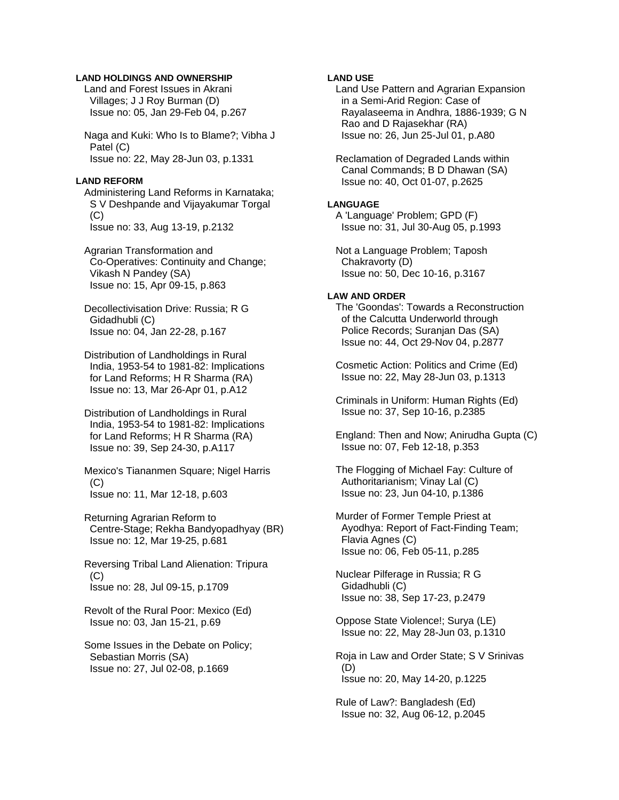#### **LAND HOLDINGS AND OWNERSHIP**

 Land and Forest Issues in Akrani Villages; J J Roy Burman (D) Issue no: 05, Jan 29-Feb 04, p.267

 Naga and Kuki: Who Is to Blame?; Vibha J Patel (C) Issue no: 22, May 28-Jun 03, p.1331

#### **LAND REFORM**

 Administering Land Reforms in Karnataka; S V Deshpande and Vijayakumar Torgal  $(C)$ Issue no: 33, Aug 13-19, p.2132

 Agrarian Transformation and Co-Operatives: Continuity and Change; Vikash N Pandey (SA) Issue no: 15, Apr 09-15, p.863

 Decollectivisation Drive: Russia; R G Gidadhubli (C) Issue no: 04, Jan 22-28, p.167

 Distribution of Landholdings in Rural India, 1953-54 to 1981-82: Implications for Land Reforms; H R Sharma (RA) Issue no: 13, Mar 26-Apr 01, p.A12

 Distribution of Landholdings in Rural India, 1953-54 to 1981-82: Implications for Land Reforms; H R Sharma (RA) Issue no: 39, Sep 24-30, p.A117

 Mexico's Tiananmen Square; Nigel Harris  $(C)$ Issue no: 11, Mar 12-18, p.603

 Returning Agrarian Reform to Centre-Stage; Rekha Bandyopadhyay (BR) Issue no: 12, Mar 19-25, p.681

 Reversing Tribal Land Alienation: Tripura (C) Issue no: 28, Jul 09-15, p.1709

 Revolt of the Rural Poor: Mexico (Ed) Issue no: 03, Jan 15-21, p.69

 Some Issues in the Debate on Policy; Sebastian Morris (SA) Issue no: 27, Jul 02-08, p.1669

# **LAND USE**

 Land Use Pattern and Agrarian Expansion in a Semi-Arid Region: Case of Rayalaseema in Andhra, 1886-1939; G N Rao and D Rajasekhar (RA) Issue no: 26, Jun 25-Jul 01, p.A80

 Reclamation of Degraded Lands within Canal Commands; B D Dhawan (SA) Issue no: 40, Oct 01-07, p.2625

#### **LANGUAGE**

 A 'Language' Problem; GPD (F) Issue no: 31, Jul 30-Aug 05, p.1993

 Not a Language Problem; Taposh Chakravorty (D) Issue no: 50, Dec 10-16, p.3167

#### **LAW AND ORDER**

 The 'Goondas': Towards a Reconstruction of the Calcutta Underworld through Police Records; Suranjan Das (SA) Issue no: 44, Oct 29-Nov 04, p.2877

 Cosmetic Action: Politics and Crime (Ed) Issue no: 22, May 28-Jun 03, p.1313

 Criminals in Uniform: Human Rights (Ed) Issue no: 37, Sep 10-16, p.2385

 England: Then and Now; Anirudha Gupta (C) Issue no: 07, Feb 12-18, p.353

 The Flogging of Michael Fay: Culture of Authoritarianism; Vinay Lal (C) Issue no: 23, Jun 04-10, p.1386

 Murder of Former Temple Priest at Ayodhya: Report of Fact-Finding Team; Flavia Agnes (C) Issue no: 06, Feb 05-11, p.285

 Nuclear Pilferage in Russia; R G Gidadhubli (C) Issue no: 38, Sep 17-23, p.2479

 Oppose State Violence!; Surya (LE) Issue no: 22, May 28-Jun 03, p.1310

 Roja in Law and Order State; S V Srinivas (D) Issue no: 20, May 14-20, p.1225

 Rule of Law?: Bangladesh (Ed) Issue no: 32, Aug 06-12, p.2045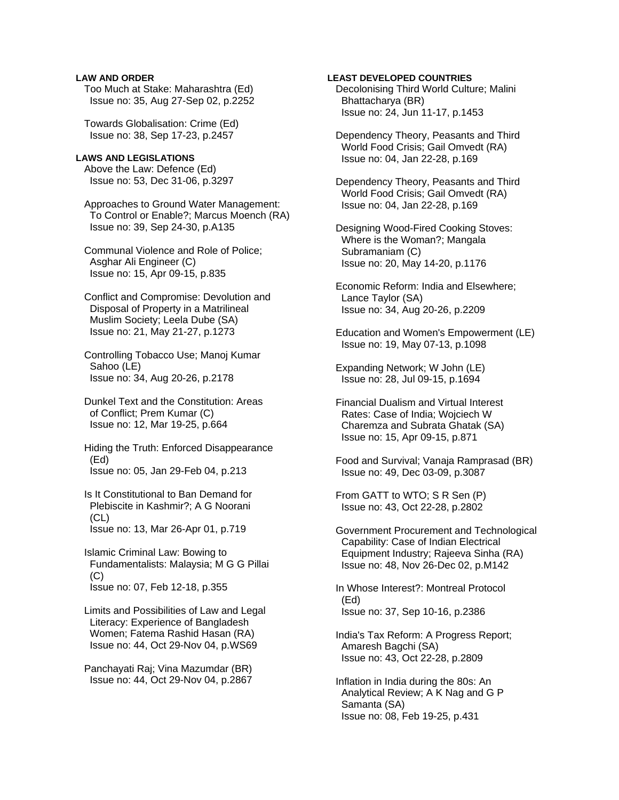### **LAW AND ORDER**

 Too Much at Stake: Maharashtra (Ed) Issue no: 35, Aug 27-Sep 02, p.2252

 Towards Globalisation: Crime (Ed) Issue no: 38, Sep 17-23, p.2457

### **LAWS AND LEGISLATIONS**

 Above the Law: Defence (Ed) Issue no: 53, Dec 31-06, p.3297

 Approaches to Ground Water Management: To Control or Enable?; Marcus Moench (RA) Issue no: 39, Sep 24-30, p.A135

 Communal Violence and Role of Police; Asghar Ali Engineer (C) Issue no: 15, Apr 09-15, p.835

 Conflict and Compromise: Devolution and Disposal of Property in a Matrilineal Muslim Society; Leela Dube (SA) Issue no: 21, May 21-27, p.1273

 Controlling Tobacco Use; Manoj Kumar Sahoo (LE) Issue no: 34, Aug 20-26, p.2178

 Dunkel Text and the Constitution: Areas of Conflict; Prem Kumar (C) Issue no: 12, Mar 19-25, p.664

 Hiding the Truth: Enforced Disappearance (Ed) Issue no: 05, Jan 29-Feb 04, p.213

 Is It Constitutional to Ban Demand for Plebiscite in Kashmir?; A G Noorani  $(CL)$ Issue no: 13, Mar 26-Apr 01, p.719

 Islamic Criminal Law: Bowing to Fundamentalists: Malaysia; M G G Pillai  $(C)$ Issue no: 07, Feb 12-18, p.355

 Limits and Possibilities of Law and Legal Literacy: Experience of Bangladesh Women; Fatema Rashid Hasan (RA) Issue no: 44, Oct 29-Nov 04, p.WS69

 Panchayati Raj; Vina Mazumdar (BR) Issue no: 44, Oct 29-Nov 04, p.2867

#### **LEAST DEVELOPED COUNTRIES**

 Decolonising Third World Culture; Malini Bhattacharya (BR) Issue no: 24, Jun 11-17, p.1453

 Dependency Theory, Peasants and Third World Food Crisis; Gail Omvedt (RA) Issue no: 04, Jan 22-28, p.169

 Dependency Theory, Peasants and Third World Food Crisis; Gail Omvedt (RA) Issue no: 04, Jan 22-28, p.169

 Designing Wood-Fired Cooking Stoves: Where is the Woman?; Mangala Subramaniam (C) Issue no: 20, May 14-20, p.1176

 Economic Reform: India and Elsewhere; Lance Taylor (SA) Issue no: 34, Aug 20-26, p.2209

 Education and Women's Empowerment (LE) Issue no: 19, May 07-13, p.1098

 Expanding Network; W John (LE) Issue no: 28, Jul 09-15, p.1694

 Financial Dualism and Virtual Interest Rates: Case of India; Wojciech W Charemza and Subrata Ghatak (SA) Issue no: 15, Apr 09-15, p.871

 Food and Survival; Vanaja Ramprasad (BR) Issue no: 49, Dec 03-09, p.3087

 From GATT to WTO; S R Sen (P) Issue no: 43, Oct 22-28, p.2802

 Government Procurement and Technological Capability: Case of Indian Electrical Equipment Industry; Rajeeva Sinha (RA) Issue no: 48, Nov 26-Dec 02, p.M142

 In Whose Interest?: Montreal Protocol (Ed) Issue no: 37, Sep 10-16, p.2386

 India's Tax Reform: A Progress Report; Amaresh Bagchi (SA) Issue no: 43, Oct 22-28, p.2809

 Inflation in India during the 80s: An Analytical Review; A K Nag and G P Samanta (SA) Issue no: 08, Feb 19-25, p.431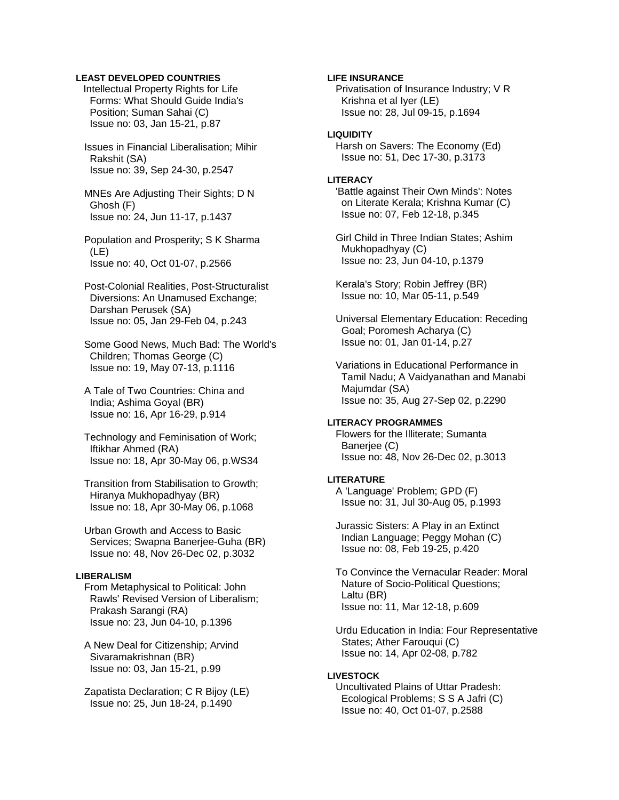### **LEAST DEVELOPED COUNTRIES**

Intellectual Property Rights for Life Forms: What Should Guide India's Position; Suman Sahai (C) Issue no: 03, Jan 15-21, p.87

 Issues in Financial Liberalisation; Mihir Rakshit (SA) Issue no: 39, Sep 24-30, p.2547

 MNEs Are Adjusting Their Sights; D N Ghosh (F) Issue no: 24, Jun 11-17, p.1437

 Population and Prosperity; S K Sharma (LE) Issue no: 40, Oct 01-07, p.2566

 Post-Colonial Realities, Post-Structuralist Diversions: An Unamused Exchange; Darshan Perusek (SA) Issue no: 05, Jan 29-Feb 04, p.243

 Some Good News, Much Bad: The World's Children; Thomas George (C) Issue no: 19, May 07-13, p.1116

 A Tale of Two Countries: China and India; Ashima Goyal (BR) Issue no: 16, Apr 16-29, p.914

 Technology and Feminisation of Work; Iftikhar Ahmed (RA) Issue no: 18, Apr 30-May 06, p.WS34

 Transition from Stabilisation to Growth; Hiranya Mukhopadhyay (BR) Issue no: 18, Apr 30-May 06, p.1068

 Urban Growth and Access to Basic Services; Swapna Banerjee-Guha (BR) Issue no: 48, Nov 26-Dec 02, p.3032

#### **LIBERALISM**

 From Metaphysical to Political: John Rawls' Revised Version of Liberalism; Prakash Sarangi (RA) Issue no: 23, Jun 04-10, p.1396

 A New Deal for Citizenship; Arvind Sivaramakrishnan (BR) Issue no: 03, Jan 15-21, p.99

 Zapatista Declaration; C R Bijoy (LE) Issue no: 25, Jun 18-24, p.1490

#### **LIFE INSURANCE**

 Privatisation of Insurance Industry; V R Krishna et al Iyer (LE) Issue no: 28, Jul 09-15, p.1694

## **LIQUIDITY**

 Harsh on Savers: The Economy (Ed) Issue no: 51, Dec 17-30, p.3173

### **LITERACY**

 'Battle against Their Own Minds': Notes on Literate Kerala; Krishna Kumar (C) Issue no: 07, Feb 12-18, p.345

 Girl Child in Three Indian States; Ashim Mukhopadhyay (C) Issue no: 23, Jun 04-10, p.1379

 Kerala's Story; Robin Jeffrey (BR) Issue no: 10, Mar 05-11, p.549

 Universal Elementary Education: Receding Goal; Poromesh Acharya (C) Issue no: 01, Jan 01-14, p.27

 Variations in Educational Performance in Tamil Nadu; A Vaidyanathan and Manabi Majumdar (SA) Issue no: 35, Aug 27-Sep 02, p.2290

### **LITERACY PROGRAMMES**

 Flowers for the Illiterate; Sumanta Banerjee (C) Issue no: 48, Nov 26-Dec 02, p.3013

#### **LITERATURE**

 A 'Language' Problem; GPD (F) Issue no: 31, Jul 30-Aug 05, p.1993

 Jurassic Sisters: A Play in an Extinct Indian Language; Peggy Mohan (C) Issue no: 08, Feb 19-25, p.420

 To Convince the Vernacular Reader: Moral Nature of Socio-Political Questions; Laltu (BR) Issue no: 11, Mar 12-18, p.609

 Urdu Education in India: Four Representative States; Ather Farouqui (C) Issue no: 14, Apr 02-08, p.782

#### **LIVESTOCK**

 Uncultivated Plains of Uttar Pradesh: Ecological Problems; S S A Jafri (C) Issue no: 40, Oct 01-07, p.2588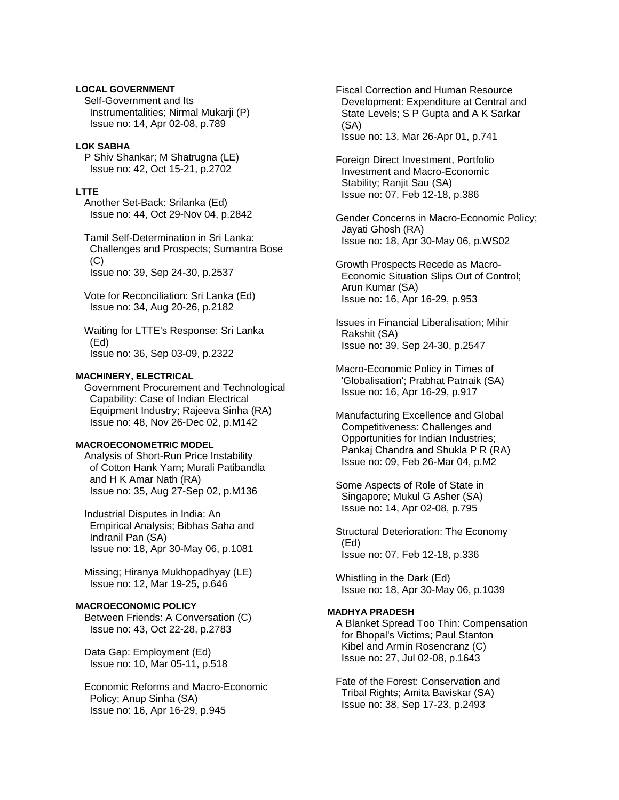### **LOCAL GOVERNMENT**

 Self-Government and Its Instrumentalities; Nirmal Mukarji (P) Issue no: 14, Apr 02-08, p.789

### **LOK SABHA**

 P Shiv Shankar; M Shatrugna (LE) Issue no: 42, Oct 15-21, p.2702

#### **LTTE**

 Another Set-Back: Srilanka (Ed) Issue no: 44, Oct 29-Nov 04, p.2842

 Tamil Self-Determination in Sri Lanka: Challenges and Prospects; Sumantra Bose (C) Issue no: 39, Sep 24-30, p.2537

 Vote for Reconciliation: Sri Lanka (Ed) Issue no: 34, Aug 20-26, p.2182

 Waiting for LTTE's Response: Sri Lanka (Ed) Issue no: 36, Sep 03-09, p.2322

#### **MACHINERY, ELECTRICAL**

 Government Procurement and Technological Capability: Case of Indian Electrical Equipment Industry; Rajeeva Sinha (RA) Issue no: 48, Nov 26-Dec 02, p.M142

### **MACROECONOMETRIC MODEL**

 Analysis of Short-Run Price Instability of Cotton Hank Yarn; Murali Patibandla and H K Amar Nath (RA) Issue no: 35, Aug 27-Sep 02, p.M136

 Industrial Disputes in India: An Empirical Analysis; Bibhas Saha and Indranil Pan (SA) Issue no: 18, Apr 30-May 06, p.1081

 Missing; Hiranya Mukhopadhyay (LE) Issue no: 12, Mar 19-25, p.646

# **MACROECONOMIC POLICY**

 Between Friends: A Conversation (C) Issue no: 43, Oct 22-28, p.2783

 Data Gap: Employment (Ed) Issue no: 10, Mar 05-11, p.518

 Economic Reforms and Macro-Economic Policy; Anup Sinha (SA) Issue no: 16, Apr 16-29, p.945

 Fiscal Correction and Human Resource Development: Expenditure at Central and State Levels; S P Gupta and A K Sarkar (SA) Issue no: 13, Mar 26-Apr 01, p.741

 Foreign Direct Investment, Portfolio Investment and Macro-Economic Stability; Ranjit Sau (SA) Issue no: 07, Feb 12-18, p.386

 Gender Concerns in Macro-Economic Policy; Jayati Ghosh (RA) Issue no: 18, Apr 30-May 06, p.WS02

 Growth Prospects Recede as Macro- Economic Situation Slips Out of Control; Arun Kumar (SA) Issue no: 16, Apr 16-29, p.953

 Issues in Financial Liberalisation; Mihir Rakshit (SA) Issue no: 39, Sep 24-30, p.2547

 Macro-Economic Policy in Times of 'Globalisation'; Prabhat Patnaik (SA) Issue no: 16, Apr 16-29, p.917

 Manufacturing Excellence and Global Competitiveness: Challenges and Opportunities for Indian Industries; Pankaj Chandra and Shukla P R (RA) Issue no: 09, Feb 26-Mar 04, p.M2

 Some Aspects of Role of State in Singapore; Mukul G Asher (SA) Issue no: 14, Apr 02-08, p.795

 Structural Deterioration: The Economy (Ed) Issue no: 07, Feb 12-18, p.336

 Whistling in the Dark (Ed) Issue no: 18, Apr 30-May 06, p.1039

# **MADHYA PRADESH**

 A Blanket Spread Too Thin: Compensation for Bhopal's Victims; Paul Stanton Kibel and Armin Rosencranz (C) Issue no: 27, Jul 02-08, p.1643

 Fate of the Forest: Conservation and Tribal Rights; Amita Baviskar (SA) Issue no: 38, Sep 17-23, p.2493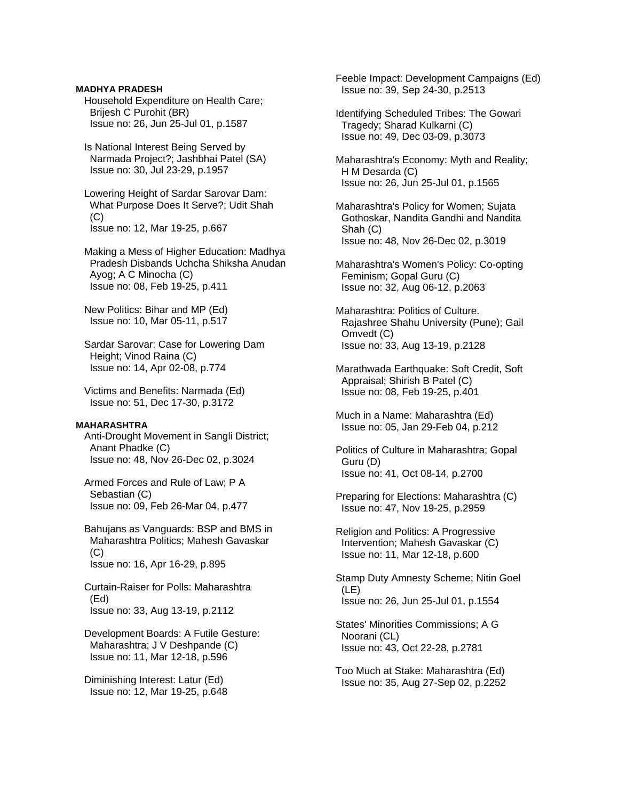### **MADHYA PRADESH**

 Household Expenditure on Health Care; Brijesh C Purohit (BR) Issue no: 26, Jun 25-Jul 01, p.1587

 Is National Interest Being Served by Narmada Project?; Jashbhai Patel (SA) Issue no: 30, Jul 23-29, p.1957

 Lowering Height of Sardar Sarovar Dam: What Purpose Does It Serve?; Udit Shah  $(C)$ Issue no: 12, Mar 19-25, p.667

 Making a Mess of Higher Education: Madhya Pradesh Disbands Uchcha Shiksha Anudan Ayog; A C Minocha (C) Issue no: 08, Feb 19-25, p.411

 New Politics: Bihar and MP (Ed) Issue no: 10, Mar 05-11, p.517

 Sardar Sarovar: Case for Lowering Dam Height; Vinod Raina (C) Issue no: 14, Apr 02-08, p.774

 Victims and Benefits: Narmada (Ed) Issue no: 51, Dec 17-30, p.3172

#### **MAHARASHTRA**

 Anti-Drought Movement in Sangli District; Anant Phadke (C) Issue no: 48, Nov 26-Dec 02, p.3024

 Armed Forces and Rule of Law; P A Sebastian (C) Issue no: 09, Feb 26-Mar 04, p.477

 Bahujans as Vanguards: BSP and BMS in Maharashtra Politics; Mahesh Gavaskar (C) Issue no: 16, Apr 16-29, p.895

 Curtain-Raiser for Polls: Maharashtra (Ed) Issue no: 33, Aug 13-19, p.2112

 Development Boards: A Futile Gesture: Maharashtra; J V Deshpande (C) Issue no: 11, Mar 12-18, p.596

 Diminishing Interest: Latur (Ed) Issue no: 12, Mar 19-25, p.648  Feeble Impact: Development Campaigns (Ed) Issue no: 39, Sep 24-30, p.2513

 Identifying Scheduled Tribes: The Gowari Tragedy; Sharad Kulkarni (C) Issue no: 49, Dec 03-09, p.3073

 Maharashtra's Economy: Myth and Reality; H M Desarda (C) Issue no: 26, Jun 25-Jul 01, p.1565

 Maharashtra's Policy for Women; Sujata Gothoskar, Nandita Gandhi and Nandita Shah (C) Issue no: 48, Nov 26-Dec 02, p.3019

 Maharashtra's Women's Policy: Co-opting Feminism; Gopal Guru (C) Issue no: 32, Aug 06-12, p.2063

 Maharashtra: Politics of Culture. Rajashree Shahu University (Pune); Gail Omvedt (C) Issue no: 33, Aug 13-19, p.2128

 Marathwada Earthquake: Soft Credit, Soft Appraisal; Shirish B Patel (C) Issue no: 08, Feb 19-25, p.401

 Much in a Name: Maharashtra (Ed) Issue no: 05, Jan 29-Feb 04, p.212

 Politics of Culture in Maharashtra; Gopal Guru (D) Issue no: 41, Oct 08-14, p.2700

 Preparing for Elections: Maharashtra (C) Issue no: 47, Nov 19-25, p.2959

 Religion and Politics: A Progressive Intervention; Mahesh Gavaskar (C) Issue no: 11, Mar 12-18, p.600

 Stamp Duty Amnesty Scheme; Nitin Goel (LE) Issue no: 26, Jun 25-Jul 01, p.1554

 States' Minorities Commissions; A G Noorani (CL) Issue no: 43, Oct 22-28, p.2781

 Too Much at Stake: Maharashtra (Ed) Issue no: 35, Aug 27-Sep 02, p.2252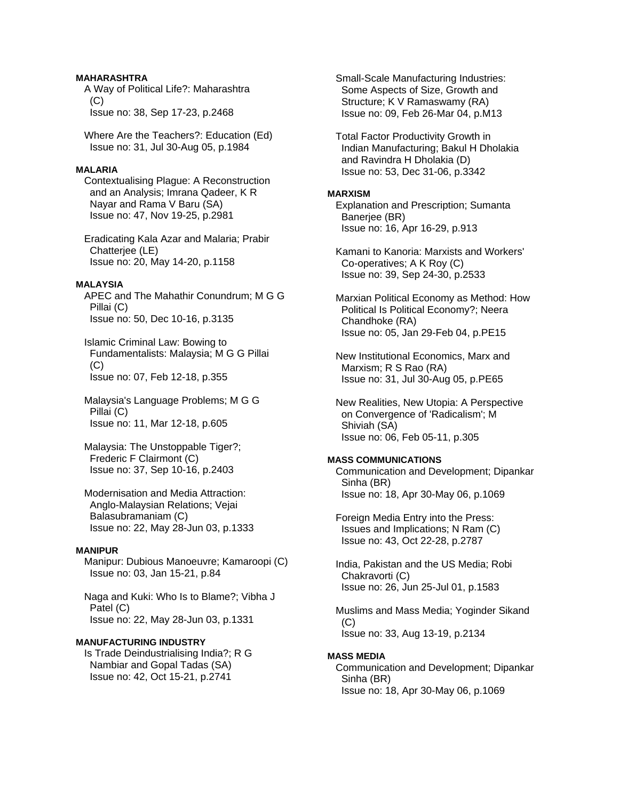# **MAHARASHTRA**

 A Way of Political Life?: Maharashtra  $(C)$ Issue no: 38, Sep 17-23, p.2468

 Where Are the Teachers?: Education (Ed) Issue no: 31, Jul 30-Aug 05, p.1984

#### **MALARIA**

 Contextualising Plague: A Reconstruction and an Analysis; Imrana Qadeer, K R Nayar and Rama V Baru (SA) Issue no: 47, Nov 19-25, p.2981

 Eradicating Kala Azar and Malaria; Prabir Chatterjee (LE) Issue no: 20, May 14-20, p.1158

#### **MALAYSIA**

 APEC and The Mahathir Conundrum; M G G Pillai (C) Issue no: 50, Dec 10-16, p.3135

 Islamic Criminal Law: Bowing to Fundamentalists: Malaysia; M G G Pillai  $(C)$ Issue no: 07, Feb 12-18, p.355

 Malaysia's Language Problems; M G G Pillai (C) Issue no: 11, Mar 12-18, p.605

 Malaysia: The Unstoppable Tiger?; Frederic F Clairmont (C) Issue no: 37, Sep 10-16, p.2403

 Modernisation and Media Attraction: Anglo-Malaysian Relations; Vejai Balasubramaniam (C) Issue no: 22, May 28-Jun 03, p.1333

### **MANIPUR**

 Manipur: Dubious Manoeuvre; Kamaroopi (C) Issue no: 03, Jan 15-21, p.84

 Naga and Kuki: Who Is to Blame?; Vibha J Patel (C) Issue no: 22, May 28-Jun 03, p.1331

#### **MANUFACTURING INDUSTRY**

 Is Trade Deindustrialising India?; R G Nambiar and Gopal Tadas (SA) Issue no: 42, Oct 15-21, p.2741

 Small-Scale Manufacturing Industries: Some Aspects of Size, Growth and Structure; K V Ramaswamy (RA) Issue no: 09, Feb 26-Mar 04, p.M13

 Total Factor Productivity Growth in Indian Manufacturing; Bakul H Dholakia and Ravindra H Dholakia (D) Issue no: 53, Dec 31-06, p.3342

#### **MARXISM**

 Explanation and Prescription; Sumanta Banerjee (BR) Issue no: 16, Apr 16-29, p.913

 Kamani to Kanoria: Marxists and Workers' Co-operatives; A K Roy (C) Issue no: 39, Sep 24-30, p.2533

 Marxian Political Economy as Method: How Political Is Political Economy?; Neera Chandhoke (RA) Issue no: 05, Jan 29-Feb 04, p.PE15

 New Institutional Economics, Marx and Marxism; R S Rao (RA) Issue no: 31, Jul 30-Aug 05, p.PE65

 New Realities, New Utopia: A Perspective on Convergence of 'Radicalism'; M Shiviah (SA) Issue no: 06, Feb 05-11, p.305

#### **MASS COMMUNICATIONS**

 Communication and Development; Dipankar Sinha (BR) Issue no: 18, Apr 30-May 06, p.1069

 Foreign Media Entry into the Press: Issues and Implications; N Ram (C) Issue no: 43, Oct 22-28, p.2787

 India, Pakistan and the US Media; Robi Chakravorti (C) Issue no: 26, Jun 25-Jul 01, p.1583

 Muslims and Mass Media; Yoginder Sikand  $(C)$ Issue no: 33, Aug 13-19, p.2134

#### **MASS MEDIA**

 Communication and Development; Dipankar Sinha (BR) Issue no: 18, Apr 30-May 06, p.1069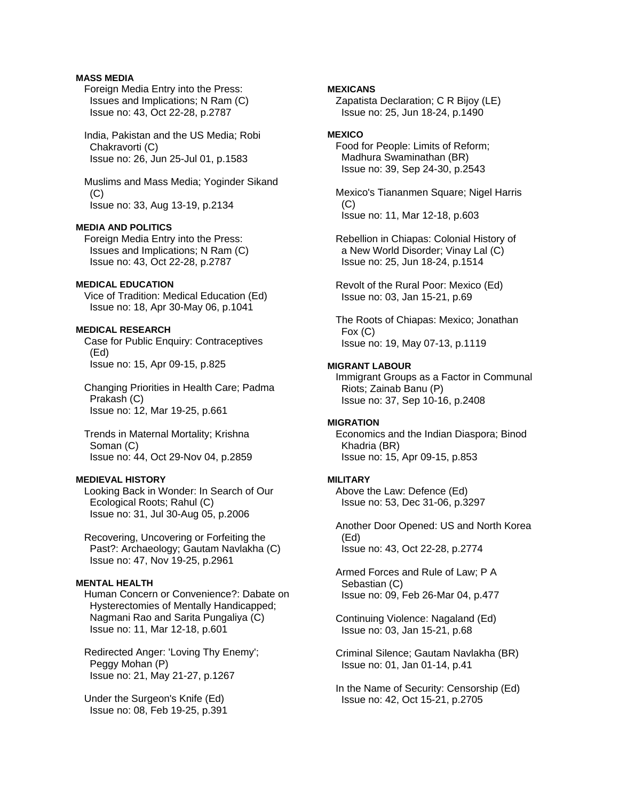# **MASS MEDIA**

 Foreign Media Entry into the Press: Issues and Implications; N Ram (C) Issue no: 43, Oct 22-28, p.2787

 India, Pakistan and the US Media; Robi Chakravorti (C) Issue no: 26, Jun 25-Jul 01, p.1583

 Muslims and Mass Media; Yoginder Sikand (C) Issue no: 33, Aug 13-19, p.2134

# **MEDIA AND POLITICS**

 Foreign Media Entry into the Press: Issues and Implications; N Ram (C) Issue no: 43, Oct 22-28, p.2787

### **MEDICAL EDUCATION**

 Vice of Tradition: Medical Education (Ed) Issue no: 18, Apr 30-May 06, p.1041

# **MEDICAL RESEARCH**

 Case for Public Enquiry: Contraceptives (Ed) Issue no: 15, Apr 09-15, p.825

 Changing Priorities in Health Care; Padma Prakash (C) Issue no: 12, Mar 19-25, p.661

 Trends in Maternal Mortality; Krishna Soman (C) Issue no: 44, Oct 29-Nov 04, p.2859

# **MEDIEVAL HISTORY**

 Looking Back in Wonder: In Search of Our Ecological Roots; Rahul (C) Issue no: 31, Jul 30-Aug 05, p.2006

 Recovering, Uncovering or Forfeiting the Past?: Archaeology; Gautam Navlakha (C) Issue no: 47, Nov 19-25, p.2961

# **MENTAL HEALTH**

 Human Concern or Convenience?: Dabate on Hysterectomies of Mentally Handicapped; Nagmani Rao and Sarita Pungaliya (C) Issue no: 11, Mar 12-18, p.601

 Redirected Anger: 'Loving Thy Enemy'; Peggy Mohan (P) Issue no: 21, May 21-27, p.1267

 Under the Surgeon's Knife (Ed) Issue no: 08, Feb 19-25, p.391

### **MEXICANS**

 Zapatista Declaration; C R Bijoy (LE) Issue no: 25, Jun 18-24, p.1490

### **MEXICO**

 Food for People: Limits of Reform; Madhura Swaminathan (BR) Issue no: 39, Sep 24-30, p.2543

 Mexico's Tiananmen Square; Nigel Harris  $(C)$ Issue no: 11, Mar 12-18, p.603

 Rebellion in Chiapas: Colonial History of a New World Disorder; Vinay Lal (C) Issue no: 25, Jun 18-24, p.1514

 Revolt of the Rural Poor: Mexico (Ed) Issue no: 03, Jan 15-21, p.69

 The Roots of Chiapas: Mexico; Jonathan Fox (C) Issue no: 19, May 07-13, p.1119

#### **MIGRANT LABOUR**

 Immigrant Groups as a Factor in Communal Riots; Zainab Banu (P) Issue no: 37, Sep 10-16, p.2408

### **MIGRATION**

 Economics and the Indian Diaspora; Binod Khadria (BR) Issue no: 15, Apr 09-15, p.853

#### **MILITARY**

 Above the Law: Defence (Ed) Issue no: 53, Dec 31-06, p.3297

 Another Door Opened: US and North Korea (Ed) Issue no: 43, Oct 22-28, p.2774

 Armed Forces and Rule of Law; P A Sebastian (C) Issue no: 09, Feb 26-Mar 04, p.477

 Continuing Violence: Nagaland (Ed) Issue no: 03, Jan 15-21, p.68

 Criminal Silence; Gautam Navlakha (BR) Issue no: 01, Jan 01-14, p.41

 In the Name of Security: Censorship (Ed) Issue no: 42, Oct 15-21, p.2705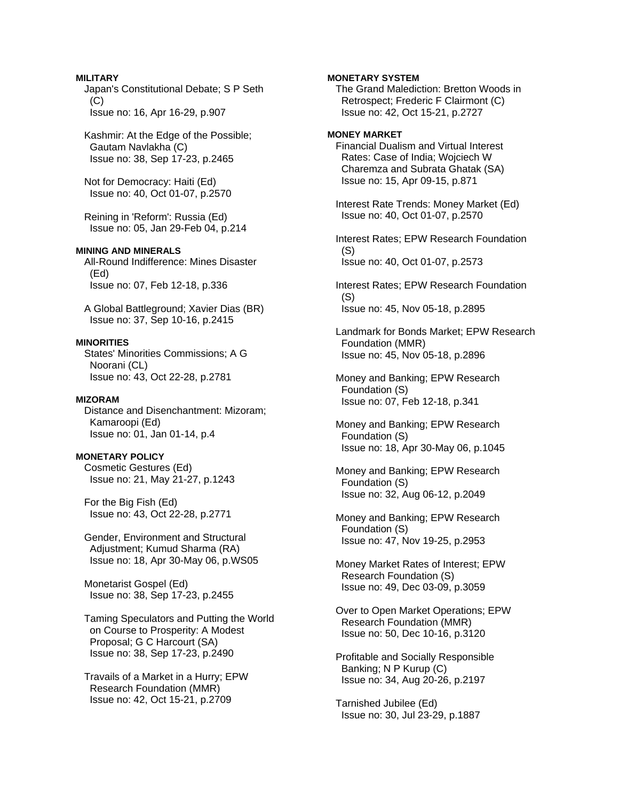### **MILITARY**

 Japan's Constitutional Debate; S P Seth  $(C)$ Issue no: 16, Apr 16-29, p.907

 Kashmir: At the Edge of the Possible; Gautam Navlakha (C) Issue no: 38, Sep 17-23, p.2465

 Not for Democracy: Haiti (Ed) Issue no: 40, Oct 01-07, p.2570

 Reining in 'Reform': Russia (Ed) Issue no: 05, Jan 29-Feb 04, p.214

# **MINING AND MINERALS**

 All-Round Indifference: Mines Disaster (Ed) Issue no: 07, Feb 12-18, p.336

 A Global Battleground; Xavier Dias (BR) Issue no: 37, Sep 10-16, p.2415

### **MINORITIES**

 States' Minorities Commissions; A G Noorani (CL) Issue no: 43, Oct 22-28, p.2781

### **MIZORAM**

 Distance and Disenchantment: Mizoram; Kamaroopi (Ed) Issue no: 01, Jan 01-14, p.4

**MONETARY POLICY** 

 Cosmetic Gestures (Ed) Issue no: 21, May 21-27, p.1243

 For the Big Fish (Ed) Issue no: 43, Oct 22-28, p.2771

 Gender, Environment and Structural Adjustment; Kumud Sharma (RA) Issue no: 18, Apr 30-May 06, p.WS05

 Monetarist Gospel (Ed) Issue no: 38, Sep 17-23, p.2455

 Taming Speculators and Putting the World on Course to Prosperity: A Modest Proposal; G C Harcourt (SA) Issue no: 38, Sep 17-23, p.2490

 Travails of a Market in a Hurry; EPW Research Foundation (MMR) Issue no: 42, Oct 15-21, p.2709

**MONETARY SYSTEM** 

 The Grand Malediction: Bretton Woods in Retrospect; Frederic F Clairmont (C) Issue no: 42, Oct 15-21, p.2727

## **MONEY MARKET**

 Financial Dualism and Virtual Interest Rates: Case of India; Wojciech W Charemza and Subrata Ghatak (SA) Issue no: 15, Apr 09-15, p.871

 Interest Rate Trends: Money Market (Ed) Issue no: 40, Oct 01-07, p.2570

 Interest Rates; EPW Research Foundation (S) Issue no: 40, Oct 01-07, p.2573

 Interest Rates; EPW Research Foundation (S) Issue no: 45, Nov 05-18, p.2895

 Landmark for Bonds Market; EPW Research Foundation (MMR) Issue no: 45, Nov 05-18, p.2896

 Money and Banking; EPW Research Foundation (S) Issue no: 07, Feb 12-18, p.341

 Money and Banking; EPW Research Foundation (S) Issue no: 18, Apr 30-May 06, p.1045

 Money and Banking; EPW Research Foundation (S) Issue no: 32, Aug 06-12, p.2049

 Money and Banking; EPW Research Foundation (S) Issue no: 47, Nov 19-25, p.2953

 Money Market Rates of Interest; EPW Research Foundation (S) Issue no: 49, Dec 03-09, p.3059

 Over to Open Market Operations; EPW Research Foundation (MMR) Issue no: 50, Dec 10-16, p.3120

 Profitable and Socially Responsible Banking; N P Kurup (C) Issue no: 34, Aug 20-26, p.2197

 Tarnished Jubilee (Ed) Issue no: 30, Jul 23-29, p.1887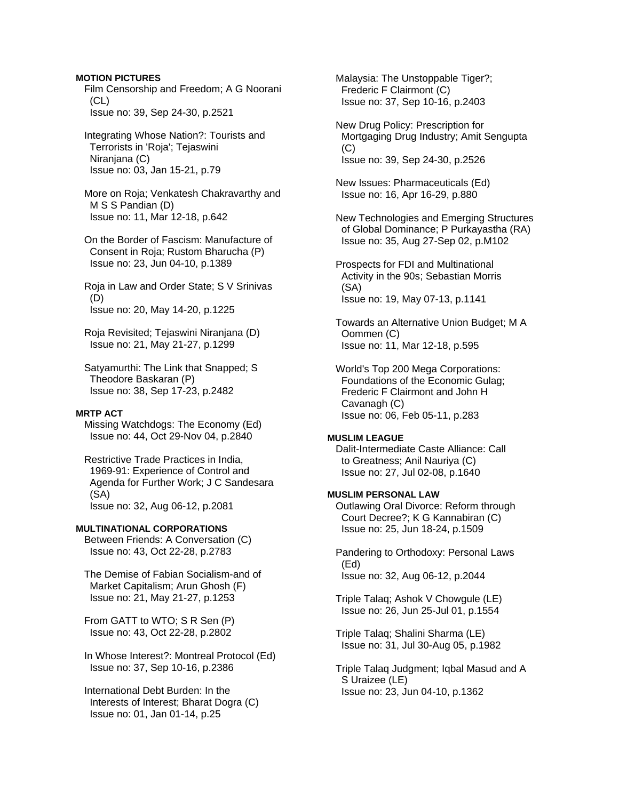### **MOTION PICTURES**

 Film Censorship and Freedom; A G Noorani (CL) Issue no: 39, Sep 24-30, p.2521

 Integrating Whose Nation?: Tourists and Terrorists in 'Roja'; Tejaswini Niranjana (C) Issue no: 03, Jan 15-21, p.79

 More on Roja; Venkatesh Chakravarthy and M S S Pandian (D) Issue no: 11, Mar 12-18, p.642

 On the Border of Fascism: Manufacture of Consent in Roja; Rustom Bharucha (P) Issue no: 23, Jun 04-10, p.1389

 Roja in Law and Order State; S V Srinivas (D) Issue no: 20, May 14-20, p.1225

 Roja Revisited; Tejaswini Niranjana (D) Issue no: 21, May 21-27, p.1299

 Satyamurthi: The Link that Snapped; S Theodore Baskaran (P) Issue no: 38, Sep 17-23, p.2482

#### **MRTP ACT**

 Missing Watchdogs: The Economy (Ed) Issue no: 44, Oct 29-Nov 04, p.2840

 Restrictive Trade Practices in India, 1969-91: Experience of Control and Agenda for Further Work; J C Sandesara (SA) Issue no: 32, Aug 06-12, p.2081

### **MULTINATIONAL CORPORATIONS**

 Between Friends: A Conversation (C) Issue no: 43, Oct 22-28, p.2783

 The Demise of Fabian Socialism-and of Market Capitalism; Arun Ghosh (F) Issue no: 21, May 21-27, p.1253

 From GATT to WTO; S R Sen (P) Issue no: 43, Oct 22-28, p.2802

 In Whose Interest?: Montreal Protocol (Ed) Issue no: 37, Sep 10-16, p.2386

 International Debt Burden: In the Interests of Interest; Bharat Dogra (C) Issue no: 01, Jan 01-14, p.25

 Malaysia: The Unstoppable Tiger?; Frederic F Clairmont (C) Issue no: 37, Sep 10-16, p.2403

 New Drug Policy: Prescription for Mortgaging Drug Industry; Amit Sengupta  $(C)$ Issue no: 39, Sep 24-30, p.2526

 New Issues: Pharmaceuticals (Ed) Issue no: 16, Apr 16-29, p.880

 New Technologies and Emerging Structures of Global Dominance; P Purkayastha (RA) Issue no: 35, Aug 27-Sep 02, p.M102

 Prospects for FDI and Multinational Activity in the 90s; Sebastian Morris (SA) Issue no: 19, May 07-13, p.1141

 Towards an Alternative Union Budget; M A Oommen (C) Issue no: 11, Mar 12-18, p.595

 World's Top 200 Mega Corporations: Foundations of the Economic Gulag; Frederic F Clairmont and John H Cavanagh (C) Issue no: 06, Feb 05-11, p.283

### **MUSLIM LEAGUE**

 Dalit-Intermediate Caste Alliance: Call to Greatness; Anil Nauriya (C) Issue no: 27, Jul 02-08, p.1640

### **MUSLIM PERSONAL LAW**

 Outlawing Oral Divorce: Reform through Court Decree?; K G Kannabiran (C) Issue no: 25, Jun 18-24, p.1509

 Pandering to Orthodoxy: Personal Laws (Ed) Issue no: 32, Aug 06-12, p.2044

 Triple Talaq; Ashok V Chowgule (LE) Issue no: 26, Jun 25-Jul 01, p.1554

 Triple Talaq; Shalini Sharma (LE) Issue no: 31, Jul 30-Aug 05, p.1982

 Triple Talaq Judgment; Iqbal Masud and A S Uraizee (LE) Issue no: 23, Jun 04-10, p.1362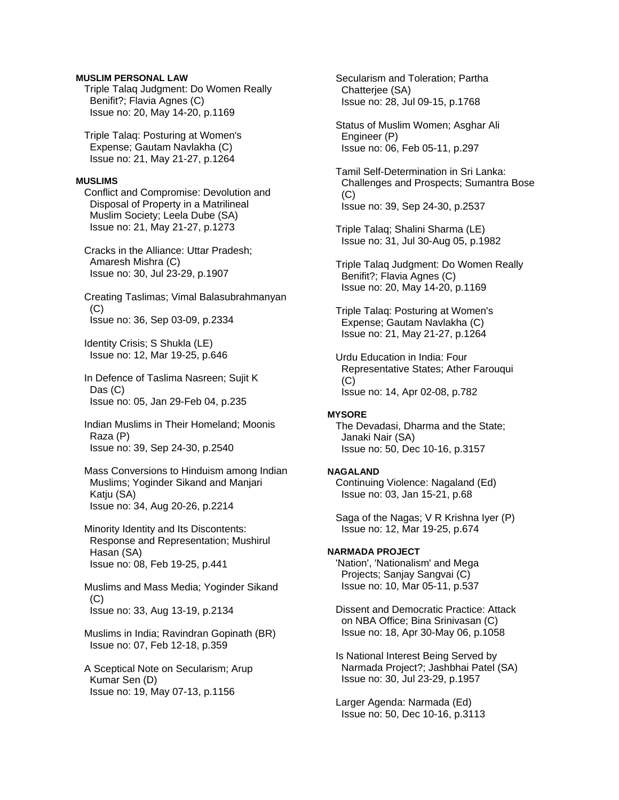### **MUSLIM PERSONAL LAW**

 Triple Talaq Judgment: Do Women Really Benifit?; Flavia Agnes (C) Issue no: 20, May 14-20, p.1169

 Triple Talaq: Posturing at Women's Expense; Gautam Navlakha (C) Issue no: 21, May 21-27, p.1264

#### **MUSLIMS**

 Conflict and Compromise: Devolution and Disposal of Property in a Matrilineal Muslim Society; Leela Dube (SA) Issue no: 21, May 21-27, p.1273

 Cracks in the Alliance: Uttar Pradesh; Amaresh Mishra (C) Issue no: 30, Jul 23-29, p.1907

 Creating Taslimas; Vimal Balasubrahmanyan (C) Issue no: 36, Sep 03-09, p.2334

 Identity Crisis; S Shukla (LE) Issue no: 12, Mar 19-25, p.646

 In Defence of Taslima Nasreen; Sujit K Das (C) Issue no: 05, Jan 29-Feb 04, p.235

 Indian Muslims in Their Homeland; Moonis Raza (P) Issue no: 39, Sep 24-30, p.2540

 Mass Conversions to Hinduism among Indian Muslims; Yoginder Sikand and Manjari Katju (SA) Issue no: 34, Aug 20-26, p.2214

 Minority Identity and Its Discontents: Response and Representation; Mushirul Hasan (SA) Issue no: 08, Feb 19-25, p.441

 Muslims and Mass Media; Yoginder Sikand  $(C)$ Issue no: 33, Aug 13-19, p.2134

 Muslims in India; Ravindran Gopinath (BR) Issue no: 07, Feb 12-18, p.359

 A Sceptical Note on Secularism; Arup Kumar Sen (D) Issue no: 19, May 07-13, p.1156

 Secularism and Toleration; Partha Chatterjee (SA) Issue no: 28, Jul 09-15, p.1768

 Status of Muslim Women; Asghar Ali Engineer (P) Issue no: 06, Feb 05-11, p.297

 Tamil Self-Determination in Sri Lanka: Challenges and Prospects; Sumantra Bose  $(C)$ Issue no: 39, Sep 24-30, p.2537

 Triple Talaq; Shalini Sharma (LE) Issue no: 31, Jul 30-Aug 05, p.1982

 Triple Talaq Judgment: Do Women Really Benifit?; Flavia Agnes (C) Issue no: 20, May 14-20, p.1169

 Triple Talaq: Posturing at Women's Expense; Gautam Navlakha (C) Issue no: 21, May 21-27, p.1264

 Urdu Education in India: Four Representative States; Ather Farouqui  $(C)$ Issue no: 14, Apr 02-08, p.782

# **MYSORE**

 The Devadasi, Dharma and the State; Janaki Nair (SA) Issue no: 50, Dec 10-16, p.3157

#### **NAGALAND**

 Continuing Violence: Nagaland (Ed) Issue no: 03, Jan 15-21, p.68

 Saga of the Nagas; V R Krishna Iyer (P) Issue no: 12, Mar 19-25, p.674

#### **NARMADA PROJECT**

 'Nation', 'Nationalism' and Mega Projects; Sanjay Sangvai (C) Issue no: 10, Mar 05-11, p.537

 Dissent and Democratic Practice: Attack on NBA Office; Bina Srinivasan (C) Issue no: 18, Apr 30-May 06, p.1058

 Is National Interest Being Served by Narmada Project?; Jashbhai Patel (SA) Issue no: 30, Jul 23-29, p.1957

 Larger Agenda: Narmada (Ed) Issue no: 50, Dec 10-16, p.3113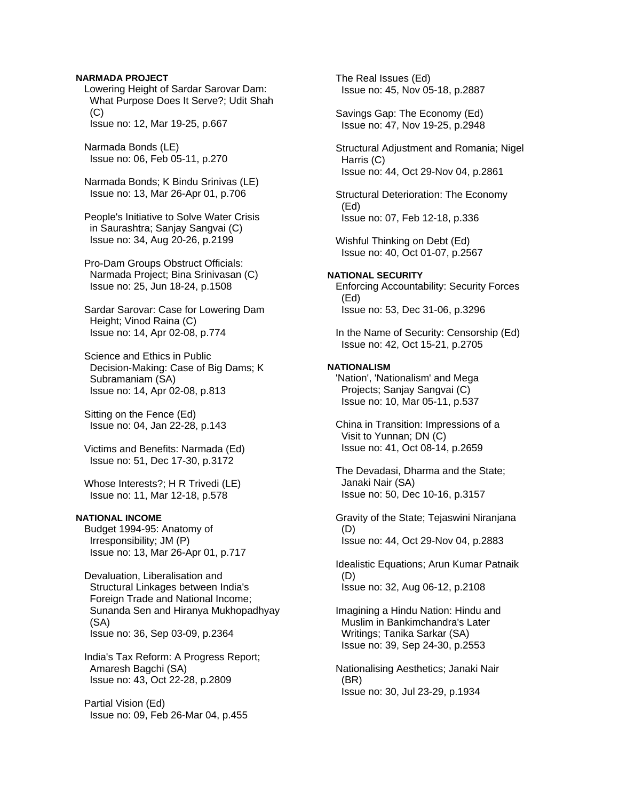#### **NARMADA PROJECT**

 Lowering Height of Sardar Sarovar Dam: What Purpose Does It Serve?; Udit Shah  $(C)$ Issue no: 12, Mar 19-25, p.667

 Narmada Bonds (LE) Issue no: 06, Feb 05-11, p.270

 Narmada Bonds; K Bindu Srinivas (LE) Issue no: 13, Mar 26-Apr 01, p.706

 People's Initiative to Solve Water Crisis in Saurashtra; Sanjay Sangvai (C) Issue no: 34, Aug 20-26, p.2199

 Pro-Dam Groups Obstruct Officials: Narmada Project; Bina Srinivasan (C) Issue no: 25, Jun 18-24, p.1508

 Sardar Sarovar: Case for Lowering Dam Height; Vinod Raina (C) Issue no: 14, Apr 02-08, p.774

 Science and Ethics in Public Decision-Making: Case of Big Dams; K Subramaniam (SA) Issue no: 14, Apr 02-08, p.813

 Sitting on the Fence (Ed) Issue no: 04, Jan 22-28, p.143

 Victims and Benefits: Narmada (Ed) Issue no: 51, Dec 17-30, p.3172

 Whose Interests?; H R Trivedi (LE) Issue no: 11, Mar 12-18, p.578

#### **NATIONAL INCOME**

 Budget 1994-95: Anatomy of Irresponsibility; JM (P) Issue no: 13, Mar 26-Apr 01, p.717

 Devaluation, Liberalisation and Structural Linkages between India's Foreign Trade and National Income; Sunanda Sen and Hiranya Mukhopadhyay (SA) Issue no: 36, Sep 03-09, p.2364

 India's Tax Reform: A Progress Report; Amaresh Bagchi (SA) Issue no: 43, Oct 22-28, p.2809

 Partial Vision (Ed) Issue no: 09, Feb 26-Mar 04, p.455  The Real Issues (Ed) Issue no: 45, Nov 05-18, p.2887

 Savings Gap: The Economy (Ed) Issue no: 47, Nov 19-25, p.2948

 Structural Adjustment and Romania; Nigel Harris (C) Issue no: 44, Oct 29-Nov 04, p.2861

 Structural Deterioration: The Economy (Ed) Issue no: 07, Feb 12-18, p.336

 Wishful Thinking on Debt (Ed) Issue no: 40, Oct 01-07, p.2567

### **NATIONAL SECURITY**  Enforcing Accountability: Security Forces (Ed) Issue no: 53, Dec 31-06, p.3296

 In the Name of Security: Censorship (Ed) Issue no: 42, Oct 15-21, p.2705

#### **NATIONALISM**

 'Nation', 'Nationalism' and Mega Projects; Sanjay Sangvai (C) Issue no: 10, Mar 05-11, p.537

 China in Transition: Impressions of a Visit to Yunnan; DN (C) Issue no: 41, Oct 08-14, p.2659

 The Devadasi, Dharma and the State; Janaki Nair (SA) Issue no: 50, Dec 10-16, p.3157

 Gravity of the State; Tejaswini Niranjana (D) Issue no: 44, Oct 29-Nov 04, p.2883

 Idealistic Equations; Arun Kumar Patnaik (D) Issue no: 32, Aug 06-12, p.2108

 Imagining a Hindu Nation: Hindu and Muslim in Bankimchandra's Later Writings; Tanika Sarkar (SA) Issue no: 39, Sep 24-30, p.2553

 Nationalising Aesthetics; Janaki Nair (BR) Issue no: 30, Jul 23-29, p.1934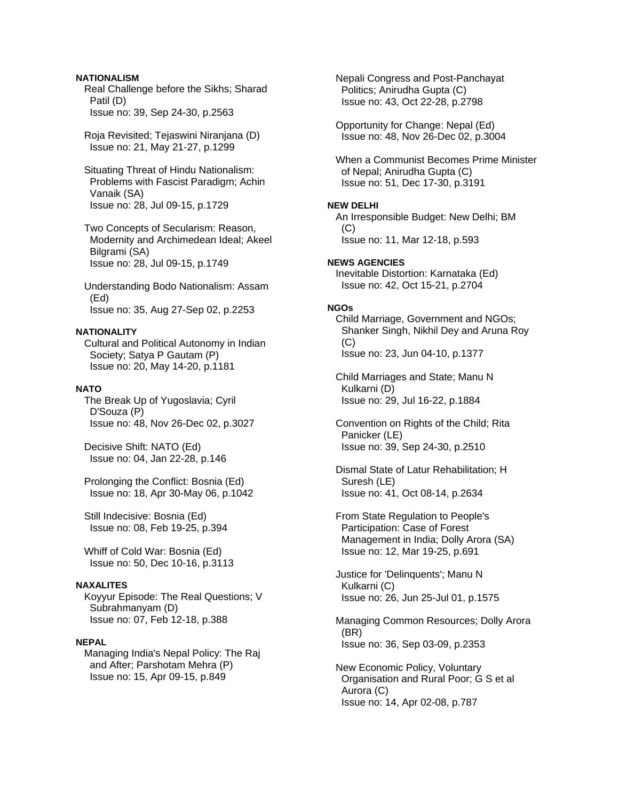### **NATIONALISM**

 Real Challenge before the Sikhs; Sharad Patil (D) Issue no: 39, Sep 24-30, p.2563

 Roja Revisited; Tejaswini Niranjana (D) Issue no: 21, May 21-27, p.1299

 Situating Threat of Hindu Nationalism: Problems with Fascist Paradigm; Achin Vanaik (SA) Issue no: 28, Jul 09-15, p.1729

 Two Concepts of Secularism: Reason, Modernity and Archimedean Ideal; Akeel Bilgrami (SA) Issue no: 28, Jul 09-15, p.1749

 Understanding Bodo Nationalism: Assam (Ed) Issue no: 35, Aug 27-Sep 02, p.2253

# **NATIONALITY**

 Cultural and Political Autonomy in Indian Society; Satya P Gautam (P) Issue no: 20, May 14-20, p.1181

#### **NATO**

 The Break Up of Yugoslavia; Cyril D'Souza (P) Issue no: 48, Nov 26-Dec 02, p.3027

 Decisive Shift: NATO (Ed) Issue no: 04, Jan 22-28, p.146

 Prolonging the Conflict: Bosnia (Ed) Issue no: 18, Apr 30-May 06, p.1042

 Still Indecisive: Bosnia (Ed) Issue no: 08, Feb 19-25, p.394

 Whiff of Cold War: Bosnia (Ed) Issue no: 50, Dec 10-16, p.3113

# **NAXALITES**

 Koyyur Episode: The Real Questions; V Subrahmanyam (D) Issue no: 07, Feb 12-18, p.388

#### **NEPAL**

 Managing India's Nepal Policy: The Raj and After; Parshotam Mehra (P) Issue no: 15, Apr 09-15, p.849

 Nepali Congress and Post-Panchayat Politics; Anirudha Gupta (C) Issue no: 43, Oct 22-28, p.2798

 Opportunity for Change: Nepal (Ed) Issue no: 48, Nov 26-Dec 02, p.3004

 When a Communist Becomes Prime Minister of Nepal; Anirudha Gupta (C) Issue no: 51, Dec 17-30, p.3191

#### **NEW DELHI**

 An Irresponsible Budget: New Delhi; BM (C) Issue no: 11, Mar 12-18, p.593

**NEWS AGENCIES**  Inevitable Distortion: Karnataka (Ed) Issue no: 42, Oct 15-21, p.2704

#### **NGOs**

 Child Marriage, Government and NGOs; Shanker Singh, Nikhil Dey and Aruna Roy (C) Issue no: 23, Jun 04-10, p.1377

 Child Marriages and State; Manu N Kulkarni (D) Issue no: 29, Jul 16-22, p.1884

 Convention on Rights of the Child; Rita Panicker (LE) Issue no: 39, Sep 24-30, p.2510

 Dismal State of Latur Rehabilitation; H Suresh (LE) Issue no: 41, Oct 08-14, p.2634

 From State Regulation to People's Participation: Case of Forest Management in India; Dolly Arora (SA) Issue no: 12, Mar 19-25, p.691

 Justice for 'Delinquents'; Manu N Kulkarni (C) Issue no: 26, Jun 25-Jul 01, p.1575

 Managing Common Resources; Dolly Arora (BR) Issue no: 36, Sep 03-09, p.2353

 New Economic Policy, Voluntary Organisation and Rural Poor; G S et al Aurora (C) Issue no: 14, Apr 02-08, p.787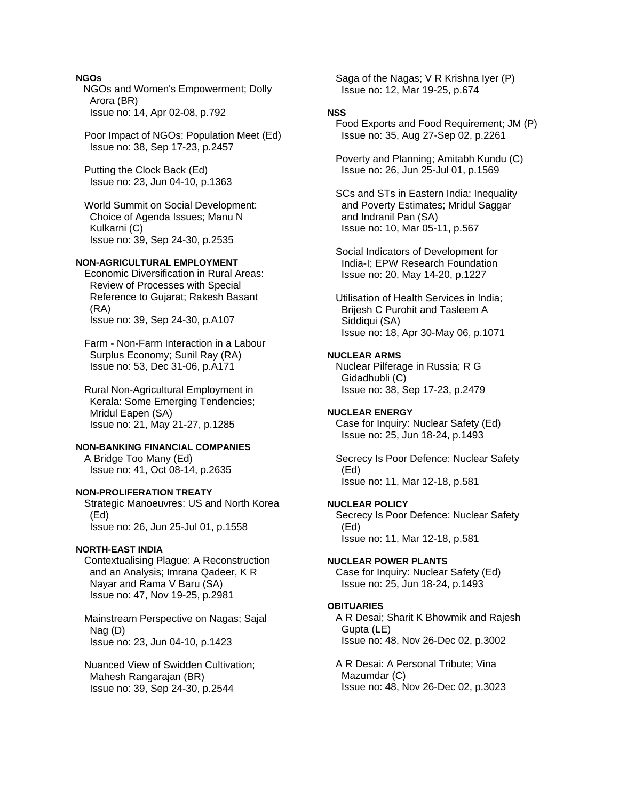### **NGOs**

NGOs and Women's Empowerment; Dolly Arora (BR) Issue no: 14, Apr 02-08, p.792

 Poor Impact of NGOs: Population Meet (Ed) Issue no: 38, Sep 17-23, p.2457

 Putting the Clock Back (Ed) Issue no: 23, Jun 04-10, p.1363

 World Summit on Social Development: Choice of Agenda Issues; Manu N Kulkarni (C) Issue no: 39, Sep 24-30, p.2535

### **NON-AGRICULTURAL EMPLOYMENT**

 Economic Diversification in Rural Areas: Review of Processes with Special Reference to Gujarat; Rakesh Basant (RA) Issue no: 39, Sep 24-30, p.A107

 Farm - Non-Farm Interaction in a Labour Surplus Economy; Sunil Ray (RA) Issue no: 53, Dec 31-06, p.A171

 Rural Non-Agricultural Employment in Kerala: Some Emerging Tendencies; Mridul Eapen (SA) Issue no: 21, May 21-27, p.1285

### **NON-BANKING FINANCIAL COMPANIES**

 A Bridge Too Many (Ed) Issue no: 41, Oct 08-14, p.2635

### **NON-PROLIFERATION TREATY**

 Strategic Manoeuvres: US and North Korea (Ed) Issue no: 26, Jun 25-Jul 01, p.1558

### **NORTH-EAST INDIA**

 Contextualising Plague: A Reconstruction and an Analysis; Imrana Qadeer, K R Nayar and Rama V Baru (SA) Issue no: 47, Nov 19-25, p.2981

 Mainstream Perspective on Nagas; Sajal Nag (D) Issue no: 23, Jun 04-10, p.1423

 Nuanced View of Swidden Cultivation; Mahesh Rangarajan (BR) Issue no: 39, Sep 24-30, p.2544

 Saga of the Nagas; V R Krishna Iyer (P) Issue no: 12, Mar 19-25, p.674

# **NSS**

 Food Exports and Food Requirement; JM (P) Issue no: 35, Aug 27-Sep 02, p.2261

 Poverty and Planning; Amitabh Kundu (C) Issue no: 26, Jun 25-Jul 01, p.1569

 SCs and STs in Eastern India: Inequality and Poverty Estimates; Mridul Saggar and Indranil Pan (SA) Issue no: 10, Mar 05-11, p.567

 Social Indicators of Development for India-I; EPW Research Foundation Issue no: 20, May 14-20, p.1227

 Utilisation of Health Services in India; Brijesh C Purohit and Tasleem A Siddiqui (SA) Issue no: 18, Apr 30-May 06, p.1071

# **NUCLEAR ARMS**

 Nuclear Pilferage in Russia; R G Gidadhubli (C) Issue no: 38, Sep 17-23, p.2479

#### **NUCLEAR ENERGY**

 Case for Inquiry: Nuclear Safety (Ed) Issue no: 25, Jun 18-24, p.1493

 Secrecy Is Poor Defence: Nuclear Safety (Ed) Issue no: 11, Mar 12-18, p.581

### **NUCLEAR POLICY**

 Secrecy Is Poor Defence: Nuclear Safety (Ed) Issue no: 11, Mar 12-18, p.581

### **NUCLEAR POWER PLANTS**

 Case for Inquiry: Nuclear Safety (Ed) Issue no: 25, Jun 18-24, p.1493

#### **OBITUARIES**

 A R Desai; Sharit K Bhowmik and Rajesh Gupta (LE) Issue no: 48, Nov 26-Dec 02, p.3002

 A R Desai: A Personal Tribute; Vina Mazumdar (C) Issue no: 48, Nov 26-Dec 02, p.3023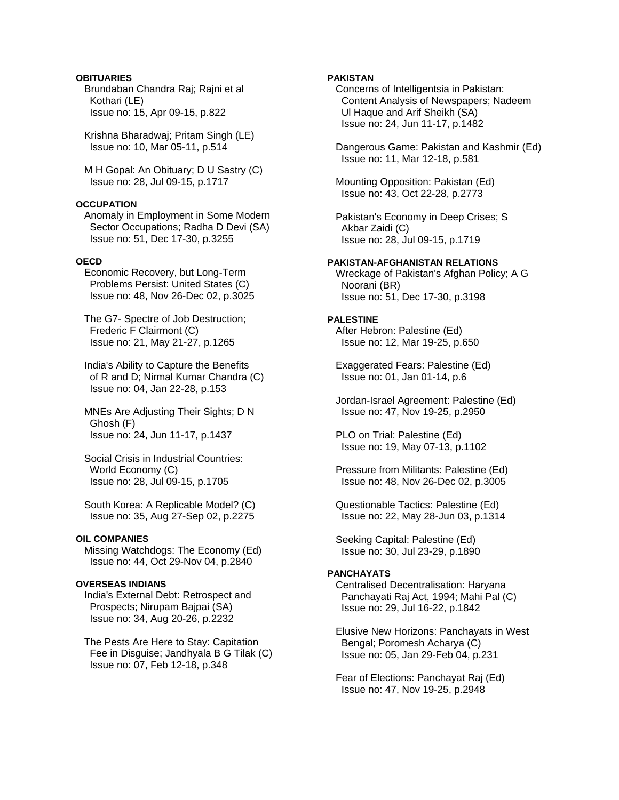# **OBITUARIES**

 Brundaban Chandra Raj; Rajni et al Kothari (LE) Issue no: 15, Apr 09-15, p.822

 Krishna Bharadwaj; Pritam Singh (LE) Issue no: 10, Mar 05-11, p.514

 M H Gopal: An Obituary; D U Sastry (C) Issue no: 28, Jul 09-15, p.1717

# **OCCUPATION**

 Anomaly in Employment in Some Modern Sector Occupations; Radha D Devi (SA) Issue no: 51, Dec 17-30, p.3255

### **OECD**

 Economic Recovery, but Long-Term Problems Persist: United States (C) Issue no: 48, Nov 26-Dec 02, p.3025

 The G7- Spectre of Job Destruction; Frederic F Clairmont (C) Issue no: 21, May 21-27, p.1265

 India's Ability to Capture the Benefits of R and D; Nirmal Kumar Chandra (C) Issue no: 04, Jan 22-28, p.153

 MNEs Are Adjusting Their Sights; D N Ghosh (F) Issue no: 24, Jun 11-17, p.1437

 Social Crisis in Industrial Countries: World Economy (C) Issue no: 28, Jul 09-15, p.1705

 South Korea: A Replicable Model? (C) Issue no: 35, Aug 27-Sep 02, p.2275

### **OIL COMPANIES**

 Missing Watchdogs: The Economy (Ed) Issue no: 44, Oct 29-Nov 04, p.2840

### **OVERSEAS INDIANS**

 India's External Debt: Retrospect and Prospects; Nirupam Bajpai (SA) Issue no: 34, Aug 20-26, p.2232

 The Pests Are Here to Stay: Capitation Fee in Disguise; Jandhyala B G Tilak (C) Issue no: 07, Feb 12-18, p.348

### **PAKISTAN**

 Concerns of Intelligentsia in Pakistan: Content Analysis of Newspapers; Nadeem Ul Haque and Arif Sheikh (SA) Issue no: 24, Jun 11-17, p.1482

 Dangerous Game: Pakistan and Kashmir (Ed) Issue no: 11, Mar 12-18, p.581

 Mounting Opposition: Pakistan (Ed) Issue no: 43, Oct 22-28, p.2773

 Pakistan's Economy in Deep Crises; S Akbar Zaidi (C) Issue no: 28, Jul 09-15, p.1719

#### **PAKISTAN-AFGHANISTAN RELATIONS**

 Wreckage of Pakistan's Afghan Policy; A G Noorani (BR) Issue no: 51, Dec 17-30, p.3198

#### **PALESTINE**

 After Hebron: Palestine (Ed) Issue no: 12, Mar 19-25, p.650

 Exaggerated Fears: Palestine (Ed) Issue no: 01, Jan 01-14, p.6

 Jordan-Israel Agreement: Palestine (Ed) Issue no: 47, Nov 19-25, p.2950

 PLO on Trial: Palestine (Ed) Issue no: 19, May 07-13, p.1102

 Pressure from Militants: Palestine (Ed) Issue no: 48, Nov 26-Dec 02, p.3005

 Questionable Tactics: Palestine (Ed) Issue no: 22, May 28-Jun 03, p.1314

 Seeking Capital: Palestine (Ed) Issue no: 30, Jul 23-29, p.1890

### **PANCHAYATS**

 Centralised Decentralisation: Haryana Panchayati Raj Act, 1994; Mahi Pal (C) Issue no: 29, Jul 16-22, p.1842

 Elusive New Horizons: Panchayats in West Bengal; Poromesh Acharya (C) Issue no: 05, Jan 29-Feb 04, p.231

 Fear of Elections: Panchayat Raj (Ed) Issue no: 47, Nov 19-25, p.2948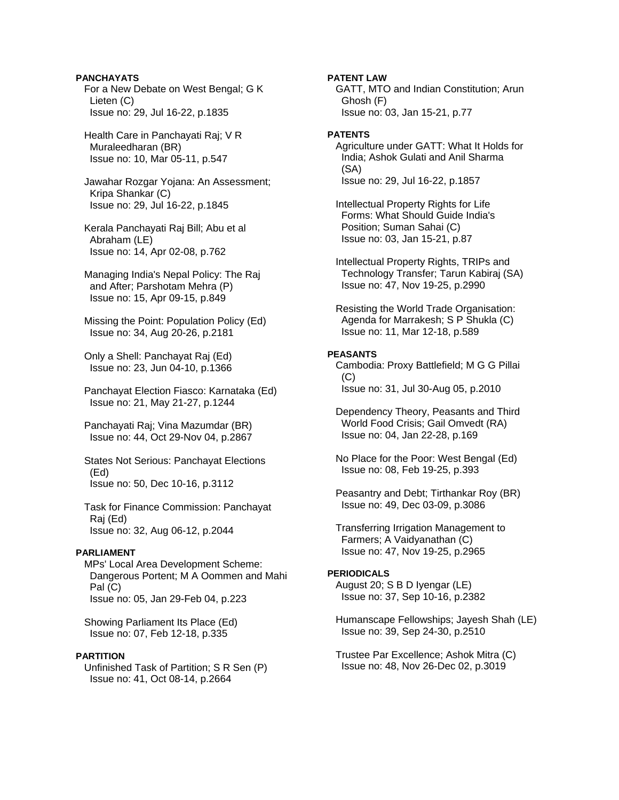**PANCHAYATS**  For a New Debate on West Bengal; G K Lieten (C) Issue no: 29, Jul 16-22, p.1835

 Health Care in Panchayati Raj; V R Muraleedharan (BR) Issue no: 10, Mar 05-11, p.547

 Jawahar Rozgar Yojana: An Assessment; Kripa Shankar (C) Issue no: 29, Jul 16-22, p.1845

 Kerala Panchayati Raj Bill; Abu et al Abraham (LE) Issue no: 14, Apr 02-08, p.762

 Managing India's Nepal Policy: The Raj and After; Parshotam Mehra (P) Issue no: 15, Apr 09-15, p.849

 Missing the Point: Population Policy (Ed) Issue no: 34, Aug 20-26, p.2181

 Only a Shell: Panchayat Raj (Ed) Issue no: 23, Jun 04-10, p.1366

 Panchayat Election Fiasco: Karnataka (Ed) Issue no: 21, May 21-27, p.1244

 Panchayati Raj; Vina Mazumdar (BR) Issue no: 44, Oct 29-Nov 04, p.2867

 States Not Serious: Panchayat Elections (Ed) Issue no: 50, Dec 10-16, p.3112

 Task for Finance Commission: Panchayat Raj (Ed) Issue no: 32, Aug 06-12, p.2044

#### **PARLIAMENT**

 MPs' Local Area Development Scheme: Dangerous Portent; M A Oommen and Mahi Pal (C) Issue no: 05, Jan 29-Feb 04, p.223

 Showing Parliament Its Place (Ed) Issue no: 07, Feb 12-18, p.335

### **PARTITION**

 Unfinished Task of Partition; S R Sen (P) Issue no: 41, Oct 08-14, p.2664

**PATENT LAW** 

 GATT, MTO and Indian Constitution; Arun Ghosh (F) Issue no: 03, Jan 15-21, p.77

#### **PATENTS**

 Agriculture under GATT: What It Holds for India; Ashok Gulati and Anil Sharma (SA) Issue no: 29, Jul 16-22, p.1857

 Intellectual Property Rights for Life Forms: What Should Guide India's Position; Suman Sahai (C) Issue no: 03, Jan 15-21, p.87

 Intellectual Property Rights, TRIPs and Technology Transfer; Tarun Kabiraj (SA) Issue no: 47, Nov 19-25, p.2990

 Resisting the World Trade Organisation: Agenda for Marrakesh; S P Shukla (C) Issue no: 11, Mar 12-18, p.589

#### **PEASANTS**

 Cambodia: Proxy Battlefield; M G G Pillai  $(C)$ Issue no: 31, Jul 30-Aug 05, p.2010

 Dependency Theory, Peasants and Third World Food Crisis; Gail Omvedt (RA) Issue no: 04, Jan 22-28, p.169

 No Place for the Poor: West Bengal (Ed) Issue no: 08, Feb 19-25, p.393

 Peasantry and Debt; Tirthankar Roy (BR) Issue no: 49, Dec 03-09, p.3086

 Transferring Irrigation Management to Farmers; A Vaidyanathan (C) Issue no: 47, Nov 19-25, p.2965

#### **PERIODICALS**

 August 20; S B D Iyengar (LE) Issue no: 37, Sep 10-16, p.2382

 Humanscape Fellowships; Jayesh Shah (LE) Issue no: 39, Sep 24-30, p.2510

 Trustee Par Excellence; Ashok Mitra (C) Issue no: 48, Nov 26-Dec 02, p.3019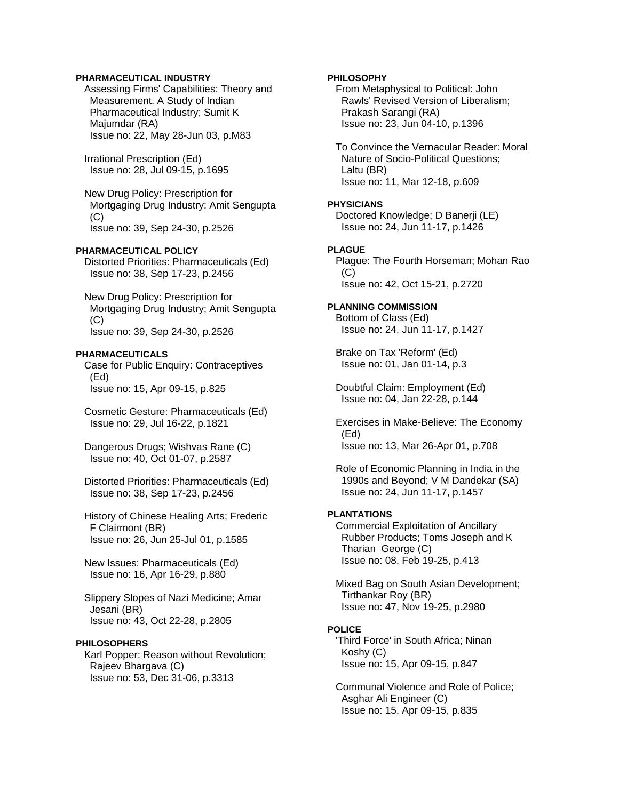### **PHARMACEUTICAL INDUSTRY**

 Assessing Firms' Capabilities: Theory and Measurement. A Study of Indian Pharmaceutical Industry; Sumit K Majumdar (RA) Issue no: 22, May 28-Jun 03, p.M83

 Irrational Prescription (Ed) Issue no: 28, Jul 09-15, p.1695

 New Drug Policy: Prescription for Mortgaging Drug Industry; Amit Sengupta  $(C)$ Issue no: 39, Sep 24-30, p.2526

**PHARMACEUTICAL POLICY** 

 Distorted Priorities: Pharmaceuticals (Ed) Issue no: 38, Sep 17-23, p.2456

 New Drug Policy: Prescription for Mortgaging Drug Industry; Amit Sengupta  $(C)$ Issue no: 39, Sep 24-30, p.2526

#### **PHARMACEUTICALS**

 Case for Public Enquiry: Contraceptives (Ed) Issue no: 15, Apr 09-15, p.825

 Cosmetic Gesture: Pharmaceuticals (Ed) Issue no: 29, Jul 16-22, p.1821

 Dangerous Drugs; Wishvas Rane (C) Issue no: 40, Oct 01-07, p.2587

 Distorted Priorities: Pharmaceuticals (Ed) Issue no: 38, Sep 17-23, p.2456

 History of Chinese Healing Arts; Frederic F Clairmont (BR) Issue no: 26, Jun 25-Jul 01, p.1585

 New Issues: Pharmaceuticals (Ed) Issue no: 16, Apr 16-29, p.880

 Slippery Slopes of Nazi Medicine; Amar Jesani (BR) Issue no: 43, Oct 22-28, p.2805

#### **PHILOSOPHERS**

 Karl Popper: Reason without Revolution; Rajeev Bhargava (C) Issue no: 53, Dec 31-06, p.3313

### **PHILOSOPHY**

 From Metaphysical to Political: John Rawls' Revised Version of Liberalism; Prakash Sarangi (RA) Issue no: 23, Jun 04-10, p.1396

 To Convince the Vernacular Reader: Moral Nature of Socio-Political Questions; Laltu (BR) Issue no: 11, Mar 12-18, p.609

#### **PHYSICIANS**

 Doctored Knowledge; D Banerji (LE) Issue no: 24, Jun 11-17, p.1426

### **PLAGUE**

 Plague: The Fourth Horseman; Mohan Rao  $(C)$ Issue no: 42, Oct 15-21, p.2720

# **PLANNING COMMISSION**

 Bottom of Class (Ed) Issue no: 24, Jun 11-17, p.1427

 Brake on Tax 'Reform' (Ed) Issue no: 01, Jan 01-14, p.3

 Doubtful Claim: Employment (Ed) Issue no: 04, Jan 22-28, p.144

 Exercises in Make-Believe: The Economy (Ed) Issue no: 13, Mar 26-Apr 01, p.708

 Role of Economic Planning in India in the 1990s and Beyond; V M Dandekar (SA) Issue no: 24, Jun 11-17, p.1457

#### **PLANTATIONS**

 Commercial Exploitation of Ancillary Rubber Products; Toms Joseph and K Tharian George (C) Issue no: 08, Feb 19-25, p.413

 Mixed Bag on South Asian Development; Tirthankar Roy (BR) Issue no: 47, Nov 19-25, p.2980

#### **POLICE**

 'Third Force' in South Africa; Ninan Koshy (C) Issue no: 15, Apr 09-15, p.847

 Communal Violence and Role of Police; Asghar Ali Engineer (C) Issue no: 15, Apr 09-15, p.835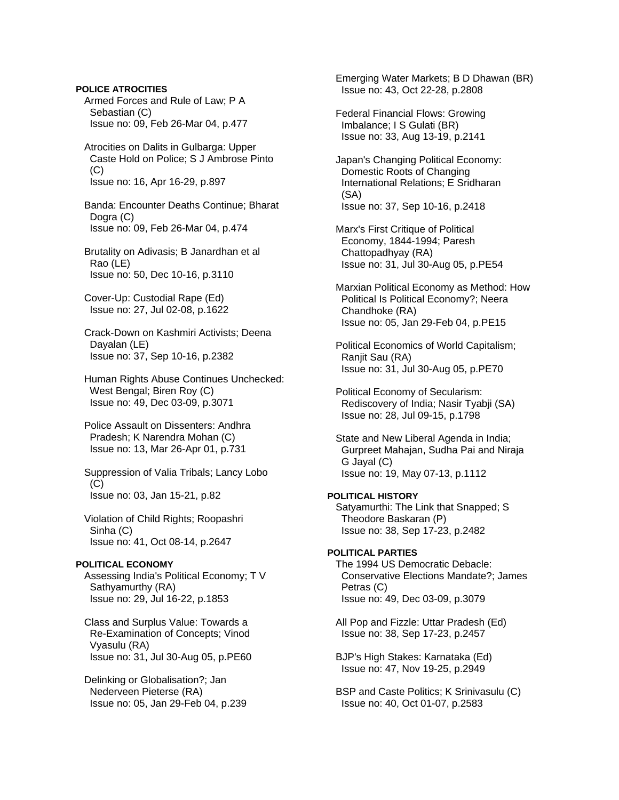**POLICE ATROCITIES**  Armed Forces and Rule of Law; P A Sebastian (C) Issue no: 09, Feb 26-Mar 04, p.477

 Atrocities on Dalits in Gulbarga: Upper Caste Hold on Police; S J Ambrose Pinto  $(C)$ Issue no: 16, Apr 16-29, p.897

 Banda: Encounter Deaths Continue; Bharat Dogra (C) Issue no: 09, Feb 26-Mar 04, p.474

 Brutality on Adivasis; B Janardhan et al Rao (LE) Issue no: 50, Dec 10-16, p.3110

 Cover-Up: Custodial Rape (Ed) Issue no: 27, Jul 02-08, p.1622

 Crack-Down on Kashmiri Activists; Deena Dayalan (LE) Issue no: 37, Sep 10-16, p.2382

 Human Rights Abuse Continues Unchecked: West Bengal; Biren Roy (C) Issue no: 49, Dec 03-09, p.3071

 Police Assault on Dissenters: Andhra Pradesh; K Narendra Mohan (C) Issue no: 13, Mar 26-Apr 01, p.731

 Suppression of Valia Tribals; Lancy Lobo  $(C)$ Issue no: 03, Jan 15-21, p.82

 Violation of Child Rights; Roopashri Sinha (C) Issue no: 41, Oct 08-14, p.2647

#### **POLITICAL ECONOMY**

 Assessing India's Political Economy; T V Sathyamurthy (RA) Issue no: 29, Jul 16-22, p.1853

 Class and Surplus Value: Towards a Re-Examination of Concepts; Vinod Vyasulu (RA) Issue no: 31, Jul 30-Aug 05, p.PE60

 Delinking or Globalisation?; Jan Nederveen Pieterse (RA) Issue no: 05, Jan 29-Feb 04, p.239  Emerging Water Markets; B D Dhawan (BR) Issue no: 43, Oct 22-28, p.2808

 Federal Financial Flows: Growing Imbalance; I S Gulati (BR) Issue no: 33, Aug 13-19, p.2141

 Japan's Changing Political Economy: Domestic Roots of Changing International Relations; E Sridharan (SA) Issue no: 37, Sep 10-16, p.2418

 Marx's First Critique of Political Economy, 1844-1994; Paresh Chattopadhyay (RA) Issue no: 31, Jul 30-Aug 05, p.PE54

 Marxian Political Economy as Method: How Political Is Political Economy?; Neera Chandhoke (RA) Issue no: 05, Jan 29-Feb 04, p.PE15

 Political Economics of World Capitalism; Raniit Sau (RA) Issue no: 31, Jul 30-Aug 05, p.PE70

 Political Economy of Secularism: Rediscovery of India; Nasir Tyabji (SA) Issue no: 28, Jul 09-15, p.1798

 State and New Liberal Agenda in India; Gurpreet Mahajan, Sudha Pai and Niraja G Jayal (C) Issue no: 19, May 07-13, p.1112

# **POLITICAL HISTORY**

 Satyamurthi: The Link that Snapped; S Theodore Baskaran (P) Issue no: 38, Sep 17-23, p.2482

# **POLITICAL PARTIES**

 The 1994 US Democratic Debacle: Conservative Elections Mandate?; James Petras (C) Issue no: 49, Dec 03-09, p.3079

 All Pop and Fizzle: Uttar Pradesh (Ed) Issue no: 38, Sep 17-23, p.2457

 BJP's High Stakes: Karnataka (Ed) Issue no: 47, Nov 19-25, p.2949

 BSP and Caste Politics; K Srinivasulu (C) Issue no: 40, Oct 01-07, p.2583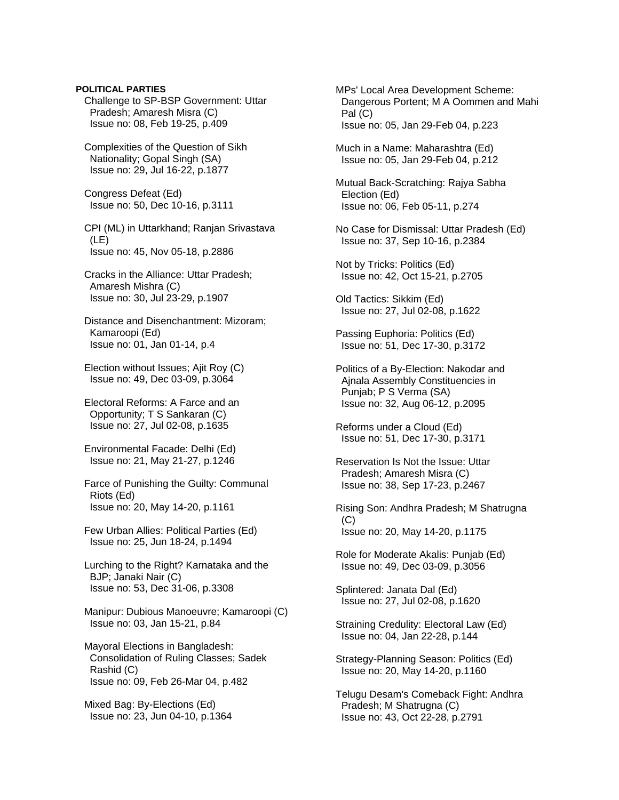Challenge to SP-BSP Government: Uttar Pradesh; Amaresh Misra (C) Issue no: 08, Feb 19-25, p.409 Complexities of the Question of Sikh Nationality; Gopal Singh (SA) Issue no: 29, Jul 16-22, p.1877 Congress Defeat (Ed) Issue no: 50, Dec 10-16, p.3111 CPI (ML) in Uttarkhand; Ranjan Srivastava (LE) Issue no: 45, Nov 05-18, p.2886 Cracks in the Alliance: Uttar Pradesh; Amaresh Mishra (C) Issue no: 30, Jul 23-29, p.1907 Distance and Disenchantment: Mizoram; Kamaroopi (Ed) Issue no: 01, Jan 01-14, p.4 Election without Issues; Ajit Roy (C) Issue no: 49, Dec 03-09, p.3064 Electoral Reforms: A Farce and an Opportunity; T S Sankaran (C) Issue no: 27, Jul 02-08, p.1635 Environmental Facade: Delhi (Ed) Issue no: 21, May 21-27, p.1246 Farce of Punishing the Guilty: Communal Riots (Ed) Issue no: 20, May 14-20, p.1161 Few Urban Allies: Political Parties (Ed) Issue no: 25, Jun 18-24, p.1494 Lurching to the Right? Karnataka and the BJP; Janaki Nair (C) Issue no: 53, Dec 31-06, p.3308 Manipur: Dubious Manoeuvre; Kamaroopi (C) Issue no: 03, Jan 15-21, p.84 Mayoral Elections in Bangladesh: Consolidation of Ruling Classes; Sadek Rashid (C) Issue no: 09, Feb 26-Mar 04, p.482 Mixed Bag: By-Elections (Ed) Issue no: 23, Jun 04-10, p.1364

**POLITICAL PARTIES** 

 MPs' Local Area Development Scheme: Dangerous Portent; M A Oommen and Mahi Pal (C) Issue no: 05, Jan 29-Feb 04, p.223 Much in a Name: Maharashtra (Ed) Issue no: 05, Jan 29-Feb 04, p.212 Mutual Back-Scratching: Rajya Sabha Election (Ed) Issue no: 06, Feb 05-11, p.274 No Case for Dismissal: Uttar Pradesh (Ed) Issue no: 37, Sep 10-16, p.2384 Not by Tricks: Politics (Ed) Issue no: 42, Oct 15-21, p.2705 Old Tactics: Sikkim (Ed) Issue no: 27, Jul 02-08, p.1622 Passing Euphoria: Politics (Ed) Issue no: 51, Dec 17-30, p.3172 Politics of a By-Election: Nakodar and Ajnala Assembly Constituencies in Punjab; P S Verma (SA) Issue no: 32, Aug 06-12, p.2095 Reforms under a Cloud (Ed) Issue no: 51, Dec 17-30, p.3171 Reservation Is Not the Issue: Uttar Pradesh; Amaresh Misra (C) Issue no: 38, Sep 17-23, p.2467 Rising Son: Andhra Pradesh; M Shatrugna  $(C)$  Issue no: 20, May 14-20, p.1175 Role for Moderate Akalis: Punjab (Ed) Issue no: 49, Dec 03-09, p.3056 Splintered: Janata Dal (Ed) Issue no: 27, Jul 02-08, p.1620 Straining Credulity: Electoral Law (Ed) Issue no: 04, Jan 22-28, p.144 Strategy-Planning Season: Politics (Ed) Issue no: 20, May 14-20, p.1160 Telugu Desam's Comeback Fight: Andhra Pradesh; M Shatrugna (C) Issue no: 43, Oct 22-28, p.2791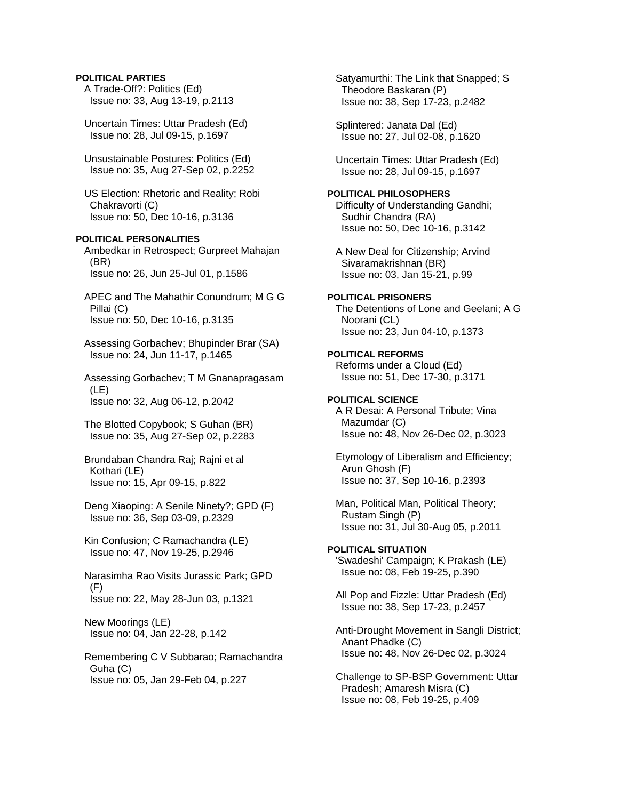# **POLITICAL PARTIES**

 A Trade-Off?: Politics (Ed) Issue no: 33, Aug 13-19, p.2113

 Uncertain Times: Uttar Pradesh (Ed) Issue no: 28, Jul 09-15, p.1697

 Unsustainable Postures: Politics (Ed) Issue no: 35, Aug 27-Sep 02, p.2252

 US Election: Rhetoric and Reality; Robi Chakravorti (C) Issue no: 50, Dec 10-16, p.3136

### **POLITICAL PERSONALITIES**

 Ambedkar in Retrospect; Gurpreet Mahajan (BR) Issue no: 26, Jun 25-Jul 01, p.1586

 APEC and The Mahathir Conundrum; M G G Pillai (C) Issue no: 50, Dec 10-16, p.3135

 Assessing Gorbachev; Bhupinder Brar (SA) Issue no: 24, Jun 11-17, p.1465

 Assessing Gorbachev; T M Gnanapragasam (LE) Issue no: 32, Aug 06-12, p.2042

 The Blotted Copybook; S Guhan (BR) Issue no: 35, Aug 27-Sep 02, p.2283

 Brundaban Chandra Raj; Rajni et al Kothari (LE) Issue no: 15, Apr 09-15, p.822

 Deng Xiaoping: A Senile Ninety?; GPD (F) Issue no: 36, Sep 03-09, p.2329

 Kin Confusion; C Ramachandra (LE) Issue no: 47, Nov 19-25, p.2946

 Narasimha Rao Visits Jurassic Park; GPD (F) Issue no: 22, May 28-Jun 03, p.1321

New Moorings (LE)

Issue no: 04, Jan 22-28, p.142

 Remembering C V Subbarao; Ramachandra Guha (C) Issue no: 05, Jan 29-Feb 04, p.227

 Satyamurthi: The Link that Snapped; S Theodore Baskaran (P) Issue no: 38, Sep 17-23, p.2482

 Splintered: Janata Dal (Ed) Issue no: 27, Jul 02-08, p.1620

 Uncertain Times: Uttar Pradesh (Ed) Issue no: 28, Jul 09-15, p.1697

### **POLITICAL PHILOSOPHERS**

 Difficulty of Understanding Gandhi; Sudhir Chandra (RA) Issue no: 50, Dec 10-16, p.3142

 A New Deal for Citizenship; Arvind Sivaramakrishnan (BR) Issue no: 03, Jan 15-21, p.99

**POLITICAL PRISONERS**  The Detentions of Lone and Geelani; A G Noorani (CL) Issue no: 23, Jun 04-10, p.1373

**POLITICAL REFORMS**  Reforms under a Cloud (Ed) Issue no: 51, Dec 17-30, p.3171

#### **POLITICAL SCIENCE**

 A R Desai: A Personal Tribute; Vina Mazumdar (C) Issue no: 48, Nov 26-Dec 02, p.3023

 Etymology of Liberalism and Efficiency; Arun Ghosh (F) Issue no: 37, Sep 10-16, p.2393

 Man, Political Man, Political Theory; Rustam Singh (P) Issue no: 31, Jul 30-Aug 05, p.2011

### **POLITICAL SITUATION**

 'Swadeshi' Campaign; K Prakash (LE) Issue no: 08, Feb 19-25, p.390

 All Pop and Fizzle: Uttar Pradesh (Ed) Issue no: 38, Sep 17-23, p.2457

 Anti-Drought Movement in Sangli District; Anant Phadke (C) Issue no: 48, Nov 26-Dec 02, p.3024

 Challenge to SP-BSP Government: Uttar Pradesh; Amaresh Misra (C) Issue no: 08, Feb 19-25, p.409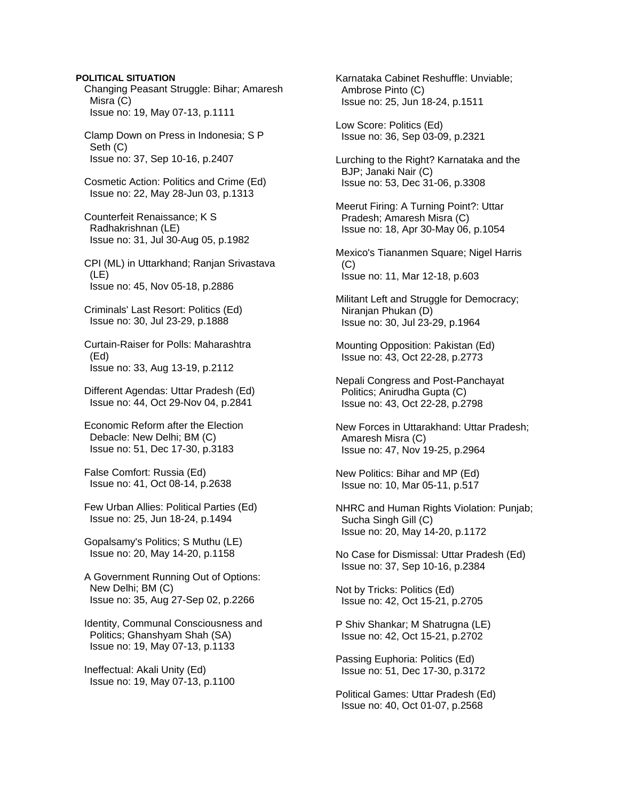### **POLITICAL SITUATION**

 Changing Peasant Struggle: Bihar; Amaresh Misra (C) Issue no: 19, May 07-13, p.1111

 Clamp Down on Press in Indonesia; S P Seth (C) Issue no: 37, Sep 10-16, p.2407

 Cosmetic Action: Politics and Crime (Ed) Issue no: 22, May 28-Jun 03, p.1313

 Counterfeit Renaissance; K S Radhakrishnan (LE) Issue no: 31, Jul 30-Aug 05, p.1982

 CPI (ML) in Uttarkhand; Ranjan Srivastava (LE) Issue no: 45, Nov 05-18, p.2886

 Criminals' Last Resort: Politics (Ed) Issue no: 30, Jul 23-29, p.1888

 Curtain-Raiser for Polls: Maharashtra (Ed) Issue no: 33, Aug 13-19, p.2112

 Different Agendas: Uttar Pradesh (Ed) Issue no: 44, Oct 29-Nov 04, p.2841

 Economic Reform after the Election Debacle: New Delhi; BM (C) Issue no: 51, Dec 17-30, p.3183

 False Comfort: Russia (Ed) Issue no: 41, Oct 08-14, p.2638

 Few Urban Allies: Political Parties (Ed) Issue no: 25, Jun 18-24, p.1494

 Gopalsamy's Politics; S Muthu (LE) Issue no: 20, May 14-20, p.1158

 A Government Running Out of Options: New Delhi; BM (C) Issue no: 35, Aug 27-Sep 02, p.2266

 Identity, Communal Consciousness and Politics; Ghanshyam Shah (SA) Issue no: 19, May 07-13, p.1133

 Ineffectual: Akali Unity (Ed) Issue no: 19, May 07-13, p.1100  Karnataka Cabinet Reshuffle: Unviable; Ambrose Pinto (C) Issue no: 25, Jun 18-24, p.1511

 Low Score: Politics (Ed) Issue no: 36, Sep 03-09, p.2321

 Lurching to the Right? Karnataka and the BJP; Janaki Nair (C) Issue no: 53, Dec 31-06, p.3308

 Meerut Firing: A Turning Point?: Uttar Pradesh; Amaresh Misra (C) Issue no: 18, Apr 30-May 06, p.1054

 Mexico's Tiananmen Square; Nigel Harris (C) Issue no: 11, Mar 12-18, p.603

 Militant Left and Struggle for Democracy; Niranjan Phukan (D) Issue no: 30, Jul 23-29, p.1964

 Mounting Opposition: Pakistan (Ed) Issue no: 43, Oct 22-28, p.2773

 Nepali Congress and Post-Panchayat Politics; Anirudha Gupta (C) Issue no: 43, Oct 22-28, p.2798

 New Forces in Uttarakhand: Uttar Pradesh; Amaresh Misra (C) Issue no: 47, Nov 19-25, p.2964

 New Politics: Bihar and MP (Ed) Issue no: 10, Mar 05-11, p.517

 NHRC and Human Rights Violation: Punjab; Sucha Singh Gill (C) Issue no: 20, May 14-20, p.1172

 No Case for Dismissal: Uttar Pradesh (Ed) Issue no: 37, Sep 10-16, p.2384

 Not by Tricks: Politics (Ed) Issue no: 42, Oct 15-21, p.2705

 P Shiv Shankar; M Shatrugna (LE) Issue no: 42, Oct 15-21, p.2702

 Passing Euphoria: Politics (Ed) Issue no: 51, Dec 17-30, p.3172

 Political Games: Uttar Pradesh (Ed) Issue no: 40, Oct 01-07, p.2568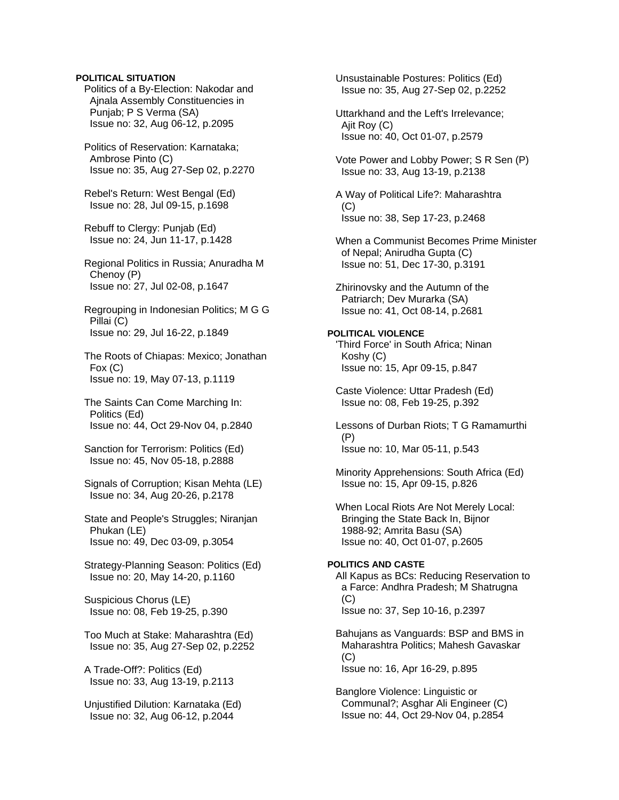### **POLITICAL SITUATION**

 Politics of a By-Election: Nakodar and Ajnala Assembly Constituencies in Punjab; P S Verma (SA) Issue no: 32, Aug 06-12, p.2095

 Politics of Reservation: Karnataka; Ambrose Pinto (C) Issue no: 35, Aug 27-Sep 02, p.2270

 Rebel's Return: West Bengal (Ed) Issue no: 28, Jul 09-15, p.1698

 Rebuff to Clergy: Punjab (Ed) Issue no: 24, Jun 11-17, p.1428

 Regional Politics in Russia; Anuradha M Chenoy (P) Issue no: 27, Jul 02-08, p.1647

 Regrouping in Indonesian Politics; M G G Pillai (C) Issue no: 29, Jul 16-22, p.1849

 The Roots of Chiapas: Mexico; Jonathan Fox (C) Issue no: 19, May 07-13, p.1119

 The Saints Can Come Marching In: Politics (Ed) Issue no: 44, Oct 29-Nov 04, p.2840

 Sanction for Terrorism: Politics (Ed) Issue no: 45, Nov 05-18, p.2888

 Signals of Corruption; Kisan Mehta (LE) Issue no: 34, Aug 20-26, p.2178

 State and People's Struggles; Niranjan Phukan (LE) Issue no: 49, Dec 03-09, p.3054

 Strategy-Planning Season: Politics (Ed) Issue no: 20, May 14-20, p.1160

 Suspicious Chorus (LE) Issue no: 08, Feb 19-25, p.390

 Too Much at Stake: Maharashtra (Ed) Issue no: 35, Aug 27-Sep 02, p.2252

 A Trade-Off?: Politics (Ed) Issue no: 33, Aug 13-19, p.2113

 Unjustified Dilution: Karnataka (Ed) Issue no: 32, Aug 06-12, p.2044

 Unsustainable Postures: Politics (Ed) Issue no: 35, Aug 27-Sep 02, p.2252

 Uttarkhand and the Left's Irrelevance; Ajit Roy (C) Issue no: 40, Oct 01-07, p.2579

 Vote Power and Lobby Power; S R Sen (P) Issue no: 33, Aug 13-19, p.2138

 A Way of Political Life?: Maharashtra  $(C)$ Issue no: 38, Sep 17-23, p.2468

 When a Communist Becomes Prime Minister of Nepal; Anirudha Gupta (C) Issue no: 51, Dec 17-30, p.3191

 Zhirinovsky and the Autumn of the Patriarch; Dev Murarka (SA) Issue no: 41, Oct 08-14, p.2681

#### **POLITICAL VIOLENCE**  'Third Force' in South Africa; Ninan

 Koshy (C) Issue no: 15, Apr 09-15, p.847

 Caste Violence: Uttar Pradesh (Ed) Issue no: 08, Feb 19-25, p.392

 Lessons of Durban Riots; T G Ramamurthi (P) Issue no: 10, Mar 05-11, p.543

 Minority Apprehensions: South Africa (Ed) Issue no: 15, Apr 09-15, p.826

 When Local Riots Are Not Merely Local: Bringing the State Back In, Bijnor 1988-92; Amrita Basu (SA) Issue no: 40, Oct 01-07, p.2605

# **POLITICS AND CASTE**

 All Kapus as BCs: Reducing Reservation to a Farce: Andhra Pradesh; M Shatrugna  $(C)$ Issue no: 37, Sep 10-16, p.2397

 Bahujans as Vanguards: BSP and BMS in Maharashtra Politics; Mahesh Gavaskar  $(C)$ Issue no: 16, Apr 16-29, p.895

 Banglore Violence: Linguistic or Communal?; Asghar Ali Engineer (C) Issue no: 44, Oct 29-Nov 04, p.2854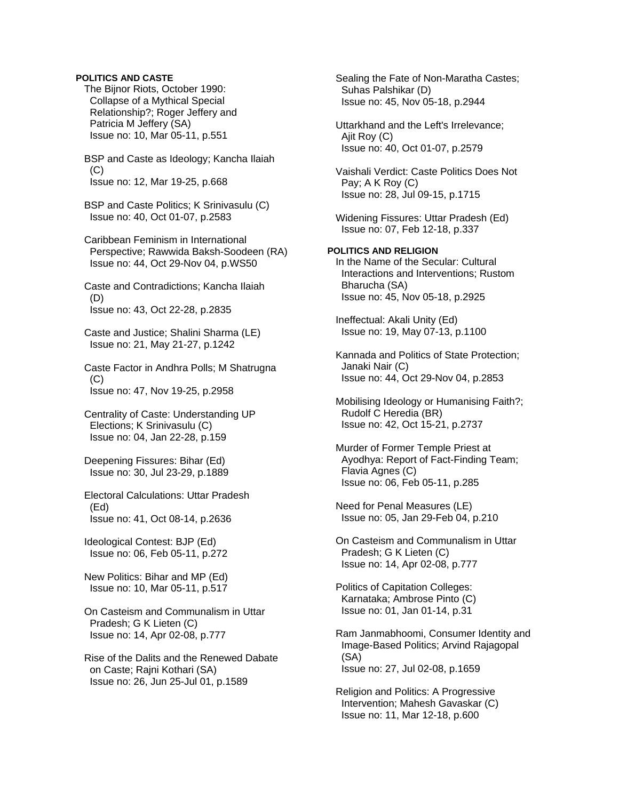### **POLITICS AND CASTE**

 The Bijnor Riots, October 1990: Collapse of a Mythical Special Relationship?; Roger Jeffery and Patricia M Jeffery (SA) Issue no: 10, Mar 05-11, p.551

 BSP and Caste as Ideology; Kancha Ilaiah  $(C)$ Issue no: 12, Mar 19-25, p.668

 BSP and Caste Politics; K Srinivasulu (C) Issue no: 40, Oct 01-07, p.2583

 Caribbean Feminism in International Perspective; Rawwida Baksh-Soodeen (RA) Issue no: 44, Oct 29-Nov 04, p.WS50

 Caste and Contradictions; Kancha Ilaiah (D) Issue no: 43, Oct 22-28, p.2835

 Caste and Justice; Shalini Sharma (LE) Issue no: 21, May 21-27, p.1242

 Caste Factor in Andhra Polls; M Shatrugna  $(C)$ Issue no: 47, Nov 19-25, p.2958

 Centrality of Caste: Understanding UP Elections; K Srinivasulu (C) Issue no: 04, Jan 22-28, p.159

 Deepening Fissures: Bihar (Ed) Issue no: 30, Jul 23-29, p.1889

 Electoral Calculations: Uttar Pradesh (Ed) Issue no: 41, Oct 08-14, p.2636

 Ideological Contest: BJP (Ed) Issue no: 06, Feb 05-11, p.272

 New Politics: Bihar and MP (Ed) Issue no: 10, Mar 05-11, p.517

 On Casteism and Communalism in Uttar Pradesh; G K Lieten (C) Issue no: 14, Apr 02-08, p.777

 Rise of the Dalits and the Renewed Dabate on Caste; Rajni Kothari (SA) Issue no: 26, Jun 25-Jul 01, p.1589

 Sealing the Fate of Non-Maratha Castes; Suhas Palshikar (D) Issue no: 45, Nov 05-18, p.2944

 Uttarkhand and the Left's Irrelevance; Aiit Roy (C) Issue no: 40, Oct 01-07, p.2579

 Vaishali Verdict: Caste Politics Does Not Pay; A K Roy (C) Issue no: 28, Jul 09-15, p.1715

 Widening Fissures: Uttar Pradesh (Ed) Issue no: 07, Feb 12-18, p.337

# **POLITICS AND RELIGION**

 In the Name of the Secular: Cultural Interactions and Interventions; Rustom Bharucha (SA) Issue no: 45, Nov 05-18, p.2925

 Ineffectual: Akali Unity (Ed) Issue no: 19, May 07-13, p.1100

 Kannada and Politics of State Protection; Janaki Nair (C) Issue no: 44, Oct 29-Nov 04, p.2853

 Mobilising Ideology or Humanising Faith?; Rudolf C Heredia (BR) Issue no: 42, Oct 15-21, p.2737

 Murder of Former Temple Priest at Ayodhya: Report of Fact-Finding Team; Flavia Agnes (C) Issue no: 06, Feb 05-11, p.285

 Need for Penal Measures (LE) Issue no: 05, Jan 29-Feb 04, p.210

 On Casteism and Communalism in Uttar Pradesh; G K Lieten (C) Issue no: 14, Apr 02-08, p.777

 Politics of Capitation Colleges: Karnataka; Ambrose Pinto (C) Issue no: 01, Jan 01-14, p.31

 Ram Janmabhoomi, Consumer Identity and Image-Based Politics; Arvind Rajagopal (SA) Issue no: 27, Jul 02-08, p.1659

 Religion and Politics: A Progressive Intervention; Mahesh Gavaskar (C) Issue no: 11, Mar 12-18, p.600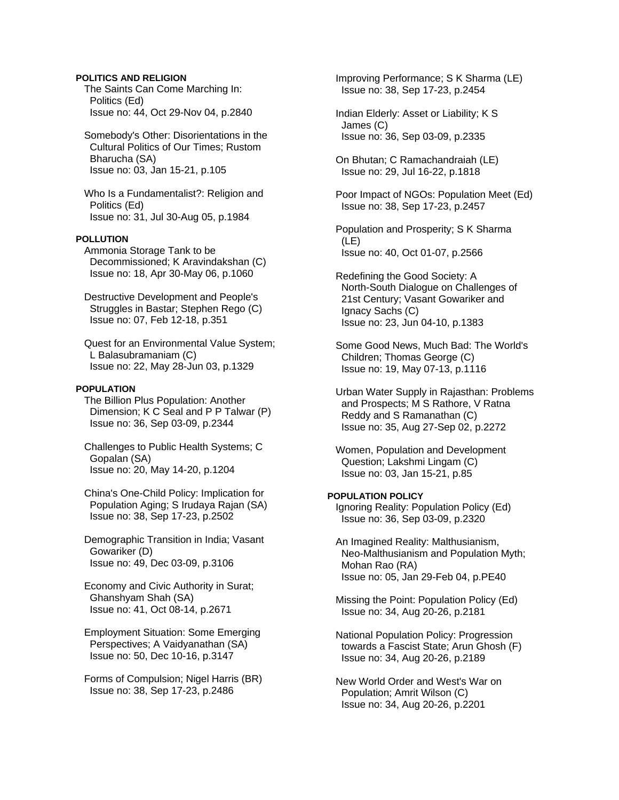### **POLITICS AND RELIGION**

 The Saints Can Come Marching In: Politics (Ed) Issue no: 44, Oct 29-Nov 04, p.2840

 Somebody's Other: Disorientations in the Cultural Politics of Our Times; Rustom Bharucha (SA) Issue no: 03, Jan 15-21, p.105

 Who Is a Fundamentalist?: Religion and Politics (Ed) Issue no: 31, Jul 30-Aug 05, p.1984

### **POLLUTION**

 Ammonia Storage Tank to be Decommissioned; K Aravindakshan (C) Issue no: 18, Apr 30-May 06, p.1060

 Destructive Development and People's Struggles in Bastar; Stephen Rego (C) Issue no: 07, Feb 12-18, p.351

 Quest for an Environmental Value System; L Balasubramaniam (C) Issue no: 22, May 28-Jun 03, p.1329

### **POPULATION**

 The Billion Plus Population: Another Dimension; K C Seal and P P Talwar (P) Issue no: 36, Sep 03-09, p.2344

 Challenges to Public Health Systems; C Gopalan (SA) Issue no: 20, May 14-20, p.1204

 China's One-Child Policy: Implication for Population Aging; S Irudaya Rajan (SA) Issue no: 38, Sep 17-23, p.2502

 Demographic Transition in India; Vasant Gowariker (D) Issue no: 49, Dec 03-09, p.3106

 Economy and Civic Authority in Surat; Ghanshyam Shah (SA) Issue no: 41, Oct 08-14, p.2671

 Employment Situation: Some Emerging Perspectives; A Vaidyanathan (SA) Issue no: 50, Dec 10-16, p.3147

 Forms of Compulsion; Nigel Harris (BR) Issue no: 38, Sep 17-23, p.2486

 Improving Performance; S K Sharma (LE) Issue no: 38, Sep 17-23, p.2454

 Indian Elderly: Asset or Liability; K S James (C) Issue no: 36, Sep 03-09, p.2335

 On Bhutan; C Ramachandraiah (LE) Issue no: 29, Jul 16-22, p.1818

 Poor Impact of NGOs: Population Meet (Ed) Issue no: 38, Sep 17-23, p.2457

 Population and Prosperity; S K Sharma (LE) Issue no: 40, Oct 01-07, p.2566

 Redefining the Good Society: A North-South Dialogue on Challenges of 21st Century; Vasant Gowariker and Ignacy Sachs (C) Issue no: 23, Jun 04-10, p.1383

 Some Good News, Much Bad: The World's Children; Thomas George (C) Issue no: 19, May 07-13, p.1116

 Urban Water Supply in Rajasthan: Problems and Prospects; M S Rathore, V Ratna Reddy and S Ramanathan (C) Issue no: 35, Aug 27-Sep 02, p.2272

 Women, Population and Development Question; Lakshmi Lingam (C) Issue no: 03, Jan 15-21, p.85

#### **POPULATION POLICY**

 Ignoring Reality: Population Policy (Ed) Issue no: 36, Sep 03-09, p.2320

 An Imagined Reality: Malthusianism, Neo-Malthusianism and Population Myth; Mohan Rao (RA) Issue no: 05, Jan 29-Feb 04, p.PE40

 Missing the Point: Population Policy (Ed) Issue no: 34, Aug 20-26, p.2181

 National Population Policy: Progression towards a Fascist State; Arun Ghosh (F) Issue no: 34, Aug 20-26, p.2189

 New World Order and West's War on Population; Amrit Wilson (C) Issue no: 34, Aug 20-26, p.2201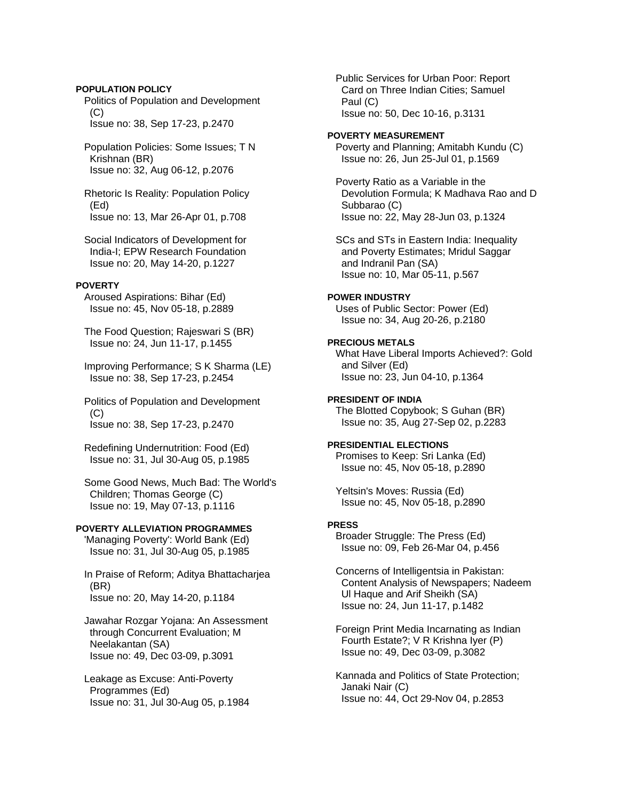### **POPULATION POLICY**

 Politics of Population and Development  $(C)$ Issue no: 38, Sep 17-23, p.2470

 Population Policies: Some Issues; T N Krishnan (BR) Issue no: 32, Aug 06-12, p.2076

 Rhetoric Is Reality: Population Policy (Ed) Issue no: 13, Mar 26-Apr 01, p.708

 Social Indicators of Development for India-I; EPW Research Foundation Issue no: 20, May 14-20, p.1227

### **POVERTY**

 Aroused Aspirations: Bihar (Ed) Issue no: 45, Nov 05-18, p.2889

 The Food Question; Rajeswari S (BR) Issue no: 24, Jun 11-17, p.1455

 Improving Performance; S K Sharma (LE) Issue no: 38, Sep 17-23, p.2454

 Politics of Population and Development  $(C)$ Issue no: 38, Sep 17-23, p.2470

 Redefining Undernutrition: Food (Ed) Issue no: 31, Jul 30-Aug 05, p.1985

 Some Good News, Much Bad: The World's Children; Thomas George (C) Issue no: 19, May 07-13, p.1116

# **POVERTY ALLEVIATION PROGRAMMES**

 'Managing Poverty': World Bank (Ed) Issue no: 31, Jul 30-Aug 05, p.1985

 In Praise of Reform; Aditya Bhattacharjea (BR) Issue no: 20, May 14-20, p.1184

 Jawahar Rozgar Yojana: An Assessment through Concurrent Evaluation; M Neelakantan (SA) Issue no: 49, Dec 03-09, p.3091

 Leakage as Excuse: Anti-Poverty Programmes (Ed) Issue no: 31, Jul 30-Aug 05, p.1984  Public Services for Urban Poor: Report Card on Three Indian Cities; Samuel Paul (C) Issue no: 50, Dec 10-16, p.3131

#### **POVERTY MEASUREMENT**

 Poverty and Planning; Amitabh Kundu (C) Issue no: 26, Jun 25-Jul 01, p.1569

 Poverty Ratio as a Variable in the Devolution Formula; K Madhava Rao and D Subbarao (C) Issue no: 22, May 28-Jun 03, p.1324

 SCs and STs in Eastern India: Inequality and Poverty Estimates; Mridul Saggar and Indranil Pan (SA) Issue no: 10, Mar 05-11, p.567

#### **POWER INDUSTRY**

 Uses of Public Sector: Power (Ed) Issue no: 34, Aug 20-26, p.2180

### **PRECIOUS METALS**

 What Have Liberal Imports Achieved?: Gold and Silver (Ed) Issue no: 23, Jun 04-10, p.1364

#### **PRESIDENT OF INDIA**

 The Blotted Copybook; S Guhan (BR) Issue no: 35, Aug 27-Sep 02, p.2283

# **PRESIDENTIAL ELECTIONS**

 Promises to Keep: Sri Lanka (Ed) Issue no: 45, Nov 05-18, p.2890

 Yeltsin's Moves: Russia (Ed) Issue no: 45, Nov 05-18, p.2890

# **PRESS**

 Broader Struggle: The Press (Ed) Issue no: 09, Feb 26-Mar 04, p.456

 Concerns of Intelligentsia in Pakistan: Content Analysis of Newspapers; Nadeem Ul Haque and Arif Sheikh (SA) Issue no: 24, Jun 11-17, p.1482

 Foreign Print Media Incarnating as Indian Fourth Estate?; V R Krishna Iyer (P) Issue no: 49, Dec 03-09, p.3082

 Kannada and Politics of State Protection; Janaki Nair (C) Issue no: 44, Oct 29-Nov 04, p.2853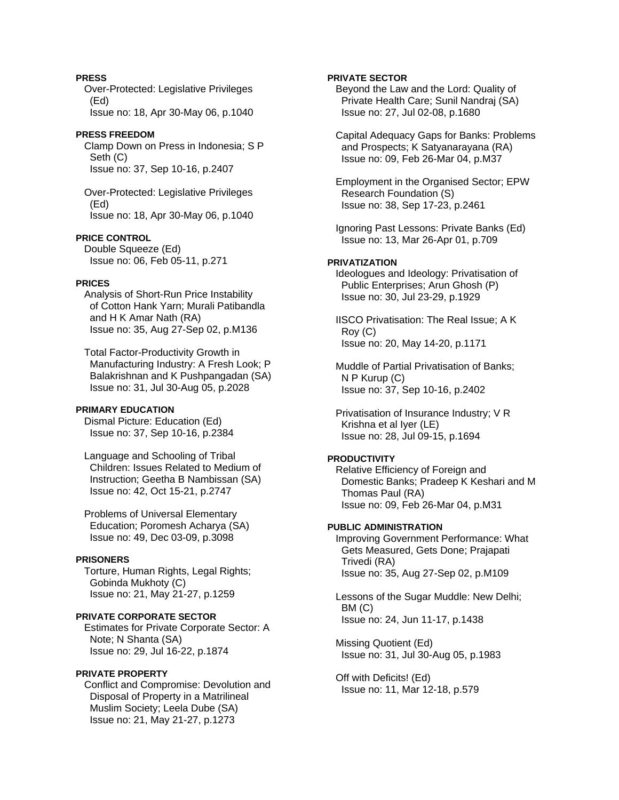# **PRESS**

 Over-Protected: Legislative Privileges (Ed)

Issue no: 18, Apr 30-May 06, p.1040

## **PRESS FREEDOM**

 Clamp Down on Press in Indonesia; S P Seth (C) Issue no: 37, Sep 10-16, p.2407

 Over-Protected: Legislative Privileges (Ed) Issue no: 18, Apr 30-May 06, p.1040

# **PRICE CONTROL**

 Double Squeeze (Ed) Issue no: 06, Feb 05-11, p.271

# **PRICES**

 Analysis of Short-Run Price Instability of Cotton Hank Yarn; Murali Patibandla and H K Amar Nath (RA) Issue no: 35, Aug 27-Sep 02, p.M136

 Total Factor-Productivity Growth in Manufacturing Industry: A Fresh Look; P Balakrishnan and K Pushpangadan (SA) Issue no: 31, Jul 30-Aug 05, p.2028

### **PRIMARY EDUCATION**

 Dismal Picture: Education (Ed) Issue no: 37, Sep 10-16, p.2384

 Language and Schooling of Tribal Children: Issues Related to Medium of Instruction; Geetha B Nambissan (SA) Issue no: 42, Oct 15-21, p.2747

 Problems of Universal Elementary Education; Poromesh Acharya (SA) Issue no: 49, Dec 03-09, p.3098

#### **PRISONERS**

 Torture, Human Rights, Legal Rights; Gobinda Mukhoty (C) Issue no: 21, May 21-27, p.1259

# **PRIVATE CORPORATE SECTOR**

 Estimates for Private Corporate Sector: A Note; N Shanta (SA) Issue no: 29, Jul 16-22, p.1874

### **PRIVATE PROPERTY**

 Conflict and Compromise: Devolution and Disposal of Property in a Matrilineal Muslim Society; Leela Dube (SA) Issue no: 21, May 21-27, p.1273

### **PRIVATE SECTOR**

 Beyond the Law and the Lord: Quality of Private Health Care; Sunil Nandraj (SA) Issue no: 27, Jul 02-08, p.1680

 Capital Adequacy Gaps for Banks: Problems and Prospects; K Satyanarayana (RA) Issue no: 09, Feb 26-Mar 04, p.M37

 Employment in the Organised Sector; EPW Research Foundation (S) Issue no: 38, Sep 17-23, p.2461

 Ignoring Past Lessons: Private Banks (Ed) Issue no: 13, Mar 26-Apr 01, p.709

#### **PRIVATIZATION**

 Ideologues and Ideology: Privatisation of Public Enterprises; Arun Ghosh (P) Issue no: 30, Jul 23-29, p.1929

 IISCO Privatisation: The Real Issue; A K Roy (C) Issue no: 20, May 14-20, p.1171

 Muddle of Partial Privatisation of Banks; N P Kurup (C) Issue no: 37, Sep 10-16, p.2402

 Privatisation of Insurance Industry; V R Krishna et al Iyer (LE) Issue no: 28, Jul 09-15, p.1694

#### **PRODUCTIVITY**

 Relative Efficiency of Foreign and Domestic Banks; Pradeep K Keshari and M Thomas Paul (RA) Issue no: 09, Feb 26-Mar 04, p.M31

### **PUBLIC ADMINISTRATION**

 Improving Government Performance: What Gets Measured, Gets Done; Prajapati Trivedi (RA) Issue no: 35, Aug 27-Sep 02, p.M109

 Lessons of the Sugar Muddle: New Delhi; BM (C) Issue no: 24, Jun 11-17, p.1438

 Missing Quotient (Ed) Issue no: 31, Jul 30-Aug 05, p.1983

 Off with Deficits! (Ed) Issue no: 11, Mar 12-18, p.579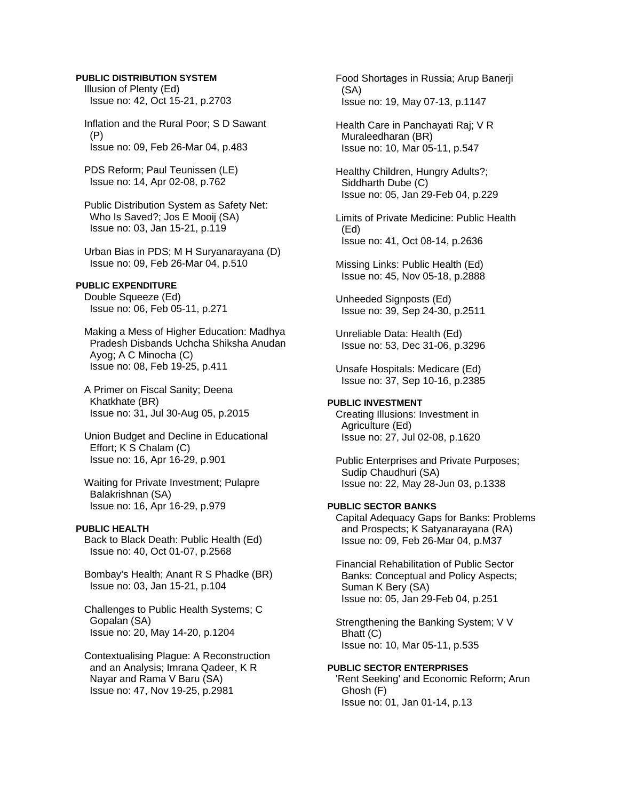#### **PUBLIC DISTRIBUTION SYSTEM**

 Illusion of Plenty (Ed) Issue no: 42, Oct 15-21, p.2703

 Inflation and the Rural Poor; S D Sawant (P) Issue no: 09, Feb 26-Mar 04, p.483

 PDS Reform; Paul Teunissen (LE) Issue no: 14, Apr 02-08, p.762

 Public Distribution System as Safety Net: Who Is Saved?; Jos E Mooij (SA) Issue no: 03, Jan 15-21, p.119

 Urban Bias in PDS; M H Suryanarayana (D) Issue no: 09, Feb 26-Mar 04, p.510

### **PUBLIC EXPENDITURE**

 Double Squeeze (Ed) Issue no: 06, Feb 05-11, p.271

 Making a Mess of Higher Education: Madhya Pradesh Disbands Uchcha Shiksha Anudan Ayog; A C Minocha (C) Issue no: 08, Feb 19-25, p.411

 A Primer on Fiscal Sanity; Deena Khatkhate (BR) Issue no: 31, Jul 30-Aug 05, p.2015

 Union Budget and Decline in Educational Effort; K S Chalam (C) Issue no: 16, Apr 16-29, p.901

 Waiting for Private Investment; Pulapre Balakrishnan (SA) Issue no: 16, Apr 16-29, p.979

### **PUBLIC HEALTH**

 Back to Black Death: Public Health (Ed) Issue no: 40, Oct 01-07, p.2568

 Bombay's Health; Anant R S Phadke (BR) Issue no: 03, Jan 15-21, p.104

 Challenges to Public Health Systems; C Gopalan (SA) Issue no: 20, May 14-20, p.1204

 Contextualising Plague: A Reconstruction and an Analysis; Imrana Qadeer, K R Nayar and Rama V Baru (SA) Issue no: 47, Nov 19-25, p.2981

 Food Shortages in Russia; Arup Banerji (SA) Issue no: 19, May 07-13, p.1147

 Health Care in Panchayati Raj; V R Muraleedharan (BR) Issue no: 10, Mar 05-11, p.547

 Healthy Children, Hungry Adults?; Siddharth Dube (C) Issue no: 05, Jan 29-Feb 04, p.229

 Limits of Private Medicine: Public Health (Ed) Issue no: 41, Oct 08-14, p.2636

 Missing Links: Public Health (Ed) Issue no: 45, Nov 05-18, p.2888

 Unheeded Signposts (Ed) Issue no: 39, Sep 24-30, p.2511

 Unreliable Data: Health (Ed) Issue no: 53, Dec 31-06, p.3296

 Unsafe Hospitals: Medicare (Ed) Issue no: 37, Sep 10-16, p.2385

# **PUBLIC INVESTMENT**

 Creating Illusions: Investment in Agriculture (Ed) Issue no: 27, Jul 02-08, p.1620

 Public Enterprises and Private Purposes; Sudip Chaudhuri (SA) Issue no: 22, May 28-Jun 03, p.1338

### **PUBLIC SECTOR BANKS**

 Capital Adequacy Gaps for Banks: Problems and Prospects; K Satyanarayana (RA) Issue no: 09, Feb 26-Mar 04, p.M37

 Financial Rehabilitation of Public Sector Banks: Conceptual and Policy Aspects; Suman K Bery (SA) Issue no: 05, Jan 29-Feb 04, p.251

 Strengthening the Banking System; V V Bhatt (C) Issue no: 10, Mar 05-11, p.535

**PUBLIC SECTOR ENTERPRISES**  'Rent Seeking' and Economic Reform; Arun Ghosh (F) Issue no: 01, Jan 01-14, p.13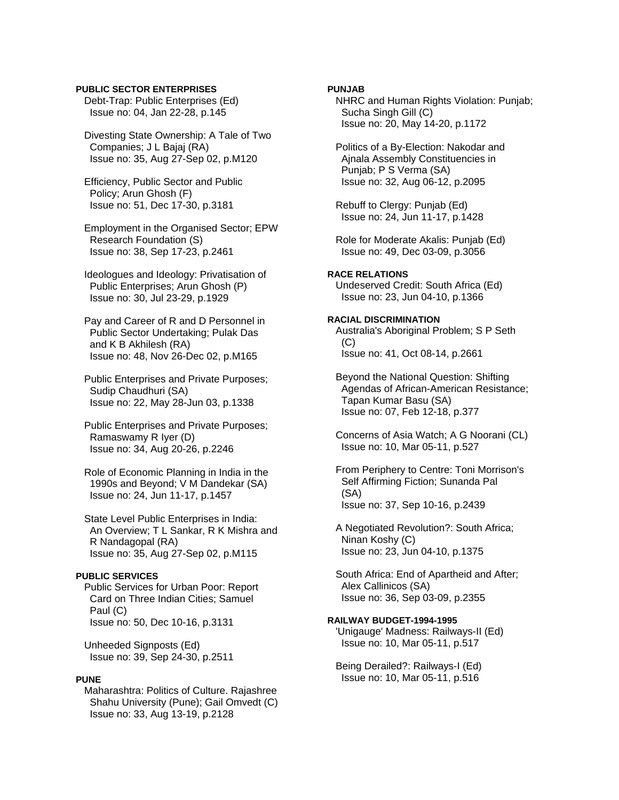### **PUBLIC SECTOR ENTERPRISES**

 Debt-Trap: Public Enterprises (Ed) Issue no: 04, Jan 22-28, p.145

 Divesting State Ownership: A Tale of Two Companies; J L Bajaj (RA) Issue no: 35, Aug 27-Sep 02, p.M120

 Efficiency, Public Sector and Public Policy; Arun Ghosh (F) Issue no: 51, Dec 17-30, p.3181

 Employment in the Organised Sector; EPW Research Foundation (S) Issue no: 38, Sep 17-23, p.2461

 Ideologues and Ideology: Privatisation of Public Enterprises; Arun Ghosh (P) Issue no: 30, Jul 23-29, p.1929

 Pay and Career of R and D Personnel in Public Sector Undertaking; Pulak Das and K B Akhilesh (RA) Issue no: 48, Nov 26-Dec 02, p.M165

 Public Enterprises and Private Purposes; Sudip Chaudhuri (SA) Issue no: 22, May 28-Jun 03, p.1338

 Public Enterprises and Private Purposes; Ramaswamy R Iyer (D) Issue no: 34, Aug 20-26, p.2246

 Role of Economic Planning in India in the 1990s and Beyond; V M Dandekar (SA) Issue no: 24, Jun 11-17, p.1457

 State Level Public Enterprises in India: An Overview; T L Sankar, R K Mishra and R Nandagopal (RA) Issue no: 35, Aug 27-Sep 02, p.M115

#### **PUBLIC SERVICES**

 Public Services for Urban Poor: Report Card on Three Indian Cities; Samuel Paul (C) Issue no: 50, Dec 10-16, p.3131

 Unheeded Signposts (Ed) Issue no: 39, Sep 24-30, p.2511

### **PUNE**

 Maharashtra: Politics of Culture. Rajashree Shahu University (Pune); Gail Omvedt (C) Issue no: 33, Aug 13-19, p.2128

# **PUNJAB**

 NHRC and Human Rights Violation: Punjab; Sucha Singh Gill (C) Issue no: 20, May 14-20, p.1172

 Politics of a By-Election: Nakodar and Ajnala Assembly Constituencies in Punjab; P S Verma (SA) Issue no: 32, Aug 06-12, p.2095

 Rebuff to Clergy: Punjab (Ed) Issue no: 24, Jun 11-17, p.1428

 Role for Moderate Akalis: Punjab (Ed) Issue no: 49, Dec 03-09, p.3056

# **RACE RELATIONS**

 Undeserved Credit: South Africa (Ed) Issue no: 23, Jun 04-10, p.1366

#### **RACIAL DISCRIMINATION**

 Australia's Aboriginal Problem; S P Seth  $(C)$ Issue no: 41, Oct 08-14, p.2661

 Beyond the National Question: Shifting Agendas of African-American Resistance; Tapan Kumar Basu (SA) Issue no: 07, Feb 12-18, p.377

 Concerns of Asia Watch; A G Noorani (CL) Issue no: 10, Mar 05-11, p.527

 From Periphery to Centre: Toni Morrison's Self Affirming Fiction; Sunanda Pal (SA) Issue no: 37, Sep 10-16, p.2439

 A Negotiated Revolution?: South Africa; Ninan Koshy (C) Issue no: 23, Jun 04-10, p.1375

 South Africa: End of Apartheid and After; Alex Callinicos (SA) Issue no: 36, Sep 03-09, p.2355

### **RAILWAY BUDGET-1994-1995**

 'Unigauge' Madness: Railways-II (Ed) Issue no: 10, Mar 05-11, p.517

 Being Derailed?: Railways-I (Ed) Issue no: 10, Mar 05-11, p.516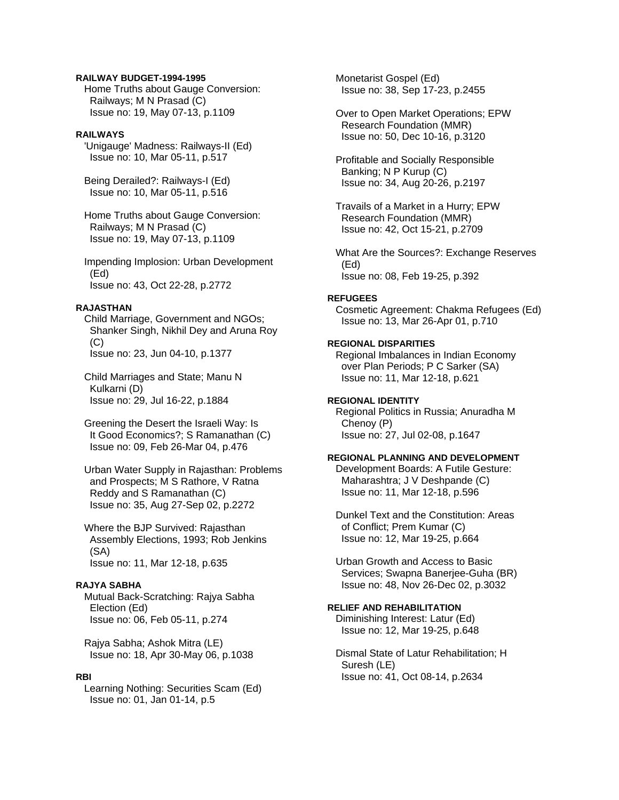#### **RAILWAY BUDGET-1994-1995**

 Home Truths about Gauge Conversion: Railways; M N Prasad (C) Issue no: 19, May 07-13, p.1109

#### **RAILWAYS**

 'Unigauge' Madness: Railways-II (Ed) Issue no: 10, Mar 05-11, p.517

 Being Derailed?: Railways-I (Ed) Issue no: 10, Mar 05-11, p.516

 Home Truths about Gauge Conversion: Railways; M N Prasad (C) Issue no: 19, May 07-13, p.1109

 Impending Implosion: Urban Development (Ed) Issue no: 43, Oct 22-28, p.2772

# **RAJASTHAN**

 Child Marriage, Government and NGOs; Shanker Singh, Nikhil Dey and Aruna Roy  $(C)$ Issue no: 23, Jun 04-10, p.1377

 Child Marriages and State; Manu N Kulkarni (D) Issue no: 29, Jul 16-22, p.1884

 Greening the Desert the Israeli Way: Is It Good Economics?; S Ramanathan (C) Issue no: 09, Feb 26-Mar 04, p.476

 Urban Water Supply in Rajasthan: Problems and Prospects; M S Rathore, V Ratna Reddy and S Ramanathan (C) Issue no: 35, Aug 27-Sep 02, p.2272

 Where the BJP Survived: Rajasthan Assembly Elections, 1993; Rob Jenkins (SA) Issue no: 11, Mar 12-18, p.635

### **RAJYA SABHA**

 Mutual Back-Scratching: Rajya Sabha Election (Ed) Issue no: 06, Feb 05-11, p.274

 Rajya Sabha; Ashok Mitra (LE) Issue no: 18, Apr 30-May 06, p.1038

#### **RBI**

 Learning Nothing: Securities Scam (Ed) Issue no: 01, Jan 01-14, p.5

 Monetarist Gospel (Ed) Issue no: 38, Sep 17-23, p.2455

 Over to Open Market Operations; EPW Research Foundation (MMR) Issue no: 50, Dec 10-16, p.3120

 Profitable and Socially Responsible Banking; N P Kurup (C) Issue no: 34, Aug 20-26, p.2197

 Travails of a Market in a Hurry; EPW Research Foundation (MMR) Issue no: 42, Oct 15-21, p.2709

 What Are the Sources?: Exchange Reserves (Ed) Issue no: 08, Feb 19-25, p.392

#### **REFUGEES**

 Cosmetic Agreement: Chakma Refugees (Ed) Issue no: 13, Mar 26-Apr 01, p.710

### **REGIONAL DISPARITIES**

 Regional Imbalances in Indian Economy over Plan Periods; P C Sarker (SA) Issue no: 11, Mar 12-18, p.621

### **REGIONAL IDENTITY**

 Regional Politics in Russia; Anuradha M Chenoy (P) Issue no: 27, Jul 02-08, p.1647

# **REGIONAL PLANNING AND DEVELOPMENT**

 Development Boards: A Futile Gesture: Maharashtra; J V Deshpande (C) Issue no: 11, Mar 12-18, p.596

 Dunkel Text and the Constitution: Areas of Conflict; Prem Kumar (C) Issue no: 12, Mar 19-25, p.664

 Urban Growth and Access to Basic Services; Swapna Banerjee-Guha (BR) Issue no: 48, Nov 26-Dec 02, p.3032

# **RELIEF AND REHABILITATION**

 Diminishing Interest: Latur (Ed) Issue no: 12, Mar 19-25, p.648

 Dismal State of Latur Rehabilitation; H Suresh (LE) Issue no: 41, Oct 08-14, p.2634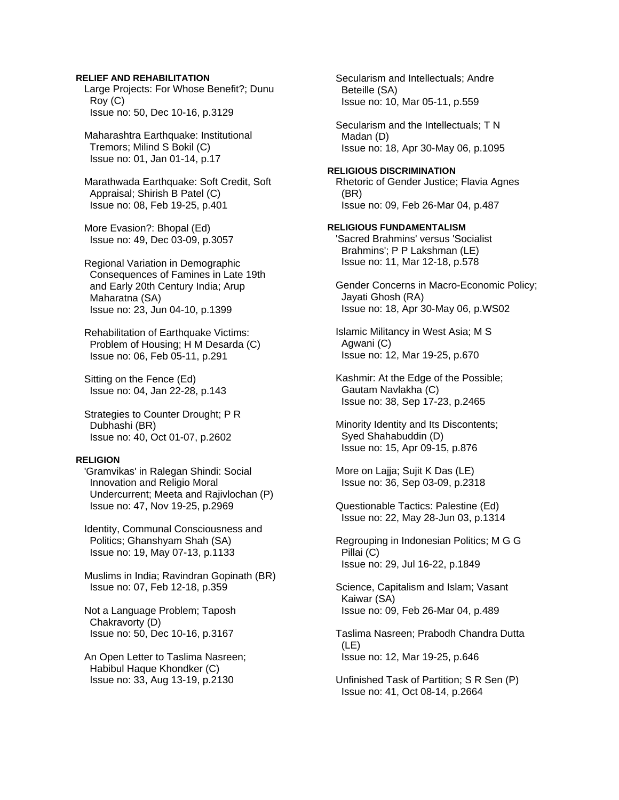#### **RELIEF AND REHABILITATION**

 Large Projects: For Whose Benefit?; Dunu Roy (C) Issue no: 50, Dec 10-16, p.3129

 Maharashtra Earthquake: Institutional Tremors; Milind S Bokil (C) Issue no: 01, Jan 01-14, p.17

 Marathwada Earthquake: Soft Credit, Soft Appraisal; Shirish B Patel (C) Issue no: 08, Feb 19-25, p.401

 More Evasion?: Bhopal (Ed) Issue no: 49, Dec 03-09, p.3057

 Regional Variation in Demographic Consequences of Famines in Late 19th and Early 20th Century India; Arup Maharatna (SA) Issue no: 23, Jun 04-10, p.1399

 Rehabilitation of Earthquake Victims: Problem of Housing; H M Desarda (C) Issue no: 06, Feb 05-11, p.291

 Sitting on the Fence (Ed) Issue no: 04, Jan 22-28, p.143

 Strategies to Counter Drought; P R Dubhashi (BR) Issue no: 40, Oct 01-07, p.2602

#### **RELIGION**

 'Gramvikas' in Ralegan Shindi: Social Innovation and Religio Moral Undercurrent; Meeta and Rajivlochan (P) Issue no: 47, Nov 19-25, p.2969

 Identity, Communal Consciousness and Politics; Ghanshyam Shah (SA) Issue no: 19, May 07-13, p.1133

 Muslims in India; Ravindran Gopinath (BR) Issue no: 07, Feb 12-18, p.359

 Not a Language Problem; Taposh Chakravorty (D) Issue no: 50, Dec 10-16, p.3167

 An Open Letter to Taslima Nasreen; Habibul Haque Khondker (C) Issue no: 33, Aug 13-19, p.2130

 Secularism and Intellectuals; Andre Beteille (SA) Issue no: 10, Mar 05-11, p.559

 Secularism and the Intellectuals; T N Madan (D) Issue no: 18, Apr 30-May 06, p.1095

#### **RELIGIOUS DISCRIMINATION**

 Rhetoric of Gender Justice; Flavia Agnes (BR) Issue no: 09, Feb 26-Mar 04, p.487

#### **RELIGIOUS FUNDAMENTALISM**

 'Sacred Brahmins' versus 'Socialist Brahmins'; P P Lakshman (LE) Issue no: 11, Mar 12-18, p.578

 Gender Concerns in Macro-Economic Policy; Jayati Ghosh (RA) Issue no: 18, Apr 30-May 06, p.WS02

 Islamic Militancy in West Asia; M S Agwani (C) Issue no: 12, Mar 19-25, p.670

 Kashmir: At the Edge of the Possible; Gautam Navlakha (C) Issue no: 38, Sep 17-23, p.2465

 Minority Identity and Its Discontents; Syed Shahabuddin (D) Issue no: 15, Apr 09-15, p.876

 More on Lajja; Sujit K Das (LE) Issue no: 36, Sep 03-09, p.2318

 Questionable Tactics: Palestine (Ed) Issue no: 22, May 28-Jun 03, p.1314

 Regrouping in Indonesian Politics; M G G Pillai (C) Issue no: 29, Jul 16-22, p.1849

 Science, Capitalism and Islam; Vasant Kaiwar (SA) Issue no: 09, Feb 26-Mar 04, p.489

 Taslima Nasreen; Prabodh Chandra Dutta (LE) Issue no: 12, Mar 19-25, p.646

 Unfinished Task of Partition; S R Sen (P) Issue no: 41, Oct 08-14, p.2664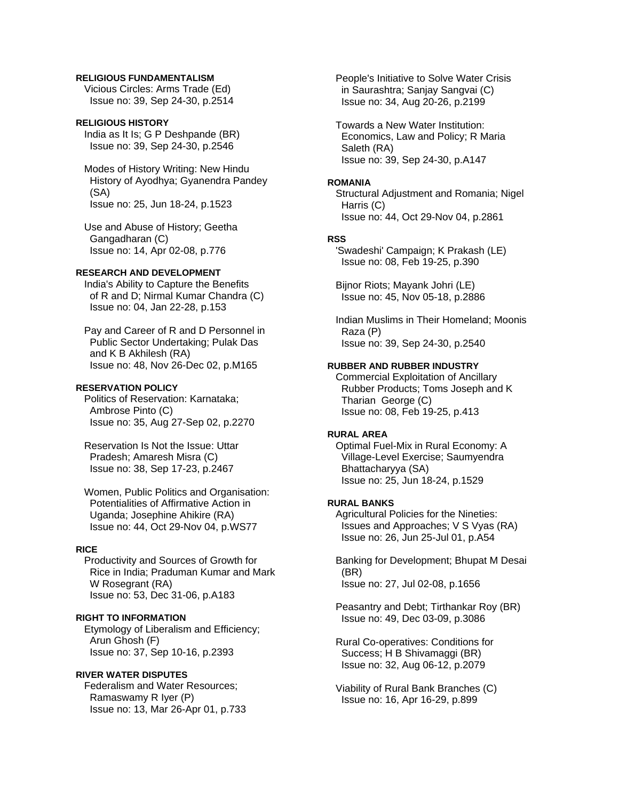#### **RELIGIOUS FUNDAMENTALISM**

 Vicious Circles: Arms Trade (Ed) Issue no: 39, Sep 24-30, p.2514

### **RELIGIOUS HISTORY**

 India as It Is; G P Deshpande (BR) Issue no: 39, Sep 24-30, p.2546

 Modes of History Writing: New Hindu History of Ayodhya; Gyanendra Pandey (SA) Issue no: 25, Jun 18-24, p.1523

 Use and Abuse of History; Geetha Gangadharan (C) Issue no: 14, Apr 02-08, p.776

### **RESEARCH AND DEVELOPMENT**

 India's Ability to Capture the Benefits of R and D; Nirmal Kumar Chandra (C) Issue no: 04, Jan 22-28, p.153

 Pay and Career of R and D Personnel in Public Sector Undertaking; Pulak Das and K B Akhilesh (RA) Issue no: 48, Nov 26-Dec 02, p.M165

#### **RESERVATION POLICY**

 Politics of Reservation: Karnataka; Ambrose Pinto (C) Issue no: 35, Aug 27-Sep 02, p.2270

 Reservation Is Not the Issue: Uttar Pradesh; Amaresh Misra (C) Issue no: 38, Sep 17-23, p.2467

 Women, Public Politics and Organisation: Potentialities of Affirmative Action in Uganda; Josephine Ahikire (RA) Issue no: 44, Oct 29-Nov 04, p.WS77

### **RICE**

 Productivity and Sources of Growth for Rice in India; Praduman Kumar and Mark W Rosegrant (RA) Issue no: 53, Dec 31-06, p.A183

### **RIGHT TO INFORMATION**

 Etymology of Liberalism and Efficiency; Arun Ghosh (F) Issue no: 37, Sep 10-16, p.2393

### **RIVER WATER DISPUTES**

 Federalism and Water Resources; Ramaswamy R Iyer (P) Issue no: 13, Mar 26-Apr 01, p.733  People's Initiative to Solve Water Crisis in Saurashtra; Sanjay Sangvai (C) Issue no: 34, Aug 20-26, p.2199

 Towards a New Water Institution: Economics, Law and Policy; R Maria Saleth (RA) Issue no: 39, Sep 24-30, p.A147

#### **ROMANIA**

 Structural Adjustment and Romania; Nigel Harris (C) Issue no: 44, Oct 29-Nov 04, p.2861

### **RSS**

 'Swadeshi' Campaign; K Prakash (LE) Issue no: 08, Feb 19-25, p.390

 Bijnor Riots; Mayank Johri (LE) Issue no: 45, Nov 05-18, p.2886

 Indian Muslims in Their Homeland; Moonis Raza (P) Issue no: 39, Sep 24-30, p.2540

#### **RUBBER AND RUBBER INDUSTRY**

 Commercial Exploitation of Ancillary Rubber Products; Toms Joseph and K Tharian George (C) Issue no: 08, Feb 19-25, p.413

#### **RURAL AREA**

 Optimal Fuel-Mix in Rural Economy: A Village-Level Exercise; Saumyendra Bhattacharyya (SA) Issue no: 25, Jun 18-24, p.1529

# **RURAL BANKS**

 Agricultural Policies for the Nineties: Issues and Approaches; V S Vyas (RA) Issue no: 26, Jun 25-Jul 01, p.A54

 Banking for Development; Bhupat M Desai (BR) Issue no: 27, Jul 02-08, p.1656

 Peasantry and Debt; Tirthankar Roy (BR) Issue no: 49, Dec 03-09, p.3086

 Rural Co-operatives: Conditions for Success; H B Shivamaggi (BR) Issue no: 32, Aug 06-12, p.2079

 Viability of Rural Bank Branches (C) Issue no: 16, Apr 16-29, p.899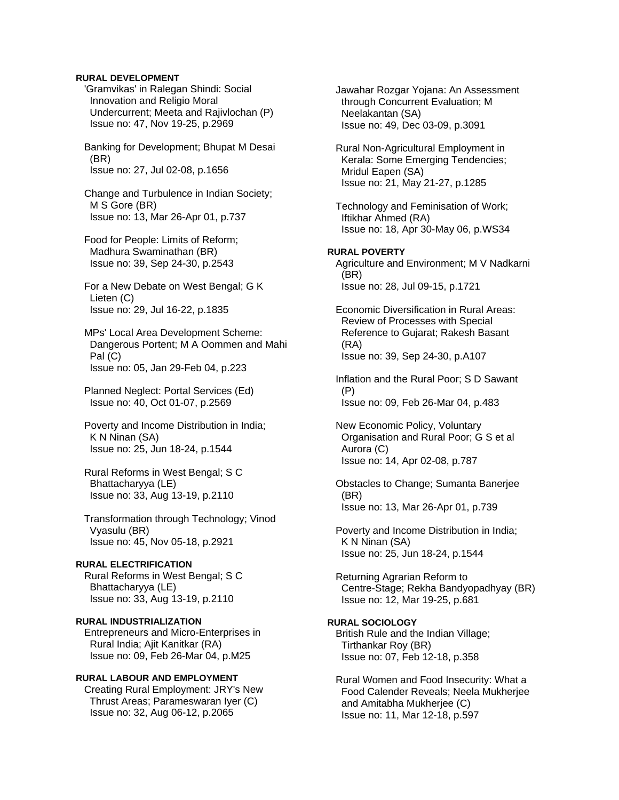### **RURAL DEVELOPMENT**

 'Gramvikas' in Ralegan Shindi: Social Innovation and Religio Moral Undercurrent; Meeta and Rajivlochan (P) Issue no: 47, Nov 19-25, p.2969

 Banking for Development; Bhupat M Desai (BR) Issue no: 27, Jul 02-08, p.1656

 Change and Turbulence in Indian Society; M S Gore (BR) Issue no: 13, Mar 26-Apr 01, p.737

 Food for People: Limits of Reform; Madhura Swaminathan (BR) Issue no: 39, Sep 24-30, p.2543

 For a New Debate on West Bengal; G K Lieten (C) Issue no: 29, Jul 16-22, p.1835

 MPs' Local Area Development Scheme: Dangerous Portent; M A Oommen and Mahi Pal (C) Issue no: 05, Jan 29-Feb 04, p.223

 Planned Neglect: Portal Services (Ed) Issue no: 40, Oct 01-07, p.2569

 Poverty and Income Distribution in India; K N Ninan (SA) Issue no: 25, Jun 18-24, p.1544

 Rural Reforms in West Bengal; S C Bhattacharyya (LE) Issue no: 33, Aug 13-19, p.2110

 Transformation through Technology; Vinod Vyasulu (BR) Issue no: 45, Nov 05-18, p.2921

### **RURAL ELECTRIFICATION**

 Rural Reforms in West Bengal; S C Bhattacharyya (LE) Issue no: 33, Aug 13-19, p.2110

**RURAL INDUSTRIALIZATION**  Entrepreneurs and Micro-Enterprises in Rural India; Ajit Kanitkar (RA) Issue no: 09, Feb 26-Mar 04, p.M25

### **RURAL LABOUR AND EMPLOYMENT**

 Creating Rural Employment: JRY's New Thrust Areas; Parameswaran Iyer (C) Issue no: 32, Aug 06-12, p.2065

 Jawahar Rozgar Yojana: An Assessment through Concurrent Evaluation; M Neelakantan (SA) Issue no: 49, Dec 03-09, p.3091

 Rural Non-Agricultural Employment in Kerala: Some Emerging Tendencies; Mridul Eapen (SA) Issue no: 21, May 21-27, p.1285

 Technology and Feminisation of Work; Iftikhar Ahmed (RA) Issue no: 18, Apr 30-May 06, p.WS34

# **RURAL POVERTY**

 Agriculture and Environment; M V Nadkarni (BR) Issue no: 28, Jul 09-15, p.1721

 Economic Diversification in Rural Areas: Review of Processes with Special Reference to Gujarat; Rakesh Basant (RA) Issue no: 39, Sep 24-30, p.A107

 Inflation and the Rural Poor; S D Sawant (P) Issue no: 09, Feb 26-Mar 04, p.483

 New Economic Policy, Voluntary Organisation and Rural Poor; G S et al Aurora (C) Issue no: 14, Apr 02-08, p.787

 Obstacles to Change; Sumanta Banerjee (BR) Issue no: 13, Mar 26-Apr 01, p.739

 Poverty and Income Distribution in India; K N Ninan (SA) Issue no: 25, Jun 18-24, p.1544

 Returning Agrarian Reform to Centre-Stage; Rekha Bandyopadhyay (BR) Issue no: 12, Mar 19-25, p.681

**RURAL SOCIOLOGY**  British Rule and the Indian Village; Tirthankar Roy (BR) Issue no: 07, Feb 12-18, p.358

 Rural Women and Food Insecurity: What a Food Calender Reveals; Neela Mukherjee and Amitabha Mukherjee (C) Issue no: 11, Mar 12-18, p.597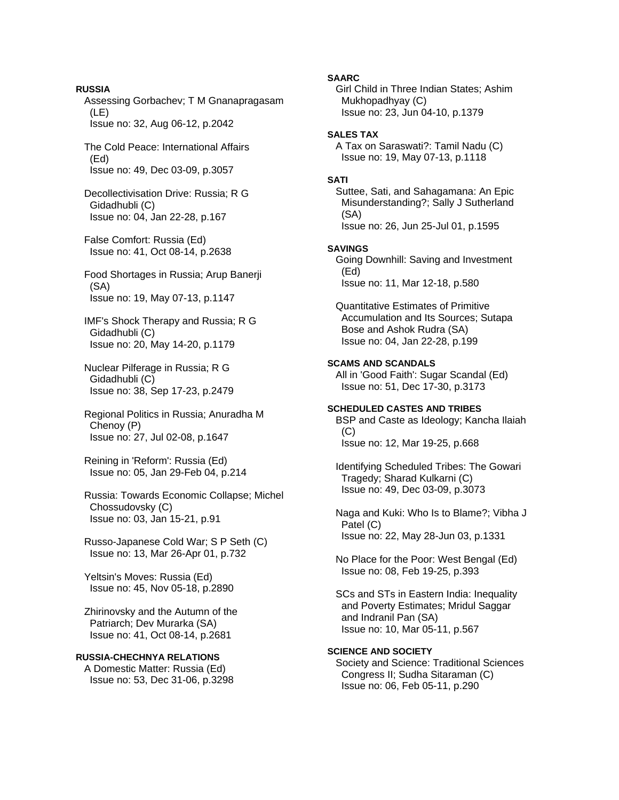Assessing Gorbachev; T M Gnanapragasam (LE) Issue no: 32, Aug 06-12, p.2042 The Cold Peace: International Affairs (Ed) Issue no: 49, Dec 03-09, p.3057 Decollectivisation Drive: Russia; R G Gidadhubli (C) Issue no: 04, Jan 22-28, p.167 False Comfort: Russia (Ed) Issue no: 41, Oct 08-14, p.2638 Food Shortages in Russia; Arup Banerji (SA) Issue no: 19, May 07-13, p.1147 IMF's Shock Therapy and Russia; R G Gidadhubli (C) Issue no: 20, May 14-20, p.1179 Nuclear Pilferage in Russia; R G Gidadhubli (C) Issue no: 38, Sep 17-23, p.2479 Regional Politics in Russia; Anuradha M Chenoy (P) Issue no: 27, Jul 02-08, p.1647 Reining in 'Reform': Russia (Ed) Issue no: 05, Jan 29-Feb 04, p.214

**RUSSIA** 

 Russia: Towards Economic Collapse; Michel Chossudovsky (C) Issue no: 03, Jan 15-21, p.91

 Russo-Japanese Cold War; S P Seth (C) Issue no: 13, Mar 26-Apr 01, p.732

 Yeltsin's Moves: Russia (Ed) Issue no: 45, Nov 05-18, p.2890

 Zhirinovsky and the Autumn of the Patriarch; Dev Murarka (SA) Issue no: 41, Oct 08-14, p.2681

# **RUSSIA-CHECHNYA RELATIONS**

 A Domestic Matter: Russia (Ed) Issue no: 53, Dec 31-06, p.3298 **SAARC** 

 Girl Child in Three Indian States; Ashim Mukhopadhyay (C) Issue no: 23, Jun 04-10, p.1379

### **SALES TAX**

 A Tax on Saraswati?: Tamil Nadu (C) Issue no: 19, May 07-13, p.1118

## **SATI**

 Suttee, Sati, and Sahagamana: An Epic Misunderstanding?; Sally J Sutherland (SA) Issue no: 26, Jun 25-Jul 01, p.1595 **SAVINGS**  Going Downhill: Saving and Investment (Ed) Issue no: 11, Mar 12-18, p.580

 Quantitative Estimates of Primitive Accumulation and Its Sources; Sutapa Bose and Ashok Rudra (SA) Issue no: 04, Jan 22-28, p.199

## **SCAMS AND SCANDALS**

 All in 'Good Faith': Sugar Scandal (Ed) Issue no: 51, Dec 17-30, p.3173

# **SCHEDULED CASTES AND TRIBES**

 BSP and Caste as Ideology; Kancha Ilaiah  $(C)$ Issue no: 12, Mar 19-25, p.668

 Identifying Scheduled Tribes: The Gowari Tragedy; Sharad Kulkarni (C) Issue no: 49, Dec 03-09, p.3073

 Naga and Kuki: Who Is to Blame?; Vibha J Patel (C) Issue no: 22, May 28-Jun 03, p.1331

 No Place for the Poor: West Bengal (Ed) Issue no: 08, Feb 19-25, p.393

 SCs and STs in Eastern India: Inequality and Poverty Estimates; Mridul Saggar and Indranil Pan (SA) Issue no: 10, Mar 05-11, p.567

# **SCIENCE AND SOCIETY**

 Society and Science: Traditional Sciences Congress II; Sudha Sitaraman (C) Issue no: 06, Feb 05-11, p.290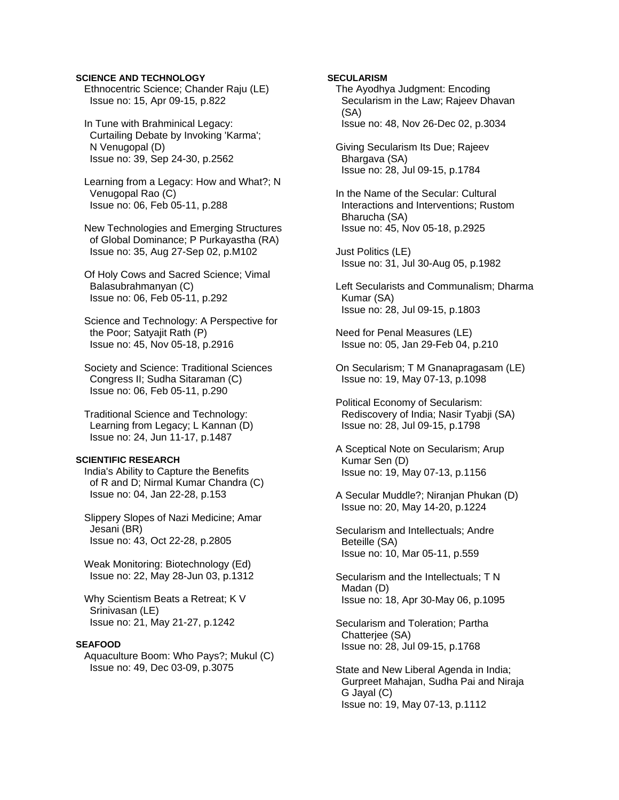### **SCIENCE AND TECHNOLOGY**

 Ethnocentric Science; Chander Raju (LE) Issue no: 15, Apr 09-15, p.822

 In Tune with Brahminical Legacy: Curtailing Debate by Invoking 'Karma'; N Venugopal (D) Issue no: 39, Sep 24-30, p.2562

 Learning from a Legacy: How and What?; N Venugopal Rao (C) Issue no: 06, Feb 05-11, p.288

 New Technologies and Emerging Structures of Global Dominance; P Purkayastha (RA) Issue no: 35, Aug 27-Sep 02, p.M102

 Of Holy Cows and Sacred Science; Vimal Balasubrahmanyan (C) Issue no: 06, Feb 05-11, p.292

 Science and Technology: A Perspective for the Poor; Satyajit Rath (P) Issue no: 45, Nov 05-18, p.2916

 Society and Science: Traditional Sciences Congress II; Sudha Sitaraman (C) Issue no: 06, Feb 05-11, p.290

 Traditional Science and Technology: Learning from Legacy; L Kannan (D) Issue no: 24, Jun 11-17, p.1487

### **SCIENTIFIC RESEARCH**

 India's Ability to Capture the Benefits of R and D; Nirmal Kumar Chandra (C) Issue no: 04, Jan 22-28, p.153

 Slippery Slopes of Nazi Medicine; Amar Jesani (BR) Issue no: 43, Oct 22-28, p.2805

 Weak Monitoring: Biotechnology (Ed) Issue no: 22, May 28-Jun 03, p.1312

 Why Scientism Beats a Retreat; K V Srinivasan (LE) Issue no: 21, May 21-27, p.1242

## **SEAFOOD**

 Aquaculture Boom: Who Pays?; Mukul (C) Issue no: 49, Dec 03-09, p.3075

### **SECULARISM**

 The Ayodhya Judgment: Encoding Secularism in the Law; Rajeev Dhavan (SA) Issue no: 48, Nov 26-Dec 02, p.3034

 Giving Secularism Its Due; Rajeev Bhargava (SA) Issue no: 28, Jul 09-15, p.1784

 In the Name of the Secular: Cultural Interactions and Interventions; Rustom Bharucha (SA) Issue no: 45, Nov 05-18, p.2925

 Just Politics (LE) Issue no: 31, Jul 30-Aug 05, p.1982

 Left Secularists and Communalism; Dharma Kumar (SA) Issue no: 28, Jul 09-15, p.1803

 Need for Penal Measures (LE) Issue no: 05, Jan 29-Feb 04, p.210

 On Secularism; T M Gnanapragasam (LE) Issue no: 19, May 07-13, p.1098

 Political Economy of Secularism: Rediscovery of India; Nasir Tyabji (SA) Issue no: 28, Jul 09-15, p.1798

 A Sceptical Note on Secularism; Arup Kumar Sen (D) Issue no: 19, May 07-13, p.1156

 A Secular Muddle?; Niranjan Phukan (D) Issue no: 20, May 14-20, p.1224

 Secularism and Intellectuals; Andre Beteille (SA) Issue no: 10, Mar 05-11, p.559

 Secularism and the Intellectuals; T N Madan (D) Issue no: 18, Apr 30-May 06, p.1095

 Secularism and Toleration; Partha Chatterjee (SA) Issue no: 28, Jul 09-15, p.1768

 State and New Liberal Agenda in India; Gurpreet Mahajan, Sudha Pai and Niraja G Jayal (C) Issue no: 19, May 07-13, p.1112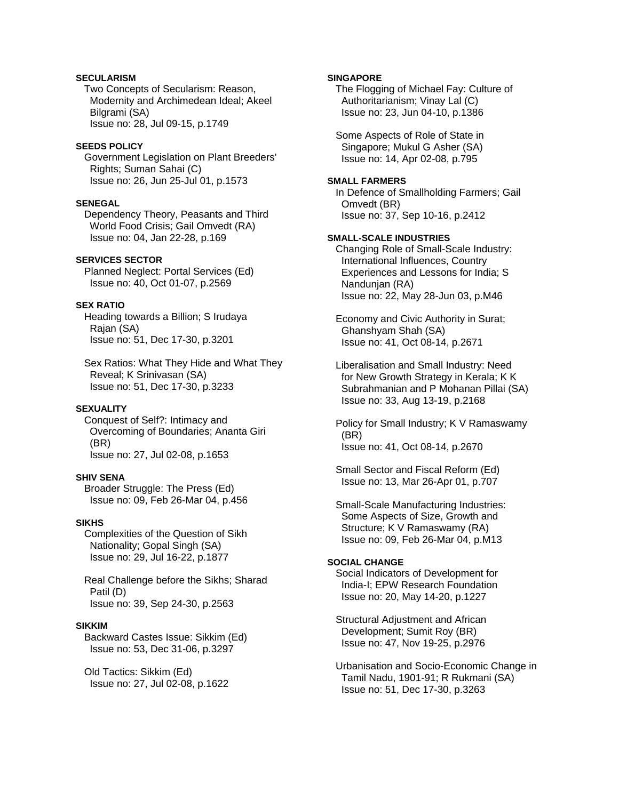# **SECULARISM**

 Two Concepts of Secularism: Reason, Modernity and Archimedean Ideal; Akeel Bilgrami (SA) Issue no: 28, Jul 09-15, p.1749

#### **SEEDS POLICY**

 Government Legislation on Plant Breeders' Rights; Suman Sahai (C) Issue no: 26, Jun 25-Jul 01, p.1573

#### **SENEGAL**

 Dependency Theory, Peasants and Third World Food Crisis; Gail Omvedt (RA) Issue no: 04, Jan 22-28, p.169

# **SERVICES SECTOR**

 Planned Neglect: Portal Services (Ed) Issue no: 40, Oct 01-07, p.2569

## **SEX RATIO**

 Heading towards a Billion; S Irudaya Rajan (SA) Issue no: 51, Dec 17-30, p.3201

 Sex Ratios: What They Hide and What They Reveal; K Srinivasan (SA) Issue no: 51, Dec 17-30, p.3233

### **SEXUALITY**

 Conquest of Self?: Intimacy and Overcoming of Boundaries; Ananta Giri (BR) Issue no: 27, Jul 02-08, p.1653

#### **SHIV SENA**

 Broader Struggle: The Press (Ed) Issue no: 09, Feb 26-Mar 04, p.456

### **SIKHS**

 Complexities of the Question of Sikh Nationality; Gopal Singh (SA) Issue no: 29, Jul 16-22, p.1877

 Real Challenge before the Sikhs; Sharad Patil (D) Issue no: 39, Sep 24-30, p.2563

### **SIKKIM**

 Backward Castes Issue: Sikkim (Ed) Issue no: 53, Dec 31-06, p.3297

 Old Tactics: Sikkim (Ed) Issue no: 27, Jul 02-08, p.1622

### **SINGAPORE**

 The Flogging of Michael Fay: Culture of Authoritarianism; Vinay Lal (C) Issue no: 23, Jun 04-10, p.1386

 Some Aspects of Role of State in Singapore; Mukul G Asher (SA) Issue no: 14, Apr 02-08, p.795

#### **SMALL FARMERS**

 In Defence of Smallholding Farmers; Gail Omvedt (BR) Issue no: 37, Sep 10-16, p.2412

## **SMALL-SCALE INDUSTRIES**

 Changing Role of Small-Scale Industry: International Influences, Country Experiences and Lessons for India; S Nandunjan (RA) Issue no: 22, May 28-Jun 03, p.M46

 Economy and Civic Authority in Surat; Ghanshyam Shah (SA) Issue no: 41, Oct 08-14, p.2671

 Liberalisation and Small Industry: Need for New Growth Strategy in Kerala; K K Subrahmanian and P Mohanan Pillai (SA) Issue no: 33, Aug 13-19, p.2168

 Policy for Small Industry; K V Ramaswamy (BR) Issue no: 41, Oct 08-14, p.2670

 Small Sector and Fiscal Reform (Ed) Issue no: 13, Mar 26-Apr 01, p.707

 Small-Scale Manufacturing Industries: Some Aspects of Size, Growth and Structure; K V Ramaswamy (RA) Issue no: 09, Feb 26-Mar 04, p.M13

# **SOCIAL CHANGE**

 Social Indicators of Development for India-I; EPW Research Foundation Issue no: 20, May 14-20, p.1227

 Structural Adjustment and African Development; Sumit Roy (BR) Issue no: 47, Nov 19-25, p.2976

 Urbanisation and Socio-Economic Change in Tamil Nadu, 1901-91; R Rukmani (SA) Issue no: 51, Dec 17-30, p.3263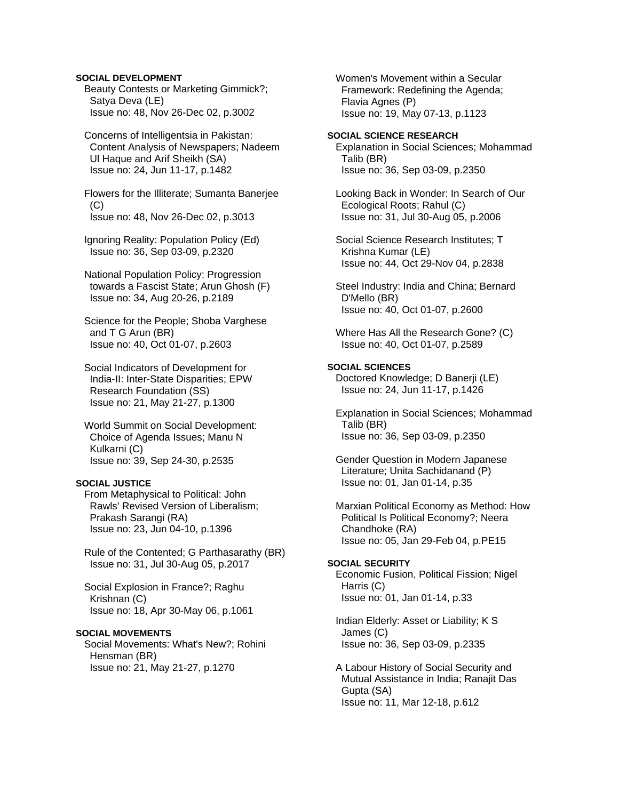### **SOCIAL DEVELOPMENT**

 Beauty Contests or Marketing Gimmick?; Satya Deva (LE) Issue no: 48, Nov 26-Dec 02, p.3002

 Concerns of Intelligentsia in Pakistan: Content Analysis of Newspapers; Nadeem Ul Haque and Arif Sheikh (SA) Issue no: 24, Jun 11-17, p.1482

 Flowers for the Illiterate; Sumanta Banerjee  $(C)$ Issue no: 48, Nov 26-Dec 02, p.3013

 Ignoring Reality: Population Policy (Ed) Issue no: 36, Sep 03-09, p.2320

 National Population Policy: Progression towards a Fascist State; Arun Ghosh (F) Issue no: 34, Aug 20-26, p.2189

 Science for the People; Shoba Varghese and T G Arun (BR) Issue no: 40, Oct 01-07, p.2603

 Social Indicators of Development for India-II: Inter-State Disparities; EPW Research Foundation (SS) Issue no: 21, May 21-27, p.1300

 World Summit on Social Development: Choice of Agenda Issues; Manu N Kulkarni (C) Issue no: 39, Sep 24-30, p.2535

## **SOCIAL JUSTICE**

 From Metaphysical to Political: John Rawls' Revised Version of Liberalism; Prakash Sarangi (RA) Issue no: 23, Jun 04-10, p.1396

 Rule of the Contented; G Parthasarathy (BR) Issue no: 31, Jul 30-Aug 05, p.2017

 Social Explosion in France?; Raghu Krishnan (C) Issue no: 18, Apr 30-May 06, p.1061

## **SOCIAL MOVEMENTS**

 Social Movements: What's New?; Rohini Hensman (BR) Issue no: 21, May 21-27, p.1270

 Women's Movement within a Secular Framework: Redefining the Agenda; Flavia Agnes (P) Issue no: 19, May 07-13, p.1123

#### **SOCIAL SCIENCE RESEARCH**

 Explanation in Social Sciences; Mohammad Talib (BR) Issue no: 36, Sep 03-09, p.2350

 Looking Back in Wonder: In Search of Our Ecological Roots; Rahul (C) Issue no: 31, Jul 30-Aug 05, p.2006

 Social Science Research Institutes; T Krishna Kumar (LE) Issue no: 44, Oct 29-Nov 04, p.2838

 Steel Industry: India and China; Bernard D'Mello (BR) Issue no: 40, Oct 01-07, p.2600

 Where Has All the Research Gone? (C) Issue no: 40, Oct 01-07, p.2589

## **SOCIAL SCIENCES**

 Doctored Knowledge; D Banerji (LE) Issue no: 24, Jun 11-17, p.1426

 Explanation in Social Sciences; Mohammad Talib (BR) Issue no: 36, Sep 03-09, p.2350

 Gender Question in Modern Japanese Literature; Unita Sachidanand (P) Issue no: 01, Jan 01-14, p.35

 Marxian Political Economy as Method: How Political Is Political Economy?; Neera Chandhoke (RA) Issue no: 05, Jan 29-Feb 04, p.PE15

### **SOCIAL SECURITY**

 Economic Fusion, Political Fission; Nigel Harris (C) Issue no: 01, Jan 01-14, p.33

 Indian Elderly: Asset or Liability; K S James (C) Issue no: 36, Sep 03-09, p.2335

 A Labour History of Social Security and Mutual Assistance in India; Ranajit Das Gupta (SA) Issue no: 11, Mar 12-18, p.612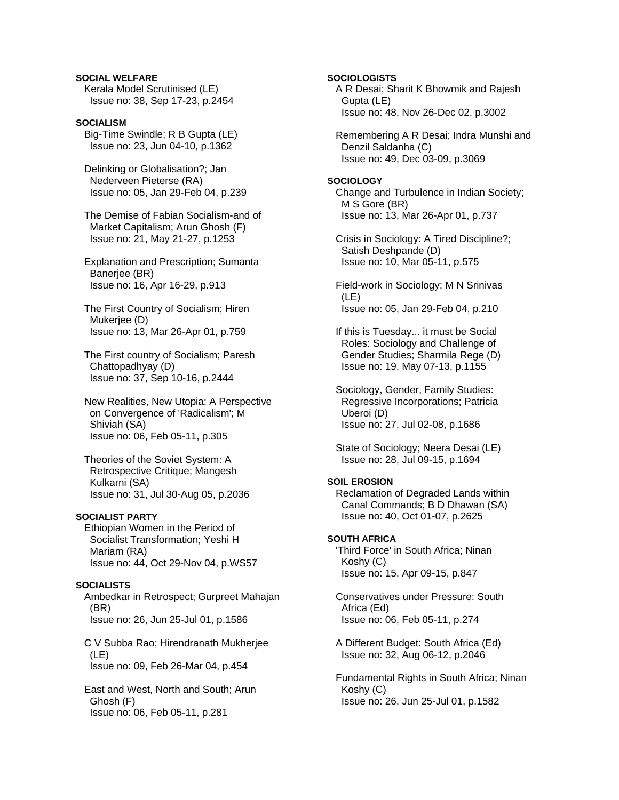# **SOCIAL WELFARE**

 Kerala Model Scrutinised (LE) Issue no: 38, Sep 17-23, p.2454

# **SOCIALISM**

 Big-Time Swindle; R B Gupta (LE) Issue no: 23, Jun 04-10, p.1362

 Delinking or Globalisation?; Jan Nederveen Pieterse (RA) Issue no: 05, Jan 29-Feb 04, p.239

 The Demise of Fabian Socialism-and of Market Capitalism; Arun Ghosh (F) Issue no: 21, May 21-27, p.1253

 Explanation and Prescription; Sumanta Banerjee (BR) Issue no: 16, Apr 16-29, p.913

 The First Country of Socialism; Hiren Mukerjee (D) Issue no: 13, Mar 26-Apr 01, p.759

 The First country of Socialism; Paresh Chattopadhyay (D) Issue no: 37, Sep 10-16, p.2444

 New Realities, New Utopia: A Perspective on Convergence of 'Radicalism'; M Shiviah (SA) Issue no: 06, Feb 05-11, p.305

 Theories of the Soviet System: A Retrospective Critique; Mangesh Kulkarni (SA) Issue no: 31, Jul 30-Aug 05, p.2036

### **SOCIALIST PARTY**

 Ethiopian Women in the Period of Socialist Transformation; Yeshi H Mariam (RA) Issue no: 44, Oct 29-Nov 04, p.WS57

### **SOCIALISTS**

 Ambedkar in Retrospect; Gurpreet Mahajan (BR) Issue no: 26, Jun 25-Jul 01, p.1586

 C V Subba Rao; Hirendranath Mukherjee (LE) Issue no: 09, Feb 26-Mar 04, p.454

 East and West, North and South; Arun Ghosh (F) Issue no: 06, Feb 05-11, p.281

**SOCIOLOGISTS** A R Desai; Sharit K Bhowmik and Rajesh Gupta (LE) Issue no: 48, Nov 26-Dec 02, p.3002

 Remembering A R Desai; Indra Munshi and Denzil Saldanha (C) Issue no: 49, Dec 03-09, p.3069

#### **SOCIOLOGY**

 Change and Turbulence in Indian Society; M S Gore (BR) Issue no: 13, Mar 26-Apr 01, p.737

 Crisis in Sociology: A Tired Discipline?; Satish Deshpande (D) Issue no: 10, Mar 05-11, p.575

 Field-work in Sociology; M N Srinivas (LE) Issue no: 05, Jan 29-Feb 04, p.210

 If this is Tuesday... it must be Social Roles: Sociology and Challenge of Gender Studies; Sharmila Rege (D) Issue no: 19, May 07-13, p.1155

 Sociology, Gender, Family Studies: Regressive Incorporations; Patricia Uberoi (D) Issue no: 27, Jul 02-08, p.1686

 State of Sociology; Neera Desai (LE) Issue no: 28, Jul 09-15, p.1694

## **SOIL EROSION**

 Reclamation of Degraded Lands within Canal Commands; B D Dhawan (SA) Issue no: 40, Oct 01-07, p.2625

### **SOUTH AFRICA**

 'Third Force' in South Africa; Ninan Koshy (C) Issue no: 15, Apr 09-15, p.847

 Conservatives under Pressure: South Africa (Ed) Issue no: 06, Feb 05-11, p.274

 A Different Budget: South Africa (Ed) Issue no: 32, Aug 06-12, p.2046

 Fundamental Rights in South Africa; Ninan Koshy (C) Issue no: 26, Jun 25-Jul 01, p.1582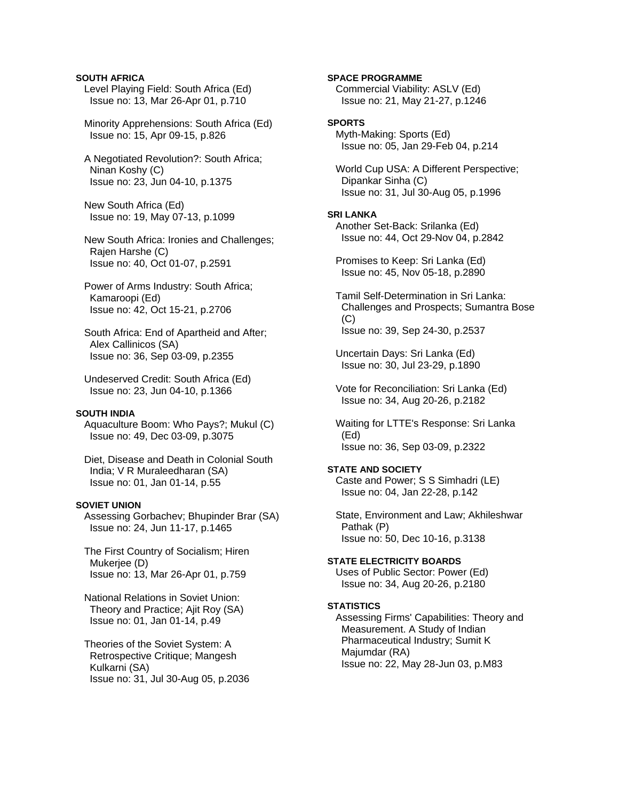### **SOUTH AFRICA**

- Level Playing Field: South Africa (Ed) Issue no: 13, Mar 26-Apr 01, p.710
- Minority Apprehensions: South Africa (Ed) Issue no: 15, Apr 09-15, p.826
- A Negotiated Revolution?: South Africa; Ninan Koshy (C) Issue no: 23, Jun 04-10, p.1375
- New South Africa (Ed) Issue no: 19, May 07-13, p.1099
- New South Africa: Ironies and Challenges; Rajen Harshe (C) Issue no: 40, Oct 01-07, p.2591
- Power of Arms Industry: South Africa; Kamaroopi (Ed) Issue no: 42, Oct 15-21, p.2706
- South Africa: End of Apartheid and After; Alex Callinicos (SA) Issue no: 36, Sep 03-09, p.2355
- Undeserved Credit: South Africa (Ed) Issue no: 23, Jun 04-10, p.1366

#### **SOUTH INDIA**

- Aquaculture Boom: Who Pays?; Mukul (C) Issue no: 49, Dec 03-09, p.3075
- Diet, Disease and Death in Colonial South India; V R Muraleedharan (SA) Issue no: 01, Jan 01-14, p.55

#### **SOVIET UNION**

- Assessing Gorbachev; Bhupinder Brar (SA) Issue no: 24, Jun 11-17, p.1465
- The First Country of Socialism; Hiren Mukerjee (D) Issue no: 13, Mar 26-Apr 01, p.759
- National Relations in Soviet Union: Theory and Practice; Ajit Roy (SA) Issue no: 01, Jan 01-14, p.49
- Theories of the Soviet System: A Retrospective Critique; Mangesh Kulkarni (SA) Issue no: 31, Jul 30-Aug 05, p.2036

# **SPACE PROGRAMME**

 Commercial Viability: ASLV (Ed) Issue no: 21, May 21-27, p.1246

#### **SPORTS**

 Myth-Making: Sports (Ed) Issue no: 05, Jan 29-Feb 04, p.214

 World Cup USA: A Different Perspective; Dipankar Sinha (C) Issue no: 31, Jul 30-Aug 05, p.1996

### **SRI LANKA**

 Another Set-Back: Srilanka (Ed) Issue no: 44, Oct 29-Nov 04, p.2842

 Promises to Keep: Sri Lanka (Ed) Issue no: 45, Nov 05-18, p.2890

 Tamil Self-Determination in Sri Lanka: Challenges and Prospects; Sumantra Bose (C) Issue no: 39, Sep 24-30, p.2537

 Uncertain Days: Sri Lanka (Ed) Issue no: 30, Jul 23-29, p.1890

 Vote for Reconciliation: Sri Lanka (Ed) Issue no: 34, Aug 20-26, p.2182

 Waiting for LTTE's Response: Sri Lanka (Ed) Issue no: 36, Sep 03-09, p.2322

### **STATE AND SOCIETY**

 Caste and Power; S S Simhadri (LE) Issue no: 04, Jan 22-28, p.142

 State, Environment and Law; Akhileshwar Pathak (P) Issue no: 50, Dec 10-16, p.3138

#### **STATE ELECTRICITY BOARDS**

 Uses of Public Sector: Power (Ed) Issue no: 34, Aug 20-26, p.2180

## **STATISTICS**

 Assessing Firms' Capabilities: Theory and Measurement. A Study of Indian Pharmaceutical Industry; Sumit K Majumdar (RA) Issue no: 22, May 28-Jun 03, p.M83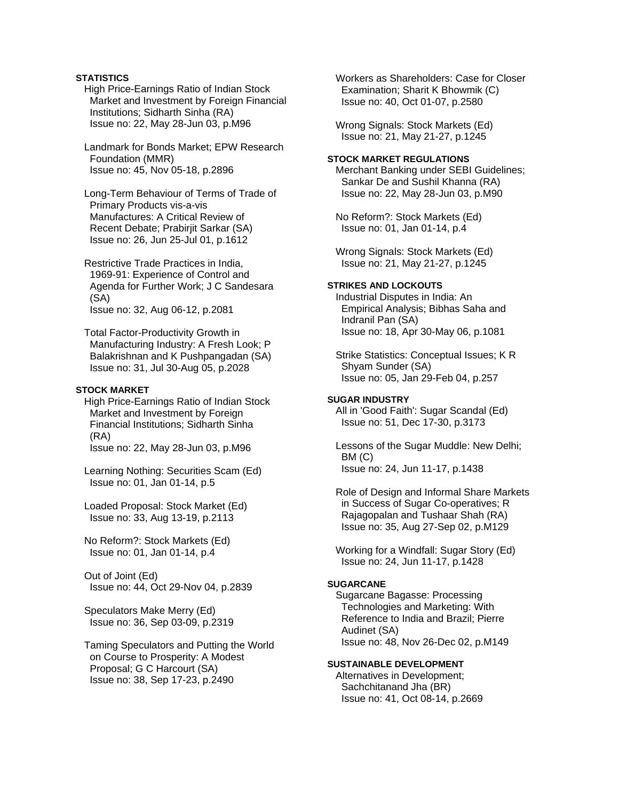# **STATISTICS**

 High Price-Earnings Ratio of Indian Stock Market and Investment by Foreign Financial Institutions; Sidharth Sinha (RA) Issue no: 22, May 28-Jun 03, p.M96

 Landmark for Bonds Market; EPW Research Foundation (MMR) Issue no: 45, Nov 05-18, p.2896

 Long-Term Behaviour of Terms of Trade of Primary Products vis-a-vis Manufactures: A Critical Review of Recent Debate; Prabirjit Sarkar (SA) Issue no: 26, Jun 25-Jul 01, p.1612

 Restrictive Trade Practices in India, 1969-91: Experience of Control and Agenda for Further Work; J C Sandesara (SA) Issue no: 32, Aug 06-12, p.2081

 Total Factor-Productivity Growth in Manufacturing Industry: A Fresh Look; P Balakrishnan and K Pushpangadan (SA) Issue no: 31, Jul 30-Aug 05, p.2028

# **STOCK MARKET**

 High Price-Earnings Ratio of Indian Stock Market and Investment by Foreign Financial Institutions; Sidharth Sinha (RA) Issue no: 22, May 28-Jun 03, p.M96

 Learning Nothing: Securities Scam (Ed) Issue no: 01, Jan 01-14, p.5

 Loaded Proposal: Stock Market (Ed) Issue no: 33, Aug 13-19, p.2113

 No Reform?: Stock Markets (Ed) Issue no: 01, Jan 01-14, p.4

 Out of Joint (Ed) Issue no: 44, Oct 29-Nov 04, p.2839

 Speculators Make Merry (Ed) Issue no: 36, Sep 03-09, p.2319

 Taming Speculators and Putting the World on Course to Prosperity: A Modest Proposal; G C Harcourt (SA) Issue no: 38, Sep 17-23, p.2490

 Workers as Shareholders: Case for Closer Examination; Sharit K Bhowmik (C) Issue no: 40, Oct 01-07, p.2580

 Wrong Signals: Stock Markets (Ed) Issue no: 21, May 21-27, p.1245

# **STOCK MARKET REGULATIONS**

 Merchant Banking under SEBI Guidelines; Sankar De and Sushil Khanna (RA) Issue no: 22, May 28-Jun 03, p.M90

 No Reform?: Stock Markets (Ed) Issue no: 01, Jan 01-14, p.4

 Wrong Signals: Stock Markets (Ed) Issue no: 21, May 21-27, p.1245

# **STRIKES AND LOCKOUTS**

 Industrial Disputes in India: An Empirical Analysis; Bibhas Saha and Indranil Pan (SA) Issue no: 18, Apr 30-May 06, p.1081

 Strike Statistics: Conceptual Issues; K R Shyam Sunder (SA) Issue no: 05, Jan 29-Feb 04, p.257

#### **SUGAR INDUSTRY**

 All in 'Good Faith': Sugar Scandal (Ed) Issue no: 51, Dec 17-30, p.3173

 Lessons of the Sugar Muddle: New Delhi; BM (C) Issue no: 24, Jun 11-17, p.1438

 Role of Design and Informal Share Markets in Success of Sugar Co-operatives; R Rajagopalan and Tushaar Shah (RA) Issue no: 35, Aug 27-Sep 02, p.M129

 Working for a Windfall: Sugar Story (Ed) Issue no: 24, Jun 11-17, p.1428

### **SUGARCANE**

 Sugarcane Bagasse: Processing Technologies and Marketing: With Reference to India and Brazil; Pierre Audinet (SA) Issue no: 48, Nov 26-Dec 02, p.M149

#### **SUSTAINABLE DEVELOPMENT**

 Alternatives in Development; Sachchitanand Jha (BR) Issue no: 41, Oct 08-14, p.2669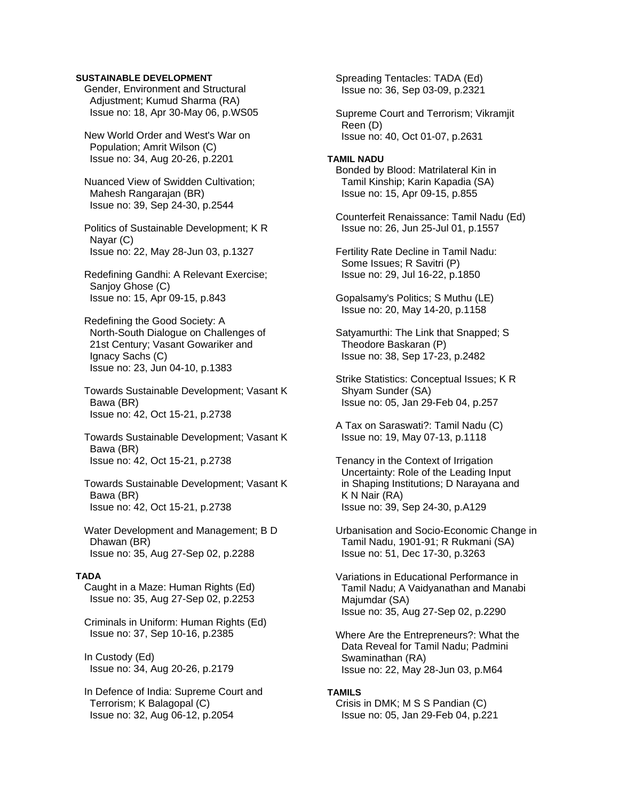### **SUSTAINABLE DEVELOPMENT**

 Gender, Environment and Structural Adjustment; Kumud Sharma (RA) Issue no: 18, Apr 30-May 06, p.WS05

 New World Order and West's War on Population; Amrit Wilson (C) Issue no: 34, Aug 20-26, p.2201

 Nuanced View of Swidden Cultivation; Mahesh Rangarajan (BR) Issue no: 39, Sep 24-30, p.2544

 Politics of Sustainable Development; K R Nayar (C) Issue no: 22, May 28-Jun 03, p.1327

 Redefining Gandhi: A Relevant Exercise; Sanjoy Ghose (C) Issue no: 15, Apr 09-15, p.843

 Redefining the Good Society: A North-South Dialogue on Challenges of 21st Century; Vasant Gowariker and Ignacy Sachs (C) Issue no: 23, Jun 04-10, p.1383

 Towards Sustainable Development; Vasant K Bawa (BR) Issue no: 42, Oct 15-21, p.2738

 Towards Sustainable Development; Vasant K Bawa (BR) Issue no: 42, Oct 15-21, p.2738

 Towards Sustainable Development; Vasant K Bawa (BR) Issue no: 42, Oct 15-21, p.2738

 Water Development and Management; B D Dhawan (BR) Issue no: 35, Aug 27-Sep 02, p.2288

#### **TADA**

 Caught in a Maze: Human Rights (Ed) Issue no: 35, Aug 27-Sep 02, p.2253

 Criminals in Uniform: Human Rights (Ed) Issue no: 37, Sep 10-16, p.2385

 In Custody (Ed) Issue no: 34, Aug 20-26, p.2179

 In Defence of India: Supreme Court and Terrorism; K Balagopal (C) Issue no: 32, Aug 06-12, p.2054

 Spreading Tentacles: TADA (Ed) Issue no: 36, Sep 03-09, p.2321

 Supreme Court and Terrorism; Vikramjit Reen (D) Issue no: 40, Oct 01-07, p.2631

### **TAMIL NADU**  Bonded by Blood: Matrilateral Kin in Tamil Kinship; Karin Kapadia (SA) Issue no: 15, Apr 09-15, p.855

 Counterfeit Renaissance: Tamil Nadu (Ed) Issue no: 26, Jun 25-Jul 01, p.1557

 Fertility Rate Decline in Tamil Nadu: Some Issues; R Savitri (P) Issue no: 29, Jul 16-22, p.1850

 Gopalsamy's Politics; S Muthu (LE) Issue no: 20, May 14-20, p.1158

 Satyamurthi: The Link that Snapped; S Theodore Baskaran (P) Issue no: 38, Sep 17-23, p.2482

 Strike Statistics: Conceptual Issues; K R Shyam Sunder (SA) Issue no: 05, Jan 29-Feb 04, p.257

 A Tax on Saraswati?: Tamil Nadu (C) Issue no: 19, May 07-13, p.1118

 Tenancy in the Context of Irrigation Uncertainty: Role of the Leading Input in Shaping Institutions; D Narayana and K N Nair (RA) Issue no: 39, Sep 24-30, p.A129

 Urbanisation and Socio-Economic Change in Tamil Nadu, 1901-91; R Rukmani (SA) Issue no: 51, Dec 17-30, p.3263

 Variations in Educational Performance in Tamil Nadu; A Vaidyanathan and Manabi Majumdar (SA) Issue no: 35, Aug 27-Sep 02, p.2290

 Where Are the Entrepreneurs?: What the Data Reveal for Tamil Nadu; Padmini Swaminathan (RA) Issue no: 22, May 28-Jun 03, p.M64

#### **TAMILS**

 Crisis in DMK; M S S Pandian (C) Issue no: 05, Jan 29-Feb 04, p.221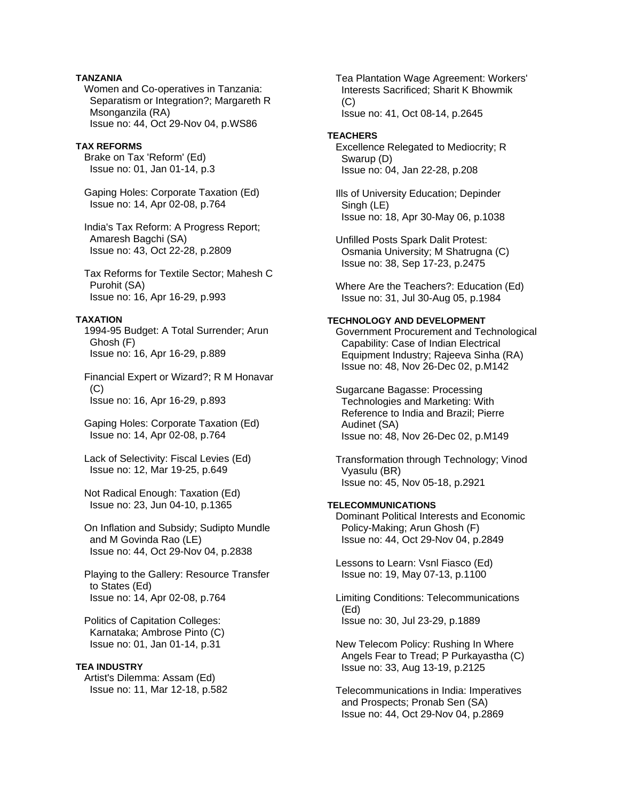# **TANZANIA**

 Women and Co-operatives in Tanzania: Separatism or Integration?; Margareth R Msonganzila (RA) Issue no: 44, Oct 29-Nov 04, p.WS86

#### **TAX REFORMS**

 Brake on Tax 'Reform' (Ed) Issue no: 01, Jan 01-14, p.3

 Gaping Holes: Corporate Taxation (Ed) Issue no: 14, Apr 02-08, p.764

 India's Tax Reform: A Progress Report; Amaresh Bagchi (SA) Issue no: 43, Oct 22-28, p.2809

 Tax Reforms for Textile Sector; Mahesh C Purohit (SA) Issue no: 16, Apr 16-29, p.993

#### **TAXATION**

 1994-95 Budget: A Total Surrender; Arun Ghosh (F) Issue no: 16, Apr 16-29, p.889

 Financial Expert or Wizard?; R M Honavar (C) Issue no: 16, Apr 16-29, p.893

 Gaping Holes: Corporate Taxation (Ed) Issue no: 14, Apr 02-08, p.764

 Lack of Selectivity: Fiscal Levies (Ed) Issue no: 12, Mar 19-25, p.649

 Not Radical Enough: Taxation (Ed) Issue no: 23, Jun 04-10, p.1365

 On Inflation and Subsidy; Sudipto Mundle and M Govinda Rao (LE) Issue no: 44, Oct 29-Nov 04, p.2838

 Playing to the Gallery: Resource Transfer to States (Ed) Issue no: 14, Apr 02-08, p.764

 Politics of Capitation Colleges: Karnataka; Ambrose Pinto (C) Issue no: 01, Jan 01-14, p.31

#### **TEA INDUSTRY**

 Artist's Dilemma: Assam (Ed) Issue no: 11, Mar 12-18, p.582  Tea Plantation Wage Agreement: Workers' Interests Sacrificed; Sharit K Bhowmik  $(C)$ Issue no: 41, Oct 08-14, p.2645

#### **TEACHERS**

 Excellence Relegated to Mediocrity; R Swarup (D) Issue no: 04, Jan 22-28, p.208

 Ills of University Education; Depinder Singh (LE) Issue no: 18, Apr 30-May 06, p.1038

 Unfilled Posts Spark Dalit Protest: Osmania University; M Shatrugna (C) Issue no: 38, Sep 17-23, p.2475

 Where Are the Teachers?: Education (Ed) Issue no: 31, Jul 30-Aug 05, p.1984

### **TECHNOLOGY AND DEVELOPMENT**

 Government Procurement and Technological Capability: Case of Indian Electrical Equipment Industry; Rajeeva Sinha (RA) Issue no: 48, Nov 26-Dec 02, p.M142

 Sugarcane Bagasse: Processing Technologies and Marketing: With Reference to India and Brazil; Pierre Audinet (SA) Issue no: 48, Nov 26-Dec 02, p.M149

 Transformation through Technology; Vinod Vyasulu (BR) Issue no: 45, Nov 05-18, p.2921

# **TELECOMMUNICATIONS**

 Dominant Political Interests and Economic Policy-Making; Arun Ghosh (F) Issue no: 44, Oct 29-Nov 04, p.2849

 Lessons to Learn: Vsnl Fiasco (Ed) Issue no: 19, May 07-13, p.1100

 Limiting Conditions: Telecommunications (Ed) Issue no: 30, Jul 23-29, p.1889

 New Telecom Policy: Rushing In Where Angels Fear to Tread; P Purkayastha (C) Issue no: 33, Aug 13-19, p.2125

 Telecommunications in India: Imperatives and Prospects; Pronab Sen (SA) Issue no: 44, Oct 29-Nov 04, p.2869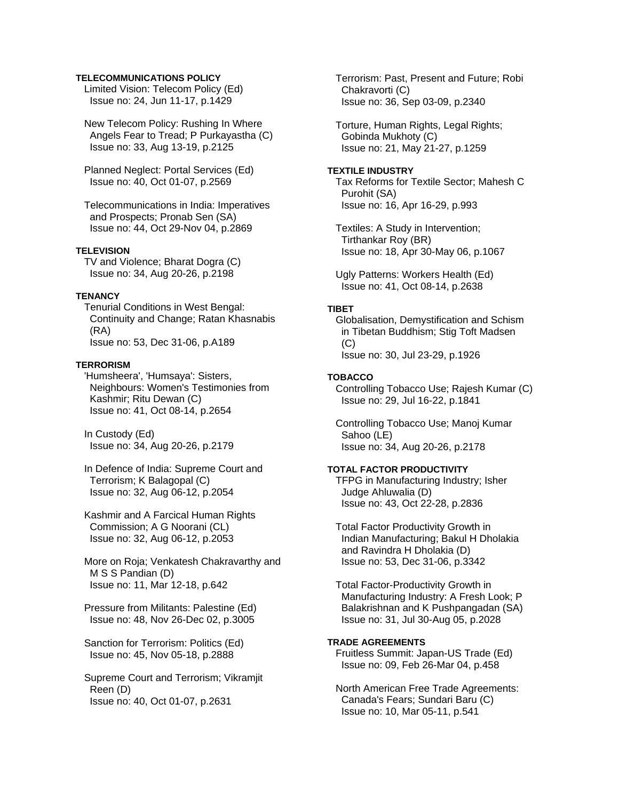### **TELECOMMUNICATIONS POLICY**

 Limited Vision: Telecom Policy (Ed) Issue no: 24, Jun 11-17, p.1429

 New Telecom Policy: Rushing In Where Angels Fear to Tread; P Purkayastha (C) Issue no: 33, Aug 13-19, p.2125

 Planned Neglect: Portal Services (Ed) Issue no: 40, Oct 01-07, p.2569

 Telecommunications in India: Imperatives and Prospects; Pronab Sen (SA) Issue no: 44, Oct 29-Nov 04, p.2869

### **TELEVISION**

 TV and Violence; Bharat Dogra (C) Issue no: 34, Aug 20-26, p.2198

#### **TENANCY**

 Tenurial Conditions in West Bengal: Continuity and Change; Ratan Khasnabis (RA) Issue no: 53, Dec 31-06, p.A189

#### **TERRORISM**

 'Humsheera', 'Humsaya': Sisters, Neighbours: Women's Testimonies from Kashmir; Ritu Dewan (C) Issue no: 41, Oct 08-14, p.2654

 In Custody (Ed) Issue no: 34, Aug 20-26, p.2179

 In Defence of India: Supreme Court and Terrorism; K Balagopal (C) Issue no: 32, Aug 06-12, p.2054

 Kashmir and A Farcical Human Rights Commission; A G Noorani (CL) Issue no: 32, Aug 06-12, p.2053

 More on Roja; Venkatesh Chakravarthy and M S S Pandian (D) Issue no: 11, Mar 12-18, p.642

 Pressure from Militants: Palestine (Ed) Issue no: 48, Nov 26-Dec 02, p.3005

 Sanction for Terrorism: Politics (Ed) Issue no: 45, Nov 05-18, p.2888

 Supreme Court and Terrorism; Vikramjit Reen (D) Issue no: 40, Oct 01-07, p.2631

 Terrorism: Past, Present and Future; Robi Chakravorti (C) Issue no: 36, Sep 03-09, p.2340

 Torture, Human Rights, Legal Rights; Gobinda Mukhoty (C) Issue no: 21, May 21-27, p.1259

#### **TEXTILE INDUSTRY**

 Tax Reforms for Textile Sector; Mahesh C Purohit (SA) Issue no: 16, Apr 16-29, p.993

 Textiles: A Study in Intervention; Tirthankar Roy (BR) Issue no: 18, Apr 30-May 06, p.1067

 Ugly Patterns: Workers Health (Ed) Issue no: 41, Oct 08-14, p.2638

#### **TIBET**

 Globalisation, Demystification and Schism in Tibetan Buddhism; Stig Toft Madsen  $(C)$ Issue no: 30, Jul 23-29, p.1926

#### **TOBACCO**

 Controlling Tobacco Use; Rajesh Kumar (C) Issue no: 29, Jul 16-22, p.1841

 Controlling Tobacco Use; Manoj Kumar Sahoo (LE) Issue no: 34, Aug 20-26, p.2178

### **TOTAL FACTOR PRODUCTIVITY**

 TFPG in Manufacturing Industry; Isher Judge Ahluwalia (D) Issue no: 43, Oct 22-28, p.2836

 Total Factor Productivity Growth in Indian Manufacturing; Bakul H Dholakia and Ravindra H Dholakia (D) Issue no: 53, Dec 31-06, p.3342

 Total Factor-Productivity Growth in Manufacturing Industry: A Fresh Look; P Balakrishnan and K Pushpangadan (SA) Issue no: 31, Jul 30-Aug 05, p.2028

## **TRADE AGREEMENTS**

 Fruitless Summit: Japan-US Trade (Ed) Issue no: 09, Feb 26-Mar 04, p.458

 North American Free Trade Agreements: Canada's Fears; Sundari Baru (C) Issue no: 10, Mar 05-11, p.541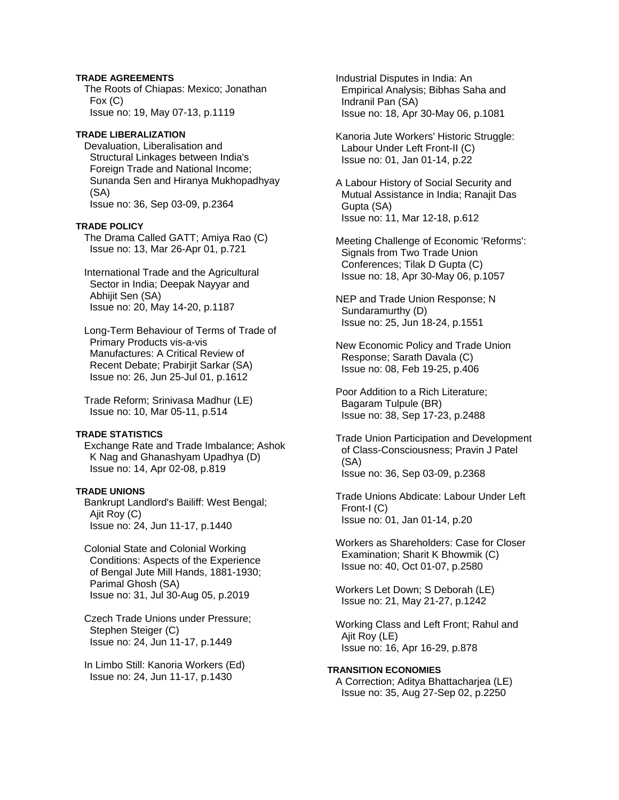## **TRADE AGREEMENTS**

 The Roots of Chiapas: Mexico; Jonathan Fox (C) Issue no: 19, May 07-13, p.1119

## **TRADE LIBERALIZATION**

 Devaluation, Liberalisation and Structural Linkages between India's Foreign Trade and National Income; Sunanda Sen and Hiranya Mukhopadhyay (SA) Issue no: 36, Sep 03-09, p.2364

#### **TRADE POLICY**

 The Drama Called GATT; Amiya Rao (C) Issue no: 13, Mar 26-Apr 01, p.721

 International Trade and the Agricultural Sector in India; Deepak Nayyar and Abhijit Sen (SA) Issue no: 20, May 14-20, p.1187

 Long-Term Behaviour of Terms of Trade of Primary Products vis-a-vis Manufactures: A Critical Review of Recent Debate; Prabirjit Sarkar (SA) Issue no: 26, Jun 25-Jul 01, p.1612

 Trade Reform; Srinivasa Madhur (LE) Issue no: 10, Mar 05-11, p.514

#### **TRADE STATISTICS**

 Exchange Rate and Trade Imbalance; Ashok K Nag and Ghanashyam Upadhya (D) Issue no: 14, Apr 02-08, p.819

#### **TRADE UNIONS**

 Bankrupt Landlord's Bailiff: West Bengal; Ajit Roy (C) Issue no: 24, Jun 11-17, p.1440

- Colonial State and Colonial Working Conditions: Aspects of the Experience of Bengal Jute Mill Hands, 1881-1930; Parimal Ghosh (SA) Issue no: 31, Jul 30-Aug 05, p.2019
- Czech Trade Unions under Pressure; Stephen Steiger (C) Issue no: 24, Jun 11-17, p.1449
- In Limbo Still: Kanoria Workers (Ed) Issue no: 24, Jun 11-17, p.1430

 Industrial Disputes in India: An Empirical Analysis; Bibhas Saha and Indranil Pan (SA) Issue no: 18, Apr 30-May 06, p.1081

 Kanoria Jute Workers' Historic Struggle: Labour Under Left Front-II (C) Issue no: 01, Jan 01-14, p.22

 A Labour History of Social Security and Mutual Assistance in India; Ranajit Das Gupta (SA) Issue no: 11, Mar 12-18, p.612

 Meeting Challenge of Economic 'Reforms': Signals from Two Trade Union Conferences; Tilak D Gupta (C) Issue no: 18, Apr 30-May 06, p.1057

 NEP and Trade Union Response; N Sundaramurthy (D) Issue no: 25, Jun 18-24, p.1551

 New Economic Policy and Trade Union Response; Sarath Davala (C) Issue no: 08, Feb 19-25, p.406

 Poor Addition to a Rich Literature; Bagaram Tulpule (BR) Issue no: 38, Sep 17-23, p.2488

 Trade Union Participation and Development of Class-Consciousness; Pravin J Patel (SA) Issue no: 36, Sep 03-09, p.2368

 Trade Unions Abdicate: Labour Under Left Front-I (C) Issue no: 01, Jan 01-14, p.20

 Workers as Shareholders: Case for Closer Examination; Sharit K Bhowmik (C) Issue no: 40, Oct 01-07, p.2580

 Workers Let Down; S Deborah (LE) Issue no: 21, May 21-27, p.1242

 Working Class and Left Front; Rahul and Ajit Roy (LE) Issue no: 16, Apr 16-29, p.878

# **TRANSITION ECONOMIES**

 A Correction; Aditya Bhattacharjea (LE) Issue no: 35, Aug 27-Sep 02, p.2250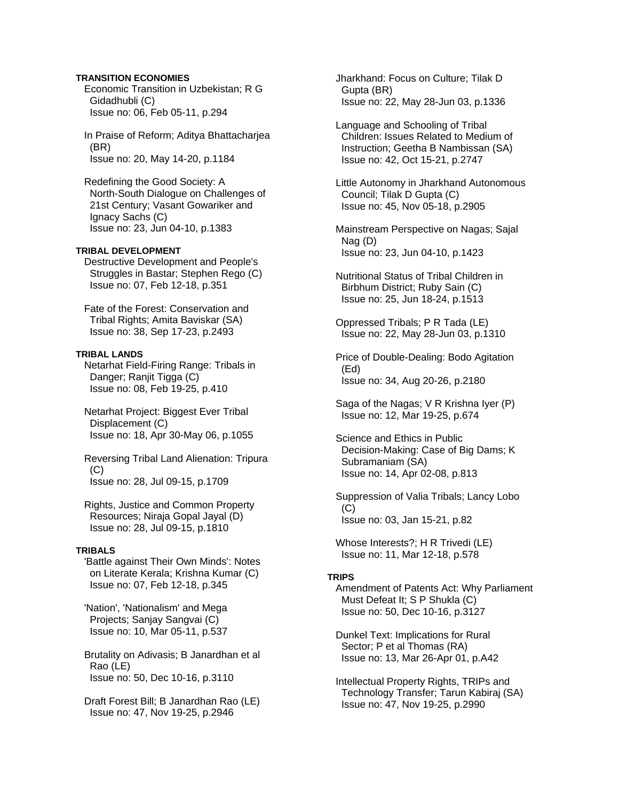## **TRANSITION ECONOMIES**

 Economic Transition in Uzbekistan; R G Gidadhubli (C) Issue no: 06, Feb 05-11, p.294

 In Praise of Reform; Aditya Bhattacharjea (BR) Issue no: 20, May 14-20, p.1184

 Redefining the Good Society: A North-South Dialogue on Challenges of 21st Century; Vasant Gowariker and Ignacy Sachs (C) Issue no: 23, Jun 04-10, p.1383

# **TRIBAL DEVELOPMENT**

 Destructive Development and People's Struggles in Bastar; Stephen Rego (C) Issue no: 07, Feb 12-18, p.351

 Fate of the Forest: Conservation and Tribal Rights; Amita Baviskar (SA) Issue no: 38, Sep 17-23, p.2493

#### **TRIBAL LANDS**

 Netarhat Field-Firing Range: Tribals in Danger; Ranjit Tigga (C) Issue no: 08, Feb 19-25, p.410

 Netarhat Project: Biggest Ever Tribal Displacement (C) Issue no: 18, Apr 30-May 06, p.1055

 Reversing Tribal Land Alienation: Tripura (C) Issue no: 28, Jul 09-15, p.1709

 Rights, Justice and Common Property Resources; Niraja Gopal Jayal (D) Issue no: 28, Jul 09-15, p.1810

# **TRIBALS**

 'Battle against Their Own Minds': Notes on Literate Kerala; Krishna Kumar (C) Issue no: 07, Feb 12-18, p.345

 'Nation', 'Nationalism' and Mega Projects; Sanjay Sangvai (C) Issue no: 10, Mar 05-11, p.537

 Brutality on Adivasis; B Janardhan et al Rao (LE) Issue no: 50, Dec 10-16, p.3110

 Draft Forest Bill; B Janardhan Rao (LE) Issue no: 47, Nov 19-25, p.2946

 Jharkhand: Focus on Culture; Tilak D Gupta (BR) Issue no: 22, May 28-Jun 03, p.1336

 Language and Schooling of Tribal Children: Issues Related to Medium of Instruction; Geetha B Nambissan (SA) Issue no: 42, Oct 15-21, p.2747

 Little Autonomy in Jharkhand Autonomous Council; Tilak D Gupta (C) Issue no: 45, Nov 05-18, p.2905

 Mainstream Perspective on Nagas; Sajal Nag (D) Issue no: 23, Jun 04-10, p.1423

 Nutritional Status of Tribal Children in Birbhum District; Ruby Sain (C) Issue no: 25, Jun 18-24, p.1513

 Oppressed Tribals; P R Tada (LE) Issue no: 22, May 28-Jun 03, p.1310

 Price of Double-Dealing: Bodo Agitation (Ed) Issue no: 34, Aug 20-26, p.2180

 Saga of the Nagas; V R Krishna Iyer (P) Issue no: 12, Mar 19-25, p.674

 Science and Ethics in Public Decision-Making: Case of Big Dams; K Subramaniam (SA) Issue no: 14, Apr 02-08, p.813

 Suppression of Valia Tribals; Lancy Lobo  $(C)$ Issue no: 03, Jan 15-21, p.82

 Whose Interests?; H R Trivedi (LE) Issue no: 11, Mar 12-18, p.578

#### **TRIPS**

 Amendment of Patents Act: Why Parliament Must Defeat It; S P Shukla (C) Issue no: 50, Dec 10-16, p.3127

 Dunkel Text: Implications for Rural Sector; P et al Thomas (RA) Issue no: 13, Mar 26-Apr 01, p.A42

 Intellectual Property Rights, TRIPs and Technology Transfer; Tarun Kabiraj (SA) Issue no: 47, Nov 19-25, p.2990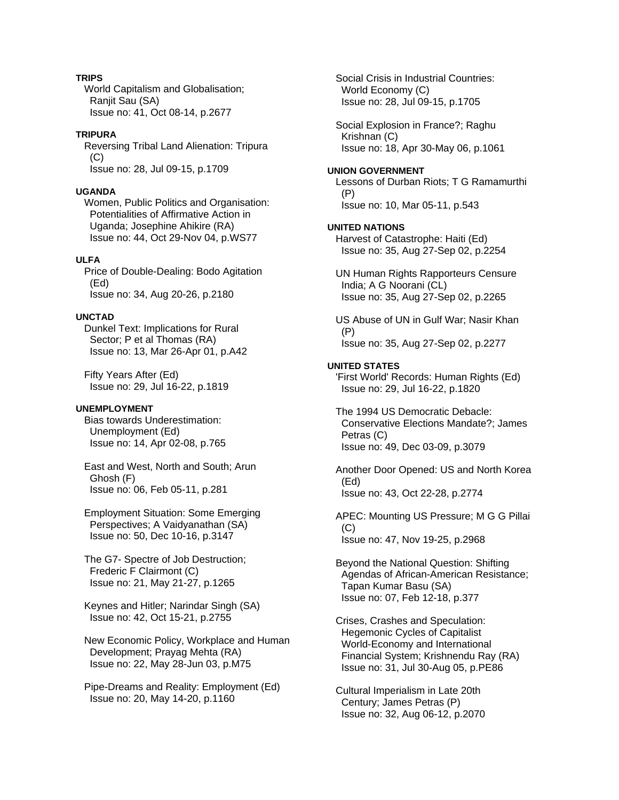### **TRIPS**

 World Capitalism and Globalisation; Ranjit Sau (SA) Issue no: 41, Oct 08-14, p.2677

# **TRIPURA**

 Reversing Tribal Land Alienation: Tripura  $(C)$ Issue no: 28, Jul 09-15, p.1709

### **UGANDA**

 Women, Public Politics and Organisation: Potentialities of Affirmative Action in Uganda; Josephine Ahikire (RA) Issue no: 44, Oct 29-Nov 04, p.WS77

# **ULFA**

 Price of Double-Dealing: Bodo Agitation (Ed) Issue no: 34, Aug 20-26, p.2180

### **UNCTAD**

 Dunkel Text: Implications for Rural Sector; P et al Thomas (RA) Issue no: 13, Mar 26-Apr 01, p.A42

 Fifty Years After (Ed) Issue no: 29, Jul 16-22, p.1819

#### **UNEMPLOYMENT**

 Bias towards Underestimation: Unemployment (Ed) Issue no: 14, Apr 02-08, p.765

 East and West, North and South; Arun Ghosh (F) Issue no: 06, Feb 05-11, p.281

 Employment Situation: Some Emerging Perspectives; A Vaidyanathan (SA) Issue no: 50, Dec 10-16, p.3147

 The G7- Spectre of Job Destruction; Frederic F Clairmont (C) Issue no: 21, May 21-27, p.1265

 Keynes and Hitler; Narindar Singh (SA) Issue no: 42, Oct 15-21, p.2755

 New Economic Policy, Workplace and Human Development; Prayag Mehta (RA) Issue no: 22, May 28-Jun 03, p.M75

 Pipe-Dreams and Reality: Employment (Ed) Issue no: 20, May 14-20, p.1160

 Social Crisis in Industrial Countries: World Economy (C) Issue no: 28, Jul 09-15, p.1705

 Social Explosion in France?; Raghu Krishnan (C) Issue no: 18, Apr 30-May 06, p.1061

#### **UNION GOVERNMENT**

 Lessons of Durban Riots; T G Ramamurthi (P) Issue no: 10, Mar 05-11, p.543

#### **UNITED NATIONS**

 Harvest of Catastrophe: Haiti (Ed) Issue no: 35, Aug 27-Sep 02, p.2254

 UN Human Rights Rapporteurs Censure India; A G Noorani (CL) Issue no: 35, Aug 27-Sep 02, p.2265

 US Abuse of UN in Gulf War; Nasir Khan (P) Issue no: 35, Aug 27-Sep 02, p.2277

# **UNITED STATES**

 'First World' Records: Human Rights (Ed) Issue no: 29, Jul 16-22, p.1820

 The 1994 US Democratic Debacle: Conservative Elections Mandate?; James Petras (C) Issue no: 49, Dec 03-09, p.3079

 Another Door Opened: US and North Korea (Ed) Issue no: 43, Oct 22-28, p.2774

 APEC: Mounting US Pressure; M G G Pillai (C) Issue no: 47, Nov 19-25, p.2968

 Beyond the National Question: Shifting Agendas of African-American Resistance; Tapan Kumar Basu (SA) Issue no: 07, Feb 12-18, p.377

 Crises, Crashes and Speculation: Hegemonic Cycles of Capitalist World-Economy and International Financial System; Krishnendu Ray (RA) Issue no: 31, Jul 30-Aug 05, p.PE86

 Cultural Imperialism in Late 20th Century; James Petras (P) Issue no: 32, Aug 06-12, p.2070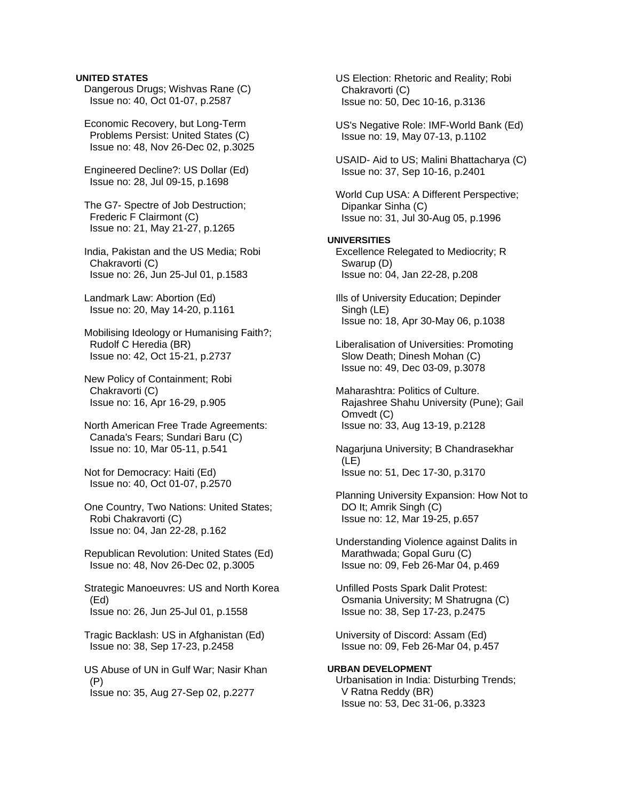### **UNITED STATES**

 Dangerous Drugs; Wishvas Rane (C) Issue no: 40, Oct 01-07, p.2587

 Economic Recovery, but Long-Term Problems Persist: United States (C) Issue no: 48, Nov 26-Dec 02, p.3025

 Engineered Decline?: US Dollar (Ed) Issue no: 28, Jul 09-15, p.1698

 The G7- Spectre of Job Destruction; Frederic F Clairmont (C) Issue no: 21, May 21-27, p.1265

 India, Pakistan and the US Media; Robi Chakravorti (C) Issue no: 26, Jun 25-Jul 01, p.1583

 Landmark Law: Abortion (Ed) Issue no: 20, May 14-20, p.1161

 Mobilising Ideology or Humanising Faith?; Rudolf C Heredia (BR) Issue no: 42, Oct 15-21, p.2737

 New Policy of Containment; Robi Chakravorti (C) Issue no: 16, Apr 16-29, p.905

 North American Free Trade Agreements: Canada's Fears; Sundari Baru (C) Issue no: 10, Mar 05-11, p.541

 Not for Democracy: Haiti (Ed) Issue no: 40, Oct 01-07, p.2570

 One Country, Two Nations: United States; Robi Chakravorti (C) Issue no: 04, Jan 22-28, p.162

 Republican Revolution: United States (Ed) Issue no: 48, Nov 26-Dec 02, p.3005

 Strategic Manoeuvres: US and North Korea (Ed) Issue no: 26, Jun 25-Jul 01, p.1558

 Tragic Backlash: US in Afghanistan (Ed) Issue no: 38, Sep 17-23, p.2458

 US Abuse of UN in Gulf War; Nasir Khan (P) Issue no: 35, Aug 27-Sep 02, p.2277

 US Election: Rhetoric and Reality; Robi Chakravorti (C) Issue no: 50, Dec 10-16, p.3136 US's Negative Role: IMF-World Bank (Ed) Issue no: 19, May 07-13, p.1102 USAID- Aid to US; Malini Bhattacharya (C) Issue no: 37, Sep 10-16, p.2401 World Cup USA: A Different Perspective; Dipankar Sinha (C) Issue no: 31, Jul 30-Aug 05, p.1996 **UNIVERSITIES**  Excellence Relegated to Mediocrity; R Swarup (D) Issue no: 04, Jan 22-28, p.208 Ills of University Education; Depinder Singh (LE) Issue no: 18, Apr 30-May 06, p.1038 Liberalisation of Universities: Promoting Slow Death; Dinesh Mohan (C) Issue no: 49, Dec 03-09, p.3078 Maharashtra: Politics of Culture. Rajashree Shahu University (Pune); Gail Omvedt (C) Issue no: 33, Aug 13-19, p.2128 Nagarjuna University; B Chandrasekhar (LE) Issue no: 51, Dec 17-30, p.3170 Planning University Expansion: How Not to DO It; Amrik Singh (C) Issue no: 12, Mar 19-25, p.657 Understanding Violence against Dalits in Marathwada; Gopal Guru (C) Issue no: 09, Feb 26-Mar 04, p.469 Unfilled Posts Spark Dalit Protest: Osmania University; M Shatrugna (C) Issue no: 38, Sep 17-23, p.2475 University of Discord: Assam (Ed) Issue no: 09, Feb 26-Mar 04, p.457

**URBAN DEVELOPMENT**  Urbanisation in India: Disturbing Trends; V Ratna Reddy (BR) Issue no: 53, Dec 31-06, p.3323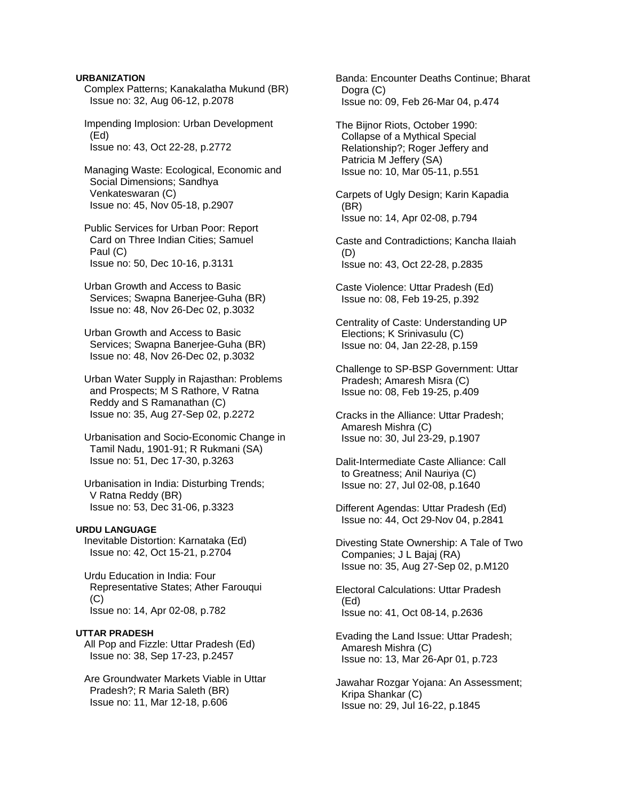#### **URBANIZATION**

- Complex Patterns; Kanakalatha Mukund (BR) Issue no: 32, Aug 06-12, p.2078
- Impending Implosion: Urban Development (Ed) Issue no: 43, Oct 22-28, p.2772
- Managing Waste: Ecological, Economic and Social Dimensions; Sandhya Venkateswaran (C) Issue no: 45, Nov 05-18, p.2907
- Public Services for Urban Poor: Report Card on Three Indian Cities; Samuel Paul (C) Issue no: 50, Dec 10-16, p.3131
- Urban Growth and Access to Basic Services; Swapna Banerjee-Guha (BR) Issue no: 48, Nov 26-Dec 02, p.3032
- Urban Growth and Access to Basic Services; Swapna Banerjee-Guha (BR) Issue no: 48, Nov 26-Dec 02, p.3032
- Urban Water Supply in Rajasthan: Problems and Prospects; M S Rathore, V Ratna Reddy and S Ramanathan (C) Issue no: 35, Aug 27-Sep 02, p.2272
- Urbanisation and Socio-Economic Change in Tamil Nadu, 1901-91; R Rukmani (SA) Issue no: 51, Dec 17-30, p.3263
- Urbanisation in India: Disturbing Trends; V Ratna Reddy (BR) Issue no: 53, Dec 31-06, p.3323

### **URDU LANGUAGE**

- Inevitable Distortion: Karnataka (Ed) Issue no: 42, Oct 15-21, p.2704
- Urdu Education in India: Four Representative States; Ather Farouqui (C) Issue no: 14, Apr 02-08, p.782

#### **UTTAR PRADESH**

 All Pop and Fizzle: Uttar Pradesh (Ed) Issue no: 38, Sep 17-23, p.2457

 Are Groundwater Markets Viable in Uttar Pradesh?; R Maria Saleth (BR) Issue no: 11, Mar 12-18, p.606

 Banda: Encounter Deaths Continue; Bharat Dogra (C) Issue no: 09, Feb 26-Mar 04, p.474

 The Bijnor Riots, October 1990: Collapse of a Mythical Special Relationship?; Roger Jeffery and Patricia M Jeffery (SA) Issue no: 10, Mar 05-11, p.551

 Carpets of Ugly Design; Karin Kapadia (BR) Issue no: 14, Apr 02-08, p.794

 Caste and Contradictions; Kancha Ilaiah (D) Issue no: 43, Oct 22-28, p.2835

- Caste Violence: Uttar Pradesh (Ed) Issue no: 08, Feb 19-25, p.392
- Centrality of Caste: Understanding UP Elections; K Srinivasulu (C) Issue no: 04, Jan 22-28, p.159
- Challenge to SP-BSP Government: Uttar Pradesh; Amaresh Misra (C) Issue no: 08, Feb 19-25, p.409
- Cracks in the Alliance: Uttar Pradesh; Amaresh Mishra (C) Issue no: 30, Jul 23-29, p.1907
- Dalit-Intermediate Caste Alliance: Call to Greatness; Anil Nauriya (C) Issue no: 27, Jul 02-08, p.1640
- Different Agendas: Uttar Pradesh (Ed) Issue no: 44, Oct 29-Nov 04, p.2841
- Divesting State Ownership: A Tale of Two Companies; J L Bajaj (RA) Issue no: 35, Aug 27-Sep 02, p.M120
- Electoral Calculations: Uttar Pradesh (Ed) Issue no: 41, Oct 08-14, p.2636
- Evading the Land Issue: Uttar Pradesh; Amaresh Mishra (C) Issue no: 13, Mar 26-Apr 01, p.723
- Jawahar Rozgar Yojana: An Assessment; Kripa Shankar (C) Issue no: 29, Jul 16-22, p.1845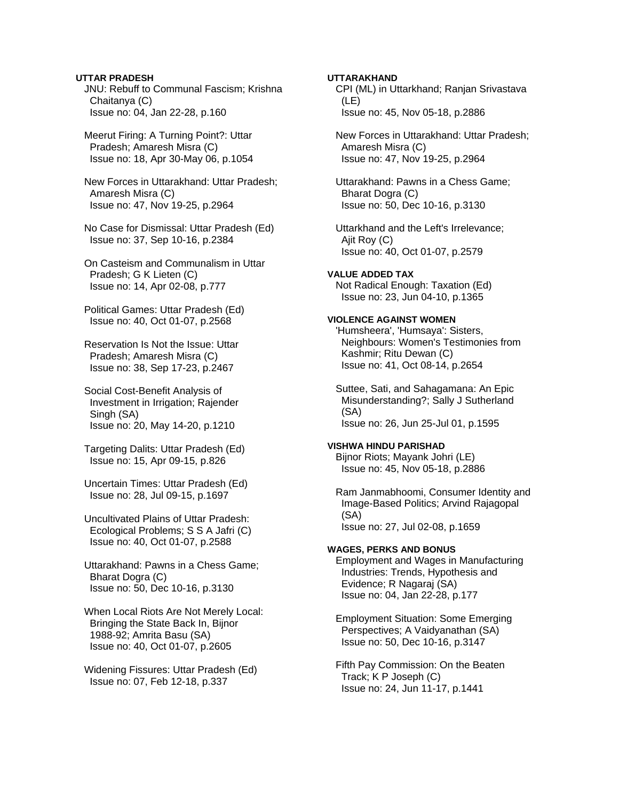### **UTTAR PRADESH**

 JNU: Rebuff to Communal Fascism; Krishna Chaitanya (C) Issue no: 04, Jan 22-28, p.160

 Meerut Firing: A Turning Point?: Uttar Pradesh; Amaresh Misra (C) Issue no: 18, Apr 30-May 06, p.1054

 New Forces in Uttarakhand: Uttar Pradesh; Amaresh Misra (C) Issue no: 47, Nov 19-25, p.2964

 No Case for Dismissal: Uttar Pradesh (Ed) Issue no: 37, Sep 10-16, p.2384

 On Casteism and Communalism in Uttar Pradesh; G K Lieten (C) Issue no: 14, Apr 02-08, p.777

 Political Games: Uttar Pradesh (Ed) Issue no: 40, Oct 01-07, p.2568

 Reservation Is Not the Issue: Uttar Pradesh; Amaresh Misra (C) Issue no: 38, Sep 17-23, p.2467

 Social Cost-Benefit Analysis of Investment in Irrigation; Rajender Singh (SA) Issue no: 20, May 14-20, p.1210

 Targeting Dalits: Uttar Pradesh (Ed) Issue no: 15, Apr 09-15, p.826

 Uncertain Times: Uttar Pradesh (Ed) Issue no: 28, Jul 09-15, p.1697

 Uncultivated Plains of Uttar Pradesh: Ecological Problems; S S A Jafri (C) Issue no: 40, Oct 01-07, p.2588

 Uttarakhand: Pawns in a Chess Game; Bharat Dogra (C) Issue no: 50, Dec 10-16, p.3130

 When Local Riots Are Not Merely Local: Bringing the State Back In, Bijnor 1988-92; Amrita Basu (SA) Issue no: 40, Oct 01-07, p.2605

 Widening Fissures: Uttar Pradesh (Ed) Issue no: 07, Feb 12-18, p.337

## **UTTARAKHAND**

 CPI (ML) in Uttarkhand; Ranjan Srivastava (LE) Issue no: 45, Nov 05-18, p.2886

 New Forces in Uttarakhand: Uttar Pradesh; Amaresh Misra (C) Issue no: 47, Nov 19-25, p.2964

 Uttarakhand: Pawns in a Chess Game; Bharat Dogra (C) Issue no: 50, Dec 10-16, p.3130

 Uttarkhand and the Left's Irrelevance; Ajit Roy (C) Issue no: 40, Oct 01-07, p.2579

**VALUE ADDED TAX**  Not Radical Enough: Taxation (Ed) Issue no: 23, Jun 04-10, p.1365

# **VIOLENCE AGAINST WOMEN**

 'Humsheera', 'Humsaya': Sisters, Neighbours: Women's Testimonies from Kashmir; Ritu Dewan (C) Issue no: 41, Oct 08-14, p.2654

 Suttee, Sati, and Sahagamana: An Epic Misunderstanding?; Sally J Sutherland (SA) Issue no: 26, Jun 25-Jul 01, p.1595

#### **VISHWA HINDU PARISHAD**

 Bijnor Riots; Mayank Johri (LE) Issue no: 45, Nov 05-18, p.2886

 Ram Janmabhoomi, Consumer Identity and Image-Based Politics; Arvind Rajagopal (SA) Issue no: 27, Jul 02-08, p.1659

#### **WAGES, PERKS AND BONUS**

 Employment and Wages in Manufacturing Industries: Trends, Hypothesis and Evidence; R Nagaraj (SA) Issue no: 04, Jan 22-28, p.177

 Employment Situation: Some Emerging Perspectives; A Vaidyanathan (SA) Issue no: 50, Dec 10-16, p.3147

 Fifth Pay Commission: On the Beaten Track; K P Joseph (C) Issue no: 24, Jun 11-17, p.1441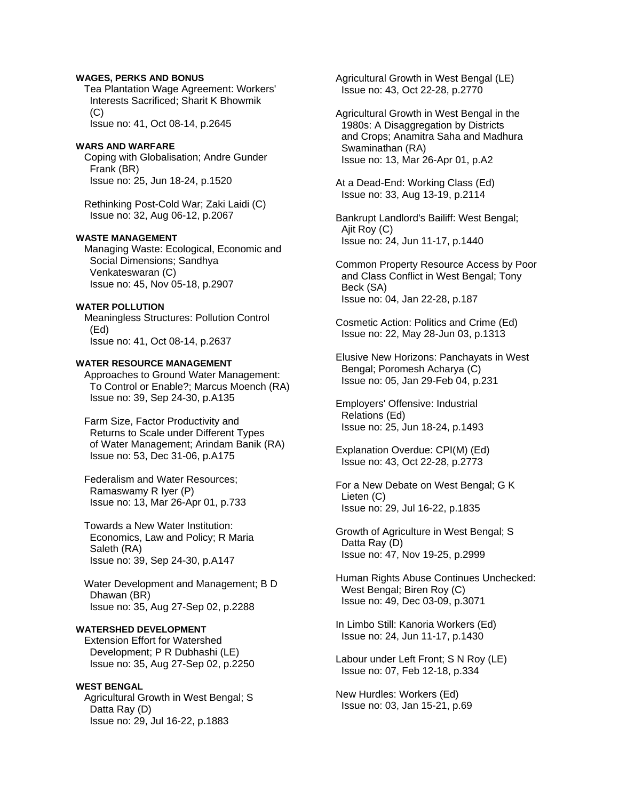### **WAGES, PERKS AND BONUS**

 Tea Plantation Wage Agreement: Workers' Interests Sacrificed; Sharit K Bhowmik (C) Issue no: 41, Oct 08-14, p.2645

**WARS AND WARFARE** 

 Coping with Globalisation; Andre Gunder Frank (BR) Issue no: 25, Jun 18-24, p.1520

 Rethinking Post-Cold War; Zaki Laidi (C) Issue no: 32, Aug 06-12, p.2067

### **WASTE MANAGEMENT**

 Managing Waste: Ecological, Economic and Social Dimensions; Sandhya Venkateswaran (C) Issue no: 45, Nov 05-18, p.2907

#### **WATER POLLUTION**

 Meaningless Structures: Pollution Control (Ed)

Issue no: 41, Oct 08-14, p.2637

# **WATER RESOURCE MANAGEMENT**

 Approaches to Ground Water Management: To Control or Enable?; Marcus Moench (RA) Issue no: 39, Sep 24-30, p.A135

 Farm Size, Factor Productivity and Returns to Scale under Different Types of Water Management; Arindam Banik (RA) Issue no: 53, Dec 31-06, p.A175

 Federalism and Water Resources; Ramaswamy R Iyer (P) Issue no: 13, Mar 26-Apr 01, p.733

 Towards a New Water Institution: Economics, Law and Policy; R Maria Saleth (RA) Issue no: 39, Sep 24-30, p.A147

 Water Development and Management; B D Dhawan (BR) Issue no: 35, Aug 27-Sep 02, p.2288

# **WATERSHED DEVELOPMENT**

 Extension Effort for Watershed Development; P R Dubhashi (LE) Issue no: 35, Aug 27-Sep 02, p.2250

### **WEST BENGAL**

 Agricultural Growth in West Bengal; S Datta Ray (D) Issue no: 29, Jul 16-22, p.1883

 Agricultural Growth in West Bengal (LE) Issue no: 43, Oct 22-28, p.2770

 Agricultural Growth in West Bengal in the 1980s: A Disaggregation by Districts and Crops; Anamitra Saha and Madhura Swaminathan (RA) Issue no: 13, Mar 26-Apr 01, p.A2

 At a Dead-End: Working Class (Ed) Issue no: 33, Aug 13-19, p.2114

 Bankrupt Landlord's Bailiff: West Bengal; Ajit Roy (C) Issue no: 24, Jun 11-17, p.1440

 Common Property Resource Access by Poor and Class Conflict in West Bengal; Tony Beck (SA) Issue no: 04, Jan 22-28, p.187

 Cosmetic Action: Politics and Crime (Ed) Issue no: 22, May 28-Jun 03, p.1313

 Elusive New Horizons: Panchayats in West Bengal; Poromesh Acharya (C) Issue no: 05, Jan 29-Feb 04, p.231

 Employers' Offensive: Industrial Relations (Ed) Issue no: 25, Jun 18-24, p.1493

 Explanation Overdue: CPI(M) (Ed) Issue no: 43, Oct 22-28, p.2773

 For a New Debate on West Bengal; G K Lieten (C) Issue no: 29, Jul 16-22, p.1835

 Growth of Agriculture in West Bengal; S Datta Ray (D) Issue no: 47, Nov 19-25, p.2999

 Human Rights Abuse Continues Unchecked: West Bengal; Biren Roy (C) Issue no: 49, Dec 03-09, p.3071

 In Limbo Still: Kanoria Workers (Ed) Issue no: 24, Jun 11-17, p.1430

 Labour under Left Front; S N Roy (LE) Issue no: 07, Feb 12-18, p.334

 New Hurdles: Workers (Ed) Issue no: 03, Jan 15-21, p.69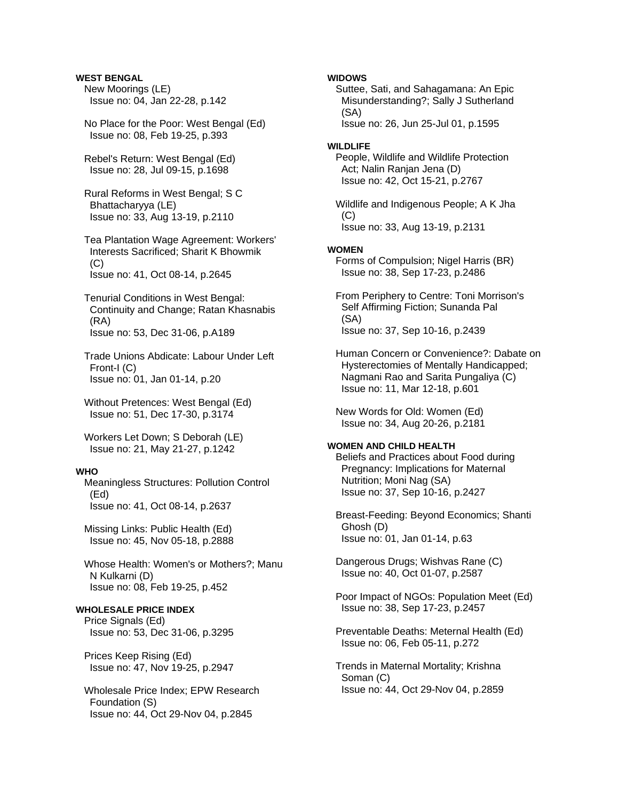# **WEST BENGAL**

 New Moorings (LE) Issue no: 04, Jan 22-28, p.142

- No Place for the Poor: West Bengal (Ed) Issue no: 08, Feb 19-25, p.393
- Rebel's Return: West Bengal (Ed) Issue no: 28, Jul 09-15, p.1698
- Rural Reforms in West Bengal; S C Bhattacharyya (LE) Issue no: 33, Aug 13-19, p.2110
- Tea Plantation Wage Agreement: Workers' Interests Sacrificed; Sharit K Bhowmik  $(C)$ Issue no: 41, Oct 08-14, p.2645
- Tenurial Conditions in West Bengal: Continuity and Change; Ratan Khasnabis (RA) Issue no: 53, Dec 31-06, p.A189
- Trade Unions Abdicate: Labour Under Left Front-I (C) Issue no: 01, Jan 01-14, p.20
- Without Pretences: West Bengal (Ed) Issue no: 51, Dec 17-30, p.3174

 Workers Let Down; S Deborah (LE) Issue no: 21, May 21-27, p.1242

### **WHO**

 Meaningless Structures: Pollution Control (Ed) Issue no: 41, Oct 08-14, p.2637

 Missing Links: Public Health (Ed) Issue no: 45, Nov 05-18, p.2888

 Whose Health: Women's or Mothers?; Manu N Kulkarni (D) Issue no: 08, Feb 19-25, p.452

### **WHOLESALE PRICE INDEX**

 Price Signals (Ed) Issue no: 53, Dec 31-06, p.3295

 Prices Keep Rising (Ed) Issue no: 47, Nov 19-25, p.2947

 Wholesale Price Index; EPW Research Foundation (S) Issue no: 44, Oct 29-Nov 04, p.2845

### **WIDOWS**

 Suttee, Sati, and Sahagamana: An Epic Misunderstanding?; Sally J Sutherland (SA) Issue no: 26, Jun 25-Jul 01, p.1595

#### **WILDLIFE**

 People, Wildlife and Wildlife Protection Act; Nalin Ranjan Jena (D) Issue no: 42, Oct 15-21, p.2767

 Wildlife and Indigenous People; A K Jha  $(C)$ Issue no: 33, Aug 13-19, p.2131

#### **WOMEN**

 Forms of Compulsion; Nigel Harris (BR) Issue no: 38, Sep 17-23, p.2486

 From Periphery to Centre: Toni Morrison's Self Affirming Fiction; Sunanda Pal (SA) Issue no: 37, Sep 10-16, p.2439

 Human Concern or Convenience?: Dabate on Hysterectomies of Mentally Handicapped; Nagmani Rao and Sarita Pungaliya (C) Issue no: 11, Mar 12-18, p.601

 New Words for Old: Women (Ed) Issue no: 34, Aug 20-26, p.2181

# **WOMEN AND CHILD HEALTH**

 Beliefs and Practices about Food during Pregnancy: Implications for Maternal Nutrition; Moni Nag (SA) Issue no: 37, Sep 10-16, p.2427

 Breast-Feeding: Beyond Economics; Shanti Ghosh (D) Issue no: 01, Jan 01-14, p.63

 Dangerous Drugs; Wishvas Rane (C) Issue no: 40, Oct 01-07, p.2587

 Poor Impact of NGOs: Population Meet (Ed) Issue no: 38, Sep 17-23, p.2457

 Preventable Deaths: Meternal Health (Ed) Issue no: 06, Feb 05-11, p.272

 Trends in Maternal Mortality; Krishna Soman (C) Issue no: 44, Oct 29-Nov 04, p.2859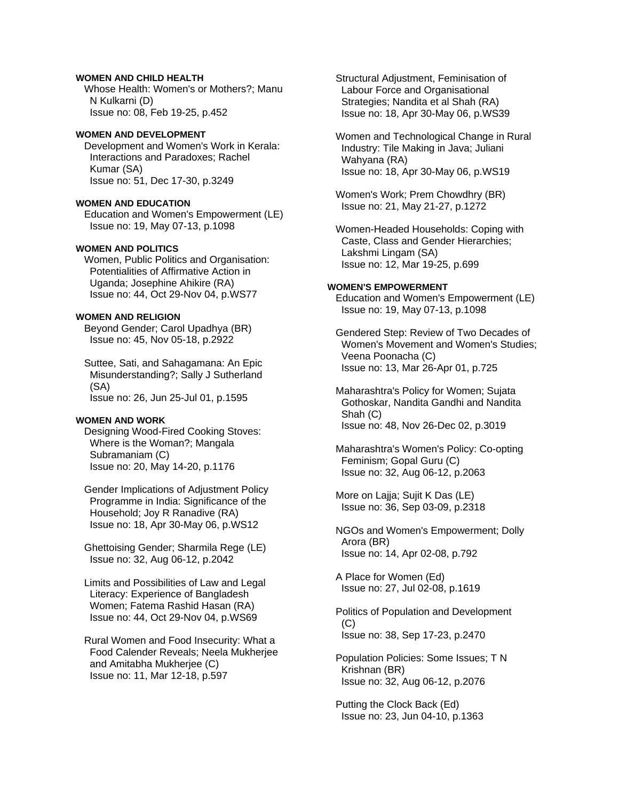### **WOMEN AND CHILD HEALTH**

 Whose Health: Women's or Mothers?; Manu N Kulkarni (D) Issue no: 08, Feb 19-25, p.452

## **WOMEN AND DEVELOPMENT**

 Development and Women's Work in Kerala: Interactions and Paradoxes; Rachel Kumar (SA) Issue no: 51, Dec 17-30, p.3249

## **WOMEN AND EDUCATION**

 Education and Women's Empowerment (LE) Issue no: 19, May 07-13, p.1098

#### **WOMEN AND POLITICS**

 Women, Public Politics and Organisation: Potentialities of Affirmative Action in Uganda; Josephine Ahikire (RA) Issue no: 44, Oct 29-Nov 04, p.WS77

## **WOMEN AND RELIGION**

 Beyond Gender; Carol Upadhya (BR) Issue no: 45, Nov 05-18, p.2922

 Suttee, Sati, and Sahagamana: An Epic Misunderstanding?; Sally J Sutherland (SA) Issue no: 26, Jun 25-Jul 01, p.1595

#### **WOMEN AND WORK**

 Designing Wood-Fired Cooking Stoves: Where is the Woman?; Mangala Subramaniam (C) Issue no: 20, May 14-20, p.1176

 Gender Implications of Adjustment Policy Programme in India: Significance of the Household; Joy R Ranadive (RA) Issue no: 18, Apr 30-May 06, p.WS12

 Ghettoising Gender; Sharmila Rege (LE) Issue no: 32, Aug 06-12, p.2042

 Limits and Possibilities of Law and Legal Literacy: Experience of Bangladesh Women; Fatema Rashid Hasan (RA) Issue no: 44, Oct 29-Nov 04, p.WS69

 Rural Women and Food Insecurity: What a Food Calender Reveals; Neela Mukherjee and Amitabha Mukherjee (C) Issue no: 11, Mar 12-18, p.597

 Structural Adjustment, Feminisation of Labour Force and Organisational Strategies; Nandita et al Shah (RA) Issue no: 18, Apr 30-May 06, p.WS39

 Women and Technological Change in Rural Industry: Tile Making in Java; Juliani Wahyana (RA) Issue no: 18, Apr 30-May 06, p.WS19

 Women's Work; Prem Chowdhry (BR) Issue no: 21, May 21-27, p.1272

 Women-Headed Households: Coping with Caste, Class and Gender Hierarchies; Lakshmi Lingam (SA) Issue no: 12, Mar 19-25, p.699

## **WOMEN'S EMPOWERMENT**

 Education and Women's Empowerment (LE) Issue no: 19, May 07-13, p.1098

 Gendered Step: Review of Two Decades of Women's Movement and Women's Studies; Veena Poonacha (C) Issue no: 13, Mar 26-Apr 01, p.725

 Maharashtra's Policy for Women; Sujata Gothoskar, Nandita Gandhi and Nandita Shah (C) Issue no: 48, Nov 26-Dec 02, p.3019

 Maharashtra's Women's Policy: Co-opting Feminism; Gopal Guru (C) Issue no: 32, Aug 06-12, p.2063

 More on Lajja; Sujit K Das (LE) Issue no: 36, Sep 03-09, p.2318

 NGOs and Women's Empowerment; Dolly Arora (BR) Issue no: 14, Apr 02-08, p.792

 A Place for Women (Ed) Issue no: 27, Jul 02-08, p.1619

 Politics of Population and Development  $(C)$ Issue no: 38, Sep 17-23, p.2470

 Population Policies: Some Issues; T N Krishnan (BR) Issue no: 32, Aug 06-12, p.2076

 Putting the Clock Back (Ed) Issue no: 23, Jun 04-10, p.1363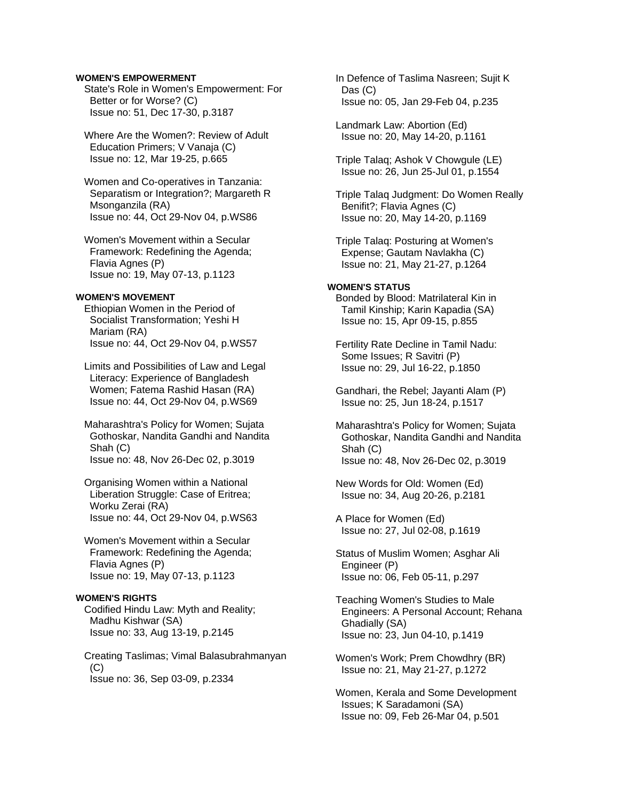### **WOMEN'S EMPOWERMENT**

 State's Role in Women's Empowerment: For Better or for Worse? (C) Issue no: 51, Dec 17-30, p.3187

 Where Are the Women?: Review of Adult Education Primers; V Vanaja (C) Issue no: 12, Mar 19-25, p.665

 Women and Co-operatives in Tanzania: Separatism or Integration?; Margareth R Msonganzila (RA) Issue no: 44, Oct 29-Nov 04, p.WS86

 Women's Movement within a Secular Framework: Redefining the Agenda; Flavia Agnes (P) Issue no: 19, May 07-13, p.1123

#### **WOMEN'S MOVEMENT**

 Ethiopian Women in the Period of Socialist Transformation; Yeshi H Mariam (RA) Issue no: 44, Oct 29-Nov 04, p.WS57

 Limits and Possibilities of Law and Legal Literacy: Experience of Bangladesh Women; Fatema Rashid Hasan (RA) Issue no: 44, Oct 29-Nov 04, p.WS69

 Maharashtra's Policy for Women; Sujata Gothoskar, Nandita Gandhi and Nandita Shah (C) Issue no: 48, Nov 26-Dec 02, p.3019

 Organising Women within a National Liberation Struggle: Case of Eritrea; Worku Zerai (RA) Issue no: 44, Oct 29-Nov 04, p.WS63

 Women's Movement within a Secular Framework: Redefining the Agenda; Flavia Agnes (P) Issue no: 19, May 07-13, p.1123

#### **WOMEN'S RIGHTS**

 Codified Hindu Law: Myth and Reality; Madhu Kishwar (SA) Issue no: 33, Aug 13-19, p.2145

 Creating Taslimas; Vimal Balasubrahmanyan (C) Issue no: 36, Sep 03-09, p.2334

 In Defence of Taslima Nasreen; Sujit K Das (C) Issue no: 05, Jan 29-Feb 04, p.235

 Landmark Law: Abortion (Ed) Issue no: 20, May 14-20, p.1161

 Triple Talaq; Ashok V Chowgule (LE) Issue no: 26, Jun 25-Jul 01, p.1554

 Triple Talaq Judgment: Do Women Really Benifit?; Flavia Agnes (C) Issue no: 20, May 14-20, p.1169

 Triple Talaq: Posturing at Women's Expense; Gautam Navlakha (C) Issue no: 21, May 21-27, p.1264

# **WOMEN'S STATUS**

 Bonded by Blood: Matrilateral Kin in Tamil Kinship; Karin Kapadia (SA) Issue no: 15, Apr 09-15, p.855

 Fertility Rate Decline in Tamil Nadu: Some Issues; R Savitri (P) Issue no: 29, Jul 16-22, p.1850

 Gandhari, the Rebel; Jayanti Alam (P) Issue no: 25, Jun 18-24, p.1517

 Maharashtra's Policy for Women; Sujata Gothoskar, Nandita Gandhi and Nandita Shah (C) Issue no: 48, Nov 26-Dec 02, p.3019

 New Words for Old: Women (Ed) Issue no: 34, Aug 20-26, p.2181

 A Place for Women (Ed) Issue no: 27, Jul 02-08, p.1619

 Status of Muslim Women; Asghar Ali Engineer (P) Issue no: 06, Feb 05-11, p.297

 Teaching Women's Studies to Male Engineers: A Personal Account; Rehana Ghadially (SA) Issue no: 23, Jun 04-10, p.1419

 Women's Work; Prem Chowdhry (BR) Issue no: 21, May 21-27, p.1272

 Women, Kerala and Some Development Issues; K Saradamoni (SA) Issue no: 09, Feb 26-Mar 04, p.501